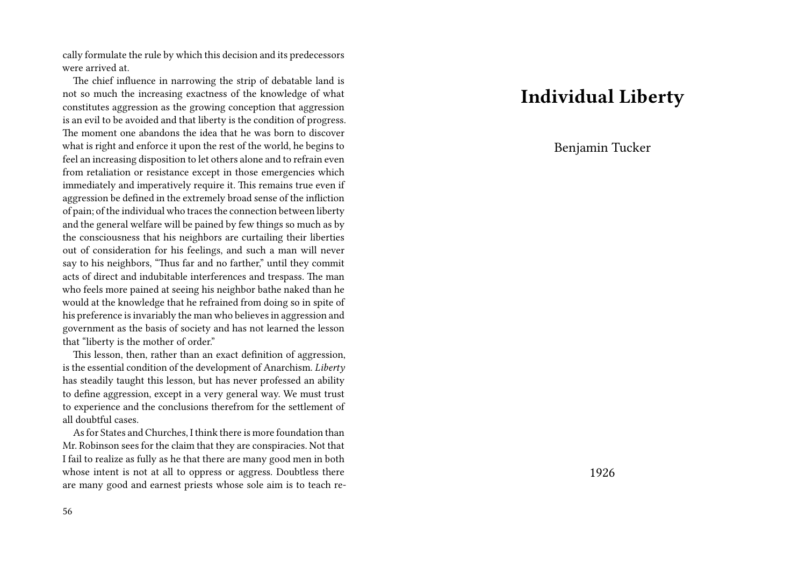cally formulate the rule by which this decision and its predecessors were arrived at.

The chief influence in narrowing the strip of debatable land is not so much the increasing exactness of the knowledge of what constitutes aggression as the growing conception that aggression is an evil to be avoided and that liberty is the condition of progress. The moment one abandons the idea that he was born to discover what is right and enforce it upon the rest of the world, he begins to feel an increasing disposition to let others alone and to refrain even from retaliation or resistance except in those emergencies which immediately and imperatively require it. This remains true even if aggression be defined in the extremely broad sense of the infliction of pain; of the individual who traces the connection between liberty and the general welfare will be pained by few things so much as by the consciousness that his neighbors are curtailing their liberties out of consideration for his feelings, and such a man will never say to his neighbors, "Thus far and no farther," until they commit acts of direct and indubitable interferences and trespass. The man who feels more pained at seeing his neighbor bathe naked than he would at the knowledge that he refrained from doing so in spite of his preference is invariably the man who believes in aggression and government as the basis of society and has not learned the lesson that "liberty is the mother of order."

This lesson, then, rather than an exact definition of aggression, is the essential condition of the development of Anarchism. *Liberty* has steadily taught this lesson, but has never professed an ability to define aggression, except in a very general way. We must trust to experience and the conclusions therefrom for the settlement of all doubtful cases.

As for States and Churches, I think there is more foundation than Mr. Robinson sees for the claim that they are conspiracies. Not that I fail to realize as fully as he that there are many good men in both whose intent is not at all to oppress or aggress. Doubtless there are many good and earnest priests whose sole aim is to teach re-

### **Individual Liberty**

Benjamin Tucker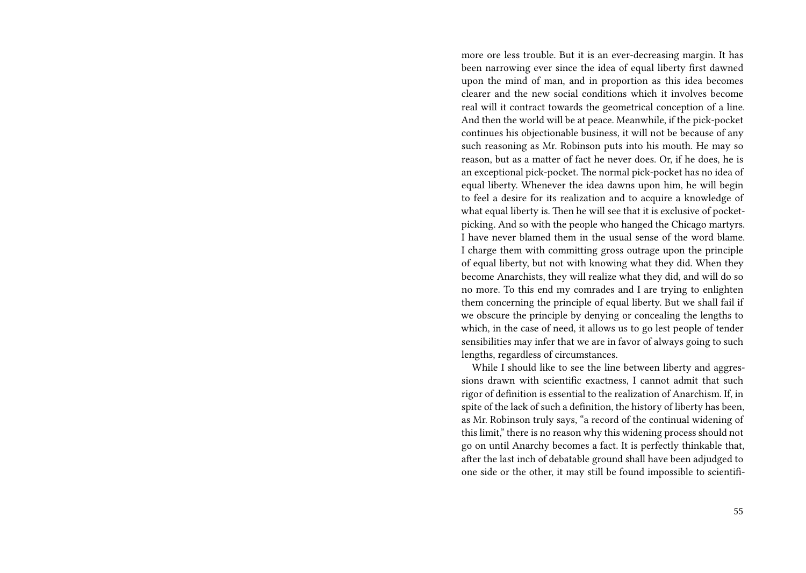more ore less trouble. But it is an ever-decreasing margin. It has been narrowing ever since the idea of equal liberty first dawned upon the mind of man, and in proportion as this idea becomes clearer and the new social conditions which it involves become real will it contract towards the geometrical conception of a line. And then the world will be at peace. Meanwhile, if the pick-pocket continues his objectionable business, it will not be because of any such reasoning as Mr. Robinson puts into his mouth. He may so reason, but as a matter of fact he never does. Or, if he does, he is an exceptional pick-pocket. The normal pick-pocket has no idea of equal liberty. Whenever the idea dawns upon him, he will begin to feel a desire for its realization and to acquire a knowledge of what equal liberty is. Then he will see that it is exclusive of pocketpicking. And so with the people who hanged the Chicago martyrs. I have never blamed them in the usual sense of the word blame. I charge them with committing gross outrage upon the principle of equal liberty, but not with knowing what they did. When they become Anarchists, they will realize what they did, and will do so no more. To this end my comrades and I are trying to enlighten them concerning the principle of equal liberty. But we shall fail if we obscure the principle by denying or concealing the lengths to which, in the case of need, it allows us to go lest people of tender sensibilities may infer that we are in favor of always going to such lengths, regardless of circumstances.

While I should like to see the line between liberty and aggressions drawn with scientific exactness, I cannot admit that such rigor of definition is essential to the realization of Anarchism. If, in spite of the lack of such a definition, the history of liberty has been, as Mr. Robinson truly says, "a record of the continual widening of this limit," there is no reason why this widening process should not go on until Anarchy becomes a fact. It is perfectly thinkable that, after the last inch of debatable ground shall have been adjudged to one side or the other, it may still be found impossible to scientifi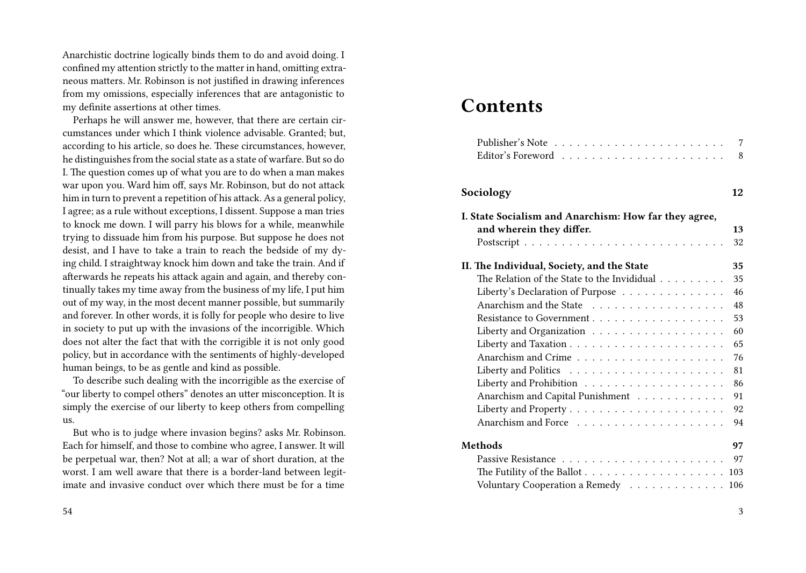Anarchistic doctrine logically binds them to do and avoid doing. I confined my attention strictly to the matter in hand, omitting extraneous matters. Mr. Robinson is not justified in drawing inferences from my omissions, especially inferences that are antagonistic to my definite assertions at other times.

Perhaps he will answer me, however, that there are certain circumstances under which I think violence advisable. Granted; but, according to his article, so does he. These circumstances, however, he distinguishes from the social state as a state of warfare. But so do I. The question comes up of what you are to do when a man makes war upon you. Ward him off, says Mr. Robinson, but do not attack him in turn to prevent a repetition of his attack. As a general policy, I agree; as a rule without exceptions, I dissent. Suppose a man tries to knock me down. I will parry his blows for a while, meanwhile trying to dissuade him from his purpose. But suppose he does not desist, and I have to take a train to reach the bedside of my dying child. I straightway knock him down and take the train. And if afterwards he repeats his attack again and again, and thereby continually takes my time away from the business of my life, I put him out of my way, in the most decent manner possible, but summarily and forever. In other words, it is folly for people who desire to live in society to put up with the invasions of the incorrigible. Which does not alter the fact that with the corrigible it is not only good policy, but in accordance with the sentiments of highly-developed human beings, to be as gentle and kind as possible.

To describe such dealing with the incorrigible as the exercise of "our liberty to compel others" denotes an utter misconception. It is simply the exercise of our liberty to keep others from compelling us.

But who is to judge where invasion begins? asks Mr. Robinson. Each for himself, and those to combine who agree, I answer. It will be perpetual war, then? Not at all; a war of short duration, at the worst. I am well aware that there is a border-land between legitimate and invasive conduct over which there must be for a time

### **Contents**

|                                                       | 7<br>8 |
|-------------------------------------------------------|--------|
|                                                       |        |
| Sociology                                             | 12     |
| I. State Socialism and Anarchism: How far they agree, |        |
| and wherein they differ.                              | 13     |
|                                                       | 32     |
| II. The Individual, Society, and the State            | 35     |
| The Relation of the State to the Invididual           | 35     |
| Liberty's Declaration of Purpose                      | 46     |
|                                                       | 48     |
|                                                       | 53     |
| Liberty and Organization                              | 60     |
|                                                       | 65     |
|                                                       | 76     |
|                                                       | 81     |
|                                                       | 86     |
| Anarchism and Capital Punishment                      | 91     |
|                                                       | 92     |
|                                                       | 94     |
| <b>Methods</b>                                        | 97     |
|                                                       | 97     |
|                                                       | 103    |
| Voluntary Cooperation a Remedy                        | 106    |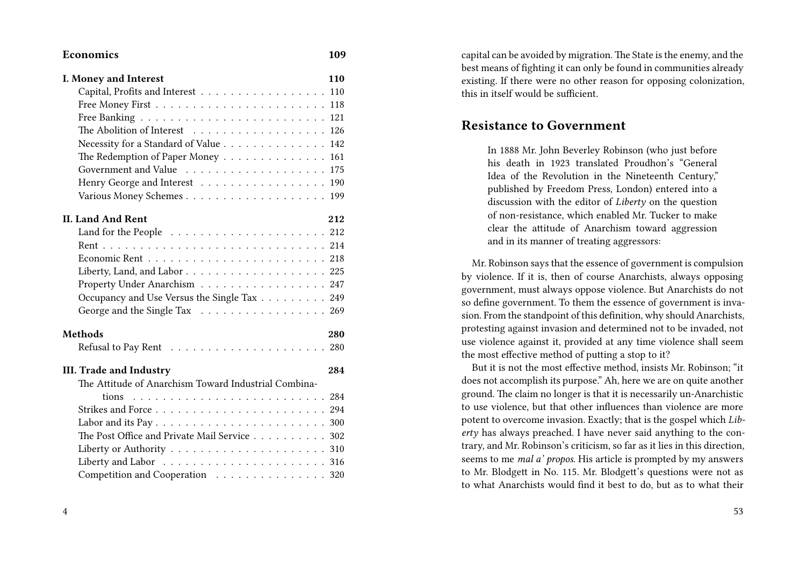#### **Economics 109**

| I. Money and Interest<br>110                                                               |
|--------------------------------------------------------------------------------------------|
| Capital, Profits and Interest 110                                                          |
|                                                                                            |
| 121                                                                                        |
| 126                                                                                        |
| Necessity for a Standard of Value 142                                                      |
| The Redemption of Paper Money<br>161                                                       |
| Government and Value<br>. The second contract is a second contract of $\mathcal{L}$<br>175 |
| Henry George and Interest<br>190                                                           |
| 199                                                                                        |
| <b>II. Land And Rent</b><br>212                                                            |
|                                                                                            |
|                                                                                            |
| 218                                                                                        |
|                                                                                            |
| Property Under Anarchism 247                                                               |
| Occupancy and Use Versus the Single Tax<br>249                                             |
| George and the Single Tax 269                                                              |
| <b>Methods</b><br>280                                                                      |
|                                                                                            |
| <b>III. Trade and Industry</b><br>284                                                      |
| The Attitude of Anarchism Toward Industrial Combina-                                       |
| tions<br>284                                                                               |
| 294                                                                                        |
| 300                                                                                        |
| The Post Office and Private Mail Service 302                                               |
| 310                                                                                        |
|                                                                                            |
| Competition and Cooperation<br>320                                                         |

capital can be avoided by migration. The State is the enemy, and the best means of fighting it can only be found in communities already existing. If there were no other reason for opposing colonization, this in itself would be sufficient.

#### **Resistance to Government**

In 1888 Mr. John Beverley Robinson (who just before his death in 1923 translated Proudhon's "General Idea of the Revolution in the Nineteenth Century," published by Freedom Press, London) entered into a discussion with the editor of *Liberty* on the question of non-resistance, which enabled Mr. Tucker to make clear the attitude of Anarchism toward aggression and in its manner of treating aggressors:

Mr. Robinson says that the essence of government is compulsion by violence. If it is, then of course Anarchists, always opposing government, must always oppose violence. But Anarchists do not so define government. To them the essence of government is invasion. From the standpoint of this definition, why should Anarchists, protesting against invasion and determined not to be invaded, not use violence against it, provided at any time violence shall seem the most effective method of putting a stop to it?

But it is not the most effective method, insists Mr. Robinson; "it does not accomplish its purpose." Ah, here we are on quite another ground. The claim no longer is that it is necessarily un-Anarchistic to use violence, but that other influences than violence are more potent to overcome invasion. Exactly; that is the gospel which *Liberty* has always preached. I have never said anything to the contrary, and Mr. Robinson's criticism, so far as it lies in this direction, seems to me *mal a' propos*. His article is prompted by my answers to Mr. Blodgett in No. 115. Mr. Blodgett's questions were not as to what Anarchists would find it best to do, but as to what their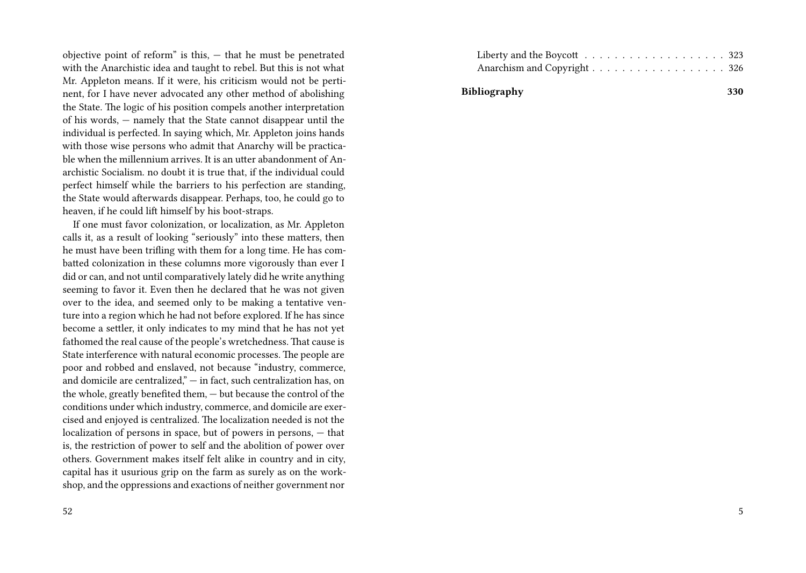objective point of reform" is this,  $-$  that he must be penetrated with the Anarchistic idea and taught to rebel. But this is not what Mr. Appleton means. If it were, his criticism would not be pertinent, for I have never advocated any other method of abolishing the State. The logic of his position compels another interpretation of his words, — namely that the State cannot disappear until the individual is perfected. In saying which, Mr. Appleton joins hands with those wise persons who admit that Anarchy will be practicable when the millennium arrives. It is an utter abandonment of Anarchistic Socialism. no doubt it is true that, if the individual could perfect himself while the barriers to his perfection are standing, the State would afterwards disappear. Perhaps, too, he could go to heaven, if he could lift himself by his boot-straps.

If one must favor colonization, or localization, as Mr. Appleton calls it, as a result of looking "seriously" into these matters, then he must have been trifling with them for a long time. He has combatted colonization in these columns more vigorously than ever I did or can, and not until comparatively lately did he write anything seeming to favor it. Even then he declared that he was not given over to the idea, and seemed only to be making a tentative venture into a region which he had not before explored. If he has since become a settler, it only indicates to my mind that he has not yet fathomed the real cause of the people's wretchedness. That cause is State interference with natural economic processes. The people are poor and robbed and enslaved, not because "industry, commerce, and domicile are centralized," — in fact, such centralization has, on the whole, greatly benefited them, — but because the control of the conditions under which industry, commerce, and domicile are exercised and enjoyed is centralized. The localization needed is not the localization of persons in space, but of powers in persons, — that is, the restriction of power to self and the abolition of power over others. Government makes itself felt alike in country and in city, capital has it usurious grip on the farm as surely as on the workshop, and the oppressions and exactions of neither government nor

| <b>Bibliography</b>                                                           |  |  |  |  | 330 |
|-------------------------------------------------------------------------------|--|--|--|--|-----|
| Anarchism and Copyright 326                                                   |  |  |  |  |     |
| Liberty and the Boycott $\dots \dots \dots \dots \dots \dots \dots \dots$ 323 |  |  |  |  |     |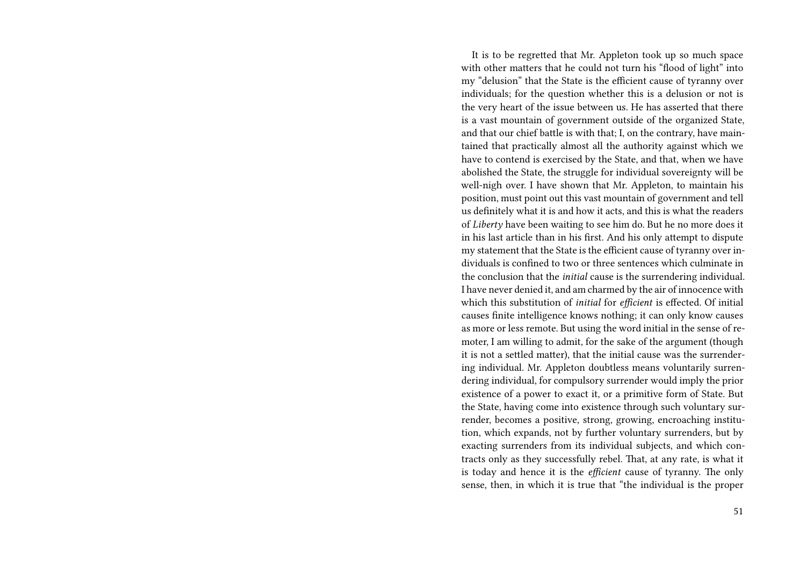It is to be regretted that Mr. Appleton took up so much space with other matters that he could not turn his "flood of light" into my "delusion" that the State is the efficient cause of tyranny over individuals; for the question whether this is a delusion or not is the very heart of the issue between us. He has asserted that there is a vast mountain of government outside of the organized State, and that our chief battle is with that; I, on the contrary, have maintained that practically almost all the authority against which we have to contend is exercised by the State, and that, when we have abolished the State, the struggle for individual sovereignty will be well-nigh over. I have shown that Mr. Appleton, to maintain his position, must point out this vast mountain of government and tell us definitely what it is and how it acts, and this is what the readers of *Liberty* have been waiting to see him do. But he no more does it in his last article than in his first. And his only attempt to dispute my statement that the State is the efficient cause of tyranny over individuals is confined to two or three sentences which culminate in the conclusion that the *initial* cause is the surrendering individual. I have never denied it, and am charmed by the air of innocence with which this substitution of *initial* for *efficient* is effected. Of initial causes finite intelligence knows nothing; it can only know causes as more or less remote. But using the word initial in the sense of remoter, I am willing to admit, for the sake of the argument (though it is not a settled matter), that the initial cause was the surrendering individual. Mr. Appleton doubtless means voluntarily surrendering individual, for compulsory surrender would imply the prior existence of a power to exact it, or a primitive form of State. But the State, having come into existence through such voluntary surrender, becomes a positive, strong, growing, encroaching institution, which expands, not by further voluntary surrenders, but by exacting surrenders from its individual subjects, and which contracts only as they successfully rebel. That, at any rate, is what it is today and hence it is the *efficient* cause of tyranny. The only sense, then, in which it is true that "the individual is the proper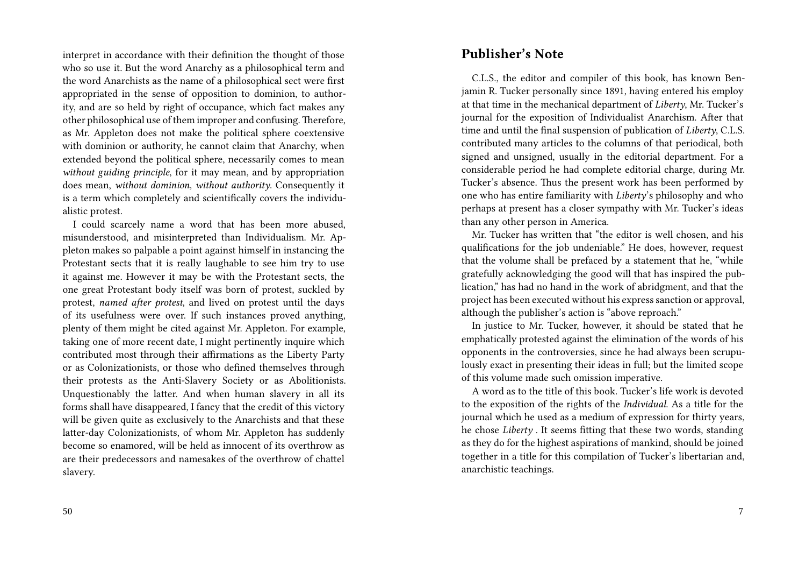interpret in accordance with their definition the thought of those who so use it. But the word Anarchy as a philosophical term and the word Anarchists as the name of a philosophical sect were first appropriated in the sense of opposition to dominion, to authority, and are so held by right of occupance, which fact makes any other philosophical use of them improper and confusing. Therefore, as Mr. Appleton does not make the political sphere coextensive with dominion or authority, he cannot claim that Anarchy, when extended beyond the political sphere, necessarily comes to mean *without guiding principle*, for it may mean, and by appropriation does mean, *without dominion, without authority*. Consequently it is a term which completely and scientifically covers the individualistic protest.

I could scarcely name a word that has been more abused, misunderstood, and misinterpreted than Individualism. Mr. Appleton makes so palpable a point against himself in instancing the Protestant sects that it is really laughable to see him try to use it against me. However it may be with the Protestant sects, the one great Protestant body itself was born of protest, suckled by protest, *named after protest*, and lived on protest until the days of its usefulness were over. If such instances proved anything, plenty of them might be cited against Mr. Appleton. For example, taking one of more recent date, I might pertinently inquire which contributed most through their affirmations as the Liberty Party or as Colonizationists, or those who defined themselves through their protests as the Anti-Slavery Society or as Abolitionists. Unquestionably the latter. And when human slavery in all its forms shall have disappeared, I fancy that the credit of this victory will be given quite as exclusively to the Anarchists and that these latter-day Colonizationists, of whom Mr. Appleton has suddenly become so enamored, will be held as innocent of its overthrow as are their predecessors and namesakes of the overthrow of chattel slavery.

### **Publisher's Note**

C.L.S., the editor and compiler of this book, has known Benjamin R. Tucker personally since 1891, having entered his employ at that time in the mechanical department of *Liberty*, Mr. Tucker's journal for the exposition of Individualist Anarchism. After that time and until the final suspension of publication of *Liberty*, C.L.S. contributed many articles to the columns of that periodical, both signed and unsigned, usually in the editorial department. For a considerable period he had complete editorial charge, during Mr. Tucker's absence. Thus the present work has been performed by one who has entire familiarity with *Liberty*'s philosophy and who perhaps at present has a closer sympathy with Mr. Tucker's ideas than any other person in America.

Mr. Tucker has written that "the editor is well chosen, and his qualifications for the job undeniable." He does, however, request that the volume shall be prefaced by a statement that he, "while gratefully acknowledging the good will that has inspired the publication," has had no hand in the work of abridgment, and that the project has been executed without his express sanction or approval, although the publisher's action is "above reproach."

In justice to Mr. Tucker, however, it should be stated that he emphatically protested against the elimination of the words of his opponents in the controversies, since he had always been scrupulously exact in presenting their ideas in full; but the limited scope of this volume made such omission imperative.

A word as to the title of this book. Tucker's life work is devoted to the exposition of the rights of the *Individual*. As a title for the journal which he used as a medium of expression for thirty years, he chose *Liberty* . It seems fitting that these two words, standing as they do for the highest aspirations of mankind, should be joined together in a title for this compilation of Tucker's libertarian and, anarchistic teachings.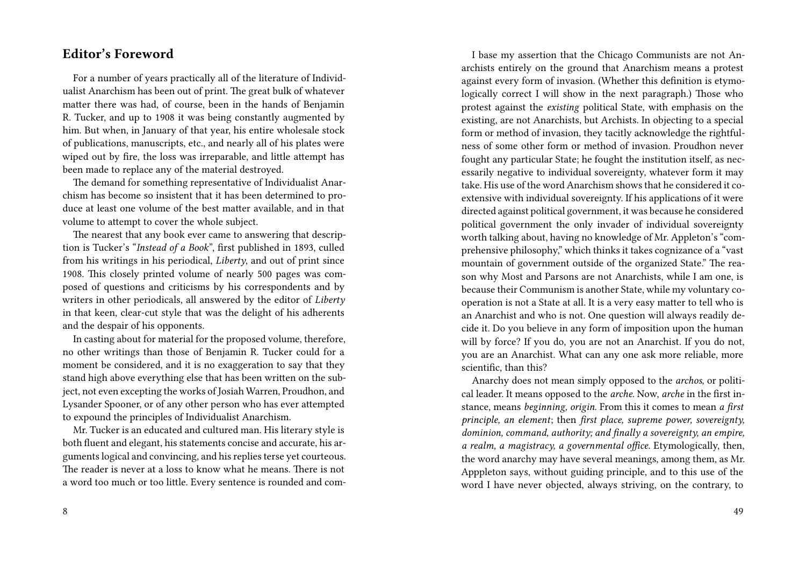### **Editor's Foreword**

For a number of years practically all of the literature of Individualist Anarchism has been out of print. The great bulk of whatever matter there was had, of course, been in the hands of Benjamin R. Tucker, and up to 1908 it was being constantly augmented by him. But when, in January of that year, his entire wholesale stock of publications, manuscripts, etc., and nearly all of his plates were wiped out by fire, the loss was irreparable, and little attempt has been made to replace any of the material destroyed.

The demand for something representative of Individualist Anarchism has become so insistent that it has been determined to produce at least one volume of the best matter available, and in that volume to attempt to cover the whole subject.

The nearest that any book ever came to answering that description is Tucker's "*Instead of a Book*", first published in 1893, culled from his writings in his periodical, *Liberty*, and out of print since 1908. This closely printed volume of nearly 500 pages was composed of questions and criticisms by his correspondents and by writers in other periodicals, all answered by the editor of *Liberty* in that keen, clear-cut style that was the delight of his adherents and the despair of his opponents.

In casting about for material for the proposed volume, therefore, no other writings than those of Benjamin R. Tucker could for a moment be considered, and it is no exaggeration to say that they stand high above everything else that has been written on the subject, not even excepting the works of Josiah Warren, Proudhon, and Lysander Spooner, or of any other person who has ever attempted to expound the principles of Individualist Anarchism.

Mr. Tucker is an educated and cultured man. His literary style is both fluent and elegant, his statements concise and accurate, his arguments logical and convincing, and his replies terse yet courteous. The reader is never at a loss to know what he means. There is not a word too much or too little. Every sentence is rounded and com-

I base my assertion that the Chicago Communists are not Anarchists entirely on the ground that Anarchism means a protest against every form of invasion. (Whether this definition is etymologically correct I will show in the next paragraph.) Those who protest against the *existing* political State, with emphasis on the existing, are not Anarchists, but Archists. In objecting to a special form or method of invasion, they tacitly acknowledge the rightfulness of some other form or method of invasion. Proudhon never fought any particular State; he fought the institution itself, as necessarily negative to individual sovereignty, whatever form it may take. His use of the word Anarchism shows that he considered it coextensive with individual sovereignty. If his applications of it were directed against political government, it was because he considered political government the only invader of individual sovereignty worth talking about, having no knowledge of Mr. Appleton's "comprehensive philosophy," which thinks it takes cognizance of a "vast mountain of government outside of the organized State." The reason why Most and Parsons are not Anarchists, while I am one, is because their Communism is another State, while my voluntary cooperation is not a State at all. It is a very easy matter to tell who is an Anarchist and who is not. One question will always readily decide it. Do you believe in any form of imposition upon the human will by force? If you do, you are not an Anarchist. If you do not, you are an Anarchist. What can any one ask more reliable, more scientific, than this?

Anarchy does not mean simply opposed to the *archos*, or political leader. It means opposed to the *arche*. Now, *arche* in the first instance, means *beginning, origin*. From this it comes to mean *a first principle, an element*; then *first place, supreme power, sovereignty, dominion, command, authority; and finally a sovereignty, an empire, a realm, a magistracy, a governmental office*. Etymologically, then, the word anarchy may have several meanings, among them, as Mr. Apppleton says, without guiding principle, and to this use of the word I have never objected, always striving, on the contrary, to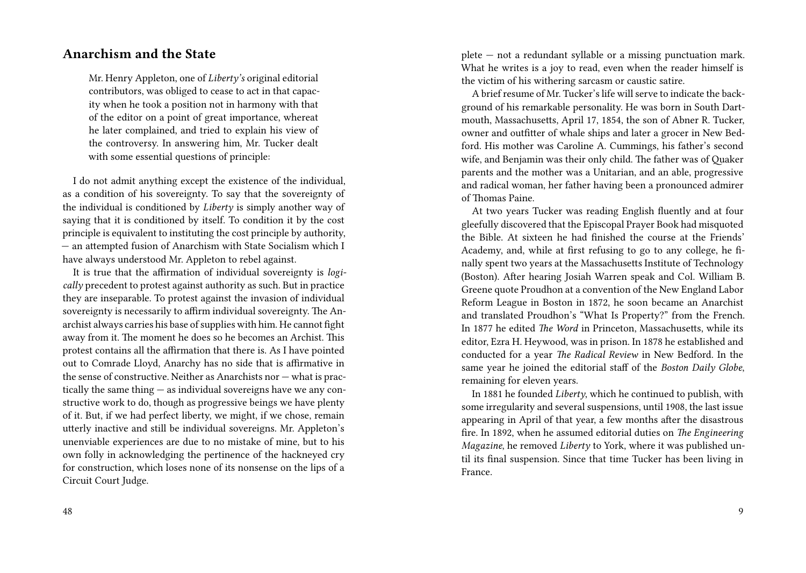#### **Anarchism and the State**

Mr. Henry Appleton, one of *Liberty's* original editorial contributors, was obliged to cease to act in that capacity when he took a position not in harmony with that of the editor on a point of great importance, whereat he later complained, and tried to explain his view of the controversy. In answering him, Mr. Tucker dealt with some essential questions of principle:

I do not admit anything except the existence of the individual, as a condition of his sovereignty. To say that the sovereignty of the individual is conditioned by *Liberty* is simply another way of saying that it is conditioned by itself. To condition it by the cost principle is equivalent to instituting the cost principle by authority, — an attempted fusion of Anarchism with State Socialism which I have always understood Mr. Appleton to rebel against.

It is true that the affirmation of individual sovereignty is *logically* precedent to protest against authority as such. But in practice they are inseparable. To protest against the invasion of individual sovereignty is necessarily to affirm individual sovereignty. The Anarchist always carries his base of supplies with him. He cannot fight away from it. The moment he does so he becomes an Archist. This protest contains all the affirmation that there is. As I have pointed out to Comrade Lloyd, Anarchy has no side that is affirmative in the sense of constructive. Neither as Anarchists nor — what is practically the same thing — as individual sovereigns have we any constructive work to do, though as progressive beings we have plenty of it. But, if we had perfect liberty, we might, if we chose, remain utterly inactive and still be individual sovereigns. Mr. Appleton's unenviable experiences are due to no mistake of mine, but to his own folly in acknowledging the pertinence of the hackneyed cry for construction, which loses none of its nonsense on the lips of a Circuit Court Judge.

plete — not a redundant syllable or a missing punctuation mark. What he writes is a joy to read, even when the reader himself is the victim of his withering sarcasm or caustic satire.

A brief resume of Mr. Tucker's life will serve to indicate the background of his remarkable personality. He was born in South Dartmouth, Massachusetts, April 17, 1854, the son of Abner R. Tucker, owner and outfitter of whale ships and later a grocer in New Bedford. His mother was Caroline A. Cummings, his father's second wife, and Benjamin was their only child. The father was of Quaker parents and the mother was a Unitarian, and an able, progressive and radical woman, her father having been a pronounced admirer of Thomas Paine.

At two years Tucker was reading English fluently and at four gleefully discovered that the Episcopal Prayer Book had misquoted the Bible. At sixteen he had finished the course at the Friends' Academy, and, while at first refusing to go to any college, he finally spent two years at the Massachusetts Institute of Technology (Boston). After hearing Josiah Warren speak and Col. William B. Greene quote Proudhon at a convention of the New England Labor Reform League in Boston in 1872, he soon became an Anarchist and translated Proudhon's "What Is Property?" from the French. In 1877 he edited *The Word* in Princeton, Massachusetts, while its editor, Ezra H. Heywood, was in prison. In 1878 he estabIished and conducted for a year *The Radical Review* in New Bedford. In the same year he joined the editorial staff of the *Boston Daily Globe*, remaining for eleven years.

In 1881 he founded *Liberty*, which he continued to publish, with some irregularity and several suspensions, until 1908, the last issue appearing in April of that year, a few months after the disastrous fire. In 1892, when he assumed editorial duties on *The Engineering Magazine*, he removed *Liberty* to York, where it was published until its final suspension. Since that time Tucker has been living in France.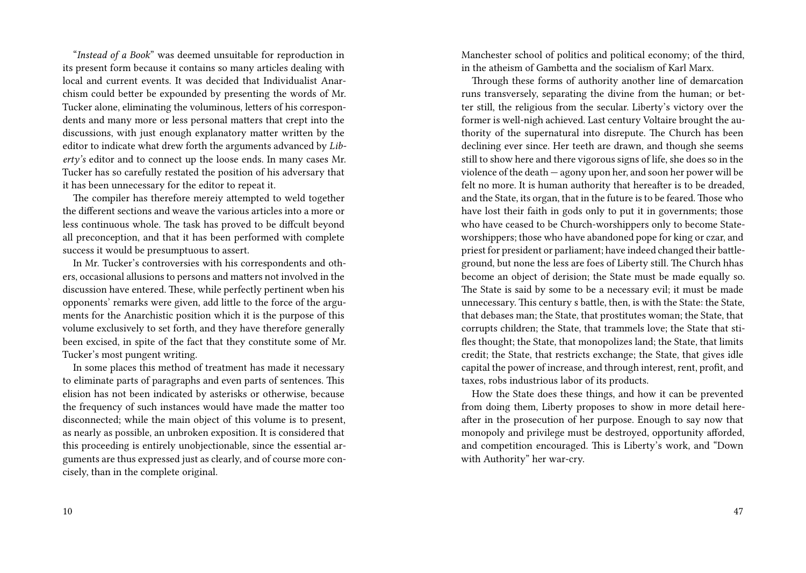"*Instead of a Book*" was deemed unsuitable for reproduction in its present form because it contains so many articles dealing with local and current events. It was decided that Individualist Anarchism could better be expounded by presenting the words of Mr. Tucker alone, eliminating the voluminous, letters of his correspondents and many more or less personal matters that crept into the discussions, with just enough explanatory matter written by the editor to indicate what drew forth the arguments advanced by *Liberty's* editor and to connect up the loose ends. In many cases Mr. Tucker has so carefully restated the position of his adversary that it has been unnecessary for the editor to repeat it.

The compiler has therefore mereiy attempted to weld together the different sections and weave the various articles into a more or less continuous whole. The task has proved to be diffcult beyond all preconception, and that it has been performed with complete success it would be presumptuous to assert.

In Mr. Tucker's controversies with his correspondents and others, occasional allusions to persons and matters not involved in the discussion have entered. These, while perfectly pertinent wben his opponents' remarks were given, add little to the force of the arguments for the Anarchistic position which it is the purpose of this volume exclusively to set forth, and they have therefore generally been excised, in spite of the fact that they constitute some of Mr. Tucker's most pungent writing.

In some places this method of treatment has made it necessary to eliminate parts of paragraphs and even parts of sentences. This elision has not been indicated by asterisks or otherwise, because the frequency of such instances would have made the matter too disconnected; while the main object of this volume is to present, as nearly as possible, an unbroken exposition. It is considered that this proceeding is entirely unobjectionable, since the essential arguments are thus expressed just as clearly, and of course more concisely, than in the complete original.

Manchester school of politics and political economy; of the third, in the atheism of Gambetta and the socialism of Karl Marx.

Through these forms of authority another line of demarcation runs transversely, separating the divine from the human; or better still, the religious from the secular. Liberty's victory over the former is well-nigh achieved. Last century Voltaire brought the authority of the supernatural into disrepute. The Church has been declining ever since. Her teeth are drawn, and though she seems still to show here and there vigorous signs of life, she does so in the violence of the death — agony upon her, and soon her power will be felt no more. It is human authority that hereafter is to be dreaded, and the State, its organ, that in the future is to be feared. Those who have lost their faith in gods only to put it in governments; those who have ceased to be Church-worshippers only to become Stateworshippers; those who have abandoned pope for king or czar, and priest for president or parliament; have indeed changed their battleground, but none the less are foes of Liberty still. The Church hhas become an object of derision; the State must be made equally so. The State is said by some to be a necessary evil; it must be made unnecessary. This century s battle, then, is with the State: the State, that debases man; the State, that prostitutes woman; the State, that corrupts children; the State, that trammels love; the State that stifles thought; the State, that monopolizes land; the State, that limits credit; the State, that restricts exchange; the State, that gives idle capital the power of increase, and through interest, rent, profit, and taxes, robs industrious labor of its products.

How the State does these things, and how it can be prevented from doing them, Liberty proposes to show in more detail hereafter in the prosecution of her purpose. Enough to say now that monopoly and privilege must be destroyed, opportunity afforded, and competition encouraged. This is Liberty's work, and "Down with Authority" her war-cry.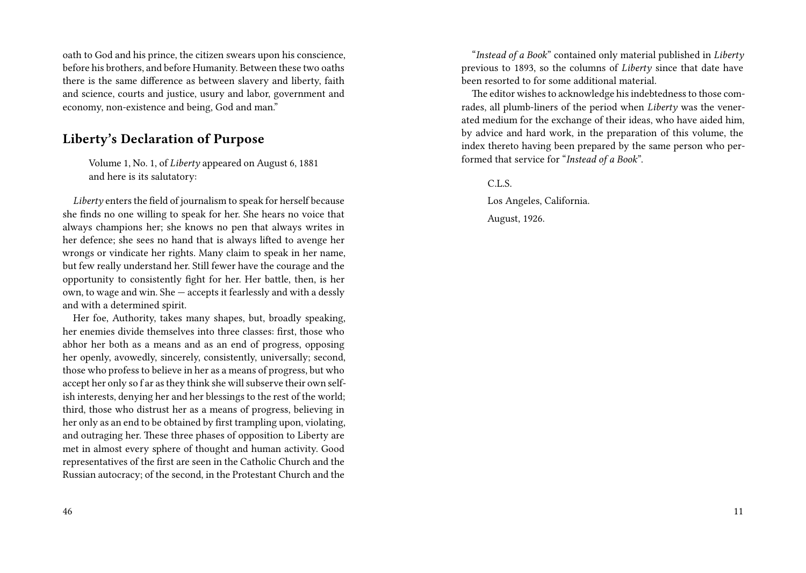oath to God and his prince, the citizen swears upon his conscience, before his brothers, and before Humanity. Between these two oaths there is the same difference as between slavery and liberty, faith and science, courts and justice, usury and labor, government and economy, non-existence and being, God and man."

### **Liberty's Declaration of Purpose**

Volume 1, No. 1, of *Liberty* appeared on August 6, 1881 and here is its salutatory:

*Liberty* enters the field of journalism to speak for herself because she finds no one willing to speak for her. She hears no voice that always champions her; she knows no pen that always writes in her defence; she sees no hand that is always lifted to avenge her wrongs or vindicate her rights. Many claim to speak in her name, but few really understand her. Still fewer have the courage and the opportunity to consistently fight for her. Her battle, then, is her own, to wage and win. She — accepts it fearlessly and with a dessly and with a determined spirit.

Her foe, Authority, takes many shapes, but, broadly speaking, her enemies divide themselves into three classes: first, those who abhor her both as a means and as an end of progress, opposing her openly, avowedly, sincerely, consistently, universally; second, those who profess to believe in her as a means of progress, but who accept her only so f ar as they think she will subserve their own selfish interests, denying her and her blessings to the rest of the world; third, those who distrust her as a means of progress, believing in her only as an end to be obtained by first trampling upon, violating, and outraging her. These three phases of opposition to Liberty are met in almost every sphere of thought and human activity. Good representatives of the first are seen in the Catholic Church and the Russian autocracy; of the second, in the Protestant Church and the

"*Instead of a Book*" contained only material published in *Liberty* previous to 1893, so the columns of *Liberty* since that date have been resorted to for some additional material.

The editor wishes to acknowledge his indebtedness to those comrades, all plumb-liners of the period when *Liberty* was the venerated medium for the exchange of their ideas, who have aided him, by advice and hard work, in the preparation of this volume, the index thereto having been prepared by the same person who performed that service for "*Instead of a Book*".

C.L.S.

Los Angeles, California. August, 1926.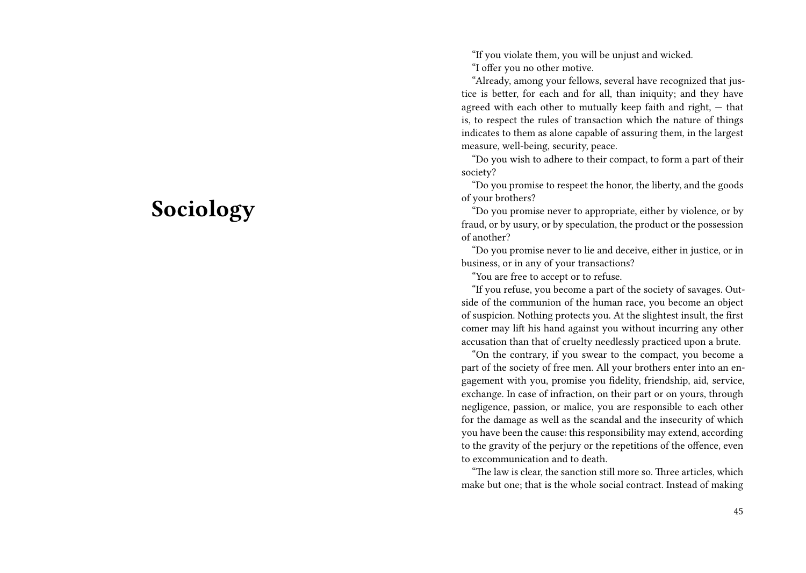# **Sociology**

"If you violate them, you will be unjust and wicked. "I offer you no other motive.

"Already, among your fellows, several have recognized that justice is better, for each and for all, than iniquity; and they have agreed with each other to mutually keep faith and right, — that is, to respect the rules of transaction which the nature of things indicates to them as alone capable of assuring them, in the largest measure, well-being, security, peace.

"Do you wish to adhere to their compact, to form a part of their society?

"Do you promise to respeet the honor, the liberty, and the goods of your brothers?

"Do you promise never to appropriate, either by violence, or by fraud, or by usury, or by speculation, the product or the possession of another?

"Do you promise never to lie and deceive, either in justice, or in business, or in any of your transactions?

"You are free to accept or to refuse.

"If you refuse, you become a part of the society of savages. Outside of the communion of the human race, you become an object of suspicion. Nothing protects you. At the slightest insult, the first comer may lift his hand against you without incurring any other accusation than that of cruelty needlessly practiced upon a brute.

"On the contrary, if you swear to the compact, you become a part of the society of free men. All your brothers enter into an engagement with you, promise you fidelity, friendship, aid, service, exchange. In case of infraction, on their part or on yours, through negligence, passion, or malice, you are responsible to each other for the damage as well as the scandal and the insecurity of which you have been the cause: this responsibility may extend, according to the gravity of the perjury or the repetitions of the offence, even to excommunication and to death.

"The law is clear, the sanction still more so. Three articles, which make but one; that is the whole social contract. Instead of making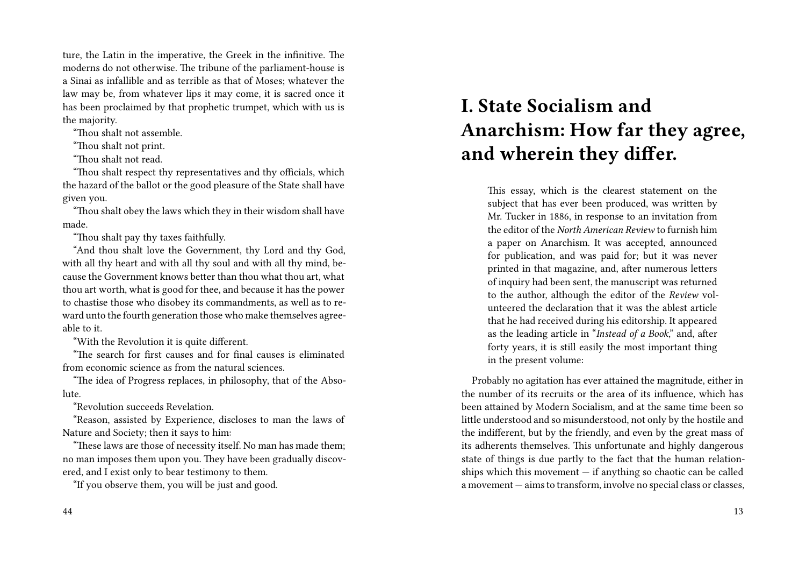ture, the Latin in the imperative, the Greek in the infinitive. The moderns do not otherwise. The tribune of the parliament-house is a Sinai as infallible and as terrible as that of Moses; whatever the law may be, from whatever lips it may come, it is sacred once it has been proclaimed by that prophetic trumpet, which with us is the majority.

"Thou shalt not assemble.

"Thou shalt not print.

"Thou shalt not read.

"Thou shalt respect thy representatives and thy officials, which the hazard of the ballot or the good pleasure of the State shall have given you.

"Thou shalt obey the laws which they in their wisdom shall have made.

"Thou shalt pay thy taxes faithfully.

"And thou shalt love the Government, thy Lord and thy God, with all thy heart and with all thy soul and with all thy mind, because the Government knows better than thou what thou art, what thou art worth, what is good for thee, and because it has the power to chastise those who disobey its commandments, as well as to reward unto the fourth generation those who make themselves agreeable to it.

"With the Revolution it is quite different.

"The search for first causes and for final causes is eliminated from economic science as from the natural sciences.

"The idea of Progress replaces, in philosophy, that of the Absolute.

"Revolution succeeds Revelation.

"Reason, assisted by Experience, discloses to man the laws of Nature and Society; then it says to him:

"These laws are those of necessity itself. No man has made them; no man imposes them upon you. They have been gradually discovered, and I exist only to bear testimony to them.

"If you observe them, you will be just and good.

# **I. State Socialism and Anarchism: How far they agree, and wherein they differ.**

This essay, which is the clearest statement on the subject that has ever been produced, was written by Mr. Tucker in 1886, in response to an invitation from the editor of the *North American Review* to furnish him a paper on Anarchism. It was accepted, announced for publication, and was paid for; but it was never printed in that magazine, and, after numerous letters of inquiry had been sent, the manuscript was returned to the author, although the editor of the *Review* volunteered the declaration that it was the ablest article that he had received during his editorship. It appeared as the leading article in "*Instead of a Book*," and, after forty years, it is still easily the most important thing in the present volume:

Probably no agitation has ever attained the magnitude, either in the number of its recruits or the area of its influence, which has been attained by Modern Socialism, and at the same time been so little understood and so misunderstood, not only by the hostile and the indifferent, but by the friendly, and even by the great mass of its adherents themselves. This unfortunate and highly dangerous state of things is due partly to the fact that the human relationships which this movement — if anything so chaotic can be called a movement — aims to transform, involve no special class or classes,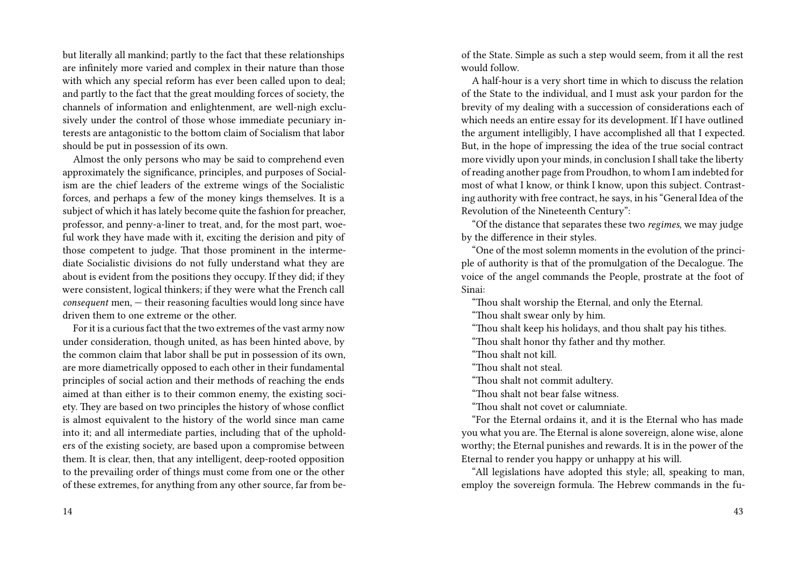but literally all mankind; partly to the fact that these relationships are infinitely more varied and complex in their nature than those with which any special reform has ever been called upon to deal; and partly to the fact that the great moulding forces of society, the channels of information and enlightenment, are well-nigh exclusively under the control of those whose immediate pecuniary interests are antagonistic to the bottom claim of Socialism that labor should be put in possession of its own.

Almost the only persons who may be said to comprehend even approximately the significance, principles, and purposes of Socialism are the chief leaders of the extreme wings of the Socialistic forces, and perhaps a few of the money kings themselves. It is a subject of which it has lately become quite the fashion for preacher, professor, and penny-a-liner to treat, and, for the most part, woeful work they have made with it, exciting the derision and pity of those competent to judge. That those prominent in the intermediate Socialistic divisions do not fully understand what they are about is evident from the positions they occupy. If they did; if they were consistent, logical thinkers; if they were what the French call *consequent* men, — their reasoning faculties would long since have driven them to one extreme or the other.

For it is a curious fact that the two extremes of the vast army now under consideration, though united, as has been hinted above, by the common claim that labor shall be put in possession of its own, are more diametrically opposed to each other in their fundamental principles of social action and their methods of reaching the ends aimed at than either is to their common enemy, the existing society. They are based on two principles the history of whose conflict is almost equivalent to the history of the world since man came into it; and all intermediate parties, including that of the upholders of the existing society, are based upon a compromise between them. It is clear, then, that any intelligent, deep-rooted opposition to the prevailing order of things must come from one or the other of these extremes, for anything from any other source, far from beof the State. Simple as such a step would seem, from it all the rest would follow.

A half-hour is a very short time in which to discuss the relation of the State to the individual, and I must ask your pardon for the brevity of my dealing with a succession of considerations each of which needs an entire essay for its development. If I have outlined the argument intelligibly, I have accomplished all that I expected. But, in the hope of impressing the idea of the true social contract more vividly upon your minds, in conclusion I shall take the liberty of reading another page from Proudhon, to whom I am indebted for most of what I know, or think I know, upon this subject. Contrasting authority with free contract, he says, in his "General Idea of the Revolution of the Nineteenth Century":

"Of the distance that separates these two *regimes*, we may judge by the difference in their styles.

"One of the most solemn moments in the evolution of the principle of authority is that of the promulgation of the Decalogue. The voice of the angel commands the People, prostrate at the foot of Sinai:

"Thou shalt worship the Eternal, and only the Eternal.

"Thou shalt swear only by him.

"Thou shalt keep his holidays, and thou shalt pay his tithes. "Thou shalt honor thy father and thy mother.

"Thou shalt not kill.

"Thou shalt not steal.

"Thou shalt not commit adultery.

"Thou shalt not bear false witness.

"Thou shalt not covet or calumniate.

"For the Eternal ordains it, and it is the Eternal who has made you what you are. The Eternal is alone sovereign, alone wise, alone worthy; the Eternal punishes and rewards. It is in the power of the Eternal to render you happy or unhappy at his will.

"All legislations have adopted this style; all, speaking to man, employ the sovereign formula. The Hebrew commands in the fu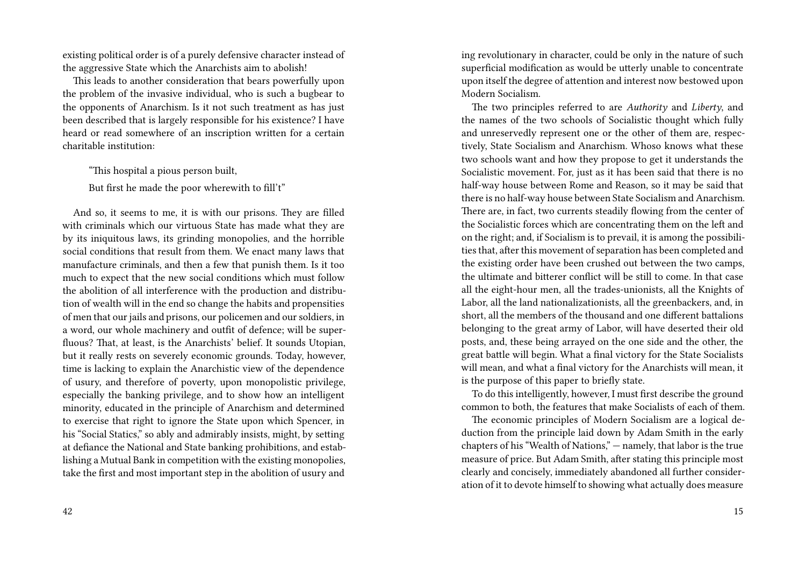existing political order is of a purely defensive character instead of the aggressive State which the Anarchists aim to abolish!

This leads to another consideration that bears powerfully upon the problem of the invasive individual, who is such a bugbear to the opponents of Anarchism. Is it not such treatment as has just been described that is largely responsible for his existence? I have heard or read somewhere of an inscription written for a certain charitable institution:

"This hospital a pious person built,

But first he made the poor wherewith to fill't"

And so, it seems to me, it is with our prisons. They are filled with criminals which our virtuous State has made what they are by its iniquitous laws, its grinding monopolies, and the horrible social conditions that result from them. We enact many laws that manufacture criminals, and then a few that punish them. Is it too much to expect that the new social conditions which must follow the abolition of all interference with the production and distribution of wealth will in the end so change the habits and propensities of men that our jails and prisons, our policemen and our soldiers, in a word, our whole machinery and outfit of defence; will be superfluous? That, at least, is the Anarchists' belief. It sounds Utopian, but it really rests on severely economic grounds. Today, however, time is lacking to explain the Anarchistic view of the dependence of usury, and therefore of poverty, upon monopolistic privilege, especially the banking privilege, and to show how an intelligent minority, educated in the principle of Anarchism and determined to exercise that right to ignore the State upon which Spencer, in his "Social Statics," so ably and admirably insists, might, by setting at defiance the National and State banking prohibitions, and establishing a Mutual Bank in competition with the existing monopolies, take the first and most important step in the abolition of usury and

ing revolutionary in character, could be only in the nature of such superficial modification as would be utterly unable to concentrate upon itself the degree of attention and interest now bestowed upon Modern Socialism.

The two principles referred to are *Authority* and *Liberty*, and the names of the two schools of Socialistic thought which fully and unreservedly represent one or the other of them are, respectively, State Socialism and Anarchism. Whoso knows what these two schools want and how they propose to get it understands the Socialistic movement. For, just as it has been said that there is no half-way house between Rome and Reason, so it may be said that there is no half-way house between State Socialism and Anarchism. There are, in fact, two currents steadily flowing from the center of the Socialistic forces which are concentrating them on the left and on the right; and, if Socialism is to prevail, it is among the possibilities that, after this movement of separation has been completed and the existing order have been crushed out between the two camps, the ultimate and bitterer conflict will be still to come. In that case all the eight-hour men, all the trades-unionists, all the Knights of Labor, all the land nationalizationists, all the greenbackers, and, in short, all the members of the thousand and one different battalions belonging to the great army of Labor, will have deserted their old posts, and, these being arrayed on the one side and the other, the great battle will begin. What a final victory for the State Socialists will mean, and what a final victory for the Anarchists will mean, it is the purpose of this paper to briefly state.

To do this intelligently, however, I must first describe the ground common to both, the features that make Socialists of each of them.

The economic principles of Modern Socialism are a logical deduction from the principle laid down by Adam Smith in the early chapters of his "Wealth of Nations," — namely, that labor is the true measure of price. But Adam Smith, after stating this principle most clearly and concisely, immediately abandoned all further consideration of it to devote himself to showing what actually does measure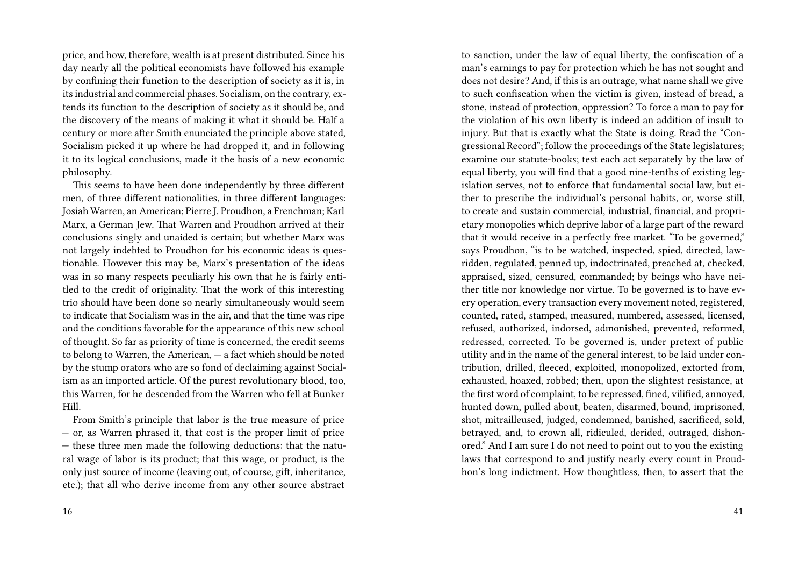price, and how, therefore, wealth is at present distributed. Since his day nearly all the political economists have followed his example by confining their function to the description of society as it is, in its industrial and commercial phases. Socialism, on the contrary, extends its function to the description of society as it should be, and the discovery of the means of making it what it should be. Half a century or more after Smith enunciated the principle above stated, Socialism picked it up where he had dropped it, and in following it to its logical conclusions, made it the basis of a new economic philosophy.

This seems to have been done independently by three different men, of three different nationalities, in three different languages: Josiah Warren, an American; Pierre J. Proudhon, a Frenchman; Karl Marx, a German Jew. That Warren and Proudhon arrived at their conclusions singly and unaided is certain; but whether Marx was not largely indebted to Proudhon for his economic ideas is questionable. However this may be, Marx's presentation of the ideas was in so many respects peculiarly his own that he is fairly entitled to the credit of originality. That the work of this interesting trio should have been done so nearly simultaneously would seem to indicate that Socialism was in the air, and that the time was ripe and the conditions favorable for the appearance of this new school of thought. So far as priority of time is concerned, the credit seems to belong to Warren, the American, — a fact which should be noted by the stump orators who are so fond of declaiming against Socialism as an imported article. Of the purest revolutionary blood, too, this Warren, for he descended from the Warren who fell at Bunker Hill.

From Smith's principle that labor is the true measure of price — or, as Warren phrased it, that cost is the proper limit of price — these three men made the following deductions: that the natural wage of labor is its product; that this wage, or product, is the only just source of income (leaving out, of course, gift, inheritance, etc.); that all who derive income from any other source abstract

to sanction, under the law of equal liberty, the confiscation of a man's earnings to pay for protection which he has not sought and does not desire? And, if this is an outrage, what name shall we give to such confiscation when the victim is given, instead of bread, a stone, instead of protection, oppression? To force a man to pay for the violation of his own liberty is indeed an addition of insult to injury. But that is exactly what the State is doing. Read the "Congressional Record"; follow the proceedings of the State legislatures; examine our statute-books; test each act separately by the law of equal liberty, you will find that a good nine-tenths of existing legislation serves, not to enforce that fundamental social law, but either to prescribe the individual's personal habits, or, worse still, to create and sustain commercial, industrial, financial, and proprietary monopolies which deprive labor of a large part of the reward that it would receive in a perfectly free market. "To be governed," says Proudhon, "is to be watched, inspected, spied, directed, lawridden, regulated, penned up, indoctrinated, preached at, checked, appraised, sized, censured, commanded; by beings who have neither title nor knowledge nor virtue. To be governed is to have every operation, every transaction every movement noted, registered, counted, rated, stamped, measured, numbered, assessed, licensed, refused, authorized, indorsed, admonished, prevented, reformed, redressed, corrected. To be governed is, under pretext of public utility and in the name of the general interest, to be laid under contribution, drilled, fleeced, exploited, monopolized, extorted from, exhausted, hoaxed, robbed; then, upon the slightest resistance, at the first word of complaint, to be repressed, fined, vilified, annoyed, hunted down, pulled about, beaten, disarmed, bound, imprisoned, shot, mitrailleused, judged, condemned, banished, sacrificed, sold, betrayed, and, to crown all, ridiculed, derided, outraged, dishonored." And I am sure I do not need to point out to you the existing laws that correspond to and justify nearly every count in Proudhon's long indictment. How thoughtless, then, to assert that the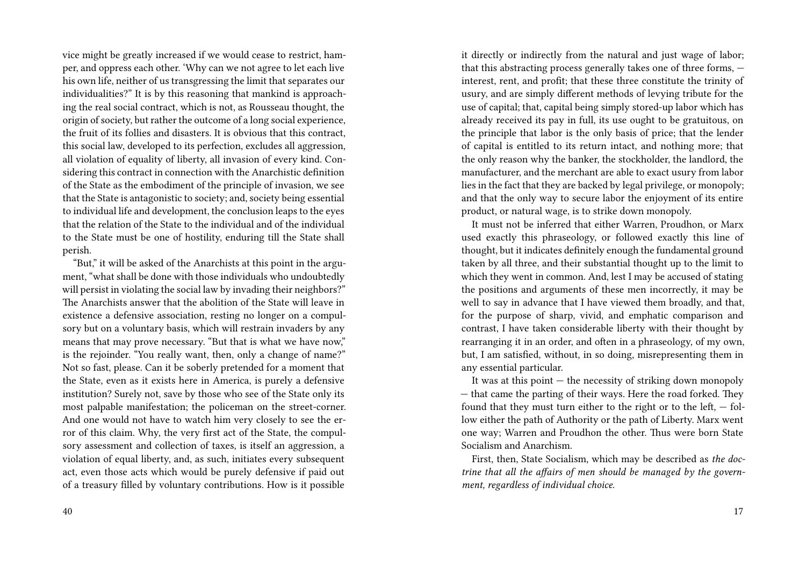vice might be greatly increased if we would cease to restrict, hamper, and oppress each other. 'Why can we not agree to let each live his own life, neither of us transgressing the limit that separates our individualities?" It is by this reasoning that mankind is approaching the real social contract, which is not, as Rousseau thought, the origin of society, but rather the outcome of a long social experience, the fruit of its follies and disasters. It is obvious that this contract, this social law, developed to its perfection, excludes all aggression, all violation of equality of liberty, all invasion of every kind. Considering this contract in connection with the Anarchistic definition of the State as the embodiment of the principle of invasion, we see that the State is antagonistic to society; and, society being essential to individual life and development, the conclusion leaps to the eyes that the relation of the State to the individual and of the individual to the State must be one of hostility, enduring till the State shall perish.

"But," it will be asked of the Anarchists at this point in the argument, "what shall be done with those individuals who undoubtedly will persist in violating the social law by invading their neighbors?" The Anarchists answer that the abolition of the State will leave in existence a defensive association, resting no longer on a compulsory but on a voluntary basis, which will restrain invaders by any means that may prove necessary. "But that is what we have now," is the rejoinder. "You really want, then, only a change of name?" Not so fast, please. Can it be soberly pretended for a moment that the State, even as it exists here in America, is purely a defensive institution? Surely not, save by those who see of the State only its most palpable manifestation; the policeman on the street-corner. And one would not have to watch him very closely to see the error of this claim. Why, the very first act of the State, the compulsory assessment and collection of taxes, is itself an aggression, a violation of equal liberty, and, as such, initiates every subsequent act, even those acts which would be purely defensive if paid out of a treasury filled by voluntary contributions. How is it possible it directly or indirectly from the natural and just wage of labor; that this abstracting process generally takes one of three forms, interest, rent, and profit; that these three constitute the trinity of usury, and are simply different methods of levying tribute for the use of capital; that, capital being simply stored-up labor which has already received its pay in full, its use ought to be gratuitous, on the principle that labor is the only basis of price; that the lender of capital is entitled to its return intact, and nothing more; that the only reason why the banker, the stockholder, the landlord, the manufacturer, and the merchant are able to exact usury from labor lies in the fact that they are backed by legal privilege, or monopoly; and that the only way to secure labor the enjoyment of its entire product, or natural wage, is to strike down monopoly.

It must not be inferred that either Warren, Proudhon, or Marx used exactly this phraseology, or followed exactly this line of thought, but it indicates definitely enough the fundamental ground taken by all three, and their substantial thought up to the limit to which they went in common. And, lest I may be accused of stating the positions and arguments of these men incorrectly, it may be well to say in advance that I have viewed them broadly, and that, for the purpose of sharp, vivid, and emphatic comparison and contrast, I have taken considerable liberty with their thought by rearranging it in an order, and often in a phraseology, of my own, but, I am satisfied, without, in so doing, misrepresenting them in any essential particular.

It was at this point  $-$  the necessity of striking down monopoly — that came the parting of their ways. Here the road forked. They found that they must turn either to the right or to the left,  $-$  follow either the path of Authority or the path of Liberty. Marx went one way; Warren and Proudhon the other. Thus were born State Socialism and Anarchism.

First, then, State Socialism, which may be described as *the doctrine that all the affairs of men should be managed by the government, regardless of individual choice*.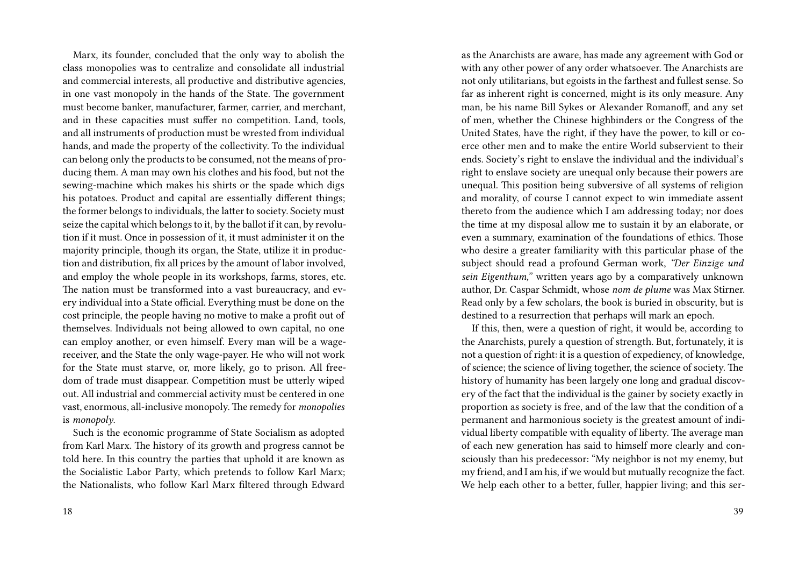Marx, its founder, concluded that the only way to abolish the class monopolies was to centralize and consolidate all industrial and commercial interests, all productive and distributive agencies, in one vast monopoly in the hands of the State. The government must become banker, manufacturer, farmer, carrier, and merchant, and in these capacities must suffer no competition. Land, tools, and all instruments of production must be wrested from individual hands, and made the property of the collectivity. To the individual can belong only the products to be consumed, not the means of producing them. A man may own his clothes and his food, but not the sewing-machine which makes his shirts or the spade which digs his potatoes. Product and capital are essentially different things; the former belongs to individuals, the latter to society. Society must seize the capital which belongs to it, by the ballot if it can, by revolution if it must. Once in possession of it, it must administer it on the majority principle, though its organ, the State, utilize it in production and distribution, fix all prices by the amount of labor involved, and employ the whole people in its workshops, farms, stores, etc. The nation must be transformed into a vast bureaucracy, and every individual into a State official. Everything must be done on the cost principle, the people having no motive to make a profit out of themselves. Individuals not being allowed to own capital, no one can employ another, or even himself. Every man will be a wagereceiver, and the State the only wage-payer. He who will not work for the State must starve, or, more likely, go to prison. All freedom of trade must disappear. Competition must be utterly wiped out. All industrial and commercial activity must be centered in one vast, enormous, all-inclusive monopoly. The remedy for *monopolies* is *monopoly*.

Such is the economic programme of State Socialism as adopted from Karl Marx. The history of its growth and progress cannot be told here. In this country the parties that uphold it are known as the Socialistic Labor Party, which pretends to follow Karl Marx; the Nationalists, who follow Karl Marx filtered through Edward

as the Anarchists are aware, has made any agreement with God or with any other power of any order whatsoever. The Anarchists are not only utilitarians, but egoists in the farthest and fullest sense. So far as inherent right is concerned, might is its only measure. Any man, be his name Bill Sykes or Alexander Romanoff, and any set of men, whether the Chinese highbinders or the Congress of the United States, have the right, if they have the power, to kill or coerce other men and to make the entire World subservient to their ends. Society's right to enslave the individual and the individual's right to enslave society are unequal only because their powers are unequal. This position being subversive of all systems of religion and morality, of course I cannot expect to win immediate assent thereto from the audience which I am addressing today; nor does the time at my disposal allow me to sustain it by an elaborate, or even a summary, examination of the foundations of ethics. Those who desire a greater familiarity with this particular phase of the subject should read a profound German work, *"Der Einzige und sein Eigenthum,"* written years ago by a comparatively unknown author, Dr. Caspar Schmidt, whose *nom de plume* was Max Stirner. Read only by a few scholars, the book is buried in obscurity, but is destined to a resurrection that perhaps will mark an epoch.

If this, then, were a question of right, it would be, according to the Anarchists, purely a question of strength. But, fortunately, it is not a question of right: it is a question of expediency, of knowledge, of science; the science of living together, the science of society. The history of humanity has been largely one long and gradual discovery of the fact that the individual is the gainer by society exactly in proportion as society is free, and of the law that the condition of a permanent and harmonious society is the greatest amount of individual liberty compatible with equality of liberty. The average man of each new generation has said to himself more clearly and consciously than his predecessor: "My neighbor is not my enemy, but my friend, and I am his, if we would but mutually recognize the fact. We help each other to a better, fuller, happier living; and this ser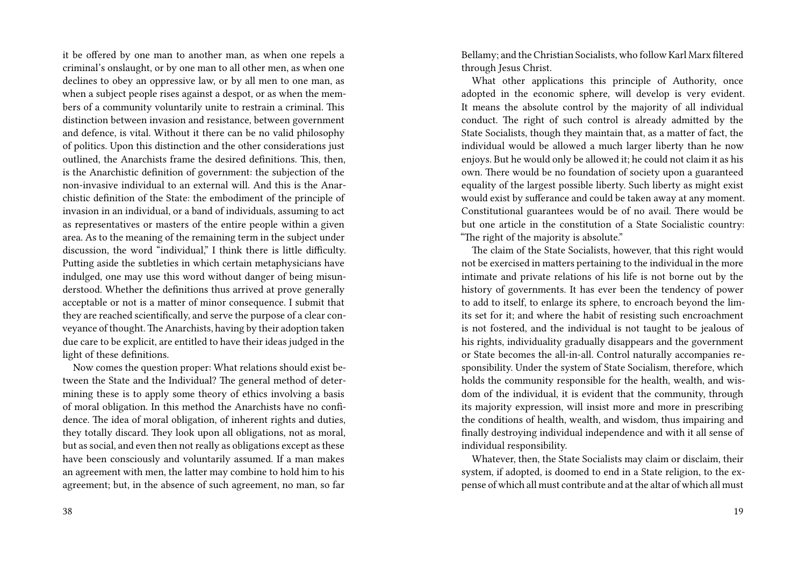it be offered by one man to another man, as when one repels a criminal's onslaught, or by one man to all other men, as when one declines to obey an oppressive law, or by all men to one man, as when a subject people rises against a despot, or as when the members of a community voluntarily unite to restrain a criminal. This distinction between invasion and resistance, between government and defence, is vital. Without it there can be no valid philosophy of politics. Upon this distinction and the other considerations just outlined, the Anarchists frame the desired definitions. This, then, is the Anarchistic definition of government: the subjection of the non-invasive individual to an external will. And this is the Anarchistic definition of the State: the embodiment of the principle of invasion in an individual, or a band of individuals, assuming to act as representatives or masters of the entire people within a given area. As to the meaning of the remaining term in the subject under discussion, the word "individual," I think there is little difficulty. Putting aside the subtleties in which certain metaphysicians have indulged, one may use this word without danger of being misunderstood. Whether the definitions thus arrived at prove generally acceptable or not is a matter of minor consequence. I submit that they are reached scientifically, and serve the purpose of a clear conveyance of thought.The Anarchists, having by their adoption taken due care to be explicit, are entitled to have their ideas judged in the light of these definitions.

Now comes the question proper: What relations should exist between the State and the Individual? The general method of determining these is to apply some theory of ethics involving a basis of moral obligation. In this method the Anarchists have no confidence. The idea of moral obligation, of inherent rights and duties, they totally discard. They look upon all obligations, not as moral, but as social, and even then not really as obligations except as these have been consciously and voluntarily assumed. If a man makes an agreement with men, the latter may combine to hold him to his agreement; but, in the absence of such agreement, no man, so far

38

Bellamy; and the Christian Socialists, who follow Karl Marx filtered through Jesus Christ.

What other applications this principle of Authority, once adopted in the economic sphere, will develop is very evident. It means the absolute control by the majority of all individual conduct. The right of such control is already admitted by the State Socialists, though they maintain that, as a matter of fact, the individual would be allowed a much larger liberty than he now enjoys. But he would only be allowed it; he could not claim it as his own. There would be no foundation of society upon a guaranteed equality of the largest possible liberty. Such liberty as might exist would exist by sufferance and could be taken away at any moment. Constitutional guarantees would be of no avail. There would be but one article in the constitution of a State Socialistic country: "The right of the majority is absolute."

The claim of the State Socialists, however, that this right would not be exercised in matters pertaining to the individual in the more intimate and private relations of his life is not borne out by the history of governments. It has ever been the tendency of power to add to itself, to enlarge its sphere, to encroach beyond the limits set for it; and where the habit of resisting such encroachment is not fostered, and the individual is not taught to be jealous of his rights, individuality gradually disappears and the government or State becomes the all-in-all. Control naturally accompanies responsibility. Under the system of State Socialism, therefore, which holds the community responsible for the health, wealth, and wisdom of the individual, it is evident that the community, through its majority expression, will insist more and more in prescribing the conditions of health, wealth, and wisdom, thus impairing and finally destroying individual independence and with it all sense of individual responsibility.

Whatever, then, the State Socialists may claim or disclaim, their system, if adopted, is doomed to end in a State religion, to the expense of which all must contribute and at the altar of which all must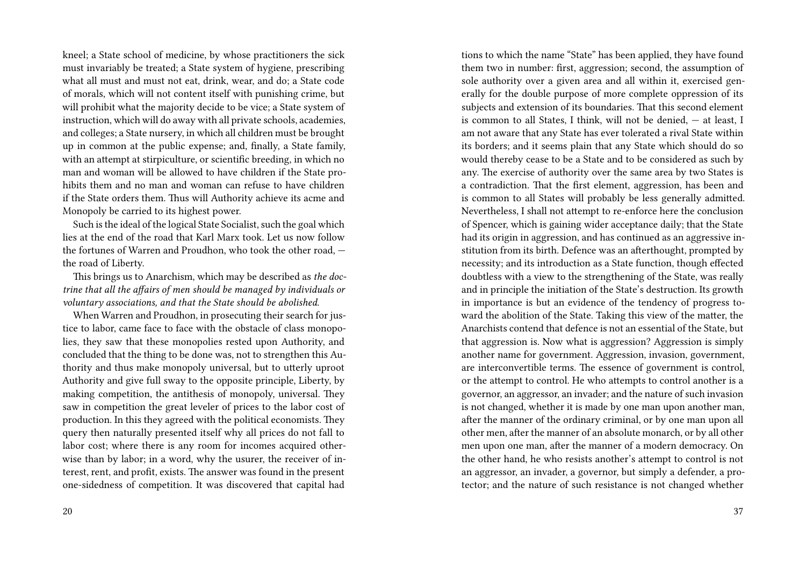kneel; a State school of medicine, by whose practitioners the sick must invariably be treated; a State system of hygiene, prescribing what all must and must not eat, drink, wear, and do; a State code of morals, which will not content itself with punishing crime, but will prohibit what the majority decide to be vice; a State system of instruction, which will do away with all private schools, academies, and colleges; a State nursery, in which all children must be brought up in common at the public expense; and, finally, a State family, with an attempt at stirpiculture, or scientific breeding, in which no man and woman will be allowed to have children if the State prohibits them and no man and woman can refuse to have children if the State orders them. Thus will Authority achieve its acme and Monopoly be carried to its highest power.

Such is the ideal of the logical State Socialist, such the goal which lies at the end of the road that Karl Marx took. Let us now follow the fortunes of Warren and Proudhon, who took the other road, the road of Liberty.

This brings us to Anarchism, which may be described as *the doctrine that all the affairs of men should be managed by individuals or voluntary associations, and that the State should be abolished*.

When Warren and Proudhon, in prosecuting their search for justice to labor, came face to face with the obstacle of class monopolies, they saw that these monopolies rested upon Authority, and concluded that the thing to be done was, not to strengthen this Authority and thus make monopoly universal, but to utterly uproot Authority and give full sway to the opposite principle, Liberty, by making competition, the antithesis of monopoly, universal. They saw in competition the great leveler of prices to the labor cost of production. In this they agreed with the political economists. They query then naturally presented itself why all prices do not fall to labor cost; where there is any room for incomes acquired otherwise than by labor; in a word, why the usurer, the receiver of interest, rent, and profit, exists. The answer was found in the present one-sidedness of competition. It was discovered that capital had

them two in number: first, aggression; second, the assumption of sole authority over a given area and all within it, exercised generally for the double purpose of more complete oppression of its subjects and extension of its boundaries. That this second element is common to all States, I think, will not be denied, — at least, I am not aware that any State has ever tolerated a rival State within its borders; and it seems plain that any State which should do so would thereby cease to be a State and to be considered as such by any. The exercise of authority over the same area by two States is a contradiction. That the first element, aggression, has been and is common to all States will probably be less generally admitted. Nevertheless, I shall not attempt to re-enforce here the conclusion of Spencer, which is gaining wider acceptance daily; that the State had its origin in aggression, and has continued as an aggressive institution from its birth. Defence was an afterthought, prompted by necessity; and its introduction as a State function, though effected doubtless with a view to the strengthening of the State, was really and in principle the initiation of the State's destruction. Its growth in importance is but an evidence of the tendency of progress toward the abolition of the State. Taking this view of the matter, the Anarchists contend that defence is not an essential of the State, but that aggression is. Now what is aggression? Aggression is simply another name for government. Aggression, invasion, government, are interconvertible terms. The essence of government is control, or the attempt to control. He who attempts to control another is a governor, an aggressor, an invader; and the nature of such invasion is not changed, whether it is made by one man upon another man, after the manner of the ordinary criminal, or by one man upon all other men, after the manner of an absolute monarch, or by all other men upon one man, after the manner of a modern democracy. On the other hand, he who resists another's attempt to control is not an aggressor, an invader, a governor, but simply a defender, a protector; and the nature of such resistance is not changed whether

tions to which the name "State" has been applied, they have found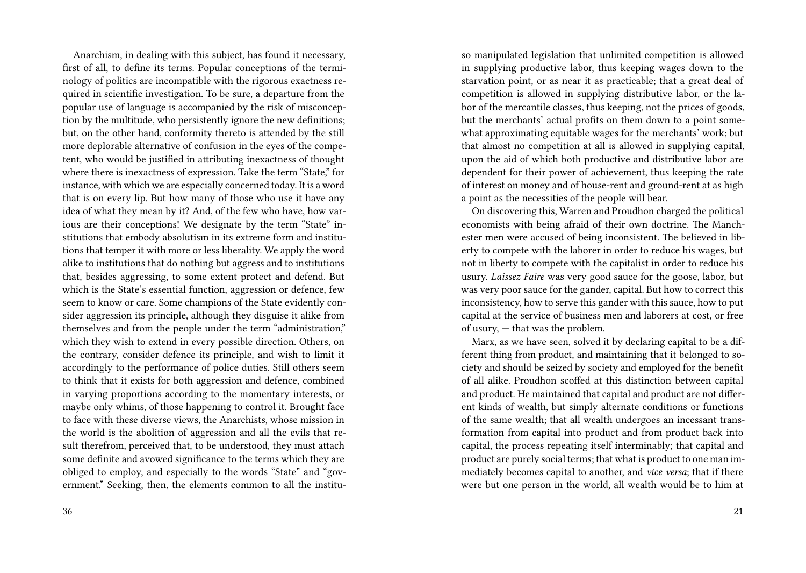Anarchism, in dealing with this subject, has found it necessary, first of all, to define its terms. Popular conceptions of the terminology of politics are incompatible with the rigorous exactness required in scientific investigation. To be sure, a departure from the popular use of language is accompanied by the risk of misconception by the multitude, who persistently ignore the new definitions; but, on the other hand, conformity thereto is attended by the still more deplorable alternative of confusion in the eyes of the competent, who would be justified in attributing inexactness of thought where there is inexactness of expression. Take the term "State," for instance, with which we are especially concerned today. It is a word that is on every lip. But how many of those who use it have any idea of what they mean by it? And, of the few who have, how various are their conceptions! We designate by the term "State" institutions that embody absolutism in its extreme form and institutions that temper it with more or less liberality. We apply the word alike to institutions that do nothing but aggress and to institutions that, besides aggressing, to some extent protect and defend. But which is the State's essential function, aggression or defence, few seem to know or care. Some champions of the State evidently consider aggression its principle, although they disguise it alike from themselves and from the people under the term "administration," which they wish to extend in every possible direction. Others, on the contrary, consider defence its principle, and wish to limit it accordingly to the performance of police duties. Still others seem to think that it exists for both aggression and defence, combined in varying proportions according to the momentary interests, or maybe only whims, of those happening to control it. Brought face to face with these diverse views, the Anarchists, whose mission in the world is the abolition of aggression and all the evils that result therefrom, perceived that, to be understood, they must attach some definite and avowed significance to the terms which they are obliged to employ, and especially to the words "State" and "government." Seeking, then, the elements common to all the instituso manipulated legislation that unlimited competition is allowed in supplying productive labor, thus keeping wages down to the starvation point, or as near it as practicable; that a great deal of competition is allowed in supplying distributive labor, or the labor of the mercantile classes, thus keeping, not the prices of goods, but the merchants' actual profits on them down to a point somewhat approximating equitable wages for the merchants' work; but that almost no competition at all is allowed in supplying capital, upon the aid of which both productive and distributive labor are dependent for their power of achievement, thus keeping the rate of interest on money and of house-rent and ground-rent at as high a point as the necessities of the people will bear.

On discovering this, Warren and Proudhon charged the political economists with being afraid of their own doctrine. The Manchester men were accused of being inconsistent. The believed in liberty to compete with the laborer in order to reduce his wages, but not in liberty to compete with the capitalist in order to reduce his usury. *Laissez Faire* was very good sauce for the goose, labor, but was very poor sauce for the gander, capital. But how to correct this inconsistency, how to serve this gander with this sauce, how to put capital at the service of business men and laborers at cost, or free of usury, — that was the problem.

Marx, as we have seen, solved it by declaring capital to be a different thing from product, and maintaining that it belonged to society and should be seized by society and employed for the benefit of all alike. Proudhon scoffed at this distinction between capital and product. He maintained that capital and product are not different kinds of wealth, but simply alternate conditions or functions of the same wealth; that all wealth undergoes an incessant transformation from capital into product and from product back into capital, the process repeating itself interminably; that capital and product are purely social terms; that what is product to one man immediately becomes capital to another, and *vice versa*; that if there were but one person in the world, all wealth would be to him at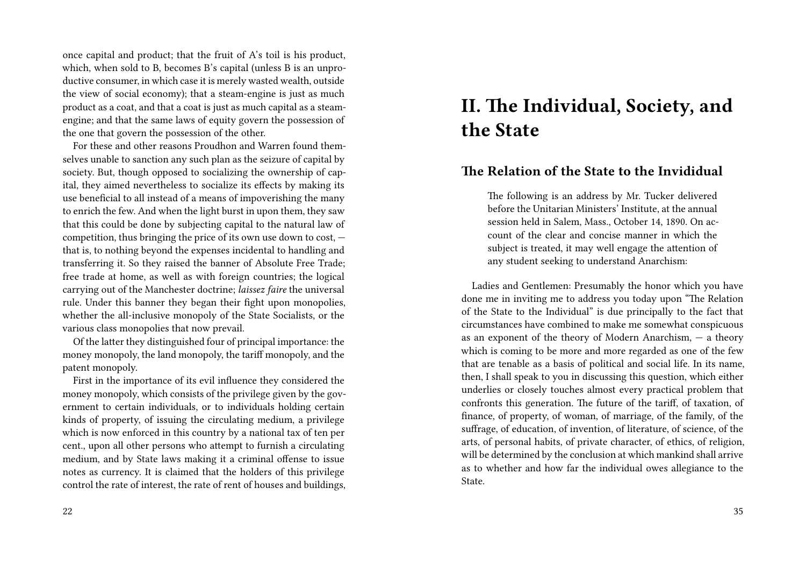once capital and product; that the fruit of A's toil is his product, which, when sold to B, becomes B's capital (unless B is an unproductive consumer, in which case it is merely wasted wealth, outside the view of social economy); that a steam-engine is just as much product as a coat, and that a coat is just as much capital as a steamengine; and that the same laws of equity govern the possession of the one that govern the possession of the other.

For these and other reasons Proudhon and Warren found themselves unable to sanction any such plan as the seizure of capital by society. But, though opposed to socializing the ownership of capital, they aimed nevertheless to socialize its effects by making its use beneficial to all instead of a means of impoverishing the many to enrich the few. And when the light burst in upon them, they saw that this could be done by subjecting capital to the natural law of competition, thus bringing the price of its own use down to cost, that is, to nothing beyond the expenses incidental to handling and transferring it. So they raised the banner of Absolute Free Trade; free trade at home, as well as with foreign countries; the logical carrying out of the Manchester doctrine; *laissez faire* the universal rule. Under this banner they began their fight upon monopolies, whether the all-inclusive monopoly of the State Socialists, or the various class monopolies that now prevail.

Of the latter they distinguished four of principal importance: the money monopoly, the land monopoly, the tariff monopoly, and the patent monopoly.

First in the importance of its evil influence they considered the money monopoly, which consists of the privilege given by the government to certain individuals, or to individuals holding certain kinds of property, of issuing the circulating medium, a privilege which is now enforced in this country by a national tax of ten per cent., upon all other persons who attempt to furnish a circulating medium, and by State laws making it a criminal offense to issue notes as currency. It is claimed that the holders of this privilege control the rate of interest, the rate of rent of houses and buildings,

## **II. The Individual, Society, and the State**

### **The Relation of the State to the Invididual**

The following is an address by Mr. Tucker delivered before the Unitarian Ministers' Institute, at the annual session held in Salem, Mass., October 14, 1890. On account of the clear and concise manner in which the subject is treated, it may well engage the attention of any student seeking to understand Anarchism:

Ladies and Gentlemen: Presumably the honor which you have done me in inviting me to address you today upon "The Relation of the State to the Individual" is due principally to the fact that circumstances have combined to make me somewhat conspicuous as an exponent of the theory of Modern Anarchism, — a theory which is coming to be more and more regarded as one of the few that are tenable as a basis of political and social life. In its name, then, I shall speak to you in discussing this question, which either underlies or closely touches almost every practical problem that confronts this generation. The future of the tariff, of taxation, of finance, of property, of woman, of marriage, of the family, of the suffrage, of education, of invention, of literature, of science, of the arts, of personal habits, of private character, of ethics, of religion, will be determined by the conclusion at which mankind shall arrive as to whether and how far the individual owes allegiance to the State.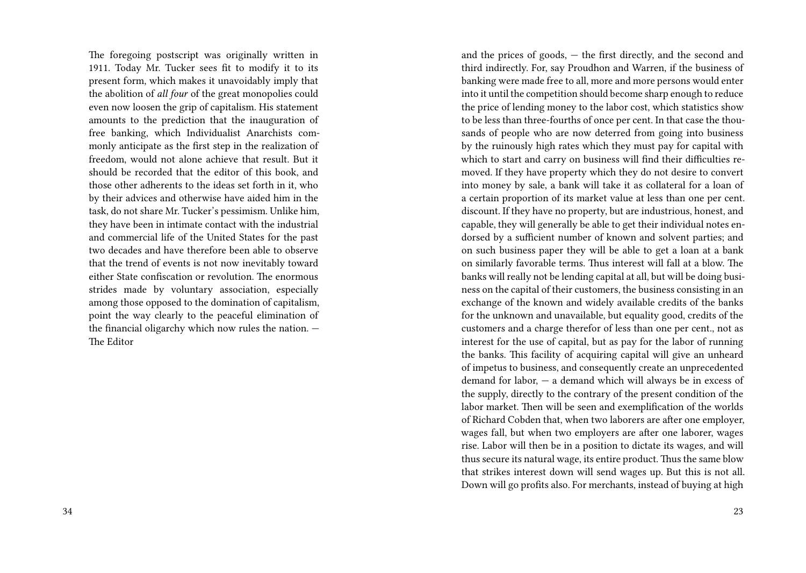The foregoing postscript was originally written in 1911. Today Mr. Tucker sees fit to modify it to its present form, which makes it unavoidably imply that the abolition of *all four* of the great monopolies could even now loosen the grip of capitalism. His statement amounts to the prediction that the inauguration of free banking, which Individualist Anarchists commonly anticipate as the first step in the realization of freedom, would not alone achieve that result. But it should be recorded that the editor of this book, and those other adherents to the ideas set forth in it, who by their advices and otherwise have aided him in the task, do not share Mr. Tucker's pessimism. Unlike him, they have been in intimate contact with the industrial and commercial life of the United States for the past two decades and have therefore been able to observe that the trend of events is not now inevitably toward either State confiscation or revolution. The enormous strides made by voluntary association, especially among those opposed to the domination of capitalism, point the way clearly to the peaceful elimination of the financial oligarchy which now rules the nation. — The Editor

and the prices of goods, — the first directly, and the second and third indirectly. For, say Proudhon and Warren, if the business of banking were made free to all, more and more persons would enter into it until the competition should become sharp enough to reduce the price of lending money to the labor cost, which statistics show to be less than three-fourths of once per cent. In that case the thousands of people who are now deterred from going into business by the ruinously high rates which they must pay for capital with which to start and carry on business will find their difficulties removed. If they have property which they do not desire to convert into money by sale, a bank will take it as collateral for a loan of a certain proportion of its market value at less than one per cent. discount. If they have no property, but are industrious, honest, and capable, they will generally be able to get their individual notes endorsed by a sufficient number of known and solvent parties; and on such business paper they will be able to get a loan at a bank on similarly favorable terms. Thus interest will fall at a blow. The banks will really not be lending capital at all, but will be doing business on the capital of their customers, the business consisting in an exchange of the known and widely available credits of the banks for the unknown and unavailable, but equality good, credits of the customers and a charge therefor of less than one per cent., not as interest for the use of capital, but as pay for the labor of running the banks. This facility of acquiring capital will give an unheard of impetus to business, and consequently create an unprecedented demand for labor, — a demand which will always be in excess of the supply, directly to the contrary of the present condition of the labor market. Then will be seen and exemplification of the worlds of Richard Cobden that, when two laborers are after one employer, wages fall, but when two employers are after one laborer, wages rise. Labor will then be in a position to dictate its wages, and will thus secure its natural wage, its entire product. Thus the same blow that strikes interest down will send wages up. But this is not all. Down will go profits also. For merchants, instead of buying at high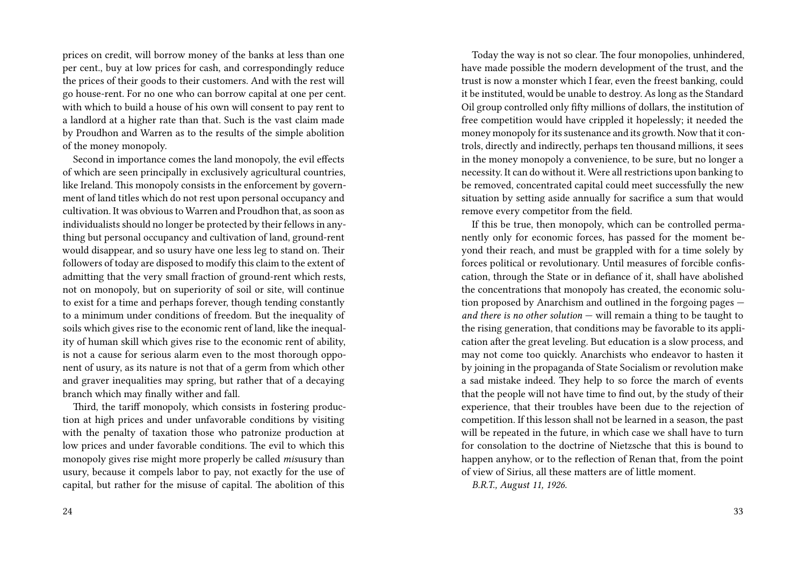prices on credit, will borrow money of the banks at less than one per cent., buy at low prices for cash, and correspondingly reduce the prices of their goods to their customers. And with the rest will go house-rent. For no one who can borrow capital at one per cent. with which to build a house of his own will consent to pay rent to a landlord at a higher rate than that. Such is the vast claim made by Proudhon and Warren as to the results of the simple abolition of the money monopoly.

Second in importance comes the land monopoly, the evil effects of which are seen principally in exclusively agricultural countries, like Ireland. This monopoly consists in the enforcement by government of land titles which do not rest upon personal occupancy and cultivation. It was obvious to Warren and Proudhon that, as soon as individualists should no longer be protected by their fellows in anything but personal occupancy and cultivation of land, ground-rent would disappear, and so usury have one less leg to stand on. Their followers of today are disposed to modify this claim to the extent of admitting that the very small fraction of ground-rent which rests, not on monopoly, but on superiority of soil or site, will continue to exist for a time and perhaps forever, though tending constantly to a minimum under conditions of freedom. But the inequality of soils which gives rise to the economic rent of land, like the inequality of human skill which gives rise to the economic rent of ability, is not a cause for serious alarm even to the most thorough opponent of usury, as its nature is not that of a germ from which other and graver inequalities may spring, but rather that of a decaying branch which may finally wither and fall.

Third, the tariff monopoly, which consists in fostering production at high prices and under unfavorable conditions by visiting with the penalty of taxation those who patronize production at low prices and under favorable conditions. The evil to which this monopoly gives rise might more properly be called *mis*usury than usury, because it compels labor to pay, not exactly for the use of capital, but rather for the misuse of capital. The abolition of this

Today the way is not so clear. The four monopolies, unhindered, have made possible the modern development of the trust, and the trust is now a monster which I fear, even the freest banking, could it be instituted, would be unable to destroy. As long as the Standard Oil group controlled only fifty millions of dollars, the institution of free competition would have crippled it hopelessly; it needed the money monopoly for its sustenance and its growth. Now that it controls, directly and indirectly, perhaps ten thousand millions, it sees in the money monopoly a convenience, to be sure, but no longer a necessity. It can do without it. Were all restrictions upon banking to be removed, concentrated capital could meet successfully the new situation by setting aside annually for sacrifice a sum that would remove every competitor from the field.

If this be true, then monopoly, which can be controlled permanently only for economic forces, has passed for the moment beyond their reach, and must be grappled with for a time solely by forces political or revolutionary. Until measures of forcible confiscation, through the State or in defiance of it, shall have abolished the concentrations that monopoly has created, the economic solution proposed by Anarchism and outlined in the forgoing pages *and there is no other solution* — will remain a thing to be taught to the rising generation, that conditions may be favorable to its application after the great leveling. But education is a slow process, and may not come too quickly. Anarchists who endeavor to hasten it by joining in the propaganda of State Socialism or revolution make a sad mistake indeed. They help to so force the march of events that the people will not have time to find out, by the study of their experience, that their troubles have been due to the rejection of competition. If this lesson shall not be learned in a season, the past will be repeated in the future, in which case we shall have to turn for consolation to the doctrine of Nietzsche that this is bound to happen anyhow, or to the reflection of Renan that, from the point of view of Sirius, all these matters are of little moment.

*B.R.T., August 11, 1926.*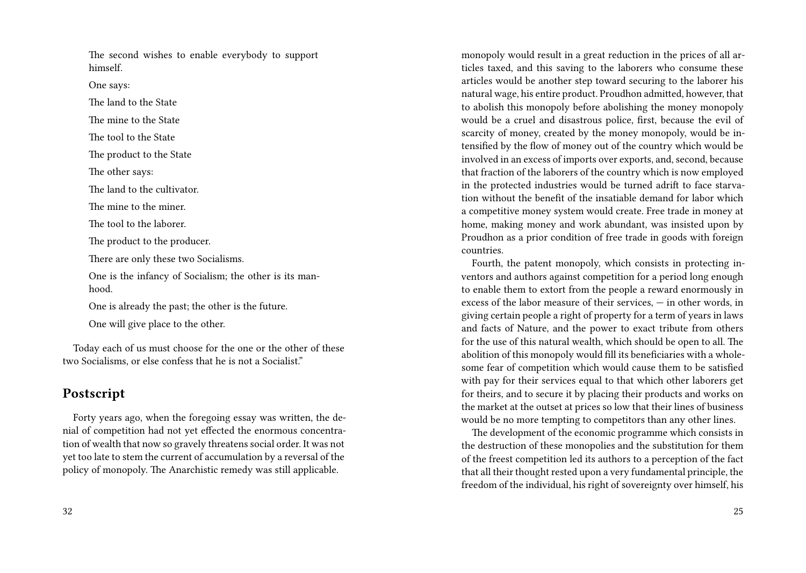The second wishes to enable everybody to support himself.

One says:

The land to the State

The mine to the State

The tool to the State

The product to the State

The other says:

The land to the cultivator.

The mine to the miner.

The tool to the laborer.

The product to the producer.

There are only these two Socialisms.

One is the infancy of Socialism; the other is its manhood.

One is already the past; the other is the future.

One will give place to the other.

Today each of us must choose for the one or the other of these two Socialisms, or else confess that he is not a Socialist."

### **Postscript**

Forty years ago, when the foregoing essay was written, the denial of competition had not yet effected the enormous concentration of wealth that now so gravely threatens social order. It was not yet too late to stem the current of accumulation by a reversal of the policy of monopoly. The Anarchistic remedy was still applicable.

monopoly would result in a great reduction in the prices of all articles taxed, and this saving to the laborers who consume these articles would be another step toward securing to the laborer his natural wage, his entire product. Proudhon admitted, however, that to abolish this monopoly before abolishing the money monopoly would be a cruel and disastrous police, first, because the evil of scarcity of money, created by the money monopoly, would be intensified by the flow of money out of the country which would be involved in an excess of imports over exports, and, second, because that fraction of the laborers of the country which is now employed in the protected industries would be turned adrift to face starvation without the benefit of the insatiable demand for labor which a competitive money system would create. Free trade in money at home, making money and work abundant, was insisted upon by Proudhon as a prior condition of free trade in goods with foreign countries.

Fourth, the patent monopoly, which consists in protecting inventors and authors against competition for a period long enough to enable them to extort from the people a reward enormously in excess of the labor measure of their services, — in other words, in giving certain people a right of property for a term of years in laws and facts of Nature, and the power to exact tribute from others for the use of this natural wealth, which should be open to all. The abolition of this monopoly would fill its beneficiaries with a wholesome fear of competition which would cause them to be satisfied with pay for their services equal to that which other laborers get for theirs, and to secure it by placing their products and works on the market at the outset at prices so low that their lines of business would be no more tempting to competitors than any other lines.

The development of the economic programme which consists in the destruction of these monopolies and the substitution for them of the freest competition led its authors to a perception of the fact that all their thought rested upon a very fundamental principle, the freedom of the individual, his right of sovereignty over himself, his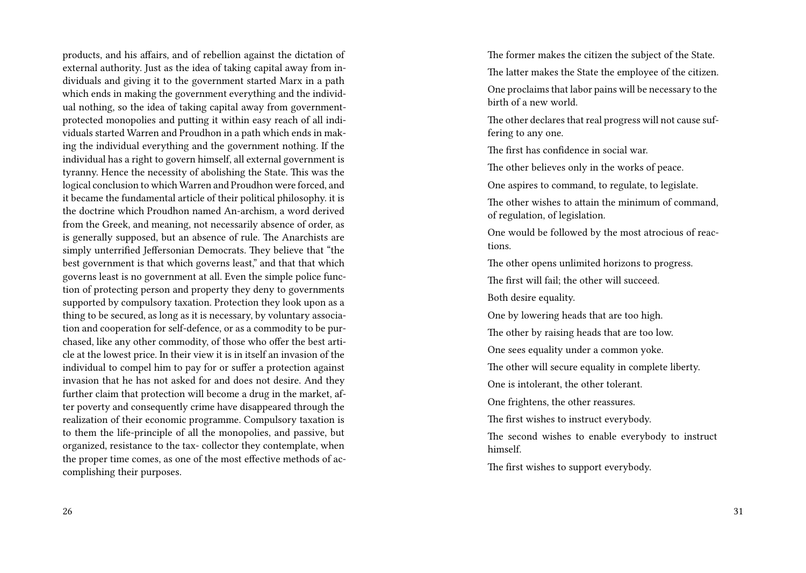products, and his affairs, and of rebellion against the dictation of external authority. Just as the idea of taking capital away from individuals and giving it to the government started Marx in a path which ends in making the government everything and the individual nothing, so the idea of taking capital away from governmentprotected monopolies and putting it within easy reach of all individuals started Warren and Proudhon in a path which ends in making the individual everything and the government nothing. If the individual has a right to govern himself, all external government is tyranny. Hence the necessity of abolishing the State. This was the logical conclusion to which Warren and Proudhon were forced, and it became the fundamental article of their political philosophy. it is the doctrine which Proudhon named An-archism, a word derived from the Greek, and meaning, not necessarily absence of order, as is generally supposed, but an absence of rule. The Anarchists are simply unterrified Jeffersonian Democrats. They believe that "the best government is that which governs least," and that that which governs least is no government at all. Even the simple police function of protecting person and property they deny to governments supported by compulsory taxation. Protection they look upon as a thing to be secured, as long as it is necessary, by voluntary association and cooperation for self-defence, or as a commodity to be purchased, like any other commodity, of those who offer the best article at the lowest price. In their view it is in itself an invasion of the individual to compel him to pay for or suffer a protection against invasion that he has not asked for and does not desire. And they further claim that protection will become a drug in the market, after poverty and consequently crime have disappeared through the realization of their economic programme. Compulsory taxation is to them the life-principle of all the monopolies, and passive, but organized, resistance to the tax- collector they contemplate, when the proper time comes, as one of the most effective methods of accomplishing their purposes.

26

The former makes the citizen the subject of the State. The latter makes the State the employee of the citizen. One proclaims that labor pains will be necessary to the birth of a new world.

The other declares that real progress will not cause suffering to any one.

The first has confidence in social war.

The other believes only in the works of peace.

One aspires to command, to regulate, to legislate.

The other wishes to attain the minimum of command, of regulation, of legislation.

One would be followed by the most atrocious of reactions.

The other opens unlimited horizons to progress.

The first will fail; the other will succeed.

Both desire equality.

One by lowering heads that are too high.

The other by raising heads that are too low.

One sees equality under a common yoke.

The other will secure equality in complete liberty.

One is intolerant, the other tolerant.

One frightens, the other reassures.

The first wishes to instruct everybody.

The second wishes to enable everybody to instruct himself.

The first wishes to support everybody.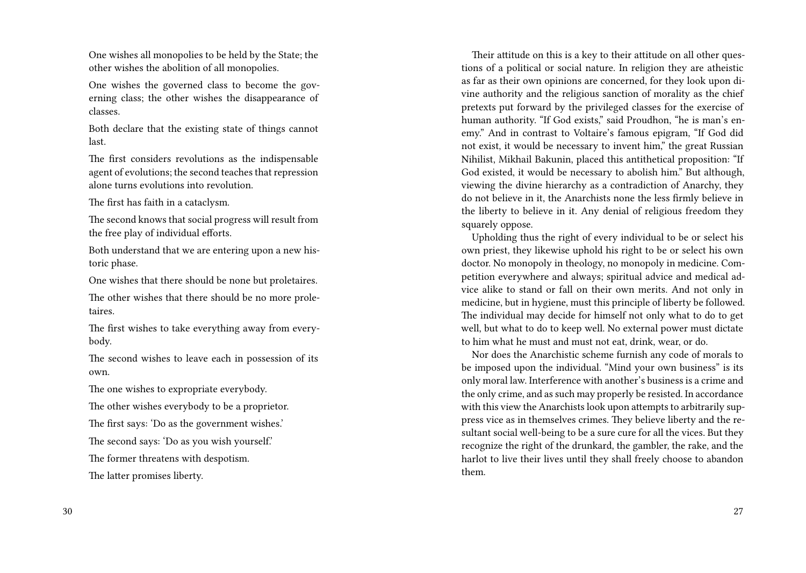One wishes all monopolies to be held by the State; the other wishes the abolition of all monopolies.

One wishes the governed class to become the governing class; the other wishes the disappearance of classes.

Both declare that the existing state of things cannot last.

The first considers revolutions as the indispensable agent of evolutions; the second teaches that repression alone turns evolutions into revolution.

The first has faith in a cataclysm.

The second knows that social progress will result from the free play of individual efforts.

Both understand that we are entering upon a new historic phase.

One wishes that there should be none but proletaires.

The other wishes that there should be no more proletaires.

The first wishes to take everything away from everybody.

The second wishes to leave each in possession of its own.

The one wishes to expropriate everybody.

The other wishes everybody to be a proprietor.

The first says: 'Do as the government wishes.'

The second says: 'Do as you wish yourself.'

The former threatens with despotism.

The latter promises liberty.

30

Their attitude on this is a key to their attitude on all other questions of a political or social nature. In religion they are atheistic as far as their own opinions are concerned, for they look upon divine authority and the religious sanction of morality as the chief pretexts put forward by the privileged classes for the exercise of human authority. "If God exists," said Proudhon, "he is man's enemy." And in contrast to Voltaire's famous epigram, "If God did not exist, it would be necessary to invent him," the great Russian Nihilist, Mikhail Bakunin, placed this antithetical proposition: "If God existed, it would be necessary to abolish him." But although, viewing the divine hierarchy as a contradiction of Anarchy, they do not believe in it, the Anarchists none the less firmly believe in the liberty to believe in it. Any denial of religious freedom they squarely oppose.

Upholding thus the right of every individual to be or select his own priest, they likewise uphold his right to be or select his own doctor. No monopoly in theology, no monopoly in medicine. Competition everywhere and always; spiritual advice and medical advice alike to stand or fall on their own merits. And not only in medicine, but in hygiene, must this principle of liberty be followed. The individual may decide for himself not only what to do to get well, but what to do to keep well. No external power must dictate to him what he must and must not eat, drink, wear, or do.

Nor does the Anarchistic scheme furnish any code of morals to be imposed upon the individual. "Mind your own business" is its only moral law. Interference with another's business is a crime and the only crime, and as such may properly be resisted. In accordance with this view the Anarchists look upon attempts to arbitrarily suppress vice as in themselves crimes. They believe liberty and the resultant social well-being to be a sure cure for all the vices. But they recognize the right of the drunkard, the gambler, the rake, and the harlot to live their lives until they shall freely choose to abandon them.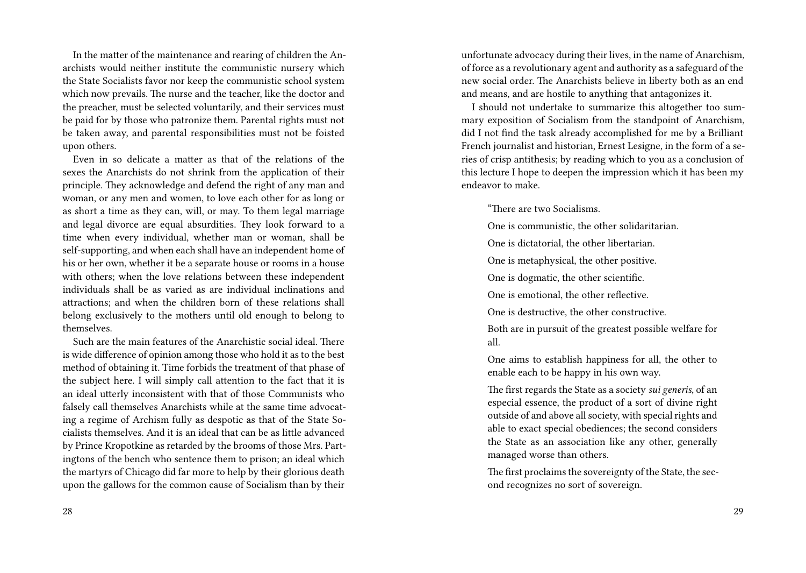In the matter of the maintenance and rearing of children the Anarchists would neither institute the communistic nursery which the State Socialists favor nor keep the communistic school system which now prevails. The nurse and the teacher, like the doctor and the preacher, must be selected voluntarily, and their services must be paid for by those who patronize them. Parental rights must not be taken away, and parental responsibilities must not be foisted upon others.

Even in so delicate a matter as that of the relations of the sexes the Anarchists do not shrink from the application of their principle. They acknowledge and defend the right of any man and woman, or any men and women, to love each other for as long or as short a time as they can, will, or may. To them legal marriage and legal divorce are equal absurdities. They look forward to a time when every individual, whether man or woman, shall be self-supporting, and when each shall have an independent home of his or her own, whether it be a separate house or rooms in a house with others; when the love relations between these independent individuals shall be as varied as are individual inclinations and attractions; and when the children born of these relations shall belong exclusively to the mothers until old enough to belong to themselves.

Such are the main features of the Anarchistic social ideal. There is wide difference of opinion among those who hold it as to the best method of obtaining it. Time forbids the treatment of that phase of the subject here. I will simply call attention to the fact that it is an ideal utterly inconsistent with that of those Communists who falsely call themselves Anarchists while at the same time advocating a regime of Archism fully as despotic as that of the State Socialists themselves. And it is an ideal that can be as little advanced by Prince Kropotkine as retarded by the brooms of those Mrs. Partingtons of the bench who sentence them to prison; an ideal which the martyrs of Chicago did far more to help by their glorious death upon the gallows for the common cause of Socialism than by their

28

unfortunate advocacy during their lives, in the name of Anarchism, of force as a revolutionary agent and authority as a safeguard of the new social order. The Anarchists believe in liberty both as an end and means, and are hostile to anything that antagonizes it.

I should not undertake to summarize this altogether too summary exposition of Socialism from the standpoint of Anarchism, did I not find the task already accomplished for me by a Brilliant French journalist and historian, Ernest Lesigne, in the form of a series of crisp antithesis; by reading which to you as a conclusion of this lecture I hope to deepen the impression which it has been my endeavor to make.

"There are two Socialisms.

One is communistic, the other solidaritarian.

One is dictatorial, the other libertarian.

One is metaphysical, the other positive.

One is dogmatic, the other scientific.

One is emotional, the other reflective.

One is destructive, the other constructive.

Both are in pursuit of the greatest possible welfare for all.

One aims to establish happiness for all, the other to enable each to be happy in his own way.

The first regards the State as a society *sui generis*, of an especial essence, the product of a sort of divine right outside of and above all society, with special rights and able to exact special obediences; the second considers the State as an association like any other, generally managed worse than others.

The first proclaims the sovereignty of the State, the second recognizes no sort of sovereign.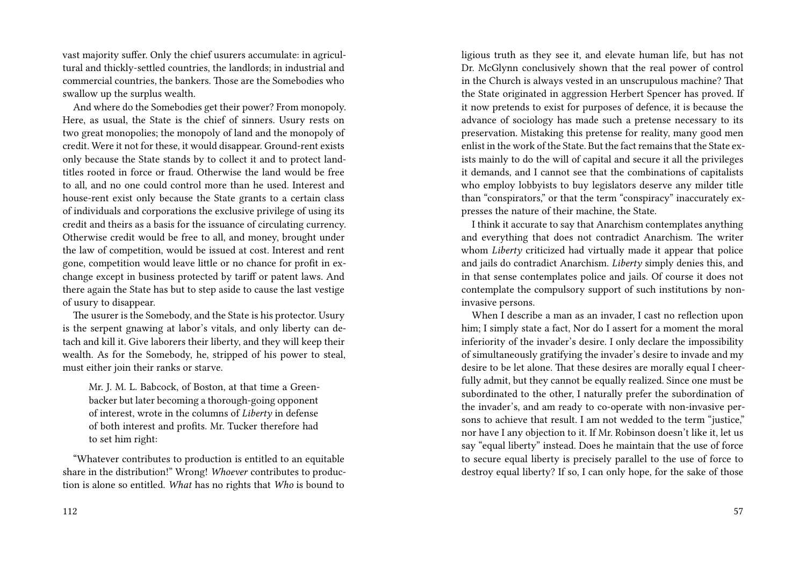vast majority suffer. Only the chief usurers accumulate: in agricultural and thickly-settled countries, the landlords; in industrial and commercial countries, the bankers. Those are the Somebodies who swallow up the surplus wealth.

And where do the Somebodies get their power? From monopoly. Here, as usual, the State is the chief of sinners. Usury rests on two great monopolies; the monopoly of land and the monopoly of credit. Were it not for these, it would disappear. Ground-rent exists only because the State stands by to collect it and to protect landtitles rooted in force or fraud. Otherwise the land would be free to all, and no one could control more than he used. Interest and house-rent exist only because the State grants to a certain class of individuals and corporations the exclusive privilege of using its credit and theirs as a basis for the issuance of circulating currency. Otherwise credit would be free to all, and money, brought under the law of competition, would be issued at cost. Interest and rent gone, competition would leave little or no chance for profit in exchange except in business protected by tariff or patent laws. And there again the State has but to step aside to cause the last vestige of usury to disappear.

The usurer is the Somebody, and the State is his protector. Usury is the serpent gnawing at labor's vitals, and only liberty can detach and kill it. Give laborers their liberty, and they will keep their wealth. As for the Somebody, he, stripped of his power to steal, must either join their ranks or starve.

Mr. J. M. L. Babcock, of Boston, at that time a Greenbacker but later becoming a thorough-going opponent of interest, wrote in the columns of *Liberty* in defense of both interest and profits. Mr. Tucker therefore had to set him right:

"Whatever contributes to production is entitled to an equitable share in the distribution!" Wrong! *Whoever* contributes to production is alone so entitled. *What* has no rights that *Who* is bound to

ligious truth as they see it, and elevate human life, but has not Dr. McGlynn conclusively shown that the real power of control in the Church is always vested in an unscrupulous machine? That the State originated in aggression Herbert Spencer has proved. If it now pretends to exist for purposes of defence, it is because the advance of sociology has made such a pretense necessary to its preservation. Mistaking this pretense for reality, many good men enlist in the work of the State. But the fact remains that the State exists mainly to do the will of capital and secure it all the privileges it demands, and I cannot see that the combinations of capitalists who employ lobbyists to buy legislators deserve any milder title than "conspirators," or that the term "conspiracy" inaccurately expresses the nature of their machine, the State.

I think it accurate to say that Anarchism contemplates anything and everything that does not contradict Anarchism. The writer whom *Liberty* criticized had virtually made it appear that police and jails do contradict Anarchism. *Liberty* simply denies this, and in that sense contemplates police and jails. Of course it does not contemplate the compulsory support of such institutions by noninvasive persons.

When I describe a man as an invader, I cast no reflection upon him; I simply state a fact, Nor do I assert for a moment the moral inferiority of the invader's desire. I only declare the impossibility of simultaneously gratifying the invader's desire to invade and my desire to be let alone. That these desires are morally equal I cheerfully admit, but they cannot be equally realized. Since one must be subordinated to the other, I naturally prefer the subordination of the invader's, and am ready to co-operate with non-invasive persons to achieve that result. I am not wedded to the term "justice," nor have I any objection to it. If Mr. Robinson doesn't like it, let us say "equal liberty" instead. Does he maintain that the use of force to secure equal liberty is precisely parallel to the use of force to destroy equal liberty? If so, I can only hope, for the sake of those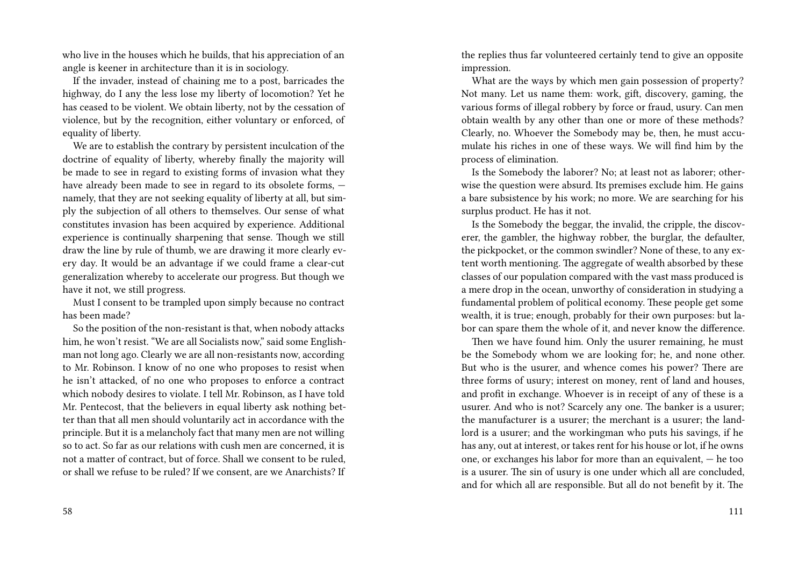who live in the houses which he builds, that his appreciation of an angle is keener in architecture than it is in sociology.

If the invader, instead of chaining me to a post, barricades the highway, do I any the less lose my liberty of locomotion? Yet he has ceased to be violent. We obtain liberty, not by the cessation of violence, but by the recognition, either voluntary or enforced, of equality of liberty.

We are to establish the contrary by persistent inculcation of the doctrine of equality of liberty, whereby finally the majority will be made to see in regard to existing forms of invasion what they have already been made to see in regard to its obsolete forms,  $$ namely, that they are not seeking equality of liberty at all, but simply the subjection of all others to themselves. Our sense of what constitutes invasion has been acquired by experience. Additional experience is continually sharpening that sense. Though we still draw the line by rule of thumb, we are drawing it more clearly every day. It would be an advantage if we could frame a clear-cut generalization whereby to accelerate our progress. But though we have it not, we still progress.

Must I consent to be trampled upon simply because no contract has been made?

So the position of the non-resistant is that, when nobody attacks him, he won't resist. "We are all Socialists now," said some Englishman not long ago. Clearly we are all non-resistants now, according to Mr. Robinson. I know of no one who proposes to resist when he isn't attacked, of no one who proposes to enforce a contract which nobody desires to violate. I tell Mr. Robinson, as I have told Mr. Pentecost, that the believers in equal liberty ask nothing better than that all men should voluntarily act in accordance with the principle. But it is a melancholy fact that many men are not willing so to act. So far as our relations with cush men are concerned, it is not a matter of contract, but of force. Shall we consent to be ruled, or shall we refuse to be ruled? If we consent, are we Anarchists? If

the replies thus far volunteered certainly tend to give an opposite impression.

What are the ways by which men gain possession of property? Not many. Let us name them: work, gift, discovery, gaming, the various forms of illegal robbery by force or fraud, usury. Can men obtain wealth by any other than one or more of these methods? Clearly, no. Whoever the Somebody may be, then, he must accumulate his riches in one of these ways. We will find him by the process of elimination.

Is the Somebody the laborer? No; at least not as laborer; otherwise the question were absurd. Its premises exclude him. He gains a bare subsistence by his work; no more. We are searching for his surplus product. He has it not.

Is the Somebody the beggar, the invalid, the cripple, the discoverer, the gambler, the highway robber, the burglar, the defaulter, the pickpocket, or the common swindler? None of these, to any extent worth mentioning. The aggregate of wealth absorbed by these classes of our population compared with the vast mass produced is a mere drop in the ocean, unworthy of consideration in studying a fundamental problem of political economy. These people get some wealth, it is true; enough, probably for their own purposes: but labor can spare them the whole of it, and never know the difference.

Then we have found him. Only the usurer remaining, he must be the Somebody whom we are looking for; he, and none other. But who is the usurer, and whence comes his power? There are three forms of usury; interest on money, rent of land and houses, and profit in exchange. Whoever is in receipt of any of these is a usurer. And who is not? Scarcely any one. The banker is a usurer; the manufacturer is a usurer; the merchant is a usurer; the landlord is a usurer; and the workingman who puts his savings, if he has any, out at interest, or takes rent for his house or lot, if he owns one, or exchanges his labor for more than an equivalent, — he too is a usurer. The sin of usury is one under which all are concluded, and for which all are responsible. But all do not benefit by it. The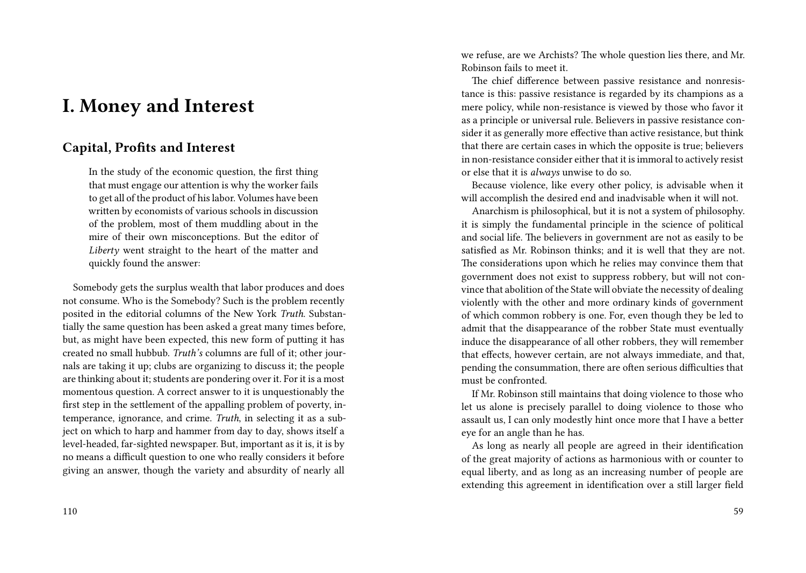# **I. Money and Interest**

### **Capital, Profits and Interest**

In the study of the economic question, the first thing that must engage our attention is why the worker fails to get all of the product of his labor. Volumes have been written by economists of various schools in discussion of the problem, most of them muddling about in the mire of their own misconceptions. But the editor of *Liberty* went straight to the heart of the matter and quickly found the answer:

Somebody gets the surplus wealth that labor produces and does not consume. Who is the Somebody? Such is the problem recently posited in the editorial columns of the New York *Truth*. Substantially the same question has been asked a great many times before, but, as might have been expected, this new form of putting it has created no small hubbub. *Truth's* columns are full of it; other journals are taking it up; clubs are organizing to discuss it; the people are thinking about it; students are pondering over it. For it is a most momentous question. A correct answer to it is unquestionably the first step in the settlement of the appalling problem of poverty, intemperance, ignorance, and crime. *Truth*, in selecting it as a subject on which to harp and hammer from day to day, shows itself a level-headed, far-sighted newspaper. But, important as it is, it is by no means a difficult question to one who really considers it before giving an answer, though the variety and absurdity of nearly all

we refuse, are we Archists? The whole question lies there, and Mr. Robinson fails to meet it.

The chief difference between passive resistance and nonresistance is this: passive resistance is regarded by its champions as a mere policy, while non-resistance is viewed by those who favor it as a principle or universal rule. Believers in passive resistance consider it as generally more effective than active resistance, but think that there are certain cases in which the opposite is true; believers in non-resistance consider either that it is immoral to actively resist or else that it is *always* unwise to do so.

Because violence, like every other policy, is advisable when it will accomplish the desired end and inadvisable when it will not.

Anarchism is philosophical, but it is not a system of philosophy. it is simply the fundamental principle in the science of political and social life. The believers in government are not as easily to be satisfied as Mr. Robinson thinks; and it is well that they are not. The considerations upon which he relies may convince them that government does not exist to suppress robbery, but will not convince that abolition of the State will obviate the necessity of dealing violently with the other and more ordinary kinds of government of which common robbery is one. For, even though they be led to admit that the disappearance of the robber State must eventually induce the disappearance of all other robbers, they will remember that effects, however certain, are not always immediate, and that, pending the consummation, there are often serious difficulties that must be confronted.

If Mr. Robinson still maintains that doing violence to those who let us alone is precisely parallel to doing violence to those who assault us, I can only modestly hint once more that I have a better eye for an angle than he has.

As long as nearly all people are agreed in their identification of the great majority of actions as harmonious with or counter to equal liberty, and as long as an increasing number of people are extending this agreement in identification over a still larger field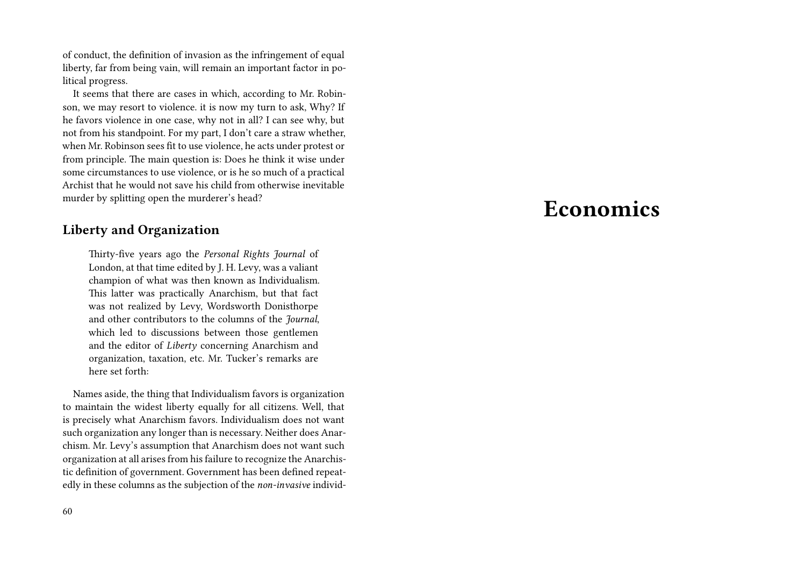of conduct, the definition of invasion as the infringement of equal liberty, far from being vain, will remain an important factor in political progress.

It seems that there are cases in which, according to Mr. Robinson, we may resort to violence. it is now my turn to ask, Why? If he favors violence in one case, why not in all? I can see why, but not from his standpoint. For my part, I don't care a straw whether, when Mr. Robinson sees fit to use violence, he acts under protest or from principle. The main question is: Does he think it wise under some circumstances to use violence, or is he so much of a practical Archist that he would not save his child from otherwise inevitable murder by splitting open the murderer's head?

### **Liberty and Organization**

Thirty-five years ago the *Personal Rights Journal* of London, at that time edited by J. H. Levy, was a valiant champion of what was then known as Individualism. This latter was practically Anarchism, but that fact was not realized by Levy, Wordsworth Donisthorpe and other contributors to the columns of the *Journal*, which led to discussions between those gentlemen and the editor of *Liberty* concerning Anarchism and organization, taxation, etc. Mr. Tucker's remarks are here set forth:

Names aside, the thing that Individualism favors is organization to maintain the widest liberty equally for all citizens. Well, that is precisely what Anarchism favors. Individualism does not want such organization any longer than is necessary. Neither does Anarchism. Mr. Levy's assumption that Anarchism does not want such organization at all arises from his failure to recognize the Anarchistic definition of government. Government has been defined repeatedly in these columns as the subjection of the *non-invasive* individ-

# **Economics**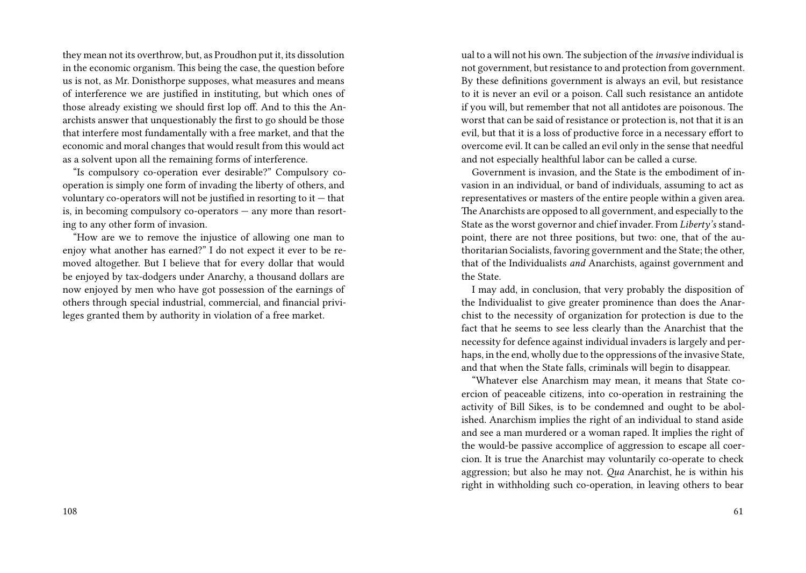they mean not its overthrow, but, as Proudhon put it, its dissolution in the economic organism. This being the case, the question before us is not, as Mr. Donisthorpe supposes, what measures and means of interference we are justified in instituting, but which ones of those already existing we should first lop off. And to this the Anarchists answer that unquestionably the first to go should be those that interfere most fundamentally with a free market, and that the economic and moral changes that would result from this would act as a solvent upon all the remaining forms of interference.

"Is compulsory co-operation ever desirable?" Compulsory cooperation is simply one form of invading the liberty of others, and voluntary co-operators will not be justified in resorting to  $it - that$ is, in becoming compulsory co-operators — any more than resorting to any other form of invasion.

"How are we to remove the injustice of allowing one man to enjoy what another has earned?" I do not expect it ever to be removed altogether. But I believe that for every dollar that would be enjoyed by tax-dodgers under Anarchy, a thousand dollars are now enjoyed by men who have got possession of the earnings of others through special industrial, commercial, and financial privileges granted them by authority in violation of a free market.

ual to a will not his own. The subjection of the *invasive* individual is not government, but resistance to and protection from government. By these definitions government is always an evil, but resistance to it is never an evil or a poison. Call such resistance an antidote if you will, but remember that not all antidotes are poisonous. The worst that can be said of resistance or protection is, not that it is an evil, but that it is a loss of productive force in a necessary effort to overcome evil. It can be called an evil only in the sense that needful and not especially healthful labor can be called a curse.

Government is invasion, and the State is the embodiment of invasion in an individual, or band of individuals, assuming to act as representatives or masters of the entire people within a given area. The Anarchists are opposed to all government, and especially to the State as the worst governor and chief invader. From *Liberty's* standpoint, there are not three positions, but two: one, that of the authoritarian Socialists, favoring government and the State; the other, that of the Individualists *and* Anarchists, against government and the State.

I may add, in conclusion, that very probably the disposition of the Individualist to give greater prominence than does the Anarchist to the necessity of organization for protection is due to the fact that he seems to see less clearly than the Anarchist that the necessity for defence against individual invaders is largely and perhaps, in the end, wholly due to the oppressions of the invasive State, and that when the State falls, criminals will begin to disappear.

"Whatever else Anarchism may mean, it means that State coercion of peaceable citizens, into co-operation in restraining the activity of Bill Sikes, is to be condemned and ought to be abolished. Anarchism implies the right of an individual to stand aside and see a man murdered or a woman raped. It implies the right of the would-be passive accomplice of aggression to escape all coercion. It is true the Anarchist may voluntarily co-operate to check aggression; but also he may not. *Qua* Anarchist, he is within his right in withholding such co-operation, in leaving others to bear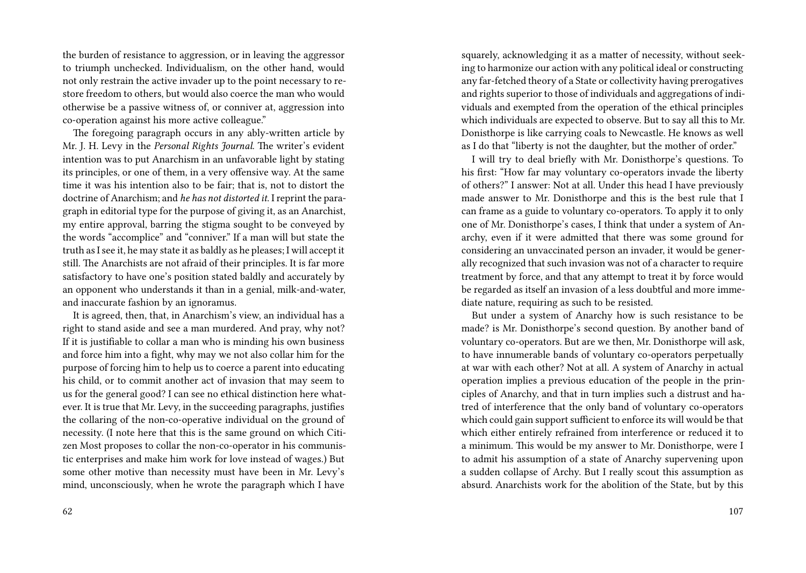the burden of resistance to aggression, or in leaving the aggressor to triumph unchecked. Individualism, on the other hand, would not only restrain the active invader up to the point necessary to restore freedom to others, but would also coerce the man who would otherwise be a passive witness of, or conniver at, aggression into co-operation against his more active colleague."

The foregoing paragraph occurs in any ably-written article by Mr. J. H. Levy in the *Personal Rights Journal*. The writer's evident intention was to put Anarchism in an unfavorable light by stating its principles, or one of them, in a very offensive way. At the same time it was his intention also to be fair; that is, not to distort the doctrine of Anarchism; and *he has not distorted it*. I reprint the paragraph in editorial type for the purpose of giving it, as an Anarchist, my entire approval, barring the stigma sought to be conveyed by the words "accomplice" and "conniver." If a man will but state the truth as I see it, he may state it as baldly as he pleases; I will accept it still. The Anarchists are not afraid of their principles. It is far more satisfactory to have one's position stated baldly and accurately by an opponent who understands it than in a genial, milk-and-water, and inaccurate fashion by an ignoramus.

It is agreed, then, that, in Anarchism's view, an individual has a right to stand aside and see a man murdered. And pray, why not? If it is justifiable to collar a man who is minding his own business and force him into a fight, why may we not also collar him for the purpose of forcing him to help us to coerce a parent into educating his child, or to commit another act of invasion that may seem to us for the general good? I can see no ethical distinction here whatever. It is true that Mr. Levy, in the succeeding paragraphs, justifies the collaring of the non-co-operative individual on the ground of necessity. (I note here that this is the same ground on which Citizen Most proposes to collar the non-co-operator in his communistic enterprises and make him work for love instead of wages.) But some other motive than necessity must have been in Mr. Levy's mind, unconsciously, when he wrote the paragraph which I have

62

squarely, acknowledging it as a matter of necessity, without seeking to harmonize our action with any political ideal or constructing any far-fetched theory of a State or collectivity having prerogatives and rights superior to those of individuals and aggregations of individuals and exempted from the operation of the ethical principles which individuals are expected to observe. But to say all this to Mr. Donisthorpe is like carrying coals to Newcastle. He knows as well as I do that "liberty is not the daughter, but the mother of order."

I will try to deal briefly with Mr. Donisthorpe's questions. To his first: "How far may voluntary co-operators invade the liberty of others?" I answer: Not at all. Under this head I have previously made answer to Mr. Donisthorpe and this is the best rule that I can frame as a guide to voluntary co-operators. To apply it to only one of Mr. Donisthorpe's cases, I think that under a system of Anarchy, even if it were admitted that there was some ground for considering an unvaccinated person an invader, it would be generally recognized that such invasion was not of a character to require treatment by force, and that any attempt to treat it by force would be regarded as itself an invasion of a less doubtful and more immediate nature, requiring as such to be resisted.

But under a system of Anarchy how is such resistance to be made? is Mr. Donisthorpe's second question. By another band of voluntary co-operators. But are we then, Mr. Donisthorpe will ask, to have innumerable bands of voluntary co-operators perpetually at war with each other? Not at all. A system of Anarchy in actual operation implies a previous education of the people in the principles of Anarchy, and that in turn implies such a distrust and hatred of interference that the only band of voluntary co-operators which could gain support sufficient to enforce its will would be that which either entirely refrained from interference or reduced it to a minimum. This would be my answer to Mr. Donisthorpe, were I to admit his assumption of a state of Anarchy supervening upon a sudden collapse of Archy. But I really scout this assumption as absurd. Anarchists work for the abolition of the State, but by this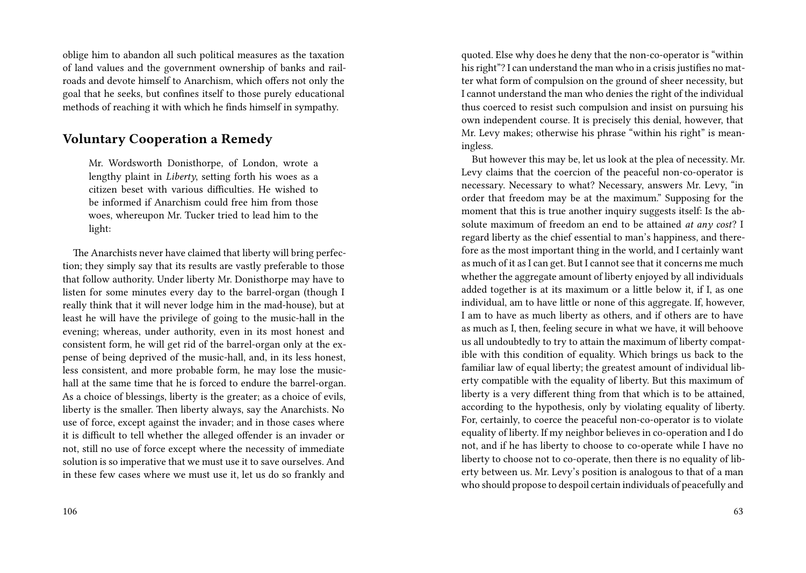oblige him to abandon all such political measures as the taxation of land values and the government ownership of banks and railroads and devote himself to Anarchism, which offers not only the goal that he seeks, but confines itself to those purely educational methods of reaching it with which he finds himself in sympathy.

### **Voluntary Cooperation a Remedy**

Mr. Wordsworth Donisthorpe, of London, wrote a lengthy plaint in *Liberty*, setting forth his woes as a citizen beset with various difficulties. He wished to be informed if Anarchism could free him from those woes, whereupon Mr. Tucker tried to lead him to the light:

The Anarchists never have claimed that liberty will bring perfection; they simply say that its results are vastly preferable to those that follow authority. Under liberty Mr. Donisthorpe may have to listen for some minutes every day to the barrel-organ (though I really think that it will never lodge him in the mad-house), but at least he will have the privilege of going to the music-hall in the evening; whereas, under authority, even in its most honest and consistent form, he will get rid of the barrel-organ only at the expense of being deprived of the music-hall, and, in its less honest, less consistent, and more probable form, he may lose the musichall at the same time that he is forced to endure the barrel-organ. As a choice of blessings, liberty is the greater; as a choice of evils, liberty is the smaller. Then liberty always, say the Anarchists. No use of force, except against the invader; and in those cases where it is difficult to tell whether the alleged offender is an invader or not, still no use of force except where the necessity of immediate solution is so imperative that we must use it to save ourselves. And in these few cases where we must use it, let us do so frankly and

quoted. Else why does he deny that the non-co-operator is "within his right"? I can understand the man who in a crisis justifies no matter what form of compulsion on the ground of sheer necessity, but I cannot understand the man who denies the right of the individual thus coerced to resist such compulsion and insist on pursuing his own independent course. It is precisely this denial, however, that Mr. Levy makes; otherwise his phrase "within his right" is meaningless.

But however this may be, let us look at the plea of necessity. Mr. Levy claims that the coercion of the peaceful non-co-operator is necessary. Necessary to what? Necessary, answers Mr. Levy, "in order that freedom may be at the maximum." Supposing for the moment that this is true another inquiry suggests itself: Is the absolute maximum of freedom an end to be attained *at any cost*? I regard liberty as the chief essential to man's happiness, and therefore as the most important thing in the world, and I certainly want as much of it as I can get. But I cannot see that it concerns me much whether the aggregate amount of liberty enjoyed by all individuals added together is at its maximum or a little below it, if I, as one individual, am to have little or none of this aggregate. If, however, I am to have as much liberty as others, and if others are to have as much as I, then, feeling secure in what we have, it will behoove us all undoubtedly to try to attain the maximum of liberty compatible with this condition of equality. Which brings us back to the familiar law of equal liberty; the greatest amount of individual liberty compatible with the equality of liberty. But this maximum of liberty is a very different thing from that which is to be attained, according to the hypothesis, only by violating equality of liberty. For, certainly, to coerce the peaceful non-co-operator is to violate equality of liberty. If my neighbor believes in co-operation and I do not, and if he has liberty to choose to co-operate while I have no liberty to choose not to co-operate, then there is no equality of liberty between us. Mr. Levy's position is analogous to that of a man who should propose to despoil certain individuals of peacefully and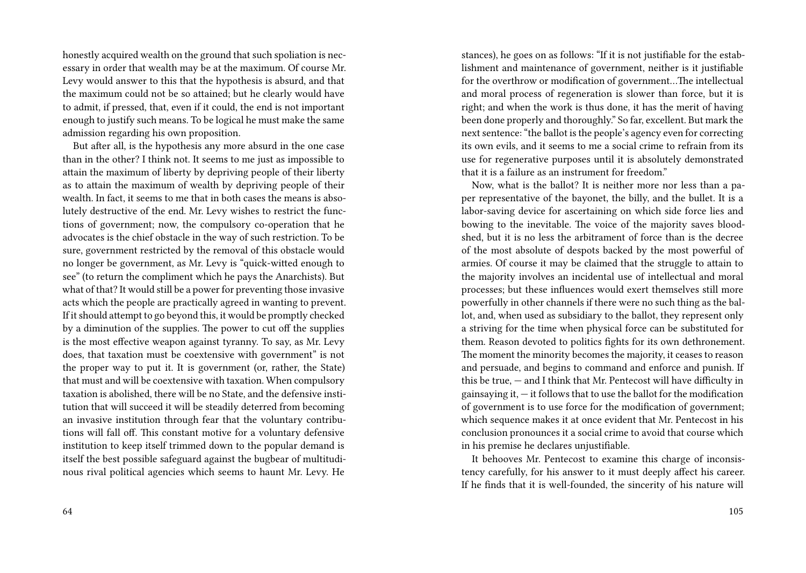honestly acquired wealth on the ground that such spoliation is necessary in order that wealth may be at the maximum. Of course Mr. Levy would answer to this that the hypothesis is absurd, and that the maximum could not be so attained; but he clearly would have to admit, if pressed, that, even if it could, the end is not important enough to justify such means. To be logical he must make the same admission regarding his own proposition.

But after all, is the hypothesis any more absurd in the one case than in the other? I think not. It seems to me just as impossible to attain the maximum of liberty by depriving people of their liberty as to attain the maximum of wealth by depriving people of their wealth. In fact, it seems to me that in both cases the means is absolutely destructive of the end. Mr. Levy wishes to restrict the functions of government; now, the compulsory co-operation that he advocates is the chief obstacle in the way of such restriction. To be sure, government restricted by the removal of this obstacle would no longer be government, as Mr. Levy is "quick-witted enough to see" (to return the compliment which he pays the Anarchists). But what of that? It would still be a power for preventing those invasive acts which the people are practically agreed in wanting to prevent. If it should attempt to go beyond this, it would be promptly checked by a diminution of the supplies. The power to cut off the supplies is the most effective weapon against tyranny. To say, as Mr. Levy does, that taxation must be coextensive with government" is not the proper way to put it. It is government (or, rather, the State) that must and will be coextensive with taxation. When compulsory taxation is abolished, there will be no State, and the defensive institution that will succeed it will be steadily deterred from becoming an invasive institution through fear that the voluntary contributions will fall off. This constant motive for a voluntary defensive institution to keep itself trimmed down to the popular demand is itself the best possible safeguard against the bugbear of multitudinous rival political agencies which seems to haunt Mr. Levy. He stances), he goes on as follows: "If it is not justifiable for the establishment and maintenance of government, neither is it justifiable for the overthrow or modification of government…The intellectual and moral process of regeneration is slower than force, but it is right; and when the work is thus done, it has the merit of having been done properly and thoroughly." So far, excellent. But mark the next sentence: "the ballot is the people's agency even for correcting its own evils, and it seems to me a social crime to refrain from its use for regenerative purposes until it is absolutely demonstrated that it is a failure as an instrument for freedom."

Now, what is the ballot? It is neither more nor less than a paper representative of the bayonet, the billy, and the bullet. It is a labor-saving device for ascertaining on which side force lies and bowing to the inevitable. The voice of the majority saves bloodshed, but it is no less the arbitrament of force than is the decree of the most absolute of despots backed by the most powerful of armies. Of course it may be claimed that the struggle to attain to the majority involves an incidental use of intellectual and moral processes; but these influences would exert themselves still more powerfully in other channels if there were no such thing as the ballot, and, when used as subsidiary to the ballot, they represent only a striving for the time when physical force can be substituted for them. Reason devoted to politics fights for its own dethronement. The moment the minority becomes the majority, it ceases to reason and persuade, and begins to command and enforce and punish. If this be true, — and I think that Mr. Pentecost will have difficulty in gainsaying it,  $-$  it follows that to use the ballot for the modification of government is to use force for the modification of government; which sequence makes it at once evident that Mr. Pentecost in his conclusion pronounces it a social crime to avoid that course which in his premise he declares unjustifiable.

It behooves Mr. Pentecost to examine this charge of inconsistency carefully, for his answer to it must deeply affect his career. If he finds that it is well-founded, the sincerity of his nature will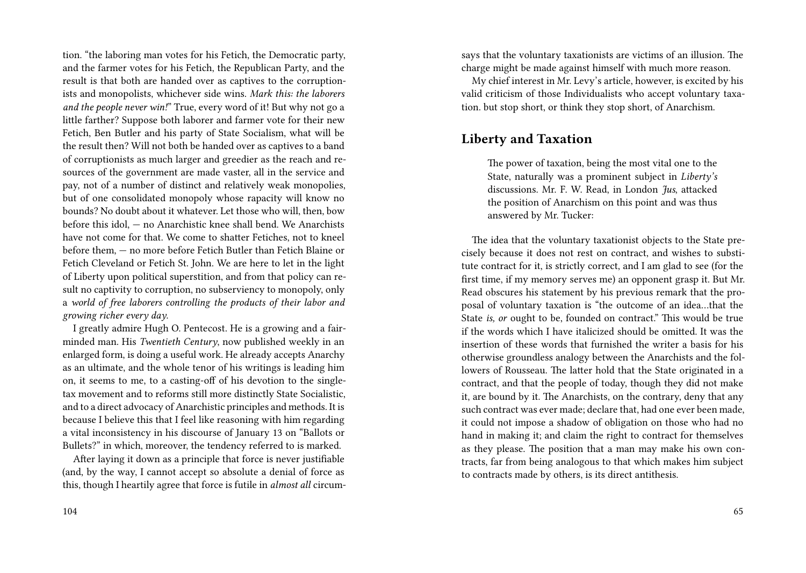tion. "the laboring man votes for his Fetich, the Democratic party, and the farmer votes for his Fetich, the Republican Party, and the result is that both are handed over as captives to the corruptionists and monopolists, whichever side wins. *Mark this: the laborers and the people never win!*" True, every word of it! But why not go a little farther? Suppose both laborer and farmer vote for their new Fetich, Ben Butler and his party of State Socialism, what will be the result then? Will not both be handed over as captives to a band of corruptionists as much larger and greedier as the reach and resources of the government are made vaster, all in the service and pay, not of a number of distinct and relatively weak monopolies, but of one consolidated monopoly whose rapacity will know no bounds? No doubt about it whatever. Let those who will, then, bow before this idol, — no Anarchistic knee shall bend. We Anarchists have not come for that. We come to shatter Fetiches, not to kneel before them, — no more before Fetich Butler than Fetich Blaine or Fetich Cleveland or Fetich St. John. We are here to let in the light of Liberty upon political superstition, and from that policy can result no captivity to corruption, no subserviency to monopoly, only a *world of free laborers controlling the products of their labor and growing richer every day*.

I greatly admire Hugh O. Pentecost. He is a growing and a fairminded man. His *Twentieth Century*, now published weekly in an enlarged form, is doing a useful work. He already accepts Anarchy as an ultimate, and the whole tenor of his writings is leading him on, it seems to me, to a casting-off of his devotion to the singletax movement and to reforms still more distinctly State Socialistic, and to a direct advocacy of Anarchistic principles and methods. It is because I believe this that I feel like reasoning with him regarding a vital inconsistency in his discourse of January 13 on "Ballots or Bullets?" in which, moreover, the tendency referred to is marked.

After laying it down as a principle that force is never justifiable (and, by the way, I cannot accept so absolute a denial of force as this, though I heartily agree that force is futile in *almost all* circumsays that the voluntary taxationists are victims of an illusion. The charge might be made against himself with much more reason.

My chief interest in Mr. Levy's article, however, is excited by his valid criticism of those Individualists who accept voluntary taxation. but stop short, or think they stop short, of Anarchism.

## **Liberty and Taxation**

The power of taxation, being the most vital one to the State, naturally was a prominent subject in *Liberty's* discussions. Mr. F. W. Read, in London *Jus*, attacked the position of Anarchism on this point and was thus answered by Mr. Tucker:

The idea that the voluntary taxationist objects to the State precisely because it does not rest on contract, and wishes to substitute contract for it, is strictly correct, and I am glad to see (for the first time, if my memory serves me) an opponent grasp it. But Mr. Read obscures his statement by his previous remark that the proposal of voluntary taxation is "the outcome of an idea…that the State *is, or* ought to be, founded on contract." This would be true if the words which I have italicized should be omitted. It was the insertion of these words that furnished the writer a basis for his otherwise groundless analogy between the Anarchists and the followers of Rousseau. The latter hold that the State originated in a contract, and that the people of today, though they did not make it, are bound by it. The Anarchists, on the contrary, deny that any such contract was ever made; declare that, had one ever been made, it could not impose a shadow of obligation on those who had no hand in making it; and claim the right to contract for themselves as they please. The position that a man may make his own contracts, far from being analogous to that which makes him subject to contracts made by others, is its direct antithesis.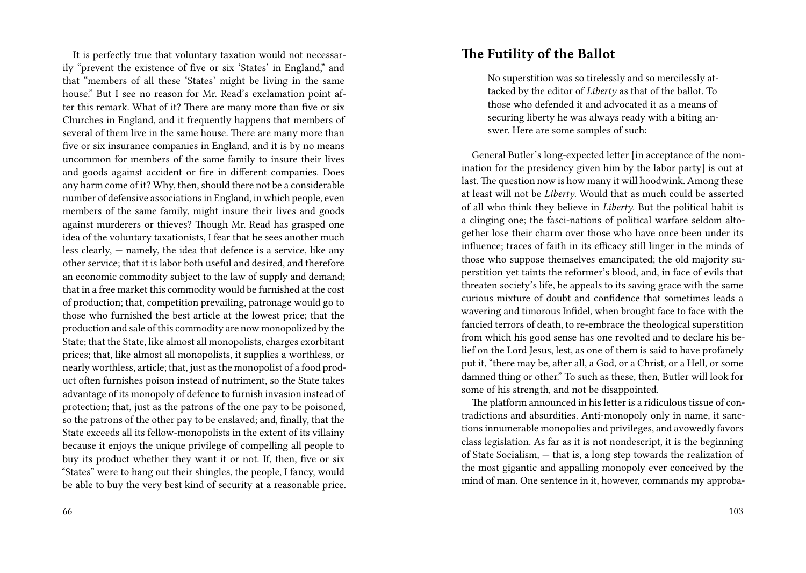It is perfectly true that voluntary taxation would not necessarily "prevent the existence of five or six 'States' in England," and that "members of all these 'States' might be living in the same house." But I see no reason for Mr. Read's exclamation point after this remark. What of it? There are many more than five or six Churches in England, and it frequently happens that members of several of them live in the same house. There are many more than five or six insurance companies in England, and it is by no means uncommon for members of the same family to insure their lives and goods against accident or fire in different companies. Does any harm come of it? Why, then, should there not be a considerable number of defensive associations in England, in which people, even members of the same family, might insure their lives and goods against murderers or thieves? Though Mr. Read has grasped one idea of the voluntary taxationists, I fear that he sees another much less clearly, — namely, the idea that defence is a service, like any other service; that it is labor both useful and desired, and therefore an economic commodity subject to the law of supply and demand; that in a free market this commodity would be furnished at the cost of production; that, competition prevailing, patronage would go to those who furnished the best article at the lowest price; that the production and sale of this commodity are now monopolized by the State; that the State, like almost all monopolists, charges exorbitant prices; that, like almost all monopolists, it supplies a worthless, or nearly worthless, article; that, just as the monopolist of a food product often furnishes poison instead of nutriment, so the State takes advantage of its monopoly of defence to furnish invasion instead of protection; that, just as the patrons of the one pay to be poisoned, so the patrons of the other pay to be enslaved; and, finally, that the State exceeds all its fellow-monopolists in the extent of its villainy because it enjoys the unique privilege of compelling all people to buy its product whether they want it or not. If, then, five or six "States" were to hang out their shingles, the people, I fancy, would be able to buy the very best kind of security at a reasonable price.

#### **The Futility of the Ballot**

No superstition was so tirelessly and so mercilessly attacked by the editor of *Liberty* as that of the ballot. To those who defended it and advocated it as a means of securing liberty he was always ready with a biting answer. Here are some samples of such:

General Butler's long-expected letter [in acceptance of the nomination for the presidency given him by the labor party] is out at last. The question now is how many it will hoodwink. Among these at least will not be *Liberty*. Would that as much could be asserted of all who think they believe in *Liberty*. But the political habit is a clinging one; the fasci-nations of political warfare seldom altogether lose their charm over those who have once been under its influence; traces of faith in its efficacy still linger in the minds of those who suppose themselves emancipated; the old majority superstition yet taints the reformer's blood, and, in face of evils that threaten society's life, he appeals to its saving grace with the same curious mixture of doubt and confidence that sometimes leads a wavering and timorous Infidel, when brought face to face with the fancied terrors of death, to re-embrace the theological superstition from which his good sense has one revolted and to declare his belief on the Lord Jesus, lest, as one of them is said to have profanely put it, "there may be, after all, a God, or a Christ, or a Hell, or some damned thing or other." To such as these, then, Butler will look for some of his strength, and not be disappointed.

The platform announced in his letter is a ridiculous tissue of contradictions and absurdities. Anti-monopoly only in name, it sanctions innumerable monopolies and privileges, and avowedly favors class legislation. As far as it is not nondescript, it is the beginning of State Socialism, — that is, a long step towards the realization of the most gigantic and appalling monopoly ever conceived by the mind of man. One sentence in it, however, commands my approba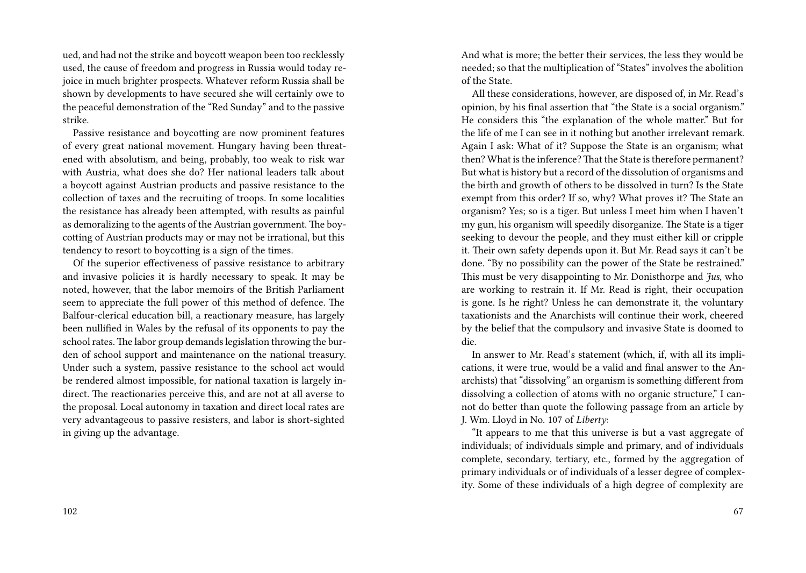ued, and had not the strike and boycott weapon been too recklessly used, the cause of freedom and progress in Russia would today rejoice in much brighter prospects. Whatever reform Russia shall be shown by developments to have secured she will certainly owe to the peaceful demonstration of the "Red Sunday" and to the passive strike.

Passive resistance and boycotting are now prominent features of every great national movement. Hungary having been threatened with absolutism, and being, probably, too weak to risk war with Austria, what does she do? Her national leaders talk about a boycott against Austrian products and passive resistance to the collection of taxes and the recruiting of troops. In some localities the resistance has already been attempted, with results as painful as demoralizing to the agents of the Austrian government. The boycotting of Austrian products may or may not be irrational, but this tendency to resort to boycotting is a sign of the times.

Of the superior effectiveness of passive resistance to arbitrary and invasive policies it is hardly necessary to speak. It may be noted, however, that the labor memoirs of the British Parliament seem to appreciate the full power of this method of defence. The Balfour-clerical education bill, a reactionary measure, has largely been nullified in Wales by the refusal of its opponents to pay the school rates.The labor group demands legislation throwing the burden of school support and maintenance on the national treasury. Under such a system, passive resistance to the school act would be rendered almost impossible, for national taxation is largely indirect. The reactionaries perceive this, and are not at all averse to the proposal. Local autonomy in taxation and direct local rates are very advantageous to passive resisters, and labor is short-sighted in giving up the advantage.

And what is more; the better their services, the less they would be needed; so that the multiplication of "States" involves the abolition of the State.

All these considerations, however, are disposed of, in Mr. Read's opinion, by his final assertion that "the State is a social organism." He considers this "the explanation of the whole matter." But for the life of me I can see in it nothing but another irrelevant remark. Again I ask: What of it? Suppose the State is an organism; what then? What is the inference? That the State is therefore permanent? But what is history but a record of the dissolution of organisms and the birth and growth of others to be dissolved in turn? Is the State exempt from this order? If so, why? What proves it? The State an organism? Yes; so is a tiger. But unless I meet him when I haven't my gun, his organism will speedily disorganize. The State is a tiger seeking to devour the people, and they must either kill or cripple it. Their own safety depends upon it. But Mr. Read says it can't be done. "By no possibility can the power of the State be restrained." This must be very disappointing to Mr. Donisthorpe and *Jus*, who are working to restrain it. If Mr. Read is right, their occupation is gone. Is he right? Unless he can demonstrate it, the voluntary taxationists and the Anarchists will continue their work, cheered by the belief that the compulsory and invasive State is doomed to die.

In answer to Mr. Read's statement (which, if, with all its implications, it were true, would be a valid and final answer to the Anarchists) that "dissolving" an organism is something different from dissolving a collection of atoms with no organic structure," I cannot do better than quote the following passage from an article by J. Wm. Lloyd in No. 107 of *Liberty*:

"It appears to me that this universe is but a vast aggregate of individuals; of individuals simple and primary, and of individuals complete, secondary, tertiary, etc., formed by the aggregation of primary individuals or of individuals of a lesser degree of complexity. Some of these individuals of a high degree of complexity are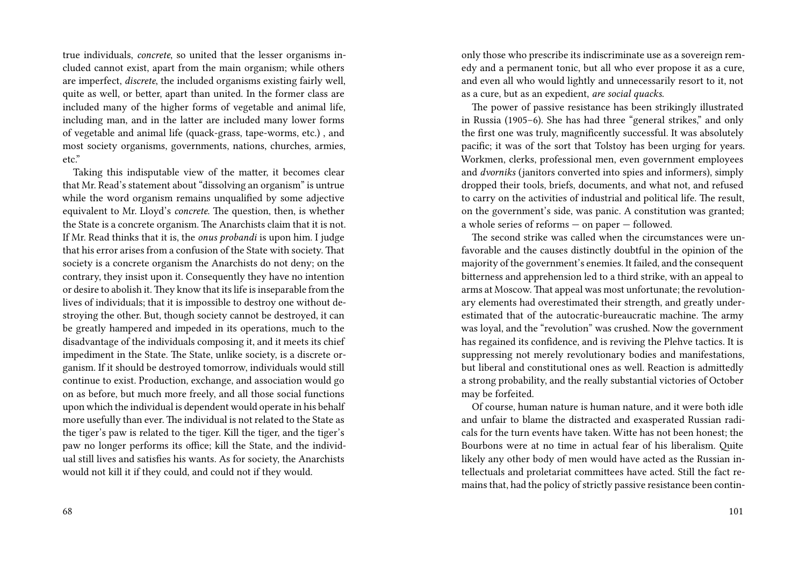true individuals, *concrete*, so united that the lesser organisms included cannot exist, apart from the main organism; while others are imperfect, *discrete*, the included organisms existing fairly well, quite as well, or better, apart than united. In the former class are included many of the higher forms of vegetable and animal life, including man, and in the latter are included many lower forms of vegetable and animal life (quack-grass, tape-worms, etc.) , and most society organisms, governments, nations, churches, armies, etc<sup>"</sup>

Taking this indisputable view of the matter, it becomes clear that Mr. Read's statement about "dissolving an organism" is untrue while the word organism remains unqualified by some adjective equivalent to Mr. Lloyd's *concrete*. The question, then, is whether the State is a concrete organism. The Anarchists claim that it is not. If Mr. Read thinks that it is, the *onus probandi* is upon him. I judge that his error arises from a confusion of the State with society. That society is a concrete organism the Anarchists do not deny; on the contrary, they insist upon it. Consequently they have no intention or desire to abolish it.They know that its life is inseparable from the lives of individuals; that it is impossible to destroy one without destroying the other. But, though society cannot be destroyed, it can be greatly hampered and impeded in its operations, much to the disadvantage of the individuals composing it, and it meets its chief impediment in the State. The State, unlike society, is a discrete organism. If it should be destroyed tomorrow, individuals would still continue to exist. Production, exchange, and association would go on as before, but much more freely, and all those social functions upon which the individual is dependent would operate in his behalf more usefully than ever. The individual is not related to the State as the tiger's paw is related to the tiger. Kill the tiger, and the tiger's paw no longer performs its office; kill the State, and the individual still lives and satisfies his wants. As for society, the Anarchists would not kill it if they could, and could not if they would.

only those who prescribe its indiscriminate use as a sovereign remedy and a permanent tonic, but all who ever propose it as a cure, and even all who would lightly and unnecessarily resort to it, not as a cure, but as an expedient, *are social quacks*.

The power of passive resistance has been strikingly illustrated in Russia (1905–6). She has had three "general strikes," and only the first one was truly, magnificently successful. It was absolutely pacific; it was of the sort that Tolstoy has been urging for years. Workmen, clerks, professional men, even government employees and *dvorniks* (janitors converted into spies and informers), simply dropped their tools, briefs, documents, and what not, and refused to carry on the activities of industrial and political life. The result, on the government's side, was panic. A constitution was granted; a whole series of reforms — on paper — followed.

The second strike was called when the circumstances were unfavorable and the causes distinctly doubtful in the opinion of the majority of the government's enemies. It failed, and the consequent bitterness and apprehension led to a third strike, with an appeal to arms at Moscow. That appeal was most unfortunate; the revolutionary elements had overestimated their strength, and greatly underestimated that of the autocratic-bureaucratic machine. The army was loyal, and the "revolution" was crushed. Now the government has regained its confidence, and is reviving the Plehve tactics. It is suppressing not merely revolutionary bodies and manifestations, but liberal and constitutional ones as well. Reaction is admittedly a strong probability, and the really substantial victories of October may be forfeited.

Of course, human nature is human nature, and it were both idle and unfair to blame the distracted and exasperated Russian radicals for the turn events have taken. Witte has not been honest; the Bourbons were at no time in actual fear of his liberalism. Quite likely any other body of men would have acted as the Russian intellectuals and proletariat committees have acted. Still the fact remains that, had the policy of strictly passive resistance been contin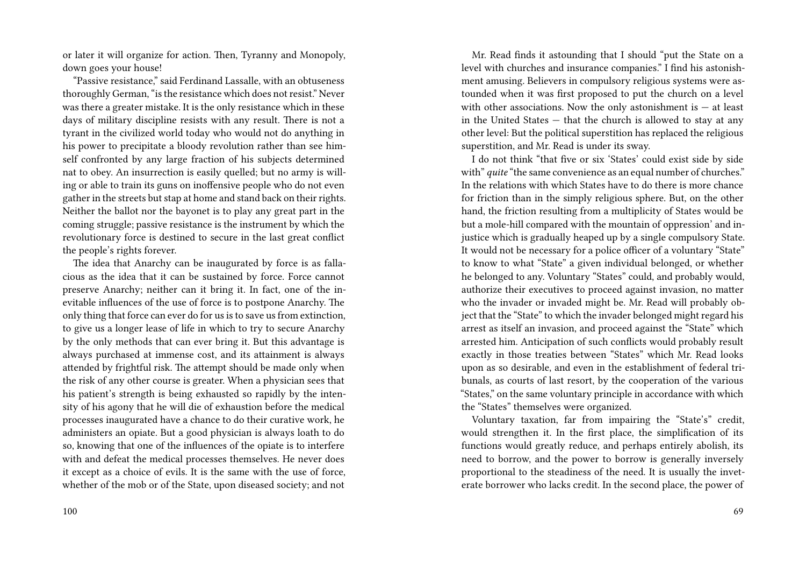or later it will organize for action. Then, Tyranny and Monopoly, down goes your house!

"Passive resistance," said Ferdinand Lassalle, with an obtuseness thoroughly German, "is the resistance which does not resist." Never was there a greater mistake. It is the only resistance which in these days of military discipline resists with any result. There is not a tyrant in the civilized world today who would not do anything in his power to precipitate a bloody revolution rather than see himself confronted by any large fraction of his subjects determined nat to obey. An insurrection is easily quelled; but no army is willing or able to train its guns on inoffensive people who do not even gather in the streets but stap at home and stand back on their rights. Neither the ballot nor the bayonet is to play any great part in the coming struggle; passive resistance is the instrument by which the revolutionary force is destined to secure in the last great conflict the people's rights forever.

The idea that Anarchy can be inaugurated by force is as fallacious as the idea that it can be sustained by force. Force cannot preserve Anarchy; neither can it bring it. In fact, one of the inevitable influences of the use of force is to postpone Anarchy. The only thing that force can ever do for us is to save us from extinction, to give us a longer lease of life in which to try to secure Anarchy by the only methods that can ever bring it. But this advantage is always purchased at immense cost, and its attainment is always attended by frightful risk. The attempt should be made only when the risk of any other course is greater. When a physician sees that his patient's strength is being exhausted so rapidly by the intensity of his agony that he will die of exhaustion before the medical processes inaugurated have a chance to do their curative work, he administers an opiate. But a good physician is always loath to do so, knowing that one of the influences of the opiate is to interfere with and defeat the medical processes themselves. He never does it except as a choice of evils. It is the same with the use of force, whether of the mob or of the State, upon diseased society; and not

Mr. Read finds it astounding that I should "put the State on a level with churches and insurance companies." I find his astonishment amusing. Believers in compulsory religious systems were astounded when it was first proposed to put the church on a level with other associations. Now the only astonishment is  $-$  at least in the United States — that the church is allowed to stay at any other level: But the political superstition has replaced the religious superstition, and Mr. Read is under its sway.

I do not think "that five or six 'States' could exist side by side with" *quite* "the same convenience as an equal number of churches." In the relations with which States have to do there is more chance for friction than in the simply religious sphere. But, on the other hand, the friction resulting from a multiplicity of States would be but a mole-hill compared with the mountain of oppression' and injustice which is gradually heaped up by a single compulsory State. It would not be necessary for a police officer of a voluntary "State" to know to what "State" a given individual belonged, or whether he belonged to any. Voluntary "States" could, and probably would, authorize their executives to proceed against invasion, no matter who the invader or invaded might be. Mr. Read will probably object that the "State" to which the invader belonged might regard his arrest as itself an invasion, and proceed against the "State" which arrested him. Anticipation of such conflicts would probably result exactly in those treaties between "States" which Mr. Read looks upon as so desirable, and even in the establishment of federal tribunals, as courts of last resort, by the cooperation of the various "States," on the same voluntary principle in accordance with which the "States" themselves were organized.

Voluntary taxation, far from impairing the "State's" credit, would strengthen it. In the first place, the simplification of its functions would greatly reduce, and perhaps entirely abolish, its need to borrow, and the power to borrow is generally inversely proportional to the steadiness of the need. It is usually the inveterate borrower who lacks credit. In the second place, the power of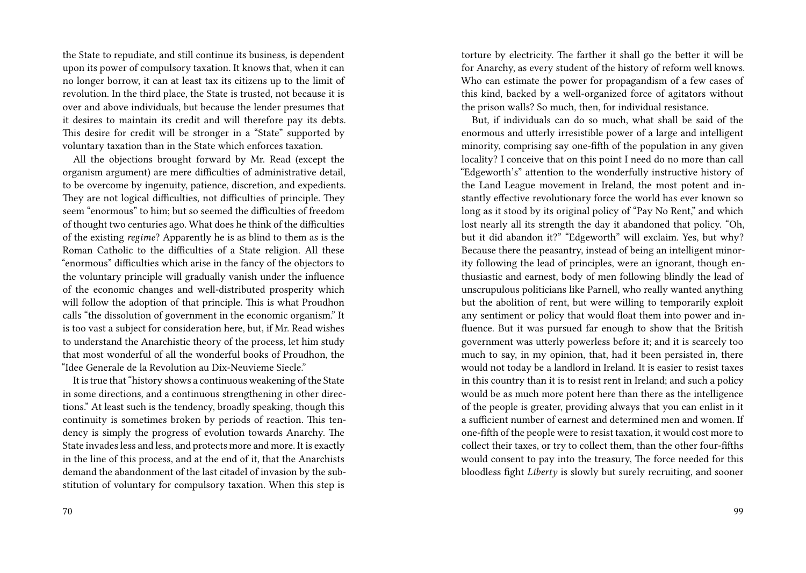the State to repudiate, and still continue its business, is dependent upon its power of compulsory taxation. It knows that, when it can no longer borrow, it can at least tax its citizens up to the limit of revolution. In the third place, the State is trusted, not because it is over and above individuals, but because the lender presumes that it desires to maintain its credit and will therefore pay its debts. This desire for credit will be stronger in a "State" supported by voluntary taxation than in the State which enforces taxation.

All the objections brought forward by Mr. Read (except the organism argument) are mere difficulties of administrative detail, to be overcome by ingenuity, patience, discretion, and expedients. They are not logical difficulties, not difficulties of principle. They seem "enormous" to him; but so seemed the difficulties of freedom of thought two centuries ago. What does he think of the difficulties of the existing *regime*? Apparently he is as blind to them as is the Roman Catholic to the difficulties of a State religion. All these "enormous" difficulties which arise in the fancy of the objectors to the voluntary principle will gradually vanish under the influence of the economic changes and well-distributed prosperity which will follow the adoption of that principle. This is what Proudhon calls "the dissolution of government in the economic organism." It is too vast a subject for consideration here, but, if Mr. Read wishes to understand the Anarchistic theory of the process, let him study that most wonderful of all the wonderful books of Proudhon, the "Idee Generale de la Revolution au Dix-Neuvieme Siecle."

It is true that "history shows a continuous weakening of the State in some directions, and a continuous strengthening in other directions." At least such is the tendency, broadly speaking, though this continuity is sometimes broken by periods of reaction. This tendency is simply the progress of evolution towards Anarchy. The State invades less and less, and protects more and more. It is exactly in the line of this process, and at the end of it, that the Anarchists demand the abandonment of the last citadel of invasion by the substitution of voluntary for compulsory taxation. When this step is

torture by electricity. The farther it shall go the better it will be for Anarchy, as every student of the history of reform well knows. Who can estimate the power for propagandism of a few cases of this kind, backed by a well-organized force of agitators without the prison walls? So much, then, for individual resistance.

But, if individuals can do so much, what shall be said of the enormous and utterly irresistible power of a large and intelligent minority, comprising say one-fifth of the population in any given locality? I conceive that on this point I need do no more than call "Edgeworth's" attention to the wonderfully instructive history of the Land League movement in Ireland, the most potent and instantly effective revolutionary force the world has ever known so long as it stood by its original policy of "Pay No Rent," and which lost nearly all its strength the day it abandoned that policy. "Oh, but it did abandon it?" "Edgeworth" will exclaim. Yes, but why? Because there the peasantry, instead of being an intelligent minority following the lead of principles, were an ignorant, though enthusiastic and earnest, body of men following blindly the lead of unscrupulous politicians like Parnell, who really wanted anything but the abolition of rent, but were willing to temporarily exploit any sentiment or policy that would float them into power and influence. But it was pursued far enough to show that the British government was utterly powerless before it; and it is scarcely too much to say, in my opinion, that, had it been persisted in, there would not today be a landlord in Ireland. It is easier to resist taxes in this country than it is to resist rent in Ireland; and such a policy would be as much more potent here than there as the intelligence of the people is greater, providing always that you can enlist in it a sufficient number of earnest and determined men and women. If one-fifth of the people were to resist taxation, it would cost more to collect their taxes, or try to collect them, than the other four-fifths would consent to pay into the treasury, The force needed for this bloodless fight *Liberty* is slowly but surely recruiting, and sooner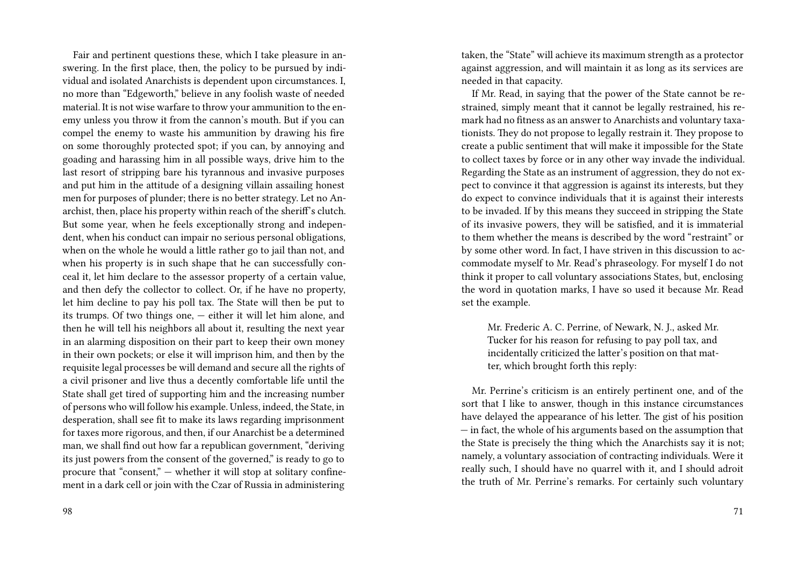Fair and pertinent questions these, which I take pleasure in answering. In the first place, then, the policy to be pursued by individual and isolated Anarchists is dependent upon circumstances. I, no more than "Edgeworth," believe in any foolish waste of needed material. It is not wise warfare to throw your ammunition to the enemy unless you throw it from the cannon's mouth. But if you can compel the enemy to waste his ammunition by drawing his fire on some thoroughly protected spot; if you can, by annoying and goading and harassing him in all possible ways, drive him to the last resort of stripping bare his tyrannous and invasive purposes and put him in the attitude of a designing villain assailing honest men for purposes of plunder; there is no better strategy. Let no Anarchist, then, place his property within reach of the sheriff's clutch. But some year, when he feels exceptionally strong and independent, when his conduct can impair no serious personal obligations, when on the whole he would a little rather go to jail than not, and when his property is in such shape that he can successfully conceal it, let him declare to the assessor property of a certain value, and then defy the collector to collect. Or, if he have no property, let him decline to pay his poll tax. The State will then be put to its trumps. Of two things one, — either it will let him alone, and then he will tell his neighbors all about it, resulting the next year in an alarming disposition on their part to keep their own money in their own pockets; or else it will imprison him, and then by the requisite legal processes be will demand and secure all the rights of a civil prisoner and live thus a decently comfortable life until the State shall get tired of supporting him and the increasing number of persons who will follow his example. Unless, indeed, the State, in desperation, shall see fit to make its laws regarding imprisonment for taxes more rigorous, and then, if our Anarchist be a determined man, we shall find out how far a republican government, "deriving its just powers from the consent of the governed," is ready to go to procure that "consent," — whether it will stop at solitary confinement in a dark cell or join with the Czar of Russia in administering

against aggression, and will maintain it as long as its services are needed in that capacity. If Mr. Read, in saying that the power of the State cannot be re-

strained, simply meant that it cannot be legally restrained, his remark had no fitness as an answer to Anarchists and voluntary taxationists. They do not propose to legally restrain it. They propose to create a public sentiment that will make it impossible for the State to collect taxes by force or in any other way invade the individual. Regarding the State as an instrument of aggression, they do not expect to convince it that aggression is against its interests, but they do expect to convince individuals that it is against their interests to be invaded. If by this means they succeed in stripping the State of its invasive powers, they will be satisfied, and it is immaterial to them whether the means is described by the word "restraint" or by some other word. In fact, I have striven in this discussion to accommodate myself to Mr. Read's phraseology. For myself I do not think it proper to call voluntary associations States, but, enclosing the word in quotation marks, I have so used it because Mr. Read set the example.

taken, the "State" will achieve its maximum strength as a protector

Mr. Frederic A. C. Perrine, of Newark, N. J., asked Mr. Tucker for his reason for refusing to pay poll tax, and incidentally criticized the latter's position on that matter, which brought forth this reply:

Mr. Perrine's criticism is an entirely pertinent one, and of the sort that I like to answer, though in this instance circumstances have delayed the appearance of his letter. The gist of his position — in fact, the whole of his arguments based on the assumption that the State is precisely the thing which the Anarchists say it is not; namely, a voluntary association of contracting individuals. Were it really such, I should have no quarrel with it, and I should adroit the truth of Mr. Perrine's remarks. For certainly such voluntary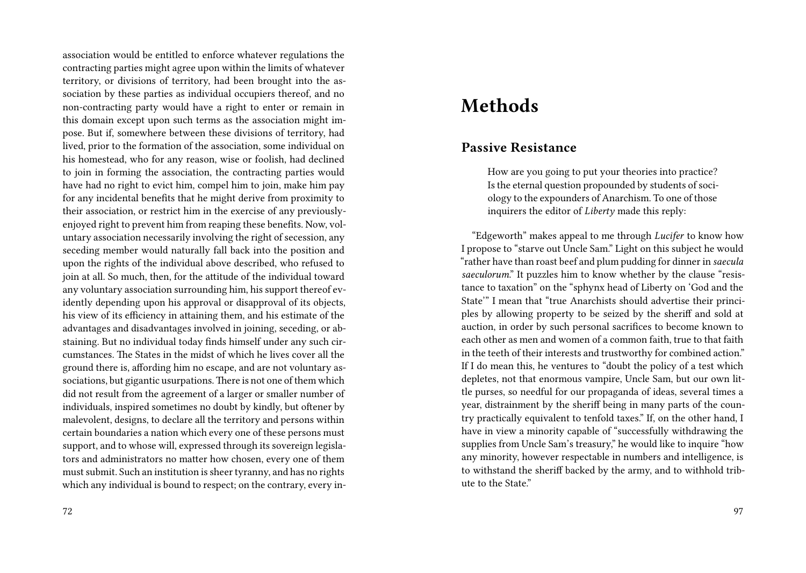association would be entitled to enforce whatever regulations the contracting parties might agree upon within the limits of whatever territory, or divisions of territory, had been brought into the association by these parties as individual occupiers thereof, and no non-contracting party would have a right to enter or remain in this domain except upon such terms as the association might impose. But if, somewhere between these divisions of territory, had lived, prior to the formation of the association, some individual on his homestead, who for any reason, wise or foolish, had declined to join in forming the association, the contracting parties would have had no right to evict him, compel him to join, make him pay for any incidental benefits that he might derive from proximity to their association, or restrict him in the exercise of any previouslyenjoyed right to prevent him from reaping these benefits. Now, voluntary association necessarily involving the right of secession, any seceding member would naturally fall back into the position and upon the rights of the individual above described, who refused to join at all. So much, then, for the attitude of the individual toward any voluntary association surrounding him, his support thereof evidently depending upon his approval or disapproval of its objects, his view of its efficiency in attaining them, and his estimate of the advantages and disadvantages involved in joining, seceding, or abstaining. But no individual today finds himself under any such circumstances. The States in the midst of which he lives cover all the ground there is, affording him no escape, and are not voluntary associations, but gigantic usurpations.There is not one of them which did not result from the agreement of a larger or smaller number of individuals, inspired sometimes no doubt by kindly, but oftener by malevolent, designs, to declare all the territory and persons within certain boundaries a nation which every one of these persons must support, and to whose will, expressed through its sovereign legislators and administrators no matter how chosen, every one of them must submit. Such an institution is sheer tyranny, and has no rights which any individual is bound to respect; on the contrary, every in-

# **Methods**

## **Passive Resistance**

How are you going to put your theories into practice? Is the eternal question propounded by students of sociology to the expounders of Anarchism. To one of those inquirers the editor of *Liberty* made this reply:

"Edgeworth" makes appeal to me through *Lucifer* to know how I propose to "starve out Uncle Sam." Light on this subject he would "rather have than roast beef and plum pudding for dinner in *saecula saeculorum*." It puzzles him to know whether by the clause "resistance to taxation" on the "sphynx head of Liberty on 'God and the State'" I mean that "true Anarchists should advertise their principles by allowing property to be seized by the sheriff and sold at auction, in order by such personal sacrifices to become known to each other as men and women of a common faith, true to that faith in the teeth of their interests and trustworthy for combined action." If I do mean this, he ventures to "doubt the policy of a test which depletes, not that enormous vampire, Uncle Sam, but our own little purses, so needful for our propaganda of ideas, several times a year, distrainment by the sheriff being in many parts of the country practically equivalent to tenfold taxes." If, on the other hand, I have in view a minority capable of "successfully withdrawing the supplies from Uncle Sam's treasury," he would like to inquire "how any minority, however respectable in numbers and intelligence, is to withstand the sheriff backed by the army, and to withhold tribute to the State."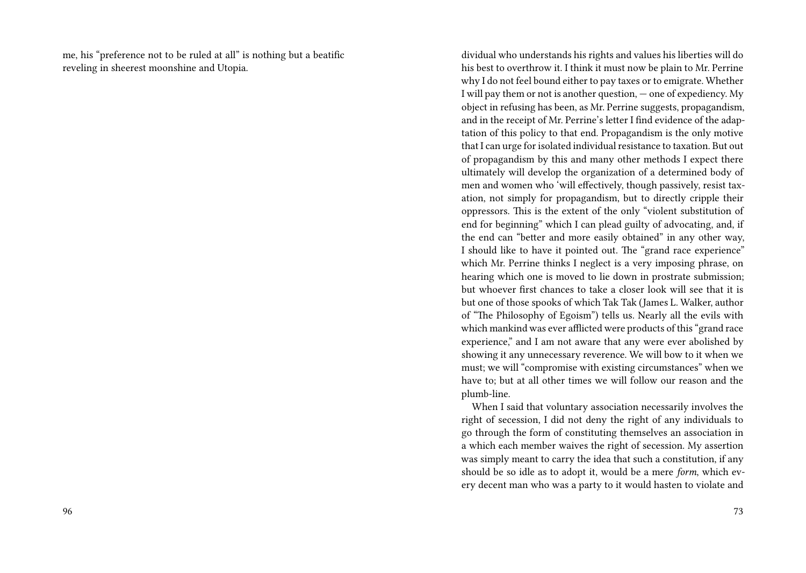me, his "preference not to be ruled at all" is nothing but a beatific reveling in sheerest moonshine and Utopia.

dividual who understands his rights and values his liberties will do his best to overthrow it. I think it must now be plain to Mr. Perrine why I do not feel bound either to pay taxes or to emigrate. Whether I will pay them or not is another question, — one of expediency. My object in refusing has been, as Mr. Perrine suggests, propagandism, and in the receipt of Mr. Perrine's letter I find evidence of the adaptation of this policy to that end. Propagandism is the only motive that I can urge for isolated individual resistance to taxation. But out of propagandism by this and many other methods I expect there ultimately will develop the organization of a determined body of men and women who 'will effectively, though passively, resist taxation, not simply for propagandism, but to directly cripple their oppressors. This is the extent of the only "violent substitution of end for beginning" which I can plead guilty of advocating, and, if the end can "better and more easily obtained" in any other way, I should like to have it pointed out. The "grand race experience" which Mr. Perrine thinks I neglect is a very imposing phrase, on hearing which one is moved to lie down in prostrate submission; but whoever first chances to take a closer look will see that it is but one of those spooks of which Tak Tak (James L. Walker, author of "The Philosophy of Egoism") tells us. Nearly all the evils with which mankind was ever afflicted were products of this "grand race experience," and I am not aware that any were ever abolished by showing it any unnecessary reverence. We will bow to it when we must; we will "compromise with existing circumstances" when we have to; but at all other times we will follow our reason and the plumb-line.

When I said that voluntary association necessarily involves the right of secession, I did not deny the right of any individuals to go through the form of constituting themselves an association in a which each member waives the right of secession. My assertion was simply meant to carry the idea that such a constitution, if any should be so idle as to adopt it, would be a mere *form*, which every decent man who was a party to it would hasten to violate and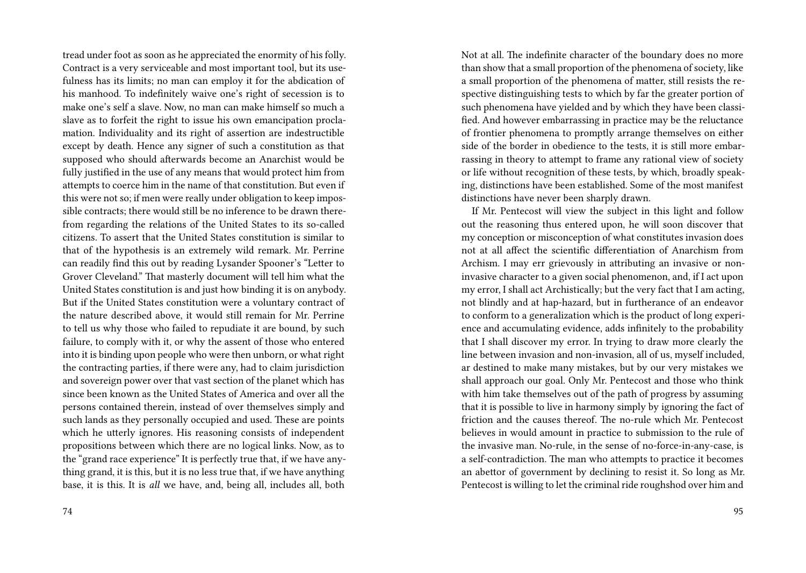tread under foot as soon as he appreciated the enormity of his folly. Contract is a very serviceable and most important tool, but its usefulness has its limits; no man can employ it for the abdication of his manhood. To indefinitely waive one's right of secession is to make one's self a slave. Now, no man can make himself so much a slave as to forfeit the right to issue his own emancipation proclamation. Individuality and its right of assertion are indestructible except by death. Hence any signer of such a constitution as that supposed who should afterwards become an Anarchist would be fully justified in the use of any means that would protect him from attempts to coerce him in the name of that constitution. But even if this were not so; if men were really under obligation to keep impossible contracts; there would still be no inference to be drawn therefrom regarding the relations of the United States to its so-called citizens. To assert that the United States constitution is similar to that of the hypothesis is an extremely wild remark. Mr. Perrine can readily find this out by reading Lysander Spooner's "Letter to Grover Cleveland." That masterly document will tell him what the United States constitution is and just how binding it is on anybody. But if the United States constitution were a voluntary contract of the nature described above, it would still remain for Mr. Perrine to tell us why those who failed to repudiate it are bound, by such failure, to comply with it, or why the assent of those who entered into it is binding upon people who were then unborn, or what right the contracting parties, if there were any, had to claim jurisdiction and sovereign power over that vast section of the planet which has since been known as the United States of America and over all the persons contained therein, instead of over themselves simply and such lands as they personally occupied and used. These are points which he utterly ignores. His reasoning consists of independent propositions between which there are no logical links. Now, as to the "grand race experience" It is perfectly true that, if we have anything grand, it is this, but it is no less true that, if we have anything base, it is this. It is *all* we have, and, being all, includes all, both

Not at all. The indefinite character of the boundary does no more than show that a small proportion of the phenomena of society, like a small proportion of the phenomena of matter, still resists the respective distinguishing tests to which by far the greater portion of such phenomena have yielded and by which they have been classified. And however embarrassing in practice may be the reluctance of frontier phenomena to promptly arrange themselves on either side of the border in obedience to the tests, it is still more embarrassing in theory to attempt to frame any rational view of society or life without recognition of these tests, by which, broadly speaking, distinctions have been established. Some of the most manifest distinctions have never been sharply drawn.

If Mr. Pentecost will view the subject in this light and follow out the reasoning thus entered upon, he will soon discover that my conception or misconception of what constitutes invasion does not at all affect the scientific differentiation of Anarchism from Archism. I may err grievously in attributing an invasive or noninvasive character to a given social phenomenon, and, if I act upon my error, I shall act Archistically; but the very fact that I am acting, not blindly and at hap-hazard, but in furtherance of an endeavor to conform to a generalization which is the product of long experience and accumulating evidence, adds infinitely to the probability that I shall discover my error. In trying to draw more clearly the line between invasion and non-invasion, all of us, myself included, ar destined to make many mistakes, but by our very mistakes we shall approach our goal. Only Mr. Pentecost and those who think with him take themselves out of the path of progress by assuming that it is possible to live in harmony simply by ignoring the fact of friction and the causes thereof. The no-rule which Mr. Pentecost believes in would amount in practice to submission to the rule of the invasive man. No-rule, in the sense of no-force-in-any-case, is a self-contradiction. The man who attempts to practice it becomes an abettor of government by declining to resist it. So long as Mr. Pentecost is willing to let the criminal ride roughshod over him and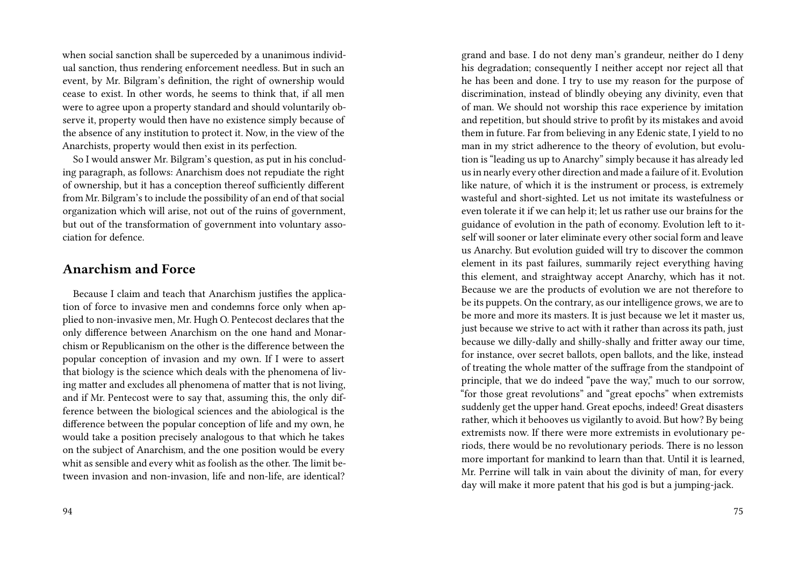when social sanction shall be superceded by a unanimous individual sanction, thus rendering enforcement needless. But in such an event, by Mr. Bilgram's definition, the right of ownership would cease to exist. In other words, he seems to think that, if all men were to agree upon a property standard and should voluntarily observe it, property would then have no existence simply because of the absence of any institution to protect it. Now, in the view of the Anarchists, property would then exist in its perfection.

So I would answer Mr. Bilgram's question, as put in his concluding paragraph, as follows: Anarchism does not repudiate the right of ownership, but it has a conception thereof sufficiently different from Mr. Bilgram's to include the possibility of an end of that social organization which will arise, not out of the ruins of government, but out of the transformation of government into voluntary association for defence.

#### **Anarchism and Force**

Because I claim and teach that Anarchism justifies the application of force to invasive men and condemns force only when applied to non-invasive men, Mr. Hugh O. Pentecost declares that the only difference between Anarchism on the one hand and Monarchism or Republicanism on the other is the difference between the popular conception of invasion and my own. If I were to assert that biology is the science which deals with the phenomena of living matter and excludes all phenomena of matter that is not living, and if Mr. Pentecost were to say that, assuming this, the only difference between the biological sciences and the abiological is the difference between the popular conception of life and my own, he would take a position precisely analogous to that which he takes on the subject of Anarchism, and the one position would be every whit as sensible and every whit as foolish as the other. The limit between invasion and non-invasion, life and non-life, are identical?

grand and base. I do not deny man's grandeur, neither do I deny his degradation; consequently I neither accept nor reject all that he has been and done. I try to use my reason for the purpose of discrimination, instead of blindly obeying any divinity, even that of man. We should not worship this race experience by imitation and repetition, but should strive to profit by its mistakes and avoid them in future. Far from believing in any Edenic state, I yield to no man in my strict adherence to the theory of evolution, but evolution is "leading us up to Anarchy" simply because it has already led us in nearly every other direction and made a failure of it. Evolution like nature, of which it is the instrument or process, is extremely wasteful and short-sighted. Let us not imitate its wastefulness or even tolerate it if we can help it; let us rather use our brains for the guidance of evolution in the path of economy. Evolution left to itself will sooner or later eliminate every other social form and leave us Anarchy. But evolution guided will try to discover the common element in its past failures, summarily reject everything having this element, and straightway accept Anarchy, which has it not. Because we are the products of evolution we are not therefore to be its puppets. On the contrary, as our intelligence grows, we are to be more and more its masters. It is just because we let it master us, just because we strive to act with it rather than across its path, just because we dilly-dally and shilly-shally and fritter away our time, for instance, over secret ballots, open ballots, and the like, instead of treating the whole matter of the suffrage from the standpoint of principle, that we do indeed "pave the way," much to our sorrow, "for those great revolutions" and "great epochs" when extremists suddenly get the upper hand. Great epochs, indeed! Great disasters rather, which it behooves us vigilantly to avoid. But how? By being extremists now. If there were more extremists in evolutionary periods, there would be no revolutionary periods. There is no lesson more important for mankind to learn than that. Until it is learned, Mr. Perrine will talk in vain about the divinity of man, for every day will make it more patent that his god is but a jumping-jack.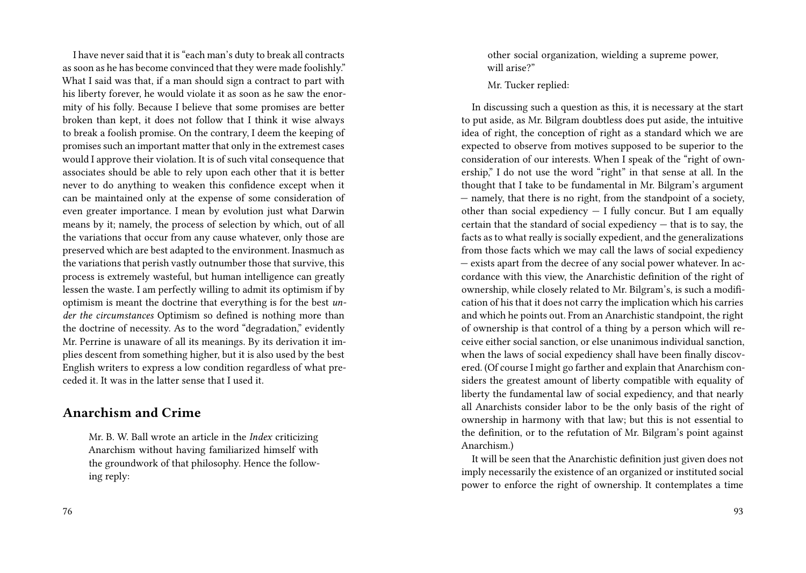I have never said that it is "each man's duty to break all contracts as soon as he has become convinced that they were made foolishly." What I said was that, if a man should sign a contract to part with his liberty forever, he would violate it as soon as he saw the enormity of his folly. Because I believe that some promises are better broken than kept, it does not follow that I think it wise always to break a foolish promise. On the contrary, I deem the keeping of promises such an important matter that only in the extremest cases would I approve their violation. It is of such vital consequence that associates should be able to rely upon each other that it is better never to do anything to weaken this confidence except when it can be maintained only at the expense of some consideration of even greater importance. I mean by evolution just what Darwin means by it; namely, the process of selection by which, out of all the variations that occur from any cause whatever, only those are preserved which are best adapted to the environment. Inasmuch as the variations that perish vastly outnumber those that survive, this process is extremely wasteful, but human intelligence can greatly lessen the waste. I am perfectly willing to admit its optimism if by optimism is meant the doctrine that everything is for the best *under the circumstances* Optimism so defined is nothing more than the doctrine of necessity. As to the word "degradation," evidently Mr. Perrine is unaware of all its meanings. By its derivation it implies descent from something higher, but it is also used by the best English writers to express a low condition regardless of what preceded it. It was in the latter sense that I used it.

#### **Anarchism and Crime**

Mr. B. W. Ball wrote an article in the *Index* criticizing Anarchism without having familiarized himself with the groundwork of that philosophy. Hence the following reply:

other social organization, wielding a supreme power, will arise?"

Mr. Tucker replied:

In discussing such a question as this, it is necessary at the start to put aside, as Mr. Bilgram doubtless does put aside, the intuitive idea of right, the conception of right as a standard which we are expected to observe from motives supposed to be superior to the consideration of our interests. When I speak of the "right of ownership," I do not use the word "right" in that sense at all. In the thought that I take to be fundamental in Mr. Bilgram's argument — namely, that there is no right, from the standpoint of a society, other than social expediency  $-$  I fully concur. But I am equally certain that the standard of social expediency  $-$  that is to say, the facts as to what really is socially expedient, and the generalizations from those facts which we may call the laws of social expediency — exists apart from the decree of any social power whatever. In accordance with this view, the Anarchistic definition of the right of ownership, while closely related to Mr. Bilgram's, is such a modification of his that it does not carry the implication which his carries and which he points out. From an Anarchistic standpoint, the right of ownership is that control of a thing by a person which will receive either social sanction, or else unanimous individual sanction, when the laws of social expediency shall have been finally discovered. (Of course I might go farther and explain that Anarchism considers the greatest amount of liberty compatible with equality of liberty the fundamental law of social expediency, and that nearly all Anarchists consider labor to be the only basis of the right of ownership in harmony with that law; but this is not essential to the definition, or to the refutation of Mr. Bilgram's point against Anarchism.)

It will be seen that the Anarchistic definition just given does not imply necessarily the existence of an organized or instituted social power to enforce the right of ownership. It contemplates a time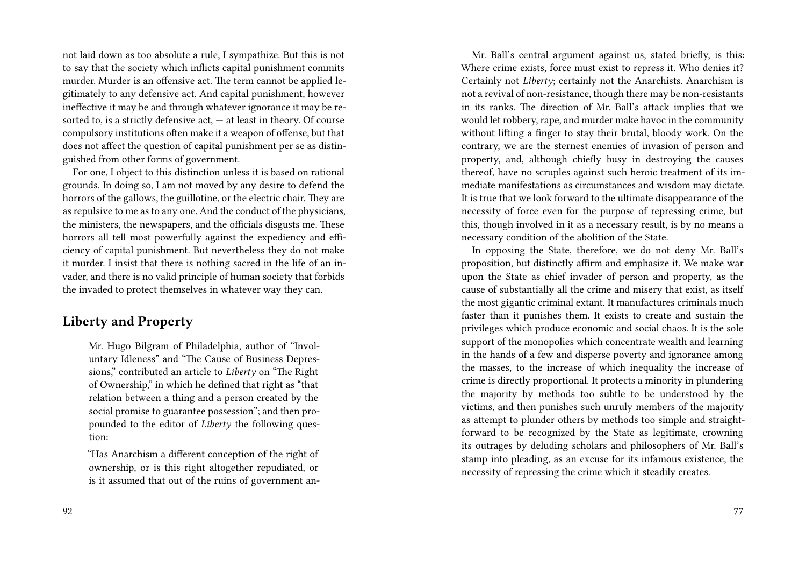not laid down as too absolute a rule, I sympathize. But this is not to say that the society which inflicts capital punishment commits murder. Murder is an offensive act. The term cannot be applied legitimately to any defensive act. And capital punishment, however ineffective it may be and through whatever ignorance it may be resorted to, is a strictly defensive  $act$ ,  $-$  at least in theory. Of course compulsory institutions often make it a weapon of offense, but that does not affect the question of capital punishment per se as distinguished from other forms of government.

For one, I object to this distinction unless it is based on rational grounds. In doing so, I am not moved by any desire to defend the horrors of the gallows, the guillotine, or the electric chair. They are as repulsive to me as to any one. And the conduct of the physicians, the ministers, the newspapers, and the officials disgusts me. These horrors all tell most powerfully against the expediency and efficiency of capital punishment. But nevertheless they do not make it murder. I insist that there is nothing sacred in the life of an invader, and there is no valid principle of human society that forbids the invaded to protect themselves in whatever way they can.

## **Liberty and Property**

Mr. Hugo Bilgram of Philadelphia, author of "Involuntary Idleness" and "The Cause of Business Depressions," contributed an article to *Liberty* on "The Right of Ownership," in which he defined that right as "that relation between a thing and a person created by the social promise to guarantee possession"; and then propounded to the editor of *Liberty* the following question:

"Has Anarchism a different conception of the right of ownership, or is this right altogether repudiated, or is it assumed that out of the ruins of government an-

Mr. Ball's central argument against us, stated briefly, is this: Where crime exists, force must exist to repress it. Who denies it? Certainly not *Liberty*; certainly not the Anarchists. Anarchism is not a revival of non-resistance, though there may be non-resistants in its ranks. The direction of Mr. Ball's attack implies that we would let robbery, rape, and murder make havoc in the community without lifting a finger to stay their brutal, bloody work. On the contrary, we are the sternest enemies of invasion of person and property, and, although chiefly busy in destroying the causes thereof, have no scruples against such heroic treatment of its immediate manifestations as circumstances and wisdom may dictate. It is true that we look forward to the ultimate disappearance of the necessity of force even for the purpose of repressing crime, but this, though involved in it as a necessary result, is by no means a necessary condition of the abolition of the State.

In opposing the State, therefore, we do not deny Mr. Ball's proposition, but distinctly affirm and emphasize it. We make war upon the State as chief invader of person and property, as the cause of substantially all the crime and misery that exist, as itself the most gigantic criminal extant. It manufactures criminals much faster than it punishes them. It exists to create and sustain the privileges which produce economic and social chaos. It is the sole support of the monopolies which concentrate wealth and learning in the hands of a few and disperse poverty and ignorance among the masses, to the increase of which inequality the increase of crime is directly proportional. It protects a minority in plundering the majority by methods too subtle to be understood by the victims, and then punishes such unruly members of the majority as attempt to plunder others by methods too simple and straightforward to be recognized by the State as legitimate, crowning its outrages by deluding scholars and philosophers of Mr. Ball's stamp into pleading, as an excuse for its infamous existence, the necessity of repressing the crime which it steadily creates.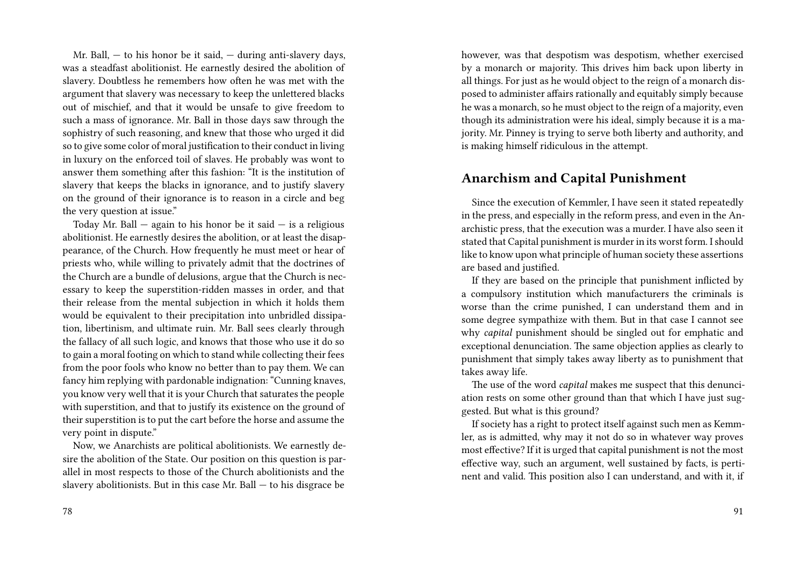Mr. Ball,  $-$  to his honor be it said,  $-$  during anti-slavery days, was a steadfast abolitionist. He earnestly desired the abolition of slavery. Doubtless he remembers how often he was met with the argument that slavery was necessary to keep the unlettered blacks out of mischief, and that it would be unsafe to give freedom to such a mass of ignorance. Mr. Ball in those days saw through the sophistry of such reasoning, and knew that those who urged it did so to give some color of moral justification to their conduct in living in luxury on the enforced toil of slaves. He probably was wont to answer them something after this fashion: "It is the institution of slavery that keeps the blacks in ignorance, and to justify slavery on the ground of their ignorance is to reason in a circle and beg the very question at issue."

Today Mr. Ball  $-$  again to his honor be it said  $-$  is a religious abolitionist. He earnestly desires the abolition, or at least the disappearance, of the Church. How frequently he must meet or hear of priests who, while willing to privately admit that the doctrines of the Church are a bundle of delusions, argue that the Church is necessary to keep the superstition-ridden masses in order, and that their release from the mental subjection in which it holds them would be equivalent to their precipitation into unbridled dissipation, libertinism, and ultimate ruin. Mr. Ball sees clearly through the fallacy of all such logic, and knows that those who use it do so to gain a moral footing on which to stand while collecting their fees from the poor fools who know no better than to pay them. We can fancy him replying with pardonable indignation: "Cunning knaves, you know very well that it is your Church that saturates the people with superstition, and that to justify its existence on the ground of their superstition is to put the cart before the horse and assume the very point in dispute."

Now, we Anarchists are political abolitionists. We earnestly desire the abolition of the State. Our position on this question is parallel in most respects to those of the Church abolitionists and the slavery abolitionists. But in this case Mr. Ball — to his disgrace be however, was that despotism was despotism, whether exercised by a monarch or majority. This drives him back upon liberty in all things. For just as he would object to the reign of a monarch disposed to administer affairs rationally and equitably simply because he was a monarch, so he must object to the reign of a majority, even though its administration were his ideal, simply because it is a majority. Mr. Pinney is trying to serve both liberty and authority, and is making himself ridiculous in the attempt.

#### **Anarchism and Capital Punishment**

Since the execution of Kemmler, I have seen it stated repeatedly in the press, and especially in the reform press, and even in the Anarchistic press, that the execution was a murder. I have also seen it stated that Capital punishment is murder in its worst form. I should like to know upon what principle of human society these assertions are based and justified.

If they are based on the principle that punishment inflicted by a compulsory institution which manufacturers the criminals is worse than the crime punished, I can understand them and in some degree sympathize with them. But in that case I cannot see why *capital* punishment should be singled out for emphatic and exceptional denunciation. The same objection applies as clearly to punishment that simply takes away liberty as to punishment that takes away life.

The use of the word *capital* makes me suspect that this denunciation rests on some other ground than that which I have just suggested. But what is this ground?

If society has a right to protect itself against such men as Kemmler, as is admitted, why may it not do so in whatever way proves most effective? If it is urged that capital punishment is not the most effective way, such an argument, well sustained by facts, is pertinent and valid. This position also I can understand, and with it, if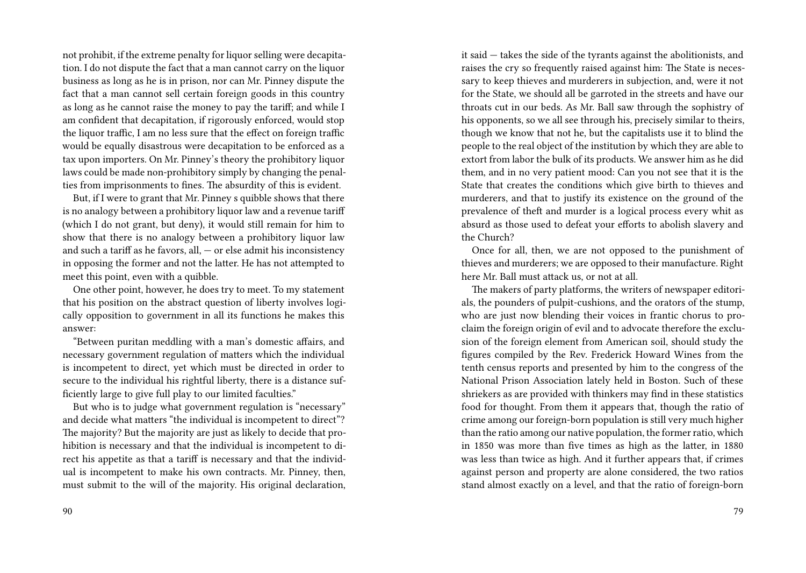not prohibit, if the extreme penalty for liquor selling were decapitation. I do not dispute the fact that a man cannot carry on the liquor business as long as he is in prison, nor can Mr. Pinney dispute the fact that a man cannot sell certain foreign goods in this country as long as he cannot raise the money to pay the tariff; and while I am confident that decapitation, if rigorously enforced, would stop the liquor traffic, I am no less sure that the effect on foreign traffic would be equally disastrous were decapitation to be enforced as a tax upon importers. On Mr. Pinney's theory the prohibitory liquor laws could be made non-prohibitory simply by changing the penalties from imprisonments to fines. The absurdity of this is evident.

But, if I were to grant that Mr. Pinney s quibble shows that there is no analogy between a prohibitory liquor law and a revenue tariff (which I do not grant, but deny), it would still remain for him to show that there is no analogy between a prohibitory liquor law and such a tariff as he favors, all,  $-$  or else admit his inconsistency in opposing the former and not the latter. He has not attempted to meet this point, even with a quibble.

One other point, however, he does try to meet. To my statement that his position on the abstract question of liberty involves logically opposition to government in all its functions he makes this answer:

"Between puritan meddling with a man's domestic affairs, and necessary government regulation of matters which the individual is incompetent to direct, yet which must be directed in order to secure to the individual his rightful liberty, there is a distance sufficiently large to give full play to our limited faculties."

But who is to judge what government regulation is "necessary" and decide what matters "the individual is incompetent to direct"? The majority? But the majority are just as likely to decide that prohibition is necessary and that the individual is incompetent to direct his appetite as that a tariff is necessary and that the individual is incompetent to make his own contracts. Mr. Pinney, then, must submit to the will of the majority. His original declaration, it said — takes the side of the tyrants against the abolitionists, and raises the cry so frequently raised against him: The State is necessary to keep thieves and murderers in subjection, and, were it not for the State, we should all be garroted in the streets and have our throats cut in our beds. As Mr. Ball saw through the sophistry of his opponents, so we all see through his, precisely similar to theirs, though we know that not he, but the capitalists use it to blind the people to the real object of the institution by which they are able to extort from labor the bulk of its products. We answer him as he did them, and in no very patient mood: Can you not see that it is the State that creates the conditions which give birth to thieves and murderers, and that to justify its existence on the ground of the prevalence of theft and murder is a logical process every whit as absurd as those used to defeat your efforts to abolish slavery and the Church?

Once for all, then, we are not opposed to the punishment of thieves and murderers; we are opposed to their manufacture. Right here Mr. Ball must attack us, or not at all.

The makers of party platforms, the writers of newspaper editorials, the pounders of pulpit-cushions, and the orators of the stump, who are just now blending their voices in frantic chorus to proclaim the foreign origin of evil and to advocate therefore the exclusion of the foreign element from American soil, should study the figures compiled by the Rev. Frederick Howard Wines from the tenth census reports and presented by him to the congress of the National Prison Association lately held in Boston. Such of these shriekers as are provided with thinkers may find in these statistics food for thought. From them it appears that, though the ratio of crime among our foreign-born population is still very much higher than the ratio among our native population, the former ratio, which in 1850 was more than five times as high as the latter, in 1880 was less than twice as high. And it further appears that, if crimes against person and property are alone considered, the two ratios stand almost exactly on a level, and that the ratio of foreign-born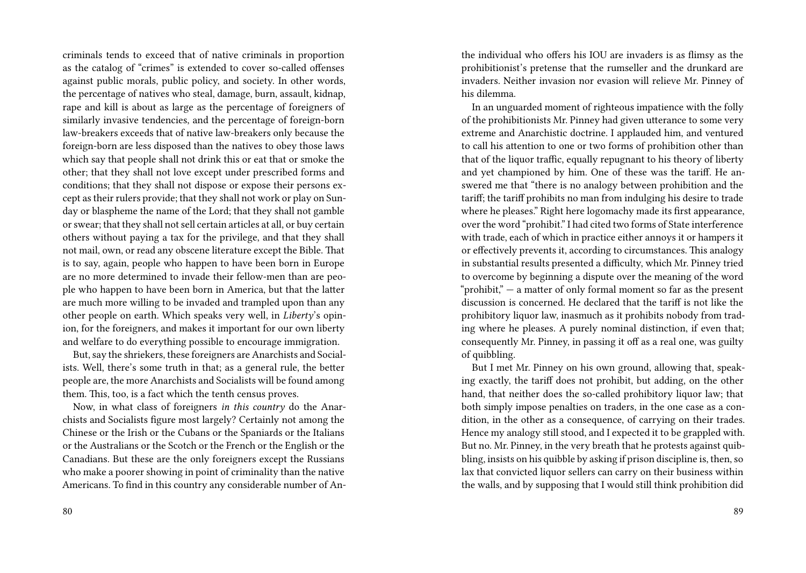criminals tends to exceed that of native criminals in proportion as the catalog of "crimes" is extended to cover so-called offenses against public morals, public policy, and society. In other words, the percentage of natives who steal, damage, burn, assault, kidnap, rape and kill is about as large as the percentage of foreigners of similarly invasive tendencies, and the percentage of foreign-born law-breakers exceeds that of native law-breakers only because the foreign-born are less disposed than the natives to obey those laws which say that people shall not drink this or eat that or smoke the other; that they shall not love except under prescribed forms and conditions; that they shall not dispose or expose their persons except as their rulers provide; that they shall not work or play on Sunday or blaspheme the name of the Lord; that they shall not gamble or swear; that they shall not sell certain articles at all, or buy certain others without paying a tax for the privilege, and that they shall not mail, own, or read any obscene literature except the Bible. That is to say, again, people who happen to have been born in Europe are no more determined to invade their fellow-men than are people who happen to have been born in America, but that the latter are much more willing to be invaded and trampled upon than any other people on earth. Which speaks very well, in *Liberty*'s opinion, for the foreigners, and makes it important for our own liberty and welfare to do everything possible to encourage immigration.

But, say the shriekers, these foreigners are Anarchists and Socialists. Well, there's some truth in that; as a general rule, the better people are, the more Anarchists and Socialists will be found among them. This, too, is a fact which the tenth census proves.

Now, in what class of foreigners *in this country* do the Anarchists and Socialists figure most largely? Certainly not among the Chinese or the Irish or the Cubans or the Spaniards or the Italians or the Australians or the Scotch or the French or the English or the Canadians. But these are the only foreigners except the Russians who make a poorer showing in point of criminality than the native Americans. To find in this country any considerable number of An-

the individual who offers his IOU are invaders is as flimsy as the prohibitionist's pretense that the rumseller and the drunkard are invaders. Neither invasion nor evasion will relieve Mr. Pinney of his dilemma.

In an unguarded moment of righteous impatience with the folly of the prohibitionists Mr. Pinney had given utterance to some very extreme and Anarchistic doctrine. I applauded him, and ventured to call his attention to one or two forms of prohibition other than that of the liquor traffic, equally repugnant to his theory of liberty and yet championed by him. One of these was the tariff. He answered me that "there is no analogy between prohibition and the tariff; the tariff prohibits no man from indulging his desire to trade where he pleases." Right here logomachy made its first appearance, over the word "prohibit." I had cited two forms of State interference with trade, each of which in practice either annoys it or hampers it or effectively prevents it, according to circumstances. This analogy in substantial results presented a difficulty, which Mr. Pinney tried to overcome by beginning a dispute over the meaning of the word "prohibit," — a matter of only formal moment so far as the present discussion is concerned. He declared that the tariff is not like the prohibitory liquor law, inasmuch as it prohibits nobody from trading where he pleases. A purely nominal distinction, if even that; consequently Mr. Pinney, in passing it off as a real one, was guilty of quibbling.

But I met Mr. Pinney on his own ground, allowing that, speaking exactly, the tariff does not prohibit, but adding, on the other hand, that neither does the so-called prohibitory liquor law; that both simply impose penalties on traders, in the one case as a condition, in the other as a consequence, of carrying on their trades. Hence my analogy still stood, and I expected it to be grappled with. But no. Mr. Pinney, in the very breath that he protests against quibbling, insists on his quibble by asking if prison discipline is, then, so lax that convicted liquor sellers can carry on their business within the walls, and by supposing that I would still think prohibition did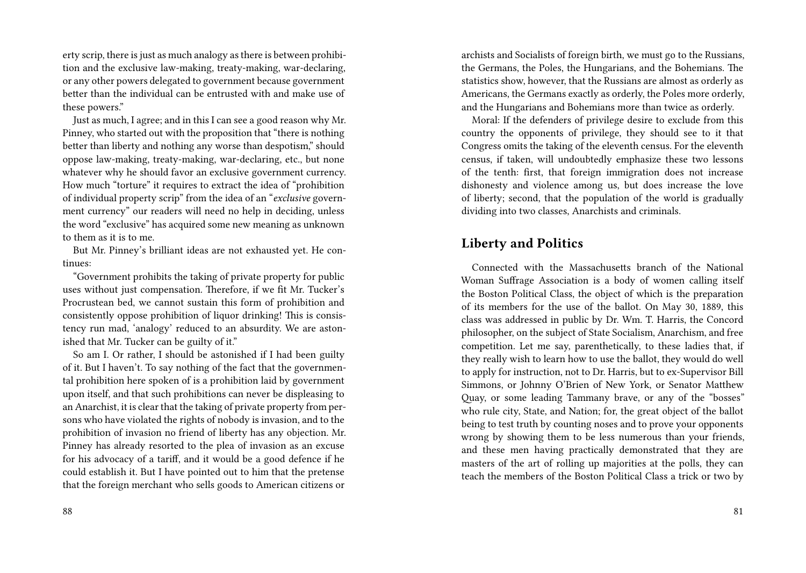erty scrip, there is just as much analogy as there is between prohibition and the exclusive law-making, treaty-making, war-declaring, or any other powers delegated to government because government better than the individual can be entrusted with and make use of these powers."

Just as much, I agree; and in this I can see a good reason why Mr. Pinney, who started out with the proposition that "there is nothing better than liberty and nothing any worse than despotism," should oppose law-making, treaty-making, war-declaring, etc., but none whatever why he should favor an exclusive government currency. How much "torture" it requires to extract the idea of "prohibition of individual property scrip" from the idea of an "*exclusive* government currency" our readers will need no help in deciding, unless the word "exclusive" has acquired some new meaning as unknown to them as it is to me.

But Mr. Pinney's brilliant ideas are not exhausted yet. He continues:

"Government prohibits the taking of private property for public uses without just compensation. Therefore, if we fit Mr. Tucker's Procrustean bed, we cannot sustain this form of prohibition and consistently oppose prohibition of liquor drinking! This is consistency run mad, 'analogy' reduced to an absurdity. We are astonished that Mr. Tucker can be guilty of it."

So am I. Or rather, I should be astonished if I had been guilty of it. But I haven't. To say nothing of the fact that the governmental prohibition here spoken of is a prohibition laid by government upon itself, and that such prohibitions can never be displeasing to an Anarchist, it is clear that the taking of private property from persons who have violated the rights of nobody is invasion, and to the prohibition of invasion no friend of liberty has any objection. Mr. Pinney has already resorted to the plea of invasion as an excuse for his advocacy of a tariff, and it would be a good defence if he could establish it. But I have pointed out to him that the pretense that the foreign merchant who sells goods to American citizens or

archists and Socialists of foreign birth, we must go to the Russians, the Germans, the Poles, the Hungarians, and the Bohemians. The statistics show, however, that the Russians are almost as orderly as Americans, the Germans exactly as orderly, the Poles more orderly, and the Hungarians and Bohemians more than twice as orderly.

Moral: If the defenders of privilege desire to exclude from this country the opponents of privilege, they should see to it that Congress omits the taking of the eleventh census. For the eleventh census, if taken, will undoubtedly emphasize these two lessons of the tenth: first, that foreign immigration does not increase dishonesty and violence among us, but does increase the love of liberty; second, that the population of the world is gradually dividing into two classes, Anarchists and criminals.

## **Liberty and Politics**

Connected with the Massachusetts branch of the National Woman Suffrage Association is a body of women calling itself the Boston Political Class, the object of which is the preparation of its members for the use of the ballot. On May 30, 1889, this class was addressed in public by Dr. Wm. T. Harris, the Concord philosopher, on the subject of State Socialism, Anarchism, and free competition. Let me say, parenthetically, to these ladies that, if they really wish to learn how to use the ballot, they would do well to apply for instruction, not to Dr. Harris, but to ex-Supervisor Bill Simmons, or Johnny O'Brien of New York, or Senator Matthew Quay, or some leading Tammany brave, or any of the "bosses" who rule city, State, and Nation; for, the great object of the ballot being to test truth by counting noses and to prove your opponents wrong by showing them to be less numerous than your friends, and these men having practically demonstrated that they are masters of the art of rolling up majorities at the polls, they can teach the members of the Boston Political Class a trick or two by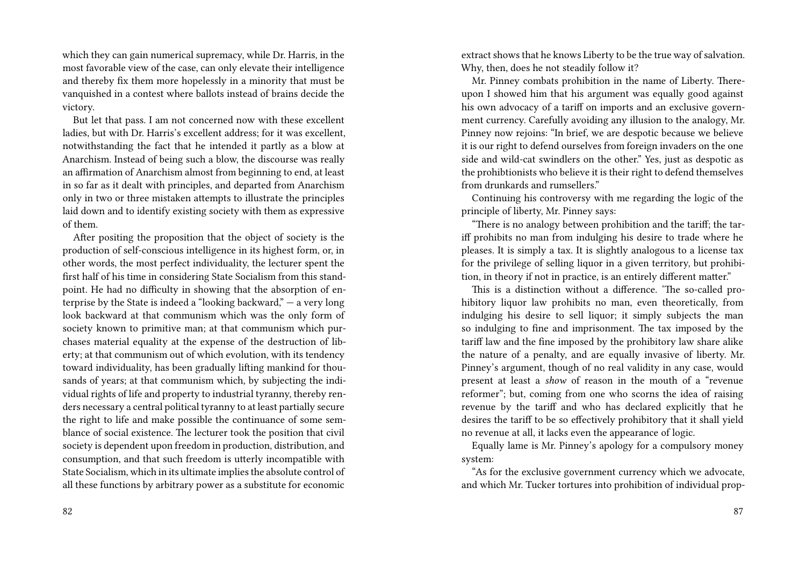which they can gain numerical supremacy, while Dr. Harris, in the most favorable view of the case, can only elevate their intelligence and thereby fix them more hopelessly in a minority that must be vanquished in a contest where ballots instead of brains decide the victory.

But let that pass. I am not concerned now with these excellent ladies, but with Dr. Harris's excellent address; for it was excellent, notwithstanding the fact that he intended it partly as a blow at Anarchism. Instead of being such a blow, the discourse was really an affirmation of Anarchism almost from beginning to end, at least in so far as it dealt with principles, and departed from Anarchism only in two or three mistaken attempts to illustrate the principles laid down and to identify existing society with them as expressive of them.

After positing the proposition that the object of society is the production of self-conscious intelligence in its highest form, or, in other words, the most perfect individuality, the lecturer spent the first half of his time in considering State Socialism from this standpoint. He had no difficulty in showing that the absorption of enterprise by the State is indeed a "looking backward," — a very long look backward at that communism which was the only form of society known to primitive man; at that communism which purchases material equality at the expense of the destruction of liberty; at that communism out of which evolution, with its tendency toward individuality, has been gradually lifting mankind for thousands of years; at that communism which, by subjecting the individual rights of life and property to industrial tyranny, thereby renders necessary a central political tyranny to at least partially secure the right to life and make possible the continuance of some semblance of social existence. The lecturer took the position that civil society is dependent upon freedom in production, distribution, and consumption, and that such freedom is utterly incompatible with State Socialism, which in its ultimate implies the absolute control of all these functions by arbitrary power as a substitute for economic extract shows that he knows Liberty to be the true way of salvation. Why, then, does he not steadily follow it?

Mr. Pinney combats prohibition in the name of Liberty. Thereupon I showed him that his argument was equally good against his own advocacy of a tariff on imports and an exclusive government currency. Carefully avoiding any illusion to the analogy, Mr. Pinney now rejoins: "In brief, we are despotic because we believe it is our right to defend ourselves from foreign invaders on the one side and wild-cat swindlers on the other." Yes, just as despotic as the prohibtionists who believe it is their right to defend themselves from drunkards and rumsellers."

Continuing his controversy with me regarding the logic of the principle of liberty, Mr. Pinney says:

"There is no analogy between prohibition and the tariff; the tariff prohibits no man from indulging his desire to trade where he pleases. It is simply a tax. It is slightly analogous to a license tax for the privilege of selling liquor in a given territory, but prohibition, in theory if not in practice, is an entirely different matter."

This is a distinction without a difference. 'The so-called prohibitory liquor law prohibits no man, even theoretically, from indulging his desire to sell liquor; it simply subjects the man so indulging to fine and imprisonment. The tax imposed by the tariff law and the fine imposed by the prohibitory law share alike the nature of a penalty, and are equally invasive of liberty. Mr. Pinney's argument, though of no real validity in any case, would present at least a *show* of reason in the mouth of a "revenue reformer"; but, coming from one who scorns the idea of raising revenue by the tariff and who has declared explicitly that he desires the tariff to be so effectively prohibitory that it shall yield no revenue at all, it lacks even the appearance of logic.

Equally lame is Mr. Pinney's apology for a compulsory money system:

"As for the exclusive government currency which we advocate, and which Mr. Tucker tortures into prohibition of individual prop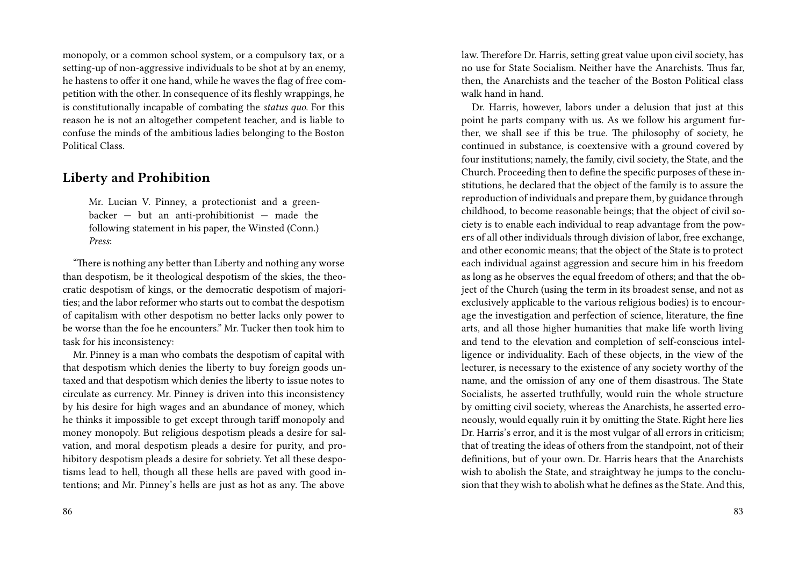monopoly, or a common school system, or a compulsory tax, or a setting-up of non-aggressive individuals to be shot at by an enemy, he hastens to offer it one hand, while he waves the flag of free competition with the other. In consequence of its fleshly wrappings, he is constitutionally incapable of combating the *status quo*. For this reason he is not an altogether competent teacher, and is liable to confuse the minds of the ambitious ladies belonging to the Boston Political Class.

## **Liberty and Prohibition**

Mr. Lucian V. Pinney, a protectionist and a greenbacker — but an anti-prohibitionist — made the following statement in his paper, the Winsted (Conn.) *Press*:

"There is nothing any better than Liberty and nothing any worse than despotism, be it theological despotism of the skies, the theocratic despotism of kings, or the democratic despotism of majorities; and the labor reformer who starts out to combat the despotism of capitalism with other despotism no better lacks only power to be worse than the foe he encounters." Mr. Tucker then took him to task for his inconsistency:

Mr. Pinney is a man who combats the despotism of capital with that despotism which denies the liberty to buy foreign goods untaxed and that despotism which denies the liberty to issue notes to circulate as currency. Mr. Pinney is driven into this inconsistency by his desire for high wages and an abundance of money, which he thinks it impossible to get except through tariff monopoly and money monopoly. But religious despotism pleads a desire for salvation, and moral despotism pleads a desire for purity, and prohibitory despotism pleads a desire for sobriety. Yet all these despotisms lead to hell, though all these hells are paved with good intentions; and Mr. Pinney's hells are just as hot as any. The above

law. Therefore Dr. Harris, setting great value upon civil society, has no use for State Socialism. Neither have the Anarchists. Thus far, then, the Anarchists and the teacher of the Boston Political class walk hand in hand.

Dr. Harris, however, labors under a delusion that just at this point he parts company with us. As we follow his argument further, we shall see if this be true. The philosophy of society, he continued in substance, is coextensive with a ground covered by four institutions; namely, the family, civil society, the State, and the Church. Proceeding then to define the specific purposes of these institutions, he declared that the object of the family is to assure the reproduction of individuals and prepare them, by guidance through childhood, to become reasonable beings; that the object of civil society is to enable each individual to reap advantage from the powers of all other individuals through division of labor, free exchange, and other economic means; that the object of the State is to protect each individual against aggression and secure him in his freedom as long as he observes the equal freedom of others; and that the object of the Church (using the term in its broadest sense, and not as exclusively applicable to the various religious bodies) is to encourage the investigation and perfection of science, literature, the fine arts, and all those higher humanities that make life worth living and tend to the elevation and completion of self-conscious intelligence or individuality. Each of these objects, in the view of the lecturer, is necessary to the existence of any society worthy of the name, and the omission of any one of them disastrous. The State Socialists, he asserted truthfully, would ruin the whole structure by omitting civil society, whereas the Anarchists, he asserted erroneously, would equally ruin it by omitting the State. Right here lies Dr. Harris's error, and it is the most vulgar of all errors in criticism; that of treating the ideas of others from the standpoint, not of their definitions, but of your own. Dr. Harris hears that the Anarchists wish to abolish the State, and straightway he jumps to the conclusion that they wish to abolish what he defines as the State. And this,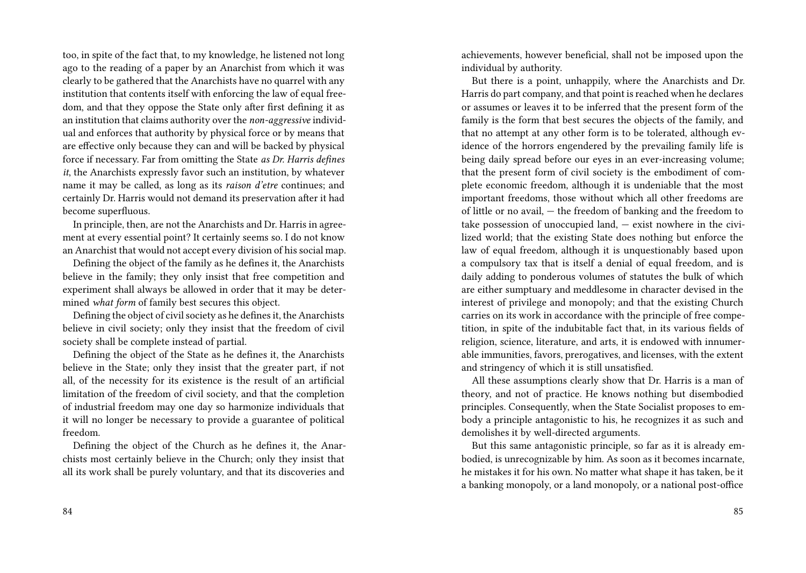too, in spite of the fact that, to my knowledge, he listened not long ago to the reading of a paper by an Anarchist from which it was clearly to be gathered that the Anarchists have no quarrel with any institution that contents itself with enforcing the law of equal freedom, and that they oppose the State only after first defining it as an institution that claims authority over the *non-aggressive* individual and enforces that authority by physical force or by means that are effective only because they can and will be backed by physical force if necessary. Far from omitting the State *as Dr. Harris defines it*, the Anarchists expressly favor such an institution, by whatever name it may be called, as long as its *raison d'etre* continues; and certainly Dr. Harris would not demand its preservation after it had become superfluous.

In principle, then, are not the Anarchists and Dr. Harris in agreement at every essential point? It certainly seems so. I do not know an Anarchist that would not accept every division of his social map.

Defining the object of the family as he defines it, the Anarchists believe in the family; they only insist that free competition and experiment shall always be allowed in order that it may be determined *what form* of family best secures this object.

Defining the object of civil society as he defines it, the Anarchists believe in civil society; only they insist that the freedom of civil society shall be complete instead of partial.

Defining the object of the State as he defines it, the Anarchists believe in the State; only they insist that the greater part, if not all, of the necessity for its existence is the result of an artificial limitation of the freedom of civil society, and that the completion of industrial freedom may one day so harmonize individuals that it will no longer be necessary to provide a guarantee of political freedom.

Defining the object of the Church as he defines it, the Anarchists most certainly believe in the Church; only they insist that all its work shall be purely voluntary, and that its discoveries and

achievements, however beneficial, shall not be imposed upon the individual by authority.

But there is a point, unhappily, where the Anarchists and Dr. Harris do part company, and that point is reached when he declares or assumes or leaves it to be inferred that the present form of the family is the form that best secures the objects of the family, and that no attempt at any other form is to be tolerated, although evidence of the horrors engendered by the prevailing family life is being daily spread before our eyes in an ever-increasing volume; that the present form of civil society is the embodiment of complete economic freedom, although it is undeniable that the most important freedoms, those without which all other freedoms are of little or no avail, — the freedom of banking and the freedom to take possession of unoccupied land, — exist nowhere in the civilized world; that the existing State does nothing but enforce the law of equal freedom, although it is unquestionably based upon a compulsory tax that is itself a denial of equal freedom, and is daily adding to ponderous volumes of statutes the bulk of which are either sumptuary and meddlesome in character devised in the interest of privilege and monopoly; and that the existing Church carries on its work in accordance with the principle of free competition, in spite of the indubitable fact that, in its various fields of religion, science, literature, and arts, it is endowed with innumerable immunities, favors, prerogatives, and licenses, with the extent and stringency of which it is still unsatisfied.

All these assumptions clearly show that Dr. Harris is a man of theory, and not of practice. He knows nothing but disembodied principles. Consequently, when the State Socialist proposes to embody a principle antagonistic to his, he recognizes it as such and demolishes it by well-directed arguments.

But this same antagonistic principle, so far as it is already embodied, is unrecognizable by him. As soon as it becomes incarnate, he mistakes it for his own. No matter what shape it has taken, be it a banking monopoly, or a land monopoly, or a national post-office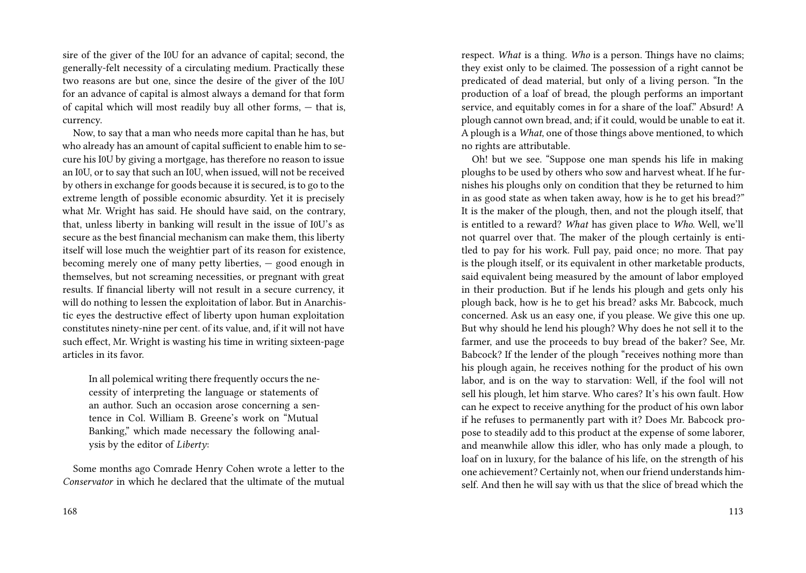sire of the giver of the I0U for an advance of capital; second, the generally-felt necessity of a circulating medium. Practically these two reasons are but one, since the desire of the giver of the I0U for an advance of capital is almost always a demand for that form of capital which will most readily buy all other forms, — that is, currency.

Now, to say that a man who needs more capital than he has, but who already has an amount of capital sufficient to enable him to secure his I0U by giving a mortgage, has therefore no reason to issue an I0U, or to say that such an I0U, when issued, will not be received by others in exchange for goods because it is secured, is to go to the extreme length of possible economic absurdity. Yet it is precisely what Mr. Wright has said. He should have said, on the contrary, that, unless liberty in banking will result in the issue of I0U's as secure as the best financial mechanism can make them, this liberty itself will lose much the weightier part of its reason for existence, becoming merely one of many petty liberties, — good enough in themselves, but not screaming necessities, or pregnant with great results. If financial liberty will not result in a secure currency, it will do nothing to lessen the exploitation of labor. But in Anarchistic eyes the destructive effect of liberty upon human exploitation constitutes ninety-nine per cent. of its value, and, if it will not have such effect, Mr. Wright is wasting his time in writing sixteen-page articles in its favor.

In all polemical writing there frequently occurs the necessity of interpreting the language or statements of an author. Such an occasion arose concerning a sentence in Col. William B. Greene's work on "Mutual Banking," which made necessary the following analysis by the editor of *Liberty*:

Some months ago Comrade Henry Cohen wrote a letter to the *Conservator* in which he declared that the ultimate of the mutual

respect. *What* is a thing. *Who* is a person. Things have no claims; they exist only to be claimed. The possession of a right cannot be predicated of dead material, but only of a living person. "In the production of a loaf of bread, the plough performs an important service, and equitably comes in for a share of the loaf." Absurd! A plough cannot own bread, and; if it could, would be unable to eat it. A plough is a *What*, one of those things above mentioned, to which no rights are attributable.

Oh! but we see. "Suppose one man spends his life in making ploughs to be used by others who sow and harvest wheat. If he furnishes his ploughs only on condition that they be returned to him in as good state as when taken away, how is he to get his bread?" It is the maker of the plough, then, and not the plough itself, that is entitled to a reward? *What* has given place to *Who*. Well, we'll not quarrel over that. The maker of the plough certainly is entitled to pay for his work. Full pay, paid once; no more. That pay is the plough itself, or its equivalent in other marketable products, said equivalent being measured by the amount of labor employed in their production. But if he lends his plough and gets only his plough back, how is he to get his bread? asks Mr. Babcock, much concerned. Ask us an easy one, if you please. We give this one up. But why should he lend his plough? Why does he not sell it to the farmer, and use the proceeds to buy bread of the baker? See, Mr. Babcock? If the lender of the plough "receives nothing more than his plough again, he receives nothing for the product of his own labor, and is on the way to starvation: Well, if the fool will not sell his plough, let him starve. Who cares? It's his own fault. How can he expect to receive anything for the product of his own labor if he refuses to permanently part with it? Does Mr. Babcock propose to steadily add to this product at the expense of some laborer, and meanwhile allow this idler, who has only made a plough, to loaf on in luxury, for the balance of his life, on the strength of his one achievement? Certainly not, when our friend understands himself. And then he will say with us that the slice of bread which the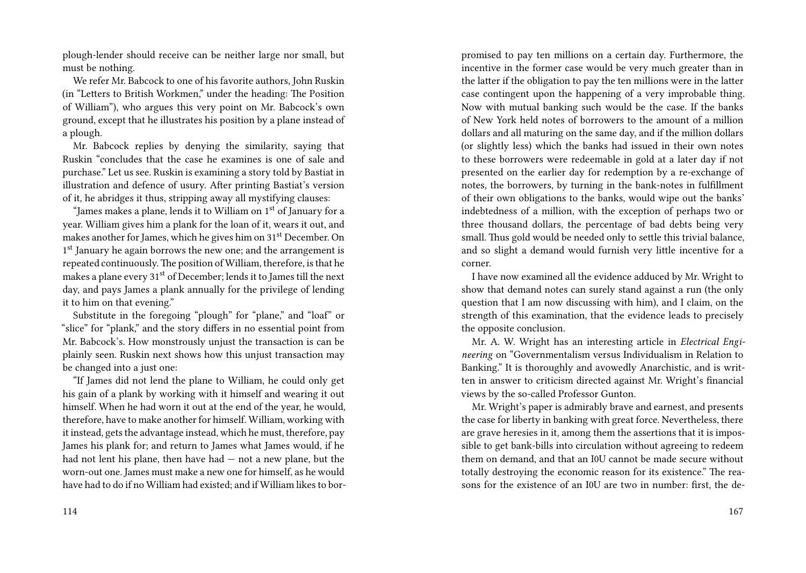plough-lender should receive can be neither large nor small, but must be nothing.

We refer Mr. Babcock to one of his favorite authors, John Ruskin (in "Letters to British Workmen," under the heading: The Position of William"), who argues this very point on Mr. Babcock's own ground, except that he illustrates his position by a plane instead of a plough.

Mr. Babcock replies by denying the similarity, saying that Ruskin "concludes that the case he examines is one of sale and purchase." Let us see. Ruskin is examining a story told by Bastiat in illustration and defence of usury. After printing Bastiat's version of it, he abridges it thus, stripping away all mystifying clauses:

"James makes a plane, lends it to William on 1st of January for a year. William gives him a plank for the loan of it, wears it out, and makes another for James, which he gives him on 31<sup>st</sup> December. On 1<sup>st</sup> January he again borrows the new one; and the arrangement is repeated continuously.The position of William, therefore, is that he makes a plane every 31<sup>st</sup> of December; lends it to James till the next day, and pays James a plank annually for the privilege of lending it to him on that evening."

Substitute in the foregoing "plough" for "plane," and "loaf" or "slice" for "plank," and the story differs in no essential point from Mr. Babcock's. How monstrously unjust the transaction is can be plainly seen. Ruskin next shows how this unjust transaction may be changed into a just one:

"If James did not lend the plane to William, he could only get his gain of a plank by working with it himself and wearing it out himself. When he had worn it out at the end of the year, he would, therefore, have to make another for himself. William, working with it instead, gets the advantage instead, which he must, therefore, pay James his plank for; and return to James what James would, if he had not lent his plane, then have had — not a new plane, but the worn-out one. James must make a new one for himself, as he would have had to do if no William had existed; and if William likes to bor-

promised to pay ten millions on a certain day. Furthermore, the incentive in the former case would be very much greater than in the latter if the obligation to pay the ten millions were in the latter case contingent upon the happening of a very improbable thing. Now with mutual banking such would be the case. If the banks of New York held notes of borrowers to the amount of a million dollars and all maturing on the same day, and if the million dollars (or slightly less) which the banks had issued in their own notes to these borrowers were redeemable in gold at a later day if not presented on the earlier day for redemption by a re-exchange of notes, the borrowers, by turning in the bank-notes in fulfillment of their own obligations to the banks, would wipe out the banks' indebtedness of a million, with the exception of perhaps two or three thousand dollars, the percentage of bad debts being very small. Thus gold would be needed only to settle this trivial balance, and so slight a demand would furnish very little incentive for a corner.

I have now examined all the evidence adduced by Mr. Wright to show that demand notes can surely stand against a run (the only question that I am now discussing with him), and I claim, on the strength of this examination, that the evidence leads to precisely the opposite conclusion.

Mr. A. W. Wright has an interesting article in *Electrical Engineering* on "Governmentalism versus Individualism in Relation to Banking." It is thoroughly and avowedly Anarchistic, and is written in answer to criticism directed against Mr. Wright's financial views by the so-called Professor Gunton.

Mr. Wright's paper is admirably brave and earnest, and presents the case for liberty in banking with great force. Nevertheless, there are grave heresies in it, among them the assertions that it is impossible to get bank-bills into circulation without agreeing to redeem them on demand, and that an I0U cannot be made secure without totally destroying the economic reason for its existence." The reasons for the existence of an I0U are two in number: first, the de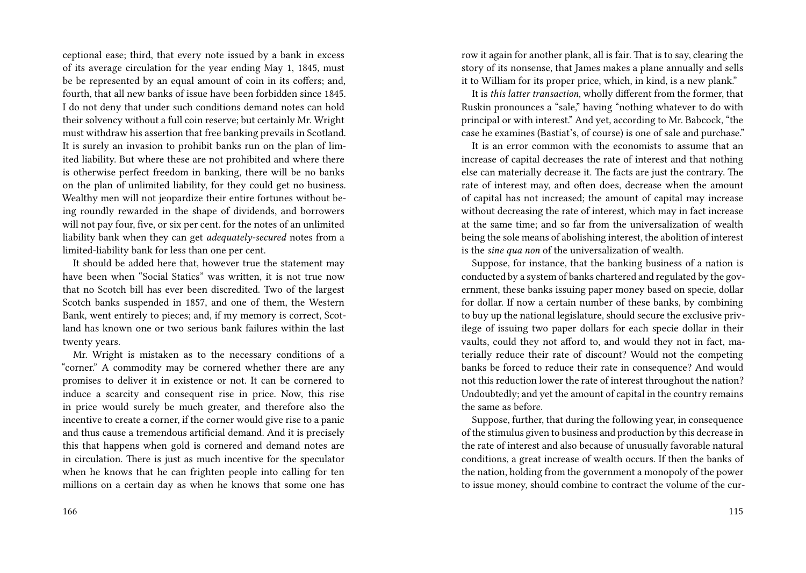ceptional ease; third, that every note issued by a bank in excess of its average circulation for the year ending May 1, 1845, must be be represented by an equal amount of coin in its coffers; and, fourth, that all new banks of issue have been forbidden since 1845. I do not deny that under such conditions demand notes can hold their solvency without a full coin reserve; but certainly Mr. Wright must withdraw his assertion that free banking prevails in Scotland. It is surely an invasion to prohibit banks run on the plan of limited liability. But where these are not prohibited and where there is otherwise perfect freedom in banking, there will be no banks on the plan of unlimited liability, for they could get no business. Wealthy men will not jeopardize their entire fortunes without being roundly rewarded in the shape of dividends, and borrowers will not pay four, five, or six per cent. for the notes of an unlimited liability bank when they can get *adequately-secured* notes from a limited-liability bank for less than one per cent.

It should be added here that, however true the statement may have been when "Social Statics" was written, it is not true now that no Scotch bill has ever been discredited. Two of the largest Scotch banks suspended in 1857, and one of them, the Western Bank, went entirely to pieces; and, if my memory is correct, Scotland has known one or two serious bank failures within the last twenty years.

Mr. Wright is mistaken as to the necessary conditions of a "corner." A commodity may be cornered whether there are any promises to deliver it in existence or not. It can be cornered to induce a scarcity and consequent rise in price. Now, this rise in price would surely be much greater, and therefore also the incentive to create a corner, if the corner would give rise to a panic and thus cause a tremendous artificial demand. And it is precisely this that happens when gold is cornered and demand notes are in circulation. There is just as much incentive for the speculator when he knows that he can frighten people into calling for ten millions on a certain day as when he knows that some one has

row it again for another plank, all is fair. That is to say, clearing the story of its nonsense, that James makes a plane annually and sells it to William for its proper price, which, in kind, is a new plank."

It is *this latter transaction*, wholly different from the former, that Ruskin pronounces a "sale," having "nothing whatever to do with principal or with interest." And yet, according to Mr. Babcock, "the case he examines (Bastiat's, of course) is one of sale and purchase."

It is an error common with the economists to assume that an increase of capital decreases the rate of interest and that nothing else can materially decrease it. The facts are just the contrary. The rate of interest may, and often does, decrease when the amount of capital has not increased; the amount of capital may increase without decreasing the rate of interest, which may in fact increase at the same time; and so far from the universalization of wealth being the sole means of abolishing interest, the abolition of interest is the *sine qua non* of the universalization of wealth.

Suppose, for instance, that the banking business of a nation is conducted by a system of banks chartered and regulated by the government, these banks issuing paper money based on specie, dollar for dollar. If now a certain number of these banks, by combining to buy up the national legislature, should secure the exclusive privilege of issuing two paper dollars for each specie dollar in their vaults, could they not afford to, and would they not in fact, materially reduce their rate of discount? Would not the competing banks be forced to reduce their rate in consequence? And would not this reduction lower the rate of interest throughout the nation? Undoubtedly; and yet the amount of capital in the country remains the same as before.

Suppose, further, that during the following year, in consequence of the stimulus given to business and production by this decrease in the rate of interest and also because of unusually favorable natural conditions, a great increase of wealth occurs. If then the banks of the nation, holding from the government a monopoly of the power to issue money, should combine to contract the volume of the cur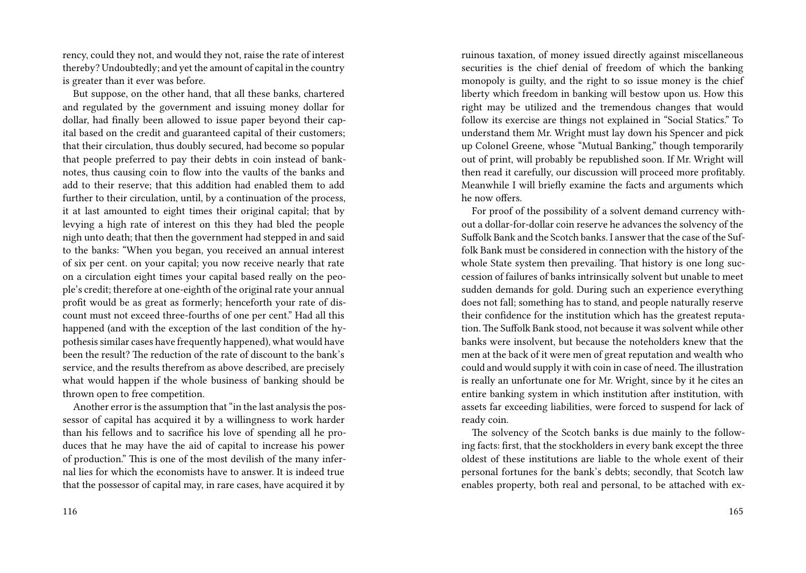rency, could they not, and would they not, raise the rate of interest thereby? Undoubtedly; and yet the amount of capital in the country is greater than it ever was before.

But suppose, on the other hand, that all these banks, chartered and regulated by the government and issuing money dollar for dollar, had finally been allowed to issue paper beyond their capital based on the credit and guaranteed capital of their customers; that their circulation, thus doubly secured, had become so popular that people preferred to pay their debts in coin instead of banknotes, thus causing coin to flow into the vaults of the banks and add to their reserve; that this addition had enabled them to add further to their circulation, until, by a continuation of the process, it at last amounted to eight times their original capital; that by levying a high rate of interest on this they had bled the people nigh unto death; that then the government had stepped in and said to the banks: "When you began, you received an annual interest of six per cent. on your capital; you now receive nearly that rate on a circulation eight times your capital based really on the people's credit; therefore at one-eighth of the original rate your annual profit would be as great as formerly; henceforth your rate of discount must not exceed three-fourths of one per cent." Had all this happened (and with the exception of the last condition of the hypothesis similar cases have frequently happened), what would have been the result? The reduction of the rate of discount to the bank's service, and the results therefrom as above described, are precisely what would happen if the whole business of banking should be thrown open to free competition.

Another error is the assumption that "in the last analysis the possessor of capital has acquired it by a willingness to work harder than his fellows and to sacrifice his love of spending all he produces that he may have the aid of capital to increase his power of production." This is one of the most devilish of the many infernal lies for which the economists have to answer. It is indeed true that the possessor of capital may, in rare cases, have acquired it by ruinous taxation, of money issued directly against miscellaneous securities is the chief denial of freedom of which the banking monopoly is guilty, and the right to so issue money is the chief liberty which freedom in banking will bestow upon us. How this right may be utilized and the tremendous changes that would follow its exercise are things not explained in "Social Statics." To understand them Mr. Wright must lay down his Spencer and pick up Colonel Greene, whose "Mutual Banking," though temporarily out of print, will probably be republished soon. If Mr. Wright will then read it carefully, our discussion will proceed more profitably. Meanwhile I will briefly examine the facts and arguments which he now offers.

For proof of the possibility of a solvent demand currency without a dollar-for-dollar coin reserve he advances the solvency of the Suffolk Bank and the Scotch banks. I answer that the case of the Suffolk Bank must be considered in connection with the history of the whole State system then prevailing. That history is one long succession of failures of banks intrinsically solvent but unable to meet sudden demands for gold. During such an experience everything does not fall; something has to stand, and people naturally reserve their confidence for the institution which has the greatest reputation. The Suffolk Bank stood, not because it was solvent while other banks were insolvent, but because the noteholders knew that the men at the back of it were men of great reputation and wealth who could and would supply it with coin in case of need. The illustration is really an unfortunate one for Mr. Wright, since by it he cites an entire banking system in which institution after institution, with assets far exceeding liabilities, were forced to suspend for lack of ready coin.

The solvency of the Scotch banks is due mainly to the following facts: first, that the stockholders in every bank except the three oldest of these institutions are liable to the whole exent of their personal fortunes for the bank's debts; secondly, that Scotch law enables property, both real and personal, to be attached with ex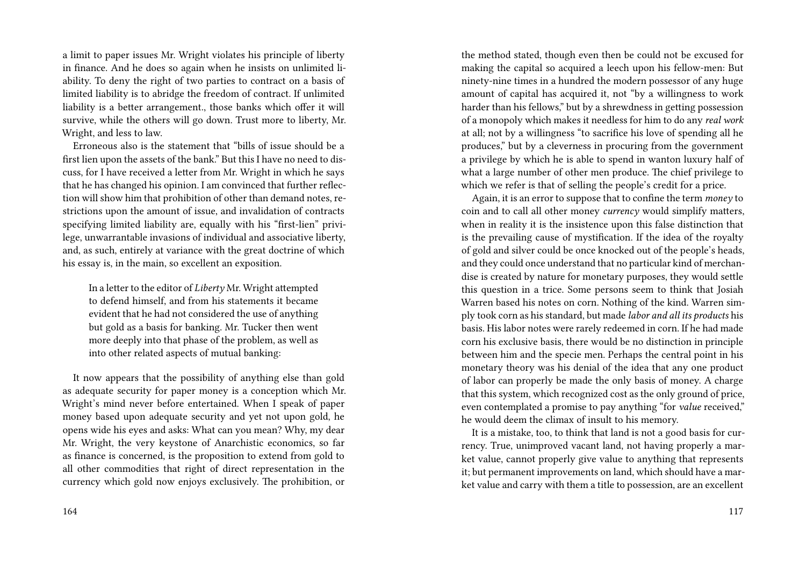a limit to paper issues Mr. Wright violates his principle of liberty in finance. And he does so again when he insists on unlimited liability. To deny the right of two parties to contract on a basis of limited liability is to abridge the freedom of contract. If unlimited liability is a better arrangement., those banks which offer it will survive, while the others will go down. Trust more to liberty, Mr. Wright, and less to law.

Erroneous also is the statement that "bills of issue should be a first lien upon the assets of the bank." But this I have no need to discuss, for I have received a letter from Mr. Wright in which he says that he has changed his opinion. I am convinced that further reflection will show him that prohibition of other than demand notes, restrictions upon the amount of issue, and invalidation of contracts specifying limited liability are, equally with his "first-lien" privilege, unwarrantable invasions of individual and associative liberty, and, as such, entirely at variance with the great doctrine of which his essay is, in the main, so excellent an exposition.

In a letter to the editor of *Liberty* Mr. Wright attempted to defend himself, and from his statements it became evident that he had not considered the use of anything but gold as a basis for banking. Mr. Tucker then went more deeply into that phase of the problem, as well as into other related aspects of mutual banking:

It now appears that the possibility of anything else than gold as adequate security for paper money is a conception which Mr. Wright's mind never before entertained. When I speak of paper money based upon adequate security and yet not upon gold, he opens wide his eyes and asks: What can you mean? Why, my dear Mr. Wright, the very keystone of Anarchistic economics, so far as finance is concerned, is the proposition to extend from gold to all other commodities that right of direct representation in the currency which gold now enjoys exclusively. The prohibition, or

the method stated, though even then be could not be excused for making the capital so acquired a leech upon his fellow-men: But ninety-nine times in a hundred the modern possessor of any huge amount of capital has acquired it, not "by a willingness to work harder than his fellows," but by a shrewdness in getting possession of a monopoly which makes it needless for him to do any *real work* at all; not by a willingness "to sacrifice his love of spending all he produces," but by a cleverness in procuring from the government a privilege by which he is able to spend in wanton luxury half of what a large number of other men produce. The chief privilege to which we refer is that of selling the people's credit for a price.

Again, it is an error to suppose that to confine the term *money* to coin and to call all other money *currency* would simplify matters, when in reality it is the insistence upon this false distinction that is the prevailing cause of mystification. If the idea of the royalty of gold and silver could be once knocked out of the people's heads, and they could once understand that no particular kind of merchandise is created by nature for monetary purposes, they would settle this question in a trice. Some persons seem to think that Josiah Warren based his notes on corn. Nothing of the kind. Warren simply took corn as his standard, but made *labor and all its products* his basis. His labor notes were rarely redeemed in corn. If he had made corn his exclusive basis, there would be no distinction in principle between him and the specie men. Perhaps the central point in his monetary theory was his denial of the idea that any one product of labor can properly be made the only basis of money. A charge that this system, which recognized cost as the only ground of price, even contemplated a promise to pay anything "for *value* received," he would deem the climax of insult to his memory.

It is a mistake, too, to think that land is not a good basis for currency. True, unimproved vacant land, not having properly a market value, cannot properly give value to anything that represents it; but permanent improvements on land, which should have a market value and carry with them a title to possession, are an excellent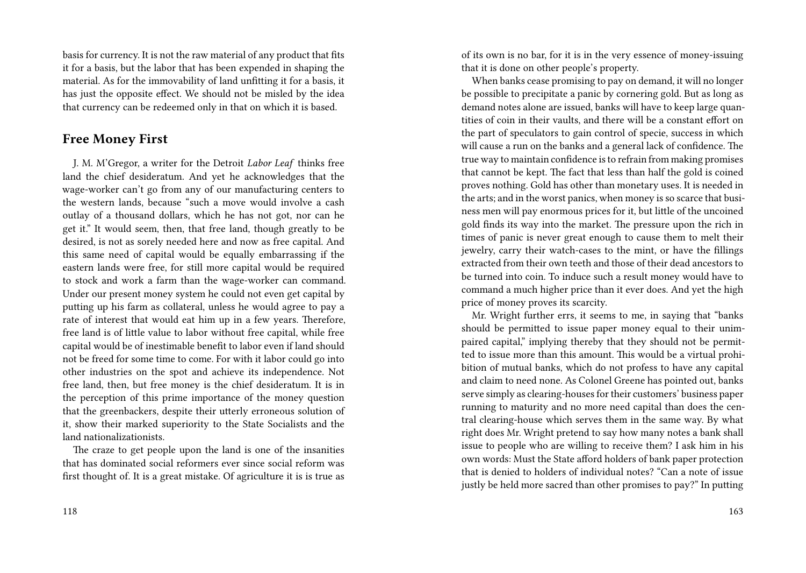basis for currency. It is not the raw material of any product that fits it for a basis, but the labor that has been expended in shaping the material. As for the immovability of land unfitting it for a basis, it has just the opposite effect. We should not be misled by the idea that currency can be redeemed only in that on which it is based.

## **Free Money First**

J. M. M'Gregor, a writer for the Detroit *Labor Leaf* thinks free land the chief desideratum. And yet he acknowledges that the wage-worker can't go from any of our manufacturing centers to the western lands, because "such a move would involve a cash outlay of a thousand dollars, which he has not got, nor can he get it." It would seem, then, that free land, though greatly to be desired, is not as sorely needed here and now as free capital. And this same need of capital would be equally embarrassing if the eastern lands were free, for still more capital would be required to stock and work a farm than the wage-worker can command. Under our present money system he could not even get capital by putting up his farm as collateral, unless he would agree to pay a rate of interest that would eat him up in a few years. Therefore, free land is of little value to labor without free capital, while free capital would be of inestimable benefit to labor even if land should not be freed for some time to come. For with it labor could go into other industries on the spot and achieve its independence. Not free land, then, but free money is the chief desideratum. It is in the perception of this prime importance of the money question that the greenbackers, despite their utterly erroneous solution of it, show their marked superiority to the State Socialists and the land nationalizationists.

The craze to get people upon the land is one of the insanities that has dominated social reformers ever since social reform was first thought of. It is a great mistake. Of agriculture it is is true as

of its own is no bar, for it is in the very essence of money-issuing that it is done on other people's property.

When banks cease promising to pay on demand, it will no longer be possible to precipitate a panic by cornering gold. But as long as demand notes alone are issued, banks will have to keep large quantities of coin in their vaults, and there will be a constant effort on the part of speculators to gain control of specie, success in which will cause a run on the banks and a general lack of confidence. The true way to maintain confidence is to refrain from making promises that cannot be kept. The fact that less than half the gold is coined proves nothing. Gold has other than monetary uses. It is needed in the arts; and in the worst panics, when money is so scarce that business men will pay enormous prices for it, but little of the uncoined gold finds its way into the market. The pressure upon the rich in times of panic is never great enough to cause them to melt their jewelry, carry their watch-cases to the mint, or have the fillings extracted from their own teeth and those of their dead ancestors to be turned into coin. To induce such a result money would have to command a much higher price than it ever does. And yet the high price of money proves its scarcity.

Mr. Wright further errs, it seems to me, in saying that "banks should be permitted to issue paper money equal to their unimpaired capital," implying thereby that they should not be permitted to issue more than this amount. This would be a virtual prohibition of mutual banks, which do not profess to have any capital and claim to need none. As Colonel Greene has pointed out, banks serve simply as clearing-houses for their customers' business paper running to maturity and no more need capital than does the central clearing-house which serves them in the same way. By what right does Mr. Wright pretend to say how many notes a bank shall issue to people who are willing to receive them? I ask him in his own words: Must the State afford holders of bank paper protection that is denied to holders of individual notes? "Can a note of issue justly be held more sacred than other promises to pay?" In putting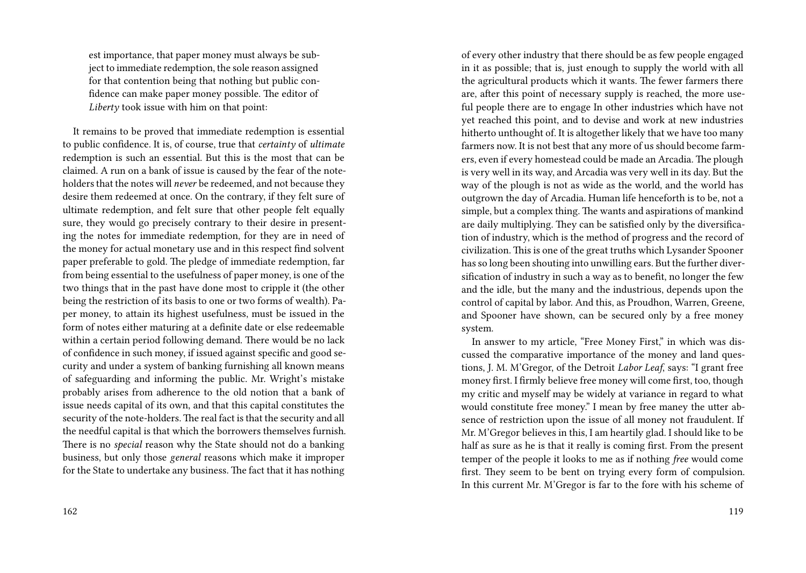est importance, that paper money must always be subject to immediate redemption, the sole reason assigned for that contention being that nothing but public confidence can make paper money possible. The editor of *Liberty* took issue with him on that point:

It remains to be proved that immediate redemption is essential to public confidence. It is, of course, true that *certainty* of *ultimate* redemption is such an essential. But this is the most that can be claimed. A run on a bank of issue is caused by the fear of the noteholders that the notes will *never* be redeemed, and not because they desire them redeemed at once. On the contrary, if they felt sure of ultimate redemption, and felt sure that other people felt equally sure, they would go precisely contrary to their desire in presenting the notes for immediate redemption, for they are in need of the money for actual monetary use and in this respect find solvent paper preferable to gold. The pledge of immediate redemption, far from being essential to the usefulness of paper money, is one of the two things that in the past have done most to cripple it (the other being the restriction of its basis to one or two forms of wealth). Paper money, to attain its highest usefulness, must be issued in the form of notes either maturing at a definite date or else redeemable within a certain period following demand. There would be no lack of confidence in such money, if issued against specific and good security and under a system of banking furnishing all known means of safeguarding and informing the public. Mr. Wright's mistake probably arises from adherence to the old notion that a bank of issue needs capital of its own, and that this capital constitutes the security of the note-holders. The real fact is that the security and all the needful capital is that which the borrowers themselves furnish. There is no *special* reason why the State should not do a banking business, but only those *general* reasons which make it improper for the State to undertake any business. The fact that it has nothing of every other industry that there should be as few people engaged in it as possible; that is, just enough to supply the world with all the agricultural products which it wants. The fewer farmers there are, after this point of necessary supply is reached, the more useful people there are to engage In other industries which have not yet reached this point, and to devise and work at new industries hitherto unthought of. It is altogether likely that we have too many farmers now. It is not best that any more of us should become farmers, even if every homestead could be made an Arcadia. The plough is very well in its way, and Arcadia was very well in its day. But the way of the plough is not as wide as the world, and the world has outgrown the day of Arcadia. Human life henceforth is to be, not a simple, but a complex thing. The wants and aspirations of mankind are daily multiplying. They can be satisfied only by the diversification of industry, which is the method of progress and the record of civilization. This is one of the great truths which Lysander Spooner has so long been shouting into unwilling ears. But the further diversification of industry in such a way as to benefit, no longer the few and the idle, but the many and the industrious, depends upon the control of capital by labor. And this, as Proudhon, Warren, Greene, and Spooner have shown, can be secured only by a free money system.

In answer to my article, "Free Money First," in which was discussed the comparative importance of the money and land questions, J. M. M'Gregor, of the Detroit *Labor Leaf*, says: "I grant free money first. I firmly believe free money will come first, too, though my critic and myself may be widely at variance in regard to what would constitute free money." I mean by free maney the utter absence of restriction upon the issue of all money not fraudulent. If Mr. M'Gregor believes in this, I am heartily glad. I should like to be half as sure as he is that it really is coming first. From the present temper of the people it looks to me as if nothing *free* would come first. They seem to be bent on trying every form of compulsion. In this current Mr. M'Gregor is far to the fore with his scheme of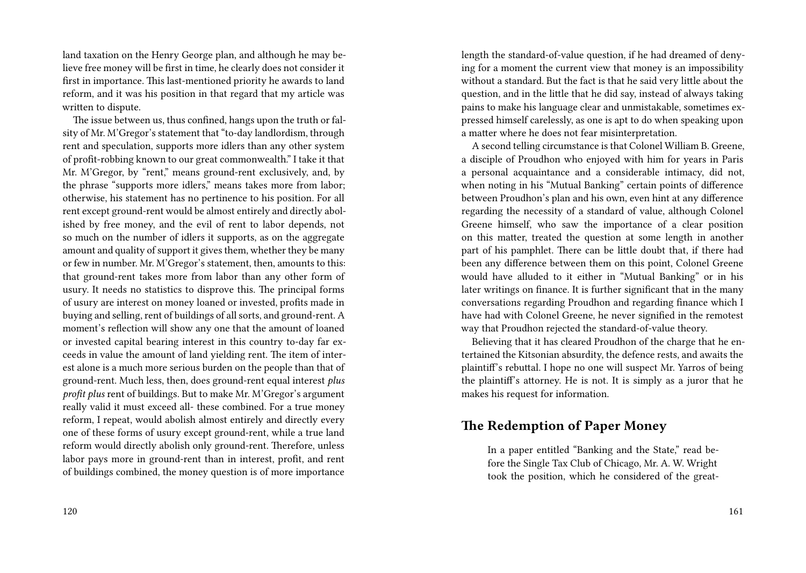land taxation on the Henry George plan, and although he may believe free money will be first in time, he clearly does not consider it first in importance. This last-mentioned priority he awards to land reform, and it was his position in that regard that my article was written to dispute.

The issue between us, thus confined, hangs upon the truth or falsity of Mr. M'Gregor's statement that "to-day landlordism, through rent and speculation, supports more idlers than any other system of profit-robbing known to our great commonwealth." I take it that Mr. M'Gregor, by "rent," means ground-rent exclusively, and, by the phrase "supports more idlers," means takes more from labor; otherwise, his statement has no pertinence to his position. For all rent except ground-rent would be almost entirely and directly abolished by free money, and the evil of rent to labor depends, not so much on the number of idlers it supports, as on the aggregate amount and quality of support it gives them, whether they be many or few in number. Mr. M'Gregor's statement, then, amounts to this: that ground-rent takes more from labor than any other form of usury. It needs no statistics to disprove this. The principal forms of usury are interest on money loaned or invested, profits made in buying and selling, rent of buildings of all sorts, and ground-rent. A moment's reflection will show any one that the amount of loaned or invested capital bearing interest in this country to-day far exceeds in value the amount of land yielding rent. The item of interest alone is a much more serious burden on the people than that of ground-rent. Much less, then, does ground-rent equal interest *plus profit plus* rent of buildings. But to make Mr. M'Gregor's argument really valid it must exceed all- these combined. For a true money reform, I repeat, would abolish almost entirely and directly every one of these forms of usury except ground-rent, while a true land reform would directly abolish only ground-rent. Therefore, unless labor pays more in ground-rent than in interest, profit, and rent of buildings combined, the money question is of more importance length the standard-of-value question, if he had dreamed of denying for a moment the current view that money is an impossibility without a standard. But the fact is that he said very little about the question, and in the little that he did say, instead of always taking pains to make his language clear and unmistakable, sometimes expressed himself carelessly, as one is apt to do when speaking upon a matter where he does not fear misinterpretation.

A second telling circumstance is that Colonel William B. Greene, a disciple of Proudhon who enjoyed with him for years in Paris a personal acquaintance and a considerable intimacy, did not, when noting in his "Mutual Banking" certain points of difference between Proudhon's plan and his own, even hint at any difference regarding the necessity of a standard of value, although Colonel Greene himself, who saw the importance of a clear position on this matter, treated the question at some length in another part of his pamphlet. There can be little doubt that, if there had been any difference between them on this point, Colonel Greene would have alluded to it either in "Mutual Banking" or in his later writings on finance. It is further significant that in the many conversations regarding Proudhon and regarding finance which I have had with Colonel Greene, he never signified in the remotest way that Proudhon rejected the standard-of-value theory.

Believing that it has cleared Proudhon of the charge that he entertained the Kitsonian absurdity, the defence rests, and awaits the plaintiff's rebuttal. I hope no one will suspect Mr. Yarros of being the plaintiff's attorney. He is not. It is simply as a juror that he makes his request for information.

## **The Redemption of Paper Money**

In a paper entitled "Banking and the State," read before the Single Tax Club of Chicago, Mr. A. W. Wright took the position, which he considered of the great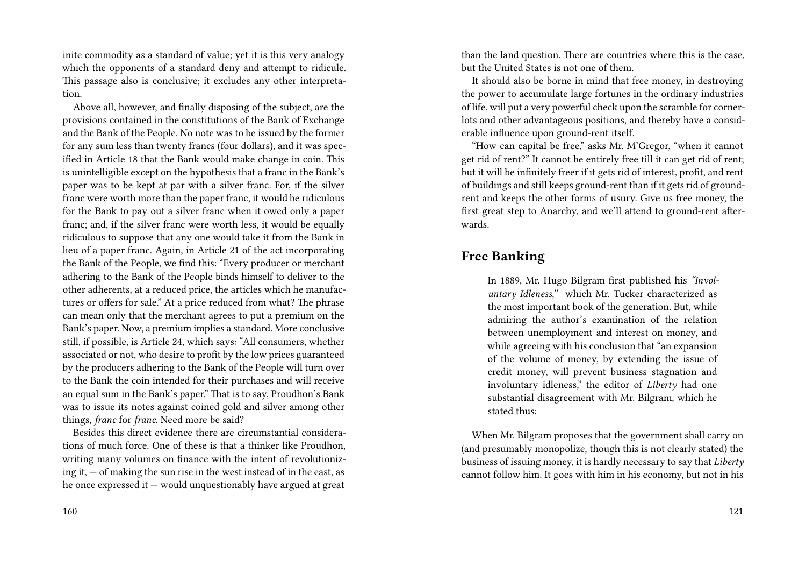inite commodity as a standard of value; yet it is this very analogy which the opponents of a standard deny and attempt to ridicule. This passage also is conclusive; it excludes any other interpretation.

Above all, however, and finally disposing of the subject, are the provisions contained in the constitutions of the Bank of Exchange and the Bank of the People. No note was to be issued by the former for any sum less than twenty francs (four dollars), and it was specified in Article 18 that the Bank would make change in coin. This is unintelligible except on the hypothesis that a franc in the Bank's paper was to be kept at par with a silver franc. For, if the silver franc were worth more than the paper franc, it would be ridiculous for the Bank to pay out a silver franc when it owed only a paper franc; and, if the silver franc were worth less, it would be equally ridiculous to suppose that any one would take it from the Bank in lieu of a paper franc. Again, in Article 21 of the act incorporating the Bank of the People, we find this: "Every producer or merchant adhering to the Bank of the People binds himself to deliver to the other adherents, at a reduced price, the articles which he manufactures or offers for sale." At a price reduced from what? The phrase can mean only that the merchant agrees to put a premium on the Bank's paper. Now, a premium implies a standard. More conclusive still, if possible, is Article 24, which says: "All consumers, whether associated or not, who desire to profit by the low prices guaranteed by the producers adhering to the Bank of the People will turn over to the Bank the coin intended for their purchases and will receive an equal sum in the Bank's paper." That is to say, Proudhon's Bank was to issue its notes against coined gold and silver among other things, *franc* for *franc*. Need more be said?

Besides this direct evidence there are circumstantial considerations of much force. One of these is that a thinker like Proudhon, writing many volumes on finance with the intent of revolutionizing it, — of making the sun rise in the west instead of in the east, as he once expressed it — would unquestionably have argued at great

than the land question. There are countries where this is the case, but the United States is not one of them.

It should also be borne in mind that free money, in destroying the power to accumulate large fortunes in the ordinary industries of life, will put a very powerful check upon the scramble for cornerlots and other advantageous positions, and thereby have a considerable influence upon ground-rent itself.

"How can capital be free," asks Mr. M'Gregor, "when it cannot get rid of rent?" It cannot be entirely free till it can get rid of rent; but it will be infinitely freer if it gets rid of interest, profit, and rent of buildings and still keeps ground-rent than if it gets rid of groundrent and keeps the other forms of usury. Give us free money, the first great step to Anarchy, and we'll attend to ground-rent afterwards.

#### **Free Banking**

In 1889, Mr. Hugo Bilgram first published his *"Involuntary Idleness,"* which Mr. Tucker characterized as the most important book of the generation. But, while admiring the author's examination of the relation between unemployment and interest on money, and while agreeing with his conclusion that "an expansion of the volume of money, by extending the issue of credit money, will prevent business stagnation and involuntary idleness," the editor of *Liberty* had one substantial disagreement with Mr. Bilgram, which he stated thus:

When Mr. Bilgram proposes that the government shall carry on (and presumably monopolize, though this is not clearly stated) the business of issuing money, it is hardly necessary to say that *Liberty* cannot follow him. It goes with him in his economy, but not in his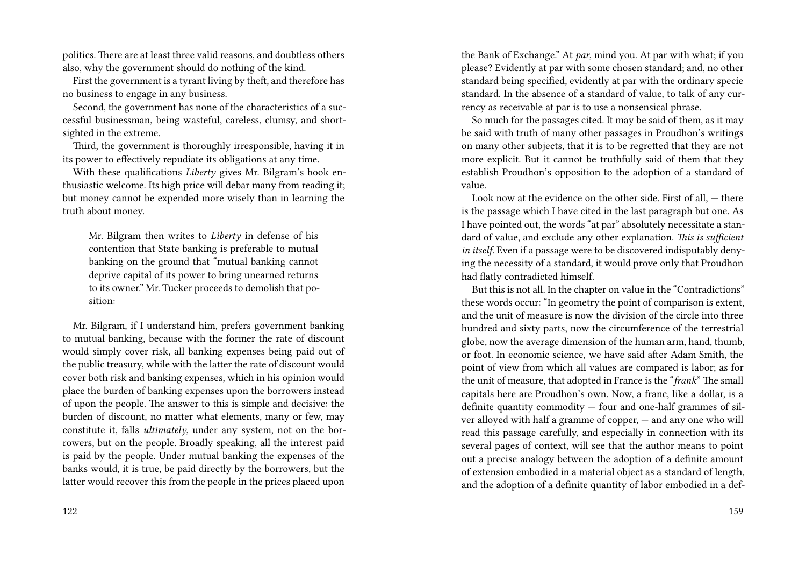politics. There are at least three valid reasons, and doubtless others also, why the government should do nothing of the kind.

First the government is a tyrant living by theft, and therefore has no business to engage in any business.

Second, the government has none of the characteristics of a successful businessman, being wasteful, careless, clumsy, and shortsighted in the extreme.

Third, the government is thoroughly irresponsible, having it in its power to effectively repudiate its obligations at any time.

With these qualifications *Liberty* gives Mr. Bilgram's book enthusiastic welcome. Its high price will debar many from reading it; but money cannot be expended more wisely than in learning the truth about money.

Mr. Bilgram then writes to *Liberty* in defense of his contention that State banking is preferable to mutual banking on the ground that "mutual banking cannot deprive capital of its power to bring unearned returns to its owner." Mr. Tucker proceeds to demolish that position:

Mr. Bilgram, if I understand him, prefers government banking to mutual banking, because with the former the rate of discount would simply cover risk, all banking expenses being paid out of the public treasury, while with the latter the rate of discount would cover both risk and banking expenses, which in his opinion would place the burden of banking expenses upon the borrowers instead of upon the people. The answer to this is simple and decisive: the burden of discount, no matter what elements, many or few, may constitute it, falls *ultimately*, under any system, not on the borrowers, but on the people. Broadly speaking, all the interest paid is paid by the people. Under mutual banking the expenses of the banks would, it is true, be paid directly by the borrowers, but the latter would recover this from the people in the prices placed upon

the Bank of Exchange." At *par*, mind you. At par with what; if you please? Evidently at par with some chosen standard; and, no other standard being specified, evidently at par with the ordinary specie standard. In the absence of a standard of value, to talk of any currency as receivable at par is to use a nonsensical phrase.

So much for the passages cited. It may be said of them, as it may be said with truth of many other passages in Proudhon's writings on many other subjects, that it is to be regretted that they are not more explicit. But it cannot be truthfully said of them that they establish Proudhon's opposition to the adoption of a standard of value.

Look now at the evidence on the other side. First of all, — there is the passage which I have cited in the last paragraph but one. As I have pointed out, the words "at par" absolutely necessitate a standard of value, and exclude any other explanation. *This is sufficient in itself*. Even if a passage were to be discovered indisputably denying the necessity of a standard, it would prove only that Proudhon had flatly contradicted himself.

But this is not all. In the chapter on value in the "Contradictions" these words occur: "In geometry the point of comparison is extent, and the unit of measure is now the division of the circle into three hundred and sixty parts, now the circumference of the terrestrial globe, now the average dimension of the human arm, hand, thumb, or foot. In economic science, we have said after Adam Smith, the point of view from which all values are compared is labor; as for the unit of measure, that adopted in France is the "*frank*" The small capitals here are Proudhon's own. Now, a franc, like a dollar, is a definite quantity commodity — four and one-half grammes of silver alloyed with half a gramme of copper, — and any one who will read this passage carefully, and especially in connection with its several pages of context, will see that the author means to point out a precise analogy between the adoption of a definite amount of extension embodied in a material object as a standard of length, and the adoption of a definite quantity of labor embodied in a def-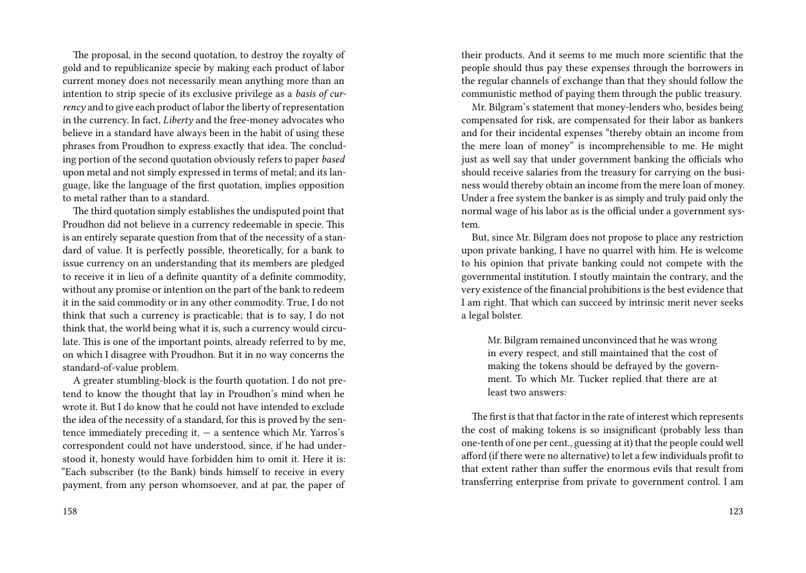The proposal, in the second quotation, to destroy the royalty of gold and to republicanize specie by making each product of labor current money does not necessarily mean anything more than an intention to strip specie of its exclusive privilege as a *basis of currency* and to give each product of labor the liberty of representation in the currency. In fact, *Liberty* and the free-money advocates who believe in a standard have always been in the habit of using these phrases from Proudhon to express exactly that idea. The concluding portion of the second quotation obviously refers to paper *based* upon metal and not simply expressed in terms of metal; and its language, like the language of the first quotation, implies opposition to metal rather than to a standard.

The third quotation simply establishes the undisputed point that Proudhon did not believe in a currency redeemable in specie. This is an entirely separate question from that of the necessity of a standard of value. It is perfectly possible, theoretically, for a bank to issue currency on an understanding that its members are pledged to receive it in lieu of a definite quantity of a definite commodity, without any promise or intention on the part of the bank to redeem it in the said commodity or in any other commodity. True, I do not think that such a currency is practicable; that is to say, I do not think that, the world being what it is, such a currency would circulate. This is one of the important points, already referred to by me, on which I disagree with Proudhon. But it in no way concerns the standard-of-value problem.

A greater stumbling-block is the fourth quotation. I do not pretend to know the thought that lay in Proudhon's mind when he wrote it. But I do know that he could not have intended to exclude the idea of the necessity of a standard, for this is proved by the sentence immediately preceding it,  $-$  a sentence which Mr. Yarros's correspondent could not have understood, since, if he had understood it, honesty would have forbidden him to omit it. Here it is: "Each subscriber (to the Bank) binds himself to receive in every payment, from any person whomsoever, and at par, the paper of

their products. And it seems to me much more scientific that the people should thus pay these expenses through the borrowers in the regular channels of exchange than that they should follow the communistic method of paying them through the public treasury.

Mr. Bilgram's statement that money-lenders who, besides being compensated for risk, are compensated for their labor as bankers and for their incidental expenses "thereby obtain an income from the mere loan of money" is incomprehensible to me. He might just as well say that under government banking the officials who should receive salaries from the treasury for carrying on the business would thereby obtain an income from the mere loan of money. Under a free system the banker is as simply and truly paid only the normal wage of his labor as is the official under a government system.

But, since Mr. Bilgram does not propose to place any restriction upon private banking, I have no quarrel with him. He is welcome to his opinion that private banking could not compete with the governmental institution. I stoutly maintain the contrary, and the very existence of the financial prohibitions is the best evidence that I am right. That which can succeed by intrinsic merit never seeks a legal bolster.

Mr. Bilgram remained unconvinced that he was wrong in every respect, and still maintained that the cost of making the tokens should be defrayed by the government. To which Mr. Tucker replied that there are at least two answers:

The first is that that factor in the rate of interest which represents the cost of making tokens is so insignificant (probably less than one-tenth of one per cent., guessing at it) that the people could well afford (if there were no alternative) to let a few individuals profit to that extent rather than suffer the enormous evils that result from transferring enterprise from private to government control. I am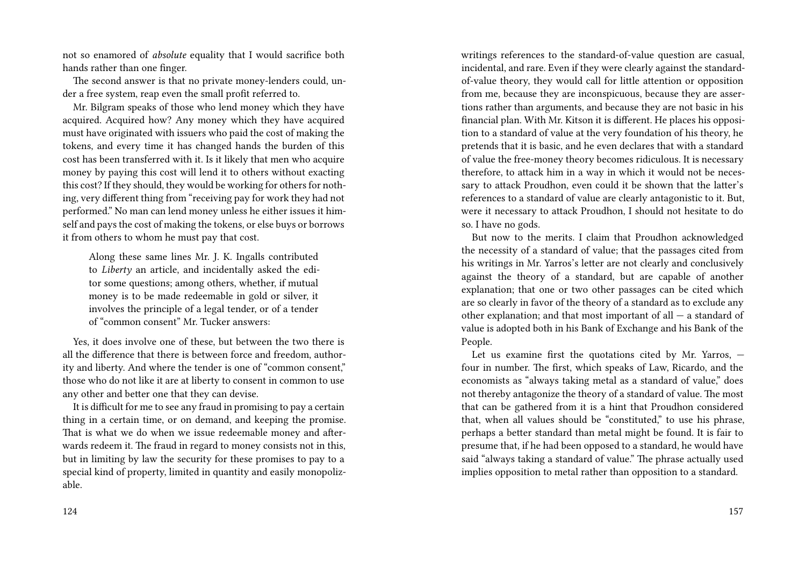not so enamored of *absolute* equality that I would sacrifice both hands rather than one finger.

The second answer is that no private money-lenders could, under a free system, reap even the small profit referred to.

Mr. Bilgram speaks of those who lend money which they have acquired. Acquired how? Any money which they have acquired must have originated with issuers who paid the cost of making the tokens, and every time it has changed hands the burden of this cost has been transferred with it. Is it likely that men who acquire money by paying this cost will lend it to others without exacting this cost? If they should, they would be working for others for nothing, very different thing from "receiving pay for work they had not performed." No man can lend money unless he either issues it himself and pays the cost of making the tokens, or else buys or borrows it from others to whom he must pay that cost.

Along these same lines Mr. J. K. Ingalls contributed to *Liberty* an article, and incidentally asked the editor some questions; among others, whether, if mutual money is to be made redeemable in gold or silver, it involves the principle of a legal tender, or of a tender of "common consent" Mr. Tucker answers:

Yes, it does involve one of these, but between the two there is all the difference that there is between force and freedom, authority and liberty. And where the tender is one of "common consent," those who do not like it are at liberty to consent in common to use any other and better one that they can devise.

It is difficult for me to see any fraud in promising to pay a certain thing in a certain time, or on demand, and keeping the promise. That is what we do when we issue redeemable money and afterwards redeem it. The fraud in regard to money consists not in this, but in limiting by law the security for these promises to pay to a special kind of property, limited in quantity and easily monopolizable.

writings references to the standard-of-value question are casual, incidental, and rare. Even if they were clearly against the standardof-value theory, they would call for little attention or opposition from me, because they are inconspicuous, because they are assertions rather than arguments, and because they are not basic in his financial plan. With Mr. Kitson it is different. He places his opposition to a standard of value at the very foundation of his theory, he pretends that it is basic, and he even declares that with a standard of value the free-money theory becomes ridiculous. It is necessary therefore, to attack him in a way in which it would not be necessary to attack Proudhon, even could it be shown that the latter's references to a standard of value are clearly antagonistic to it. But, were it necessary to attack Proudhon, I should not hesitate to do so. I have no gods.

But now to the merits. I claim that Proudhon acknowledged the necessity of a standard of value; that the passages cited from his writings in Mr. Yarros's letter are not clearly and conclusively against the theory of a standard, but are capable of another explanation; that one or two other passages can be cited which are so clearly in favor of the theory of a standard as to exclude any other explanation; and that most important of all — a standard of value is adopted both in his Bank of Exchange and his Bank of the People.

Let us examine first the quotations cited by Mr. Yarros, four in number. The first, which speaks of Law, Ricardo, and the economists as "always taking metal as a standard of value," does not thereby antagonize the theory of a standard of value. The most that can be gathered from it is a hint that Proudhon considered that, when all values should be "constituted," to use his phrase, perhaps a better standard than metal might be found. It is fair to presume that, if he had been opposed to a standard, he would have said "always taking a standard of value." The phrase actually used implies opposition to metal rather than opposition to a standard.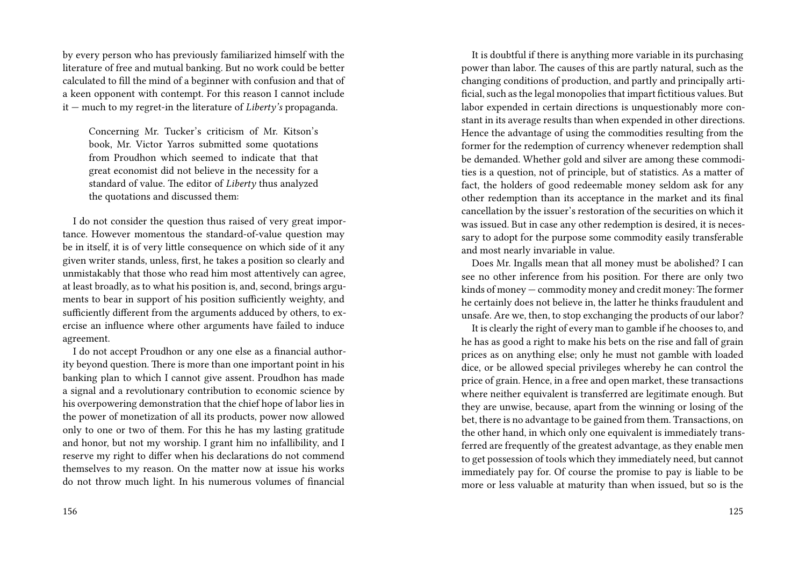by every person who has previously familiarized himself with the literature of free and mutual banking. But no work could be better calculated to fill the mind of a beginner with confusion and that of a keen opponent with contempt. For this reason I cannot include it — much to my regret-in the literature of *Liberty's* propaganda.

Concerning Mr. Tucker's criticism of Mr. Kitson's book, Mr. Victor Yarros submitted some quotations from Proudhon which seemed to indicate that that great economist did not believe in the necessity for a standard of value. The editor of *Liberty* thus analyzed the quotations and discussed them:

I do not consider the question thus raised of very great importance. However momentous the standard-of-value question may be in itself, it is of very little consequence on which side of it any given writer stands, unless, first, he takes a position so clearly and unmistakably that those who read him most attentively can agree, at least broadly, as to what his position is, and, second, brings arguments to bear in support of his position sufficiently weighty, and sufficiently different from the arguments adduced by others, to exercise an influence where other arguments have failed to induce agreement.

I do not accept Proudhon or any one else as a financial authority beyond question. There is more than one important point in his banking plan to which I cannot give assent. Proudhon has made a signal and a revolutionary contribution to economic science by his overpowering demonstration that the chief hope of labor lies in the power of monetization of all its products, power now allowed only to one or two of them. For this he has my lasting gratitude and honor, but not my worship. I grant him no infallibility, and I reserve my right to differ when his declarations do not commend themselves to my reason. On the matter now at issue his works do not throw much light. In his numerous volumes of financial

It is doubtful if there is anything more variable in its purchasing power than labor. The causes of this are partly natural, such as the changing conditions of production, and partly and principally artificial, such as the legal monopolies that impart fictitious values. But labor expended in certain directions is unquestionably more constant in its average results than when expended in other directions. Hence the advantage of using the commodities resulting from the former for the redemption of currency whenever redemption shall be demanded. Whether gold and silver are among these commodities is a question, not of principle, but of statistics. As a matter of fact, the holders of good redeemable money seldom ask for any other redemption than its acceptance in the market and its final cancellation by the issuer's restoration of the securities on which it was issued. But in case any other redemption is desired, it is necessary to adopt for the purpose some commodity easily transferable and most nearly invariable in value.

Does Mr. Ingalls mean that all money must be abolished? I can see no other inference from his position. For there are only two kinds of money — commodity money and credit money: The former he certainly does not believe in, the latter he thinks fraudulent and unsafe. Are we, then, to stop exchanging the products of our labor?

It is clearly the right of every man to gamble if he chooses to, and he has as good a right to make his bets on the rise and fall of grain prices as on anything else; only he must not gamble with loaded dice, or be allowed special privileges whereby he can control the price of grain. Hence, in a free and open market, these transactions where neither equivalent is transferred are legitimate enough. But they are unwise, because, apart from the winning or losing of the bet, there is no advantage to be gained from them. Transactions, on the other hand, in which only one equivalent is immediately transferred are frequently of the greatest advantage, as they enable men to get possession of tools which they immediately need, but cannot immediately pay for. Of course the promise to pay is liable to be more or less valuable at maturity than when issued, but so is the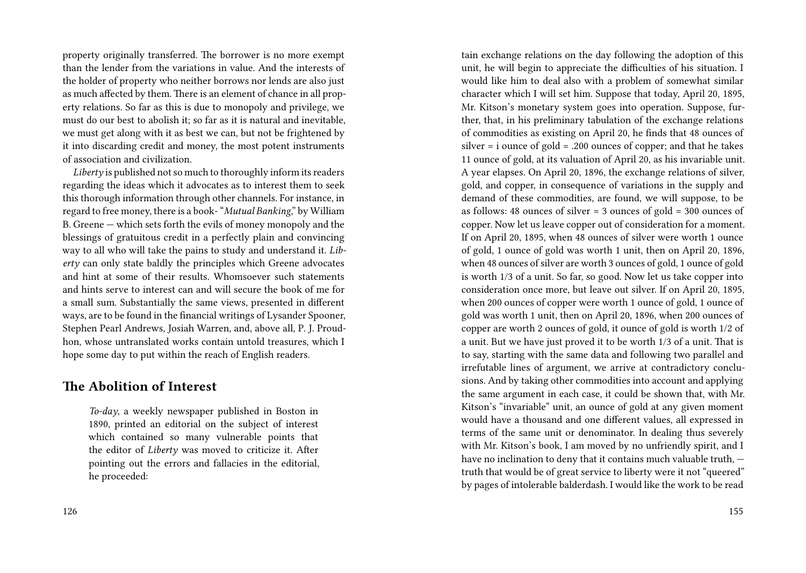property originally transferred. The borrower is no more exempt than the lender from the variations in value. And the interests of the holder of property who neither borrows nor lends are also just as much affected by them. There is an element of chance in all property relations. So far as this is due to monopoly and privilege, we must do our best to abolish it; so far as it is natural and inevitable, we must get along with it as best we can, but not be frightened by it into discarding credit and money, the most potent instruments of association and civilization.

*Liberty* is published not so much to thoroughly inform its readers regarding the ideas which it advocates as to interest them to seek this thorough information through other channels. For instance, in regard to free money, there is a book- "*Mutual Banking*," by William B. Greene — which sets forth the evils of money monopoly and the blessings of gratuitous credit in a perfectly plain and convincing way to all who will take the pains to study and understand it. *Liberty* can only state baldly the principles which Greene advocates and hint at some of their results. Whomsoever such statements and hints serve to interest can and will secure the book of me for a small sum. Substantially the same views, presented in different ways, are to be found in the financial writings of Lysander Spooner, Stephen Pearl Andrews, Josiah Warren, and, above all, P. J. Proudhon, whose untranslated works contain untold treasures, which I hope some day to put within the reach of English readers.

## **The Abolition of Interest**

*To-day*, a weekly newspaper published in Boston in 1890, printed an editorial on the subject of interest which contained so many vulnerable points that the editor of *Liberty* was moved to criticize it. After pointing out the errors and fallacies in the editorial, he proceeded:

tain exchange relations on the day following the adoption of this unit, he will begin to appreciate the difficulties of his situation. I would like him to deal also with a problem of somewhat similar character which I will set him. Suppose that today, April 20, 1895, Mr. Kitson's monetary system goes into operation. Suppose, further, that, in his preliminary tabulation of the exchange relations of commodities as existing on April 20, he finds that 48 ounces of silver = i ounce of gold = .200 ounces of copper; and that he takes 11 ounce of gold, at its valuation of April 20, as his invariable unit. A year elapses. On April 20, 1896, the exchange relations of silver, gold, and copper, in consequence of variations in the supply and demand of these commodities, are found, we will suppose, to be as follows: 48 ounces of silver = 3 ounces of gold = 300 ounces of copper. Now let us leave copper out of consideration for a moment. If on April 20, 1895, when 48 ounces of silver were worth 1 ounce of gold, 1 ounce of gold was worth 1 unit, then on April 20, 1896, when 48 ounces of silver are worth 3 ounces of gold, 1 ounce of gold is worth 1/3 of a unit. So far, so good. Now let us take copper into consideration once more, but leave out silver. If on April 20, 1895, when 200 ounces of copper were worth 1 ounce of gold, 1 ounce of gold was worth 1 unit, then on April 20, 1896, when 200 ounces of copper are worth 2 ounces of gold, it ounce of gold is worth 1/2 of a unit. But we have just proved it to be worth 1/3 of a unit. That is to say, starting with the same data and following two parallel and irrefutable lines of argument, we arrive at contradictory conclusions. And by taking other commodities into account and applying the same argument in each case, it could be shown that, with Mr. Kitson's "invariable" unit, an ounce of gold at any given moment would have a thousand and one different values, all expressed in terms of the same unit or denominator. In dealing thus severely with Mr. Kitson's book, I am moved by no unfriendly spirit, and I have no inclination to deny that it contains much valuable truth, truth that would be of great service to liberty were it not "queered" by pages of intolerable balderdash. I would like the work to be read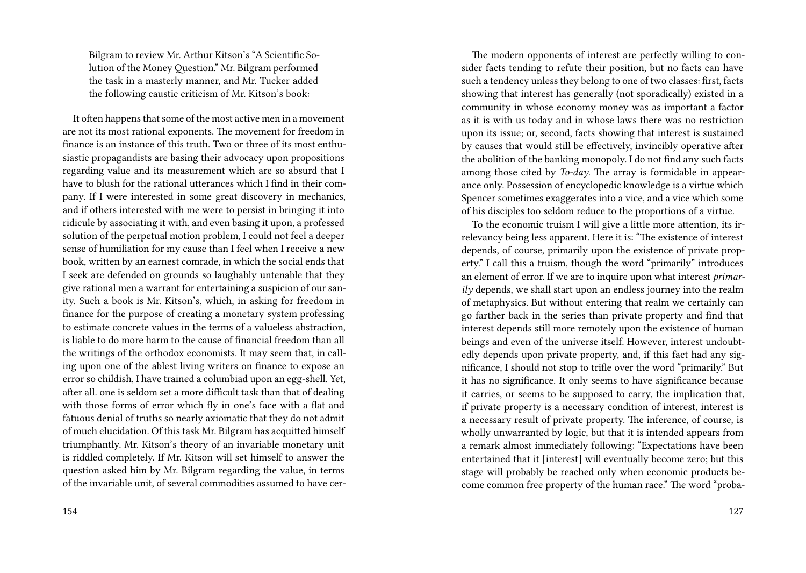Bilgram to review Mr. Arthur Kitson's "A Scientific Solution of the Money Question." Mr. Bilgram performed the task in a masterly manner, and Mr. Tucker added the following caustic criticism of Mr. Kitson's book:

It often happens that some of the most active men in a movement are not its most rational exponents. The movement for freedom in finance is an instance of this truth. Two or three of its most enthusiastic propagandists are basing their advocacy upon propositions regarding value and its measurement which are so absurd that I have to blush for the rational utterances which I find in their company. If I were interested in some great discovery in mechanics, and if others interested with me were to persist in bringing it into ridicule by associating it with, and even basing it upon, a professed solution of the perpetual motion problem, I could not feel a deeper sense of humiliation for my cause than I feel when I receive a new book, written by an earnest comrade, in which the social ends that I seek are defended on grounds so laughably untenable that they give rational men a warrant for entertaining a suspicion of our sanity. Such a book is Mr. Kitson's, which, in asking for freedom in finance for the purpose of creating a monetary system professing to estimate concrete values in the terms of a valueless abstraction, is liable to do more harm to the cause of financial freedom than all the writings of the orthodox economists. It may seem that, in calling upon one of the ablest living writers on finance to expose an error so childish, I have trained a columbiad upon an egg-shell. Yet, after all. one is seldom set a more difficult task than that of dealing with those forms of error which fly in one's face with a flat and fatuous denial of truths so nearly axiomatic that they do not admit of much elucidation. Of this task Mr. Bilgram has acquitted himself triumphantly. Mr. Kitson's theory of an invariable monetary unit is riddled completely. If Mr. Kitson will set himself to answer the question asked him by Mr. Bilgram regarding the value, in terms of the invariable unit, of several commodities assumed to have cer-

The modern opponents of interest are perfectly willing to consider facts tending to refute their position, but no facts can have such a tendency unless they belong to one of two classes: first, facts showing that interest has generally (not sporadically) existed in a community in whose economy money was as important a factor as it is with us today and in whose laws there was no restriction upon its issue; or, second, facts showing that interest is sustained by causes that would still be effectively, invincibly operative after the abolition of the banking monopoly. I do not find any such facts among those cited by *To-day*. The array is formidable in appearance only. Possession of encyclopedic knowledge is a virtue which Spencer sometimes exaggerates into a vice, and a vice which some of his disciples too seldom reduce to the proportions of a virtue.

To the economic truism I will give a little more attention, its irrelevancy being less apparent. Here it is: "The existence of interest depends, of course, primarily upon the existence of private property." I call this a truism, though the word "primarily" introduces an element of error. If we are to inquire upon what interest *primarily* depends, we shall start upon an endless journey into the realm of metaphysics. But without entering that realm we certainly can go farther back in the series than private property and find that interest depends still more remotely upon the existence of human beings and even of the universe itself. However, interest undoubtedly depends upon private property, and, if this fact had any significance, I should not stop to trifle over the word "primarily." But it has no significance. It only seems to have significance because it carries, or seems to be supposed to carry, the implication that, if private property is a necessary condition of interest, interest is a necessary result of private property. The inference, of course, is wholly unwarranted by logic, but that it is intended appears from a remark almost immediately following: "Expectations have been entertained that it [interest] will eventually become zero; but this stage will probably be reached only when economic products become common free property of the human race." The word "proba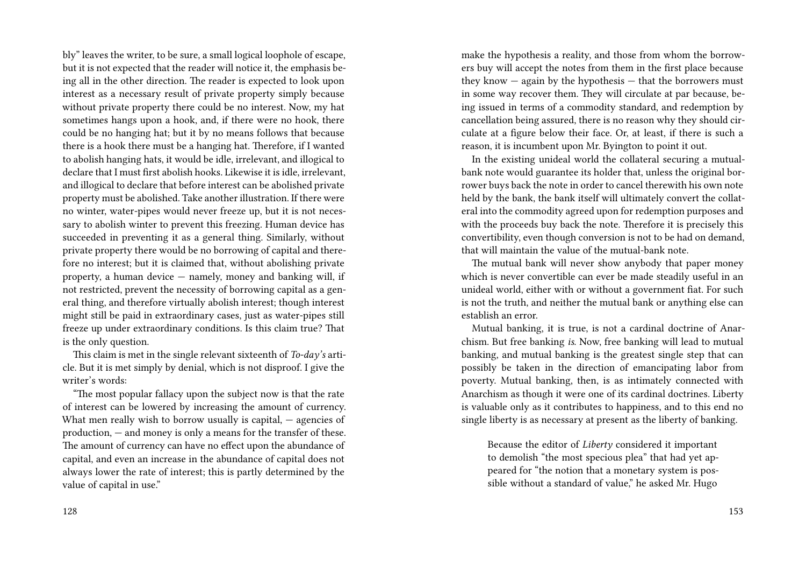bly" leaves the writer, to be sure, a small logical loophole of escape, but it is not expected that the reader will notice it, the emphasis being all in the other direction. The reader is expected to look upon interest as a necessary result of private property simply because without private property there could be no interest. Now, my hat sometimes hangs upon a hook, and, if there were no hook, there could be no hanging hat; but it by no means follows that because there is a hook there must be a hanging hat. Therefore, if I wanted to abolish hanging hats, it would be idle, irrelevant, and illogical to declare that I must first abolish hooks. Likewise it is idle, irrelevant, and illogical to declare that before interest can be abolished private property must be abolished. Take another illustration. If there were no winter, water-pipes would never freeze up, but it is not necessary to abolish winter to prevent this freezing. Human device has succeeded in preventing it as a general thing. Similarly, without private property there would be no borrowing of capital and therefore no interest; but it is claimed that, without abolishing private property, a human device — namely, money and banking will, if not restricted, prevent the necessity of borrowing capital as a general thing, and therefore virtually abolish interest; though interest might still be paid in extraordinary cases, just as water-pipes still freeze up under extraordinary conditions. Is this claim true? That is the only question.

This claim is met in the single relevant sixteenth of *To-day's* article. But it is met simply by denial, which is not disproof. I give the writer's words:

"The most popular fallacy upon the subject now is that the rate of interest can be lowered by increasing the amount of currency. What men really wish to borrow usually is capital,  $-$  agencies of production, — and money is only a means for the transfer of these. The amount of currency can have no effect upon the abundance of capital, and even an increase in the abundance of capital does not always lower the rate of interest; this is partly determined by the value of capital in use."

make the hypothesis a reality, and those from whom the borrowers buy will accept the notes from them in the first place because they know  $-$  again by the hypothesis  $-$  that the borrowers must in some way recover them. They will circulate at par because, being issued in terms of a commodity standard, and redemption by cancellation being assured, there is no reason why they should circulate at a figure below their face. Or, at least, if there is such a reason, it is incumbent upon Mr. Byington to point it out.

In the existing unideal world the collateral securing a mutualbank note would guarantee its holder that, unless the original borrower buys back the note in order to cancel therewith his own note held by the bank, the bank itself will ultimately convert the collateral into the commodity agreed upon for redemption purposes and with the proceeds buy back the note. Therefore it is precisely this convertibility, even though conversion is not to be had on demand, that will maintain the value of the mutual-bank note.

The mutual bank will never show anybody that paper money which is never convertible can ever be made steadily useful in an unideal world, either with or without a government fiat. For such is not the truth, and neither the mutual bank or anything else can establish an error.

Mutual banking, it is true, is not a cardinal doctrine of Anarchism. But free banking *is*. Now, free banking will lead to mutual banking, and mutual banking is the greatest single step that can possibly be taken in the direction of emancipating labor from poverty. Mutual banking, then, is as intimately connected with Anarchism as though it were one of its cardinal doctrines. Liberty is valuable only as it contributes to happiness, and to this end no single liberty is as necessary at present as the liberty of banking.

Because the editor of *Liberty* considered it important to demolish "the most specious plea" that had yet appeared for "the notion that a monetary system is possible without a standard of value," he asked Mr. Hugo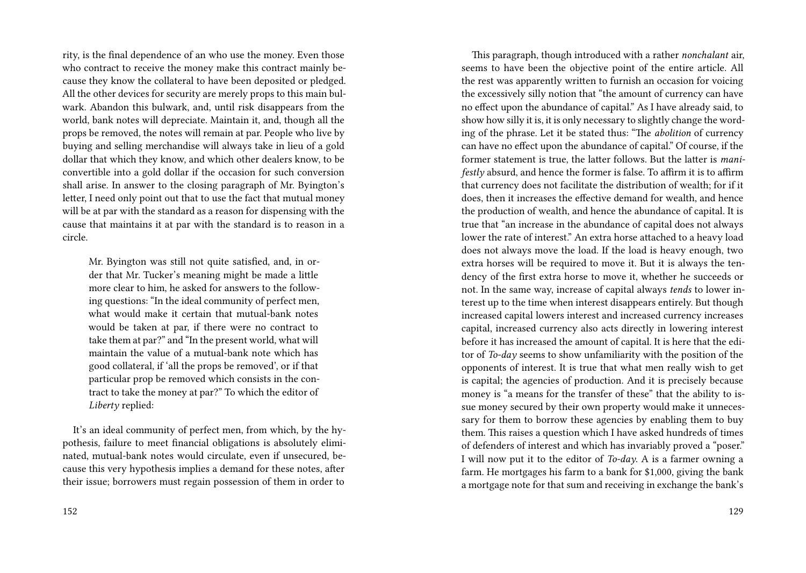rity, is the final dependence of an who use the money. Even those who contract to receive the money make this contract mainly because they know the collateral to have been deposited or pledged. All the other devices for security are merely props to this main bulwark. Abandon this bulwark, and, until risk disappears from the world, bank notes will depreciate. Maintain it, and, though all the props be removed, the notes will remain at par. People who live by buying and selling merchandise will always take in lieu of a gold dollar that which they know, and which other dealers know, to be convertible into a gold dollar if the occasion for such conversion shall arise. In answer to the closing paragraph of Mr. Byington's letter, I need only point out that to use the fact that mutual money will be at par with the standard as a reason for dispensing with the cause that maintains it at par with the standard is to reason in a circle.

Mr. Byington was still not quite satisfied, and, in order that Mr. Tucker's meaning might be made a little more clear to him, he asked for answers to the following questions: "In the ideal community of perfect men, what would make it certain that mutual-bank notes would be taken at par, if there were no contract to take them at par?" and "In the present world, what will maintain the value of a mutual-bank note which has good collateral, if 'all the props be removed', or if that particular prop be removed which consists in the contract to take the money at par?" To which the editor of *Liberty* replied:

It's an ideal community of perfect men, from which, by the hypothesis, failure to meet financial obligations is absolutely eliminated, mutual-bank notes would circulate, even if unsecured, because this very hypothesis implies a demand for these notes, after their issue; borrowers must regain possession of them in order to

This paragraph, though introduced with a rather *nonchalant* air, seems to have been the objective point of the entire article. All the rest was apparently written to furnish an occasion for voicing the excessively silly notion that "the amount of currency can have no effect upon the abundance of capital." As I have already said, to show how silly it is, it is only necessary to slightly change the wording of the phrase. Let it be stated thus: "The *abolition* of currency can have no effect upon the abundance of capital." Of course, if the former statement is true, the latter follows. But the latter is *manifestly* absurd, and hence the former is false. To affirm it is to affirm that currency does not facilitate the distribution of wealth; for if it does, then it increases the effective demand for wealth, and hence the production of wealth, and hence the abundance of capital. It is true that "an increase in the abundance of capital does not always lower the rate of interest." An extra horse attached to a heavy load does not always move the load. If the load is heavy enough, two extra horses will be required to move it. But it is always the tendency of the first extra horse to move it, whether he succeeds or not. In the same way, increase of capital always *tends* to lower interest up to the time when interest disappears entirely. But though increased capital lowers interest and increased currency increases capital, increased currency also acts directly in lowering interest before it has increased the amount of capital. It is here that the editor of *To-day* seems to show unfamiliarity with the position of the opponents of interest. It is true that what men really wish to get is capital; the agencies of production. And it is precisely because money is "a means for the transfer of these" that the ability to issue money secured by their own property would make it unnecessary for them to borrow these agencies by enabling them to buy them. This raises a question which I have asked hundreds of times of defenders of interest and which has invariably proved a "poser." I will now put it to the editor of *To-day*. A is a farmer owning a farm. He mortgages his farm to a bank for \$1,000, giving the bank a mortgage note for that sum and receiving in exchange the bank's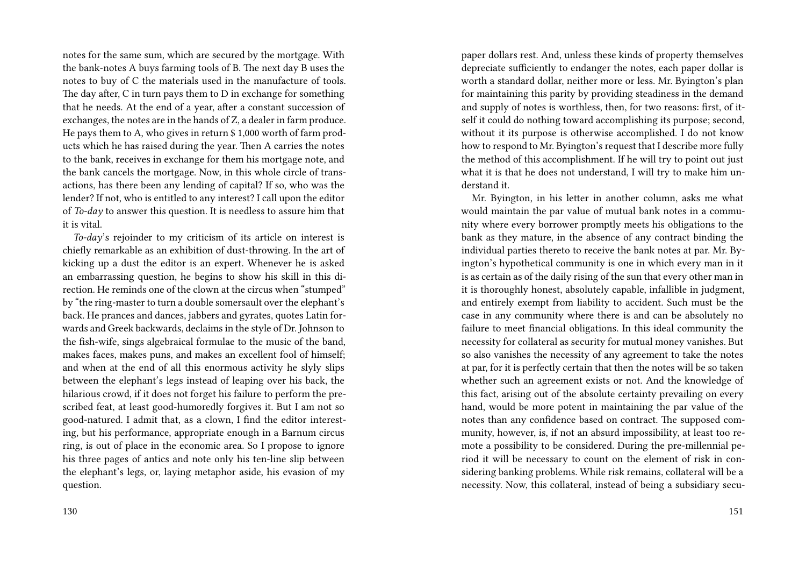notes for the same sum, which are secured by the mortgage. With the bank-notes A buys farming tools of B. The next day B uses the notes to buy of C the materials used in the manufacture of tools. The day after, C in turn pays them to D in exchange for something that he needs. At the end of a year, after a constant succession of exchanges, the notes are in the hands of Z, a dealer in farm produce. He pays them to A, who gives in return \$ 1,000 worth of farm products which he has raised during the year. Then A carries the notes to the bank, receives in exchange for them his mortgage note, and the bank cancels the mortgage. Now, in this whole circle of transactions, has there been any lending of capital? If so, who was the lender? If not, who is entitled to any interest? I call upon the editor of *To-day* to answer this question. It is needless to assure him that it is vital.

*To-day*'s rejoinder to my criticism of its article on interest is chiefly remarkable as an exhibition of dust-throwing. In the art of kicking up a dust the editor is an expert. Whenever he is asked an embarrassing question, he begins to show his skill in this direction. He reminds one of the clown at the circus when "stumped" by "the ring-master to turn a double somersault over the elephant's back. He prances and dances, jabbers and gyrates, quotes Latin forwards and Greek backwards, declaims in the style of Dr. Johnson to the fish-wife, sings algebraical formulae to the music of the band, makes faces, makes puns, and makes an excellent fool of himself; and when at the end of all this enormous activity he slyly slips between the elephant's legs instead of leaping over his back, the hilarious crowd, if it does not forget his failure to perform the prescribed feat, at least good-humoredly forgives it. But I am not so good-natured. I admit that, as a clown, I find the editor interesting, but his performance, appropriate enough in a Barnum circus ring, is out of place in the economic area. So I propose to ignore his three pages of antics and note only his ten-line slip between the elephant's legs, or, laying metaphor aside, his evasion of my question.

paper dollars rest. And, unless these kinds of property themselves depreciate sufficiently to endanger the notes, each paper dollar is worth a standard dollar, neither more or less. Mr. Byington's plan for maintaining this parity by providing steadiness in the demand and supply of notes is worthless, then, for two reasons: first, of itself it could do nothing toward accomplishing its purpose; second, without it its purpose is otherwise accomplished. I do not know how to respond to Mr. Byington's request that I describe more fully the method of this accomplishment. If he will try to point out just what it is that he does not understand, I will try to make him understand it.

Mr. Byington, in his letter in another column, asks me what would maintain the par value of mutual bank notes in a community where every borrower promptly meets his obligations to the bank as they mature, in the absence of any contract binding the individual parties thereto to receive the bank notes at par. Mr. Byington's hypothetical community is one in which every man in it is as certain as of the daily rising of the sun that every other man in it is thoroughly honest, absolutely capable, infallible in judgment, and entirely exempt from liability to accident. Such must be the case in any community where there is and can be absolutely no failure to meet financial obligations. In this ideal community the necessity for collateral as security for mutual money vanishes. But so also vanishes the necessity of any agreement to take the notes at par, for it is perfectly certain that then the notes will be so taken whether such an agreement exists or not. And the knowledge of this fact, arising out of the absolute certainty prevailing on every hand, would be more potent in maintaining the par value of the notes than any confidence based on contract. The supposed community, however, is, if not an absurd impossibility, at least too remote a possibility to be considered. During the pre-millennial period it will be necessary to count on the element of risk in considering banking problems. While risk remains, collateral will be a necessity. Now, this collateral, instead of being a subsidiary secu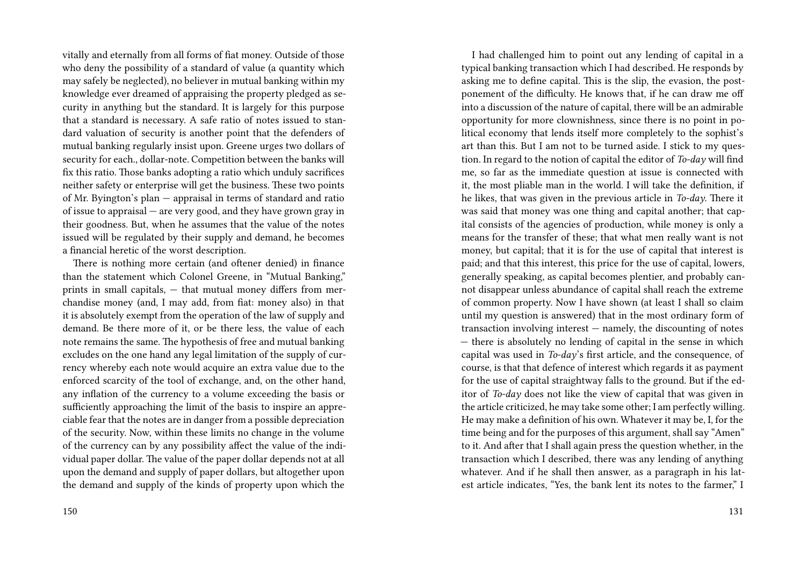vitally and eternally from all forms of fiat money. Outside of those who deny the possibility of a standard of value (a quantity which may safely be neglected), no believer in mutual banking within my knowledge ever dreamed of appraising the property pledged as security in anything but the standard. It is largely for this purpose that a standard is necessary. A safe ratio of notes issued to standard valuation of security is another point that the defenders of mutual banking regularly insist upon. Greene urges two dollars of security for each., dollar-note. Competition between the banks will fix this ratio. Those banks adopting a ratio which unduly sacrifices neither safety or enterprise will get the business. These two points of Mr. Byington's plan — appraisal in terms of standard and ratio of issue to appraisal — are very good, and they have grown gray in their goodness. But, when he assumes that the value of the notes issued will be regulated by their supply and demand, he becomes a financial heretic of the worst description.

There is nothing more certain (and oftener denied) in finance than the statement which Colonel Greene, in "Mutual Banking," prints in small capitals, — that mutual money differs from merchandise money (and, I may add, from fiat: money also) in that it is absolutely exempt from the operation of the law of supply and demand. Be there more of it, or be there less, the value of each note remains the same. The hypothesis of free and mutual banking excludes on the one hand any legal limitation of the supply of currency whereby each note would acquire an extra value due to the enforced scarcity of the tool of exchange, and, on the other hand, any inflation of the currency to a volume exceeding the basis or sufficiently approaching the limit of the basis to inspire an appreciable fear that the notes are in danger from a possible depreciation of the security. Now, within these limits no change in the volume of the currency can by any possibility affect the value of the individual paper dollar. The value of the paper dollar depends not at all upon the demand and supply of paper dollars, but altogether upon the demand and supply of the kinds of property upon which the

typical banking transaction which I had described. He responds by asking me to define capital. This is the slip, the evasion, the postponement of the difficulty. He knows that, if he can draw me off into a discussion of the nature of capital, there will be an admirable opportunity for more clownishness, since there is no point in political economy that lends itself more completely to the sophist's art than this. But I am not to be turned aside. I stick to my question. In regard to the notion of capital the editor of *To-day* will find me, so far as the immediate question at issue is connected with it, the most pliable man in the world. I will take the definition, if he likes, that was given in the previous article in *To-day*. There it was said that money was one thing and capital another; that capital consists of the agencies of production, while money is only a means for the transfer of these; that what men really want is not money, but capital; that it is for the use of capital that interest is paid; and that this interest, this price for the use of capital, lowers, generally speaking, as capital becomes plentier, and probably cannot disappear unless abundance of capital shall reach the extreme of common property. Now I have shown (at least I shall so claim until my question is answered) that in the most ordinary form of transaction involving interest — namely, the discounting of notes — there is absolutely no lending of capital in the sense in which capital was used in *To-day*'s first article, and the consequence, of course, is that that defence of interest which regards it as payment for the use of capital straightway falls to the ground. But if the editor of *To-day* does not like the view of capital that was given in the article criticized, he may take some other; I am perfectly willing. He may make a definition of his own. Whatever it may be, I, for the time being and for the purposes of this argument, shall say "Amen" to it. And after that I shall again press the question whether, in the transaction which I described, there was any lending of anything whatever. And if he shall then answer, as a paragraph in his latest article indicates, "Yes, the bank lent its notes to the farmer," I

I had challenged him to point out any lending of capital in a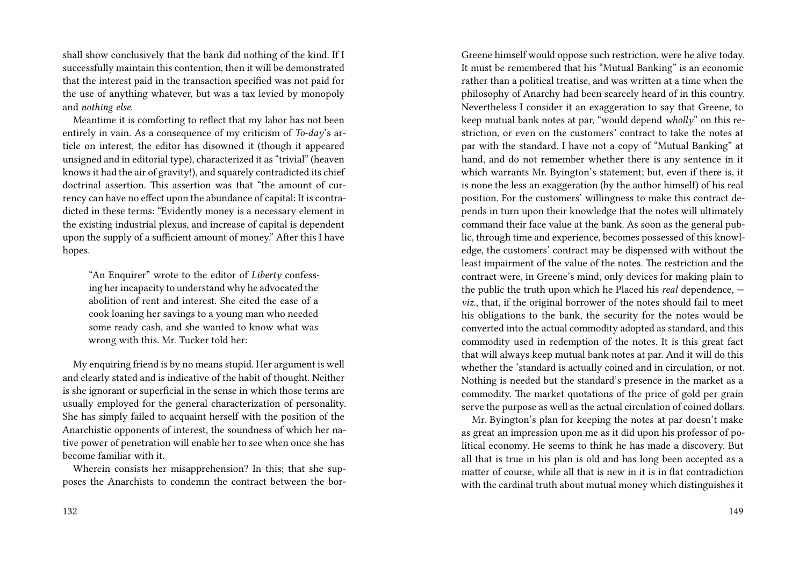shall show conclusively that the bank did nothing of the kind. If I successfully maintain this contention, then it will be demonstrated that the interest paid in the transaction specified was not paid for the use of anything whatever, but was a tax levied by monopoly and *nothing else*.

Meantime it is comforting to reflect that my labor has not been entirely in vain. As a consequence of my criticism of *To-day*'s article on interest, the editor has disowned it (though it appeared unsigned and in editorial type), characterized it as "trivial" (heaven knows it had the air of gravity!), and squarely contradicted its chief doctrinal assertion. This assertion was that "the amount of currency can have no effect upon the abundance of capital: It is contradicted in these terms: "Evidently money is a necessary element in the existing industrial plexus, and increase of capital is dependent upon the supply of a sufficient amount of money." After this I have hopes.

"An Enquirer" wrote to the editor of *Liberty* confessing her incapacity to understand why he advocated the abolition of rent and interest. She cited the case of a cook loaning her savings to a young man who needed some ready cash, and she wanted to know what was wrong with this. Mr. Tucker told her:

My enquiring friend is by no means stupid. Her argument is well and clearly stated and is indicative of the habit of thought. Neither is she ignorant or superficial in the sense in which those terms are usually employed for the general characterization of personality. She has simply failed to acquaint herself with the position of the Anarchistic opponents of interest, the soundness of which her native power of penetration will enable her to see when once she has become familiar with it.

Wherein consists her misapprehension? In this; that she supposes the Anarchists to condemn the contract between the borGreene himself would oppose such restriction, were he alive today. It must be remembered that his "Mutual Banking" is an economic rather than a political treatise, and was written at a time when the philosophy of Anarchy had been scarcely heard of in this country. Nevertheless I consider it an exaggeration to say that Greene, to keep mutual bank notes at par, "would depend *wholly*" on this restriction, or even on the customers' contract to take the notes at par with the standard. I have not a copy of "Mutual Banking" at hand, and do not remember whether there is any sentence in it which warrants Mr. Byington's statement; but, even if there is, it is none the less an exaggeration (by the author himself) of his real position. For the customers' willingness to make this contract depends in turn upon their knowledge that the notes will ultimately command their face value at the bank. As soon as the general public, through time and experience, becomes possessed of this knowledge, the customers' contract may be dispensed with without the least impairment of the value of the notes. The restriction and the contract were, in Greene's mind, only devices for making plain to the public the truth upon which he Placed his *real* dependence, *viz*., that, if the original borrower of the notes should fail to meet his obligations to the bank, the security for the notes would be converted into the actual commodity adopted as standard, and this commodity used in redemption of the notes. It is this great fact that will always keep mutual bank notes at par. And it will do this whether the 'standard is actually coined and in circulation, or not. Nothing is needed but the standard's presence in the market as a commodity. The market quotations of the price of gold per grain serve the purpose as well as the actual circulation of coined dollars.

Mr. Byington's plan for keeping the notes at par doesn't make as great an impression upon me as it did upon his professor of political economy. He seems to think he has made a discovery. But all that is true in his plan is old and has long been accepted as a matter of course, while all that is new in it is in flat contradiction with the cardinal truth about mutual money which distinguishes it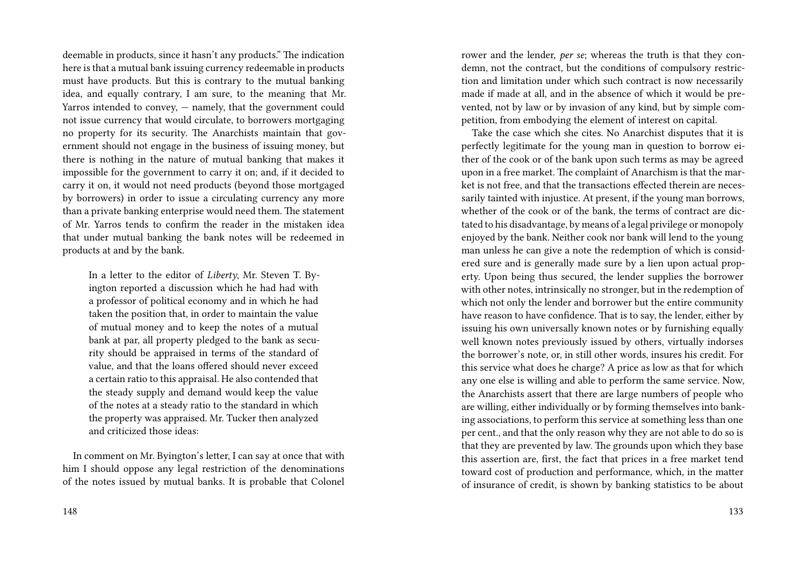deemable in products, since it hasn't any products." The indication here is that a mutual bank issuing currency redeemable in products must have products. But this is contrary to the mutual banking idea, and equally contrary, I am sure, to the meaning that Mr. Yarros intended to convey, — namely, that the government could not issue currency that would circulate, to borrowers mortgaging no property for its security. The Anarchists maintain that government should not engage in the business of issuing money, but there is nothing in the nature of mutual banking that makes it impossible for the government to carry it on; and, if it decided to carry it on, it would not need products (beyond those mortgaged by borrowers) in order to issue a circulating currency any more than a private banking enterprise would need them. The statement of Mr. Yarros tends to confirm the reader in the mistaken idea that under mutual banking the bank notes will be redeemed in products at and by the bank.

In a letter to the editor of *Liberty*, Mr. Steven T. Byington reported a discussion which he had had with a professor of political economy and in which he had taken the position that, in order to maintain the value of mutual money and to keep the notes of a mutual bank at par, all property pledged to the bank as security should be appraised in terms of the standard of value, and that the loans offered should never exceed a certain ratio to this appraisal. He also contended that the steady supply and demand would keep the value of the notes at a steady ratio to the standard in which the property was appraised. Mr. Tucker then analyzed and criticized those ideas:

In comment on Mr. Byington's letter, I can say at once that with him I should oppose any legal restriction of the denominations of the notes issued by mutual banks. It is probable that Colonel

rower and the lender, *per se*; whereas the truth is that they condemn, not the contract, but the conditions of compulsory restriction and limitation under which such contract is now necessarily made if made at all, and in the absence of which it would be prevented, not by law or by invasion of any kind, but by simple competition, from embodying the element of interest on capital.

Take the case which she cites. No Anarchist disputes that it is perfectly legitimate for the young man in question to borrow either of the cook or of the bank upon such terms as may be agreed upon in a free market. The complaint of Anarchism is that the market is not free, and that the transactions effected therein are necessarily tainted with injustice. At present, if the young man borrows, whether of the cook or of the bank, the terms of contract are dictated to his disadvantage, by means of a legal privilege or monopoly enjoyed by the bank. Neither cook nor bank will lend to the young man unless he can give a note the redemption of which is considered sure and is generally made sure by a lien upon actual property. Upon being thus secured, the lender supplies the borrower with other notes, intrinsically no stronger, but in the redemption of which not only the lender and borrower but the entire community have reason to have confidence. That is to say, the lender, either by issuing his own universally known notes or by furnishing equally well known notes previously issued by others, virtually indorses the borrower's note, or, in still other words, insures his credit. For this service what does he charge? A price as low as that for which any one else is willing and able to perform the same service. Now, the Anarchists assert that there are large numbers of people who are willing, either individually or by forming themselves into banking associations, to perform this service at something less than one per cent., and that the only reason why they are not able to do so is that they are prevented by law. The grounds upon which they base this assertion are, first, the fact that prices in a free market tend toward cost of production and performance, which, in the matter of insurance of credit, is shown by banking statistics to be about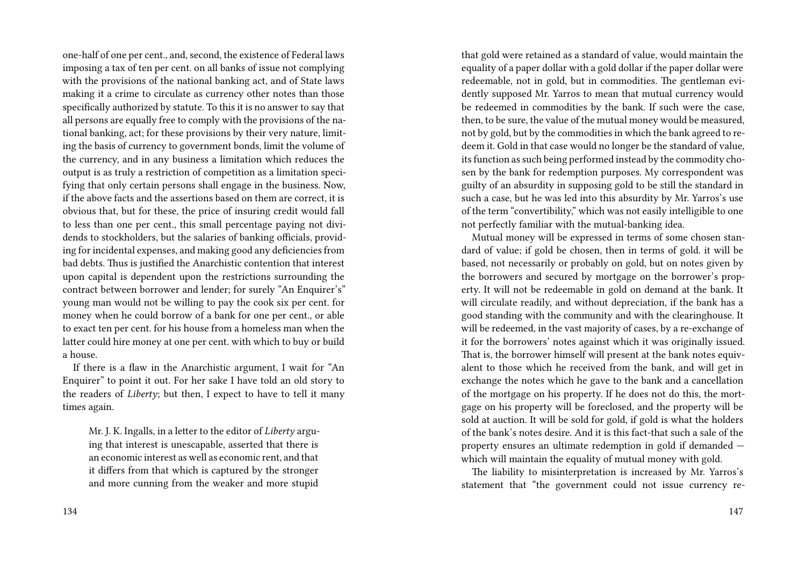one-half of one per cent., and, second, the existence of Federal laws imposing a tax of ten per cent. on all banks of issue not complying with the provisions of the national banking act, and of State laws making it a crime to circulate as currency other notes than those specifically authorized by statute. To this it is no answer to say that all persons are equally free to comply with the provisions of the national banking, act; for these provisions by their very nature, limiting the basis of currency to government bonds, limit the volume of the currency, and in any business a limitation which reduces the output is as truly a restriction of competition as a limitation specifying that only certain persons shall engage in the business. Now, if the above facts and the assertions based on them are correct, it is obvious that, but for these, the price of insuring credit would fall to less than one per cent., this small percentage paying not dividends to stockholders, but the salaries of banking officials, providing for incidental expenses, and making good any deficiencies from bad debts. Thus is justified the Anarchistic contention that interest upon capital is dependent upon the restrictions surrounding the contract between borrower and lender; for surely "An Enquirer's" young man would not be willing to pay the cook six per cent. for money when he could borrow of a bank for one per cent., or able to exact ten per cent. for his house from a homeless man when the latter could hire money at one per cent. with which to buy or build a house.

If there is a flaw in the Anarchistic argument, I wait for "An Enquirer" to point it out. For her sake I have told an old story to the readers of *Liberty*; but then, I expect to have to tell it many times again.

Mr. J. K. Ingalls, in a letter to the editor of *Liberty* arguing that interest is unescapable, asserted that there is an economic interest as well as economic rent, and that it differs from that which is captured by the stronger and more cunning from the weaker and more stupid

that gold were retained as a standard of value, would maintain the equality of a paper dollar with a gold dollar if the paper dollar were redeemable, not in gold, but in commodities. The gentleman evidently supposed Mr. Yarros to mean that mutual currency would be redeemed in commodities by the bank. If such were the case, then, to be sure, the value of the mutual money would be measured, not by gold, but by the commodities in which the bank agreed to redeem it. Gold in that case would no longer be the standard of value, its function as such being performed instead by the commodity chosen by the bank for redemption purposes. My correspondent was guilty of an absurdity in supposing gold to be still the standard in such a case, but he was led into this absurdity by Mr. Yarros's use of the term "convertibility," which was not easily intelligible to one not perfectly familiar with the mutual-banking idea.

Mutual money will be expressed in terms of some chosen standard of value; if gold be chosen, then in terms of gold. it will be based, not necessarily or probably on gold, but on notes given by the borrowers and secured by mortgage on the borrower's property. It will not be redeemable in gold on demand at the bank. It will circulate readily, and without depreciation, if the bank has a good standing with the community and with the clearinghouse. It will be redeemed, in the vast majority of cases, by a re-exchange of it for the borrowers' notes against which it was originally issued. That is, the borrower himself will present at the bank notes equivalent to those which he received from the bank, and will get in exchange the notes which he gave to the bank and a cancellation of the mortgage on his property. If he does not do this, the mortgage on his property will be foreclosed, and the property will be sold at auction. It will be sold for gold, if gold is what the holders of the bank's notes desire. And it is this fact-that such a sale of the property ensures an ultimate redemption in gold if demanded which will maintain the equality of mutual money with gold.

The liability to misinterpretation is increased by Mr. Yarros's statement that "the government could not issue currency re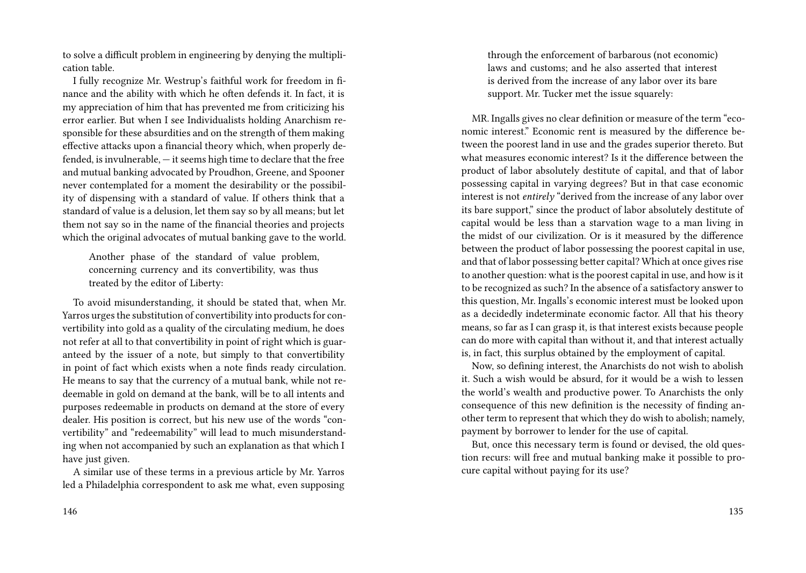to solve a difficult problem in engineering by denying the multiplication table.

I fully recognize Mr. Westrup's faithful work for freedom in finance and the ability with which he often defends it. In fact, it is my appreciation of him that has prevented me from criticizing his error earlier. But when I see Individualists holding Anarchism responsible for these absurdities and on the strength of them making effective attacks upon a financial theory which, when properly defended, is invulnerable, — it seems high time to declare that the free and mutual banking advocated by Proudhon, Greene, and Spooner never contemplated for a moment the desirability or the possibility of dispensing with a standard of value. If others think that a standard of value is a delusion, let them say so by all means; but let them not say so in the name of the financial theories and projects which the original advocates of mutual banking gave to the world.

Another phase of the standard of value problem, concerning currency and its convertibility, was thus treated by the editor of Liberty:

To avoid misunderstanding, it should be stated that, when Mr. Yarros urges the substitution of convertibility into products for convertibility into gold as a quality of the circulating medium, he does not refer at all to that convertibility in point of right which is guaranteed by the issuer of a note, but simply to that convertibility in point of fact which exists when a note finds ready circulation. He means to say that the currency of a mutual bank, while not redeemable in gold on demand at the bank, will be to all intents and purposes redeemable in products on demand at the store of every dealer. His position is correct, but his new use of the words "convertibility" and "redeemability" will lead to much misunderstanding when not accompanied by such an explanation as that which I have just given.

A similar use of these terms in a previous article by Mr. Yarros led a Philadelphia correspondent to ask me what, even supposing

through the enforcement of barbarous (not economic) laws and customs; and he also asserted that interest is derived from the increase of any labor over its bare support. Mr. Tucker met the issue squarely:

MR. Ingalls gives no clear definition or measure of the term "economic interest." Economic rent is measured by the difference between the poorest land in use and the grades superior thereto. But what measures economic interest? Is it the difference between the product of labor absolutely destitute of capital, and that of labor possessing capital in varying degrees? But in that case economic interest is not *entirely* "derived from the increase of any labor over its bare support," since the product of labor absolutely destitute of capital would be less than a starvation wage to a man living in the midst of our civilization. Or is it measured by the difference between the product of labor possessing the poorest capital in use, and that of labor possessing better capital? Which at once gives rise to another question: what is the poorest capital in use, and how is it to be recognized as such? In the absence of a satisfactory answer to this question, Mr. Ingalls's economic interest must be looked upon as a decidedly indeterminate economic factor. All that his theory means, so far as I can grasp it, is that interest exists because people can do more with capital than without it, and that interest actually is, in fact, this surplus obtained by the employment of capital.

Now, so defining interest, the Anarchists do not wish to abolish it. Such a wish would be absurd, for it would be a wish to lessen the world's wealth and productive power. To Anarchists the only consequence of this new definition is the necessity of finding another term to represent that which they do wish to abolish; namely, payment by borrower to lender for the use of capital.

But, once this necessary term is found or devised, the old question recurs: will free and mutual banking make it possible to procure capital without paying for its use?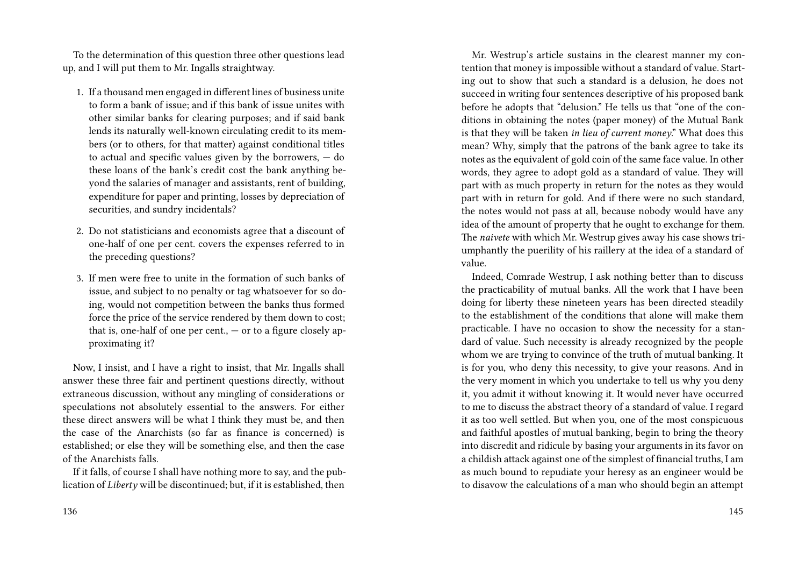To the determination of this question three other questions lead up, and I will put them to Mr. Ingalls straightway.

- 1. If a thousand men engaged in different lines of business unite to form a bank of issue; and if this bank of issue unites with other similar banks for clearing purposes; and if said bank lends its naturally well-known circulating credit to its members (or to others, for that matter) against conditional titles to actual and specific values given by the borrowers, — do these loans of the bank's credit cost the bank anything beyond the salaries of manager and assistants, rent of building, expenditure for paper and printing, losses by depreciation of securities, and sundry incidentals?
- 2. Do not statisticians and economists agree that a discount of one-half of one per cent. covers the expenses referred to in the preceding questions?
- 3. If men were free to unite in the formation of such banks of issue, and subject to no penalty or tag whatsoever for so doing, would not competition between the banks thus formed force the price of the service rendered by them down to cost; that is, one-half of one per cent.,  $-$  or to a figure closely approximating it?

Now, I insist, and I have a right to insist, that Mr. Ingalls shall answer these three fair and pertinent questions directly, without extraneous discussion, without any mingling of considerations or speculations not absolutely essential to the answers. For either these direct answers will be what I think they must be, and then the case of the Anarchists (so far as finance is concerned) is established; or else they will be something else, and then the case of the Anarchists falls.

If it falls, of course I shall have nothing more to say, and the publication of *Liberty* will be discontinued; but, if it is established, then

Mr. Westrup's article sustains in the clearest manner my contention that money is impossible without a standard of value. Starting out to show that such a standard is a delusion, he does not succeed in writing four sentences descriptive of his proposed bank before he adopts that "delusion." He tells us that "one of the conditions in obtaining the notes (paper money) of the Mutual Bank is that they will be taken *in lieu of current money*." What does this mean? Why, simply that the patrons of the bank agree to take its notes as the equivalent of gold coin of the same face value. In other words, they agree to adopt gold as a standard of value. They will part with as much property in return for the notes as they would part with in return for gold. And if there were no such standard, the notes would not pass at all, because nobody would have any idea of the amount of property that he ought to exchange for them. The *naivete* with which Mr. Westrup gives away his case shows triumphantly the puerility of his raillery at the idea of a standard of value.

Indeed, Comrade Westrup, I ask nothing better than to discuss the practicability of mutual banks. All the work that I have been doing for liberty these nineteen years has been directed steadily to the establishment of the conditions that alone will make them practicable. I have no occasion to show the necessity for a standard of value. Such necessity is already recognized by the people whom we are trying to convince of the truth of mutual banking. It is for you, who deny this necessity, to give your reasons. And in the very moment in which you undertake to tell us why you deny it, you admit it without knowing it. It would never have occurred to me to discuss the abstract theory of a standard of value. I regard it as too well settled. But when you, one of the most conspicuous and faithful apostles of mutual banking, begin to bring the theory into discredit and ridicule by basing your arguments in its favor on a childish attack against one of the simplest of financial truths, I am as much bound to repudiate your heresy as an engineer would be to disavow the calculations of a man who should begin an attempt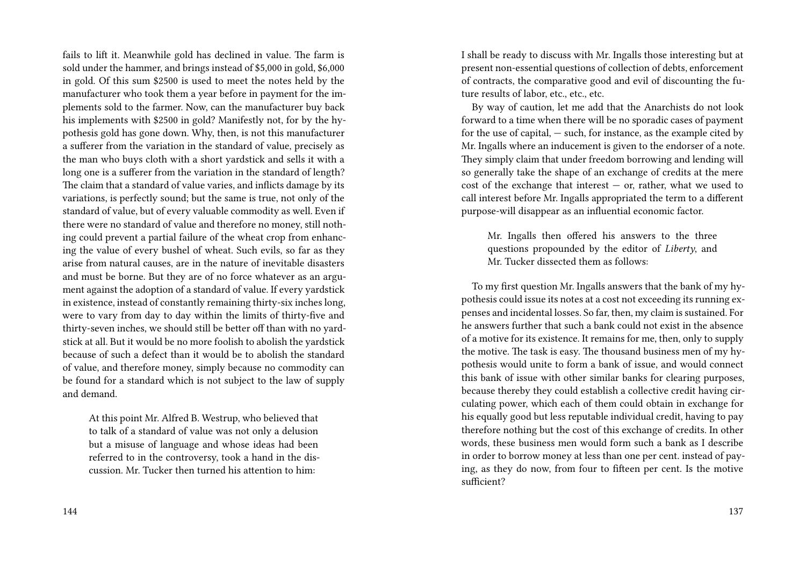fails to lift it. Meanwhile gold has declined in value. The farm is sold under the hammer, and brings instead of \$5,000 in gold, \$6,000 in gold. Of this sum \$2500 is used to meet the notes held by the manufacturer who took them a year before in payment for the implements sold to the farmer. Now, can the manufacturer buy back his implements with \$2500 in gold? Manifestly not, for by the hypothesis gold has gone down. Why, then, is not this manufacturer a sufferer from the variation in the standard of value, precisely as the man who buys cloth with a short yardstick and sells it with a long one is a sufferer from the variation in the standard of length? The claim that a standard of value varies, and inflicts damage by its variations, is perfectly sound; but the same is true, not only of the standard of value, but of every valuable commodity as well. Even if there were no standard of value and therefore no money, still nothing could prevent a partial failure of the wheat crop from enhancing the value of every bushel of wheat. Such evils, so far as they arise from natural causes, are in the nature of inevitable disasters and must be borne. But they are of no force whatever as an argument against the adoption of a standard of value. If every yardstick in existence, instead of constantly remaining thirty-six inches long, were to vary from day to day within the limits of thirty-five and thirty-seven inches, we should still be better off than with no yardstick at all. But it would be no more foolish to abolish the yardstick because of such a defect than it would be to abolish the standard of value, and therefore money, simply because no commodity can be found for a standard which is not subject to the law of supply and demand.

At this point Mr. Alfred B. Westrup, who believed that to talk of a standard of value was not only a delusion but a misuse of language and whose ideas had been referred to in the controversy, took a hand in the discussion. Mr. Tucker then turned his attention to him:

I shall be ready to discuss with Mr. Ingalls those interesting but at present non-essential questions of collection of debts, enforcement of contracts, the comparative good and evil of discounting the future results of labor, etc., etc., etc.

By way of caution, let me add that the Anarchists do not look forward to a time when there will be no sporadic cases of payment for the use of capital,  $-$  such, for instance, as the example cited by Mr. Ingalls where an inducement is given to the endorser of a note. They simply claim that under freedom borrowing and lending will so generally take the shape of an exchange of credits at the mere cost of the exchange that interest  $-$  or, rather, what we used to call interest before Mr. Ingalls appropriated the term to a different purpose-will disappear as an influential economic factor.

Mr. Ingalls then offered his answers to the three questions propounded by the editor of *Liberty*, and Mr. Tucker dissected them as follows:

To my first question Mr. Ingalls answers that the bank of my hypothesis could issue its notes at a cost not exceeding its running expenses and incidental losses. So far, then, my claim is sustained. For he answers further that such a bank could not exist in the absence of a motive for its existence. It remains for me, then, only to supply the motive. The task is easy. The thousand business men of my hypothesis would unite to form a bank of issue, and would connect this bank of issue with other similar banks for clearing purposes, because thereby they could establish a collective credit having circulating power, which each of them could obtain in exchange for his equally good but less reputable individual credit, having to pay therefore nothing but the cost of this exchange of credits. In other words, these business men would form such a bank as I describe in order to borrow money at less than one per cent. instead of paying, as they do now, from four to fifteen per cent. Is the motive sufficient?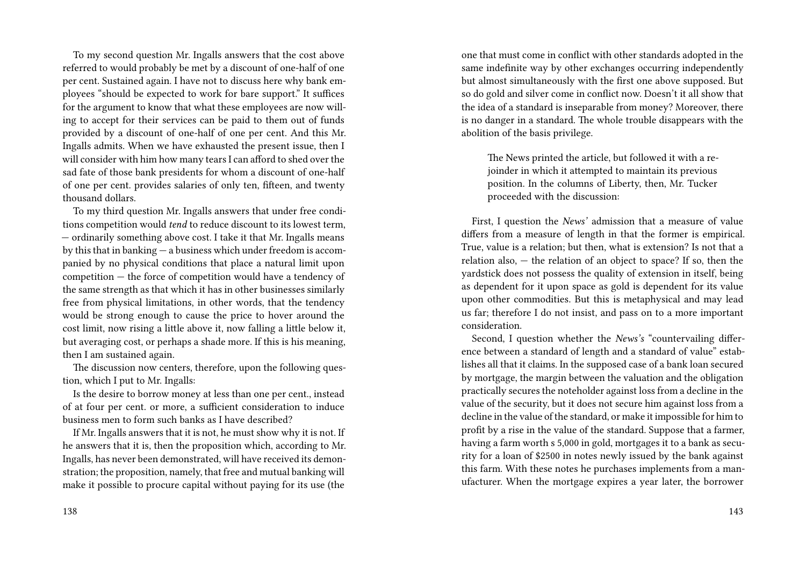To my second question Mr. Ingalls answers that the cost above referred to would probably be met by a discount of one-half of one per cent. Sustained again. I have not to discuss here why bank employees "should be expected to work for bare support." It suffices for the argument to know that what these employees are now willing to accept for their services can be paid to them out of funds provided by a discount of one-half of one per cent. And this Mr. Ingalls admits. When we have exhausted the present issue, then I will consider with him how many tears I can afford to shed over the sad fate of those bank presidents for whom a discount of one-half of one per cent. provides salaries of only ten, fifteen, and twenty thousand dollars.

To my third question Mr. Ingalls answers that under free conditions competition would *tend* to reduce discount to its lowest term, — ordinarily something above cost. I take it that Mr. Ingalls means by this that in banking — a business which under freedom is accompanied by no physical conditions that place a natural limit upon competition — the force of competition would have a tendency of the same strength as that which it has in other businesses similarly free from physical limitations, in other words, that the tendency would be strong enough to cause the price to hover around the cost limit, now rising a little above it, now falling a little below it, but averaging cost, or perhaps a shade more. If this is his meaning, then I am sustained again.

The discussion now centers, therefore, upon the following question, which I put to Mr. Ingalls:

Is the desire to borrow money at less than one per cent., instead of at four per cent. or more, a sufficient consideration to induce business men to form such banks as I have described?

If Mr. Ingalls answers that it is not, he must show why it is not. If he answers that it is, then the proposition which, according to Mr. Ingalls, has never been demonstrated, will have received its demonstration; the proposition, namely, that free and mutual banking will make it possible to procure capital without paying for its use (the one that must come in conflict with other standards adopted in the same indefinite way by other exchanges occurring independently but almost simultaneously with the first one above supposed. But so do gold and silver come in conflict now. Doesn't it all show that the idea of a standard is inseparable from money? Moreover, there is no danger in a standard. The whole trouble disappears with the abolition of the basis privilege.

The News printed the article, but followed it with a rejoinder in which it attempted to maintain its previous position. In the columns of Liberty, then, Mr. Tucker proceeded with the discussion:

First, I question the *News'* admission that a measure of value differs from a measure of length in that the former is empirical. True, value is a relation; but then, what is extension? Is not that a relation also, — the relation of an object to space? If so, then the yardstick does not possess the quality of extension in itself, being as dependent for it upon space as gold is dependent for its value upon other commodities. But this is metaphysical and may lead us far; therefore I do not insist, and pass on to a more important consideration.

Second, I question whether the *News's* "countervailing difference between a standard of length and a standard of value" establishes all that it claims. In the supposed case of a bank loan secured by mortgage, the margin between the valuation and the obligation practically secures the noteholder against loss from a decline in the value of the security, but it does not secure him against loss from a decline in the value of the standard, or make it impossible for him to profit by a rise in the value of the standard. Suppose that a farmer, having a farm worth s 5,000 in gold, mortgages it to a bank as security for a loan of \$2500 in notes newly issued by the bank against this farm. With these notes he purchases implements from a manufacturer. When the mortgage expires a year later, the borrower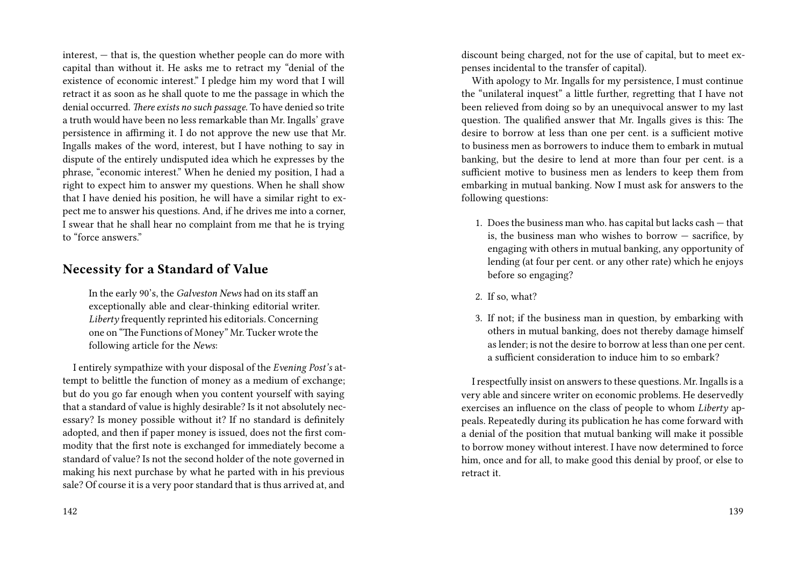interest, — that is, the question whether people can do more with capital than without it. He asks me to retract my "denial of the existence of economic interest." I pledge him my word that I will retract it as soon as he shall quote to me the passage in which the denial occurred. *There exists no such passage*. To have denied so trite a truth would have been no less remarkable than Mr. Ingalls' grave persistence in affirming it. I do not approve the new use that Mr. Ingalls makes of the word, interest, but I have nothing to say in dispute of the entirely undisputed idea which he expresses by the phrase, "economic interest." When he denied my position, I had a right to expect him to answer my questions. When he shall show that I have denied his position, he will have a similar right to expect me to answer his questions. And, if he drives me into a corner, I swear that he shall hear no complaint from me that he is trying to "force answers."

## **Necessity for a Standard of Value**

In the early 90's, the *Galveston News* had on its staff an exceptionally able and clear-thinking editorial writer. *Liberty* frequently reprinted his editorials. Concerning one on "The Functions of Money" Mr. Tucker wrote the following article for the *News*:

I entirely sympathize with your disposal of the *Evening Post's* attempt to belittle the function of money as a medium of exchange; but do you go far enough when you content yourself with saying that a standard of value is highly desirable? Is it not absolutely necessary? Is money possible without it? If no standard is definitely adopted, and then if paper money is issued, does not the first commodity that the first note is exchanged for immediately become a standard of value? Is not the second holder of the note governed in making his next purchase by what he parted with in his previous sale? Of course it is a very poor standard that is thus arrived at, and

discount being charged, not for the use of capital, but to meet expenses incidental to the transfer of capital).

With apology to Mr. Ingalls for my persistence, I must continue the "unilateral inquest" a little further, regretting that I have not been relieved from doing so by an unequivocal answer to my last question. The qualified answer that Mr. Ingalls gives is this: The desire to borrow at less than one per cent. is a sufficient motive to business men as borrowers to induce them to embark in mutual banking, but the desire to lend at more than four per cent. is a sufficient motive to business men as lenders to keep them from embarking in mutual banking. Now I must ask for answers to the following questions:

- 1. Does the business man who. has capital but lacks cash that is, the business man who wishes to borrow — sacrifice, by engaging with others in mutual banking, any opportunity of lending (at four per cent. or any other rate) which he enjoys before so engaging?
- 2. If so, what?
- 3. If not; if the business man in question, by embarking with others in mutual banking, does not thereby damage himself as lender; is not the desire to borrow at less than one per cent. a sufficient consideration to induce him to so embark?

I respectfully insist on answers to these questions. Mr. Ingalls is a very able and sincere writer on economic problems. He deservedly exercises an influence on the class of people to whom *Liberty* appeals. Repeatedly during its publication he has come forward with a denial of the position that mutual banking will make it possible to borrow money without interest. I have now determined to force him, once and for all, to make good this denial by proof, or else to retract it.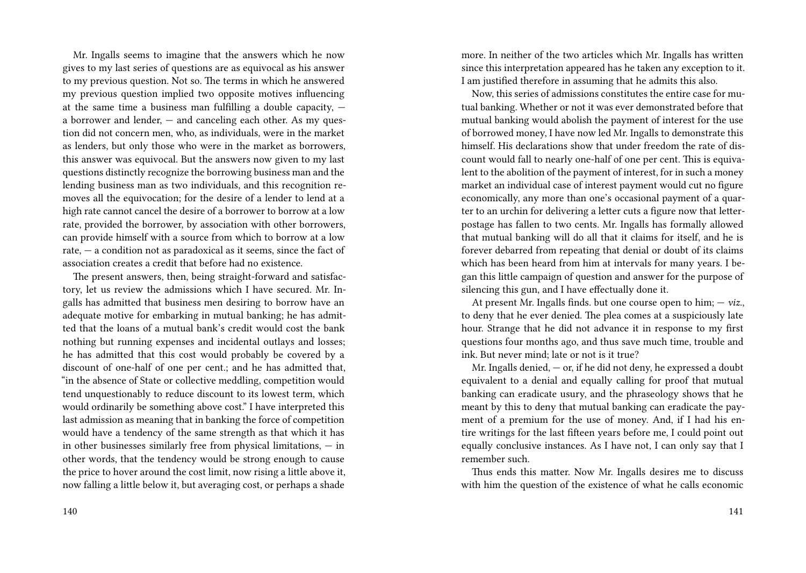Mr. Ingalls seems to imagine that the answers which he now gives to my last series of questions are as equivocal as his answer to my previous question. Not so. The terms in which he answered my previous question implied two opposite motives influencing at the same time a business man fulfilling a double capacity, a borrower and lender,  $-$  and canceling each other. As my question did not concern men, who, as individuals, were in the market as lenders, but only those who were in the market as borrowers, this answer was equivocal. But the answers now given to my last questions distinctly recognize the borrowing business man and the lending business man as two individuals, and this recognition removes all the equivocation; for the desire of a lender to lend at a high rate cannot cancel the desire of a borrower to borrow at a low rate, provided the borrower, by association with other borrowers, can provide himself with a source from which to borrow at a low rate,  $-$  a condition not as paradoxical as it seems, since the fact of association creates a credit that before had no existence.

The present answers, then, being straight-forward and satisfactory, let us review the admissions which I have secured. Mr. Ingalls has admitted that business men desiring to borrow have an adequate motive for embarking in mutual banking; he has admitted that the loans of a mutual bank's credit would cost the bank nothing but running expenses and incidental outlays and losses; he has admitted that this cost would probably be covered by a discount of one-half of one per cent.; and he has admitted that, "in the absence of State or collective meddling, competition would tend unquestionably to reduce discount to its lowest term, which would ordinarily be something above cost." I have interpreted this last admission as meaning that in banking the force of competition would have a tendency of the same strength as that which it has in other businesses similarly free from physical limitations,  $-$  in other words, that the tendency would be strong enough to cause the price to hover around the cost limit, now rising a little above it, now falling a little below it, but averaging cost, or perhaps a shade

more. In neither of the two articles which Mr. Ingalls has written since this interpretation appeared has he taken any exception to it. I am justified therefore in assuming that he admits this also.

Now, this series of admissions constitutes the entire case for mutual banking. Whether or not it was ever demonstrated before that mutual banking would abolish the payment of interest for the use of borrowed money, I have now led Mr. Ingalls to demonstrate this himself. His declarations show that under freedom the rate of discount would fall to nearly one-half of one per cent. This is equivalent to the abolition of the payment of interest, for in such a money market an individual case of interest payment would cut no figure economically, any more than one's occasional payment of a quarter to an urchin for delivering a letter cuts a figure now that letterpostage has fallen to two cents. Mr. Ingalls has formally allowed that mutual banking will do all that it claims for itself, and he is forever debarred from repeating that denial or doubt of its claims which has been heard from him at intervals for many years. I began this little campaign of question and answer for the purpose of silencing this gun, and I have effectually done it.

At present Mr. Ingalls finds. but one course open to him; — *viz*., to deny that he ever denied. The plea comes at a suspiciously late hour. Strange that he did not advance it in response to my first questions four months ago, and thus save much time, trouble and ink. But never mind; late or not is it true?

Mr. Ingalls denied,  $-$  or, if he did not deny, he expressed a doubt equivalent to a denial and equally calling for proof that mutual banking can eradicate usury, and the phraseology shows that he meant by this to deny that mutual banking can eradicate the payment of a premium for the use of money. And, if I had his entire writings for the last fifteen years before me, I could point out equally conclusive instances. As I have not, I can only say that I remember such.

Thus ends this matter. Now Mr. Ingalls desires me to discuss with him the question of the existence of what he calls economic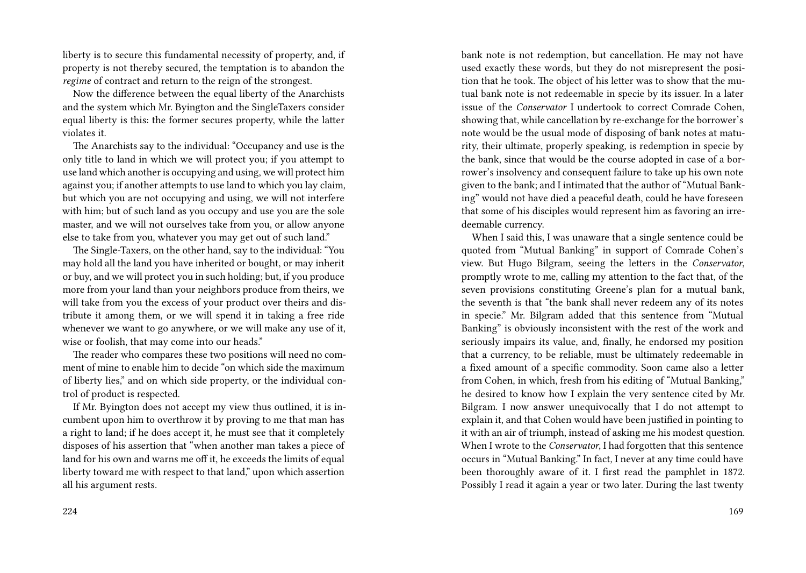liberty is to secure this fundamental necessity of property, and, if property is not thereby secured, the temptation is to abandon the *regime* of contract and return to the reign of the strongest.

Now the difference between the equal liberty of the Anarchists and the system which Mr. Byington and the SingleTaxers consider equal liberty is this: the former secures property, while the latter violates it.

The Anarchists say to the individual: "Occupancy and use is the only title to land in which we will protect you; if you attempt to use land which another is occupying and using, we will protect him against you; if another attempts to use land to which you lay claim, but which you are not occupying and using, we will not interfere with him; but of such land as you occupy and use you are the sole master, and we will not ourselves take from you, or allow anyone else to take from you, whatever you may get out of such land."

The Single-Taxers, on the other hand, say to the individual: "You may hold all the land you have inherited or bought, or may inherit or buy, and we will protect you in such holding; but, if you produce more from your land than your neighbors produce from theirs, we will take from you the excess of your product over theirs and distribute it among them, or we will spend it in taking a free ride whenever we want to go anywhere, or we will make any use of it, wise or foolish, that may come into our heads."

The reader who compares these two positions will need no comment of mine to enable him to decide "on which side the maximum of liberty lies," and on which side property, or the individual control of product is respected.

If Mr. Byington does not accept my view thus outlined, it is incumbent upon him to overthrow it by proving to me that man has a right to land; if he does accept it, he must see that it completely disposes of his assertion that "when another man takes a piece of land for his own and warns me off it, he exceeds the limits of equal liberty toward me with respect to that land," upon which assertion all his argument rests.

bank note is not redemption, but cancellation. He may not have used exactly these words, but they do not misrepresent the position that he took. The object of his letter was to show that the mutual bank note is not redeemable in specie by its issuer. In a later issue of the *Conservator* I undertook to correct Comrade Cohen, showing that, while cancellation by re-exchange for the borrower's note would be the usual mode of disposing of bank notes at maturity, their ultimate, properly speaking, is redemption in specie by the bank, since that would be the course adopted in case of a borrower's insolvency and consequent failure to take up his own note given to the bank; and I intimated that the author of "Mutual Banking" would not have died a peaceful death, could he have foreseen that some of his disciples would represent him as favoring an irredeemable currency.

When I said this, I was unaware that a single sentence could be quoted from "Mutual Banking" in support of Comrade Cohen's view. But Hugo Bilgram, seeing the letters in the *Conservator*, promptly wrote to me, calling my attention to the fact that, of the seven provisions constituting Greene's plan for a mutual bank, the seventh is that "the bank shall never redeem any of its notes in specie." Mr. Bilgram added that this sentence from "Mutual Banking" is obviously inconsistent with the rest of the work and seriously impairs its value, and, finally, he endorsed my position that a currency, to be reliable, must be ultimately redeemable in a fixed amount of a specific commodity. Soon came also a letter from Cohen, in which, fresh from his editing of "Mutual Banking," he desired to know how I explain the very sentence cited by Mr. Bilgram. I now answer unequivocally that I do not attempt to explain it, and that Cohen would have been justified in pointing to it with an air of triumph, instead of asking me his modest question. When I wrote to the *Conservator*, I had forgotten that this sentence occurs in "Mutual Banking." In fact, I never at any time could have been thoroughly aware of it. I first read the pamphlet in 1872. Possibly I read it again a year or two later. During the last twenty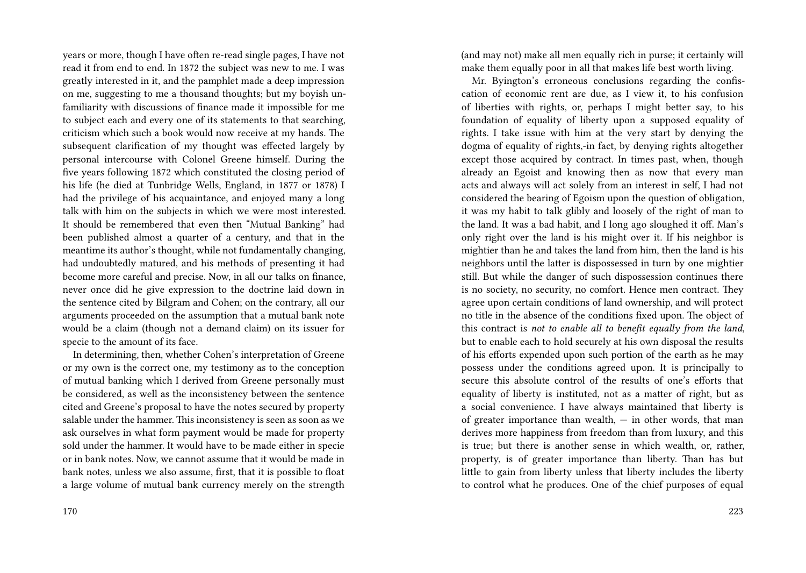years or more, though I have often re-read single pages, I have not read it from end to end. In 1872 the subject was new to me. I was greatly interested in it, and the pamphlet made a deep impression on me, suggesting to me a thousand thoughts; but my boyish unfamiliarity with discussions of finance made it impossible for me to subject each and every one of its statements to that searching, criticism which such a book would now receive at my hands. The subsequent clarification of my thought was effected largely by personal intercourse with Colonel Greene himself. During the five years following 1872 which constituted the closing period of his life (he died at Tunbridge Wells, England, in 1877 or 1878) I had the privilege of his acquaintance, and enjoyed many a long talk with him on the subjects in which we were most interested. It should be remembered that even then "Mutual Banking" had been published almost a quarter of a century, and that in the meantime its author's thought, while not fundamentally changing, had undoubtedly matured, and his methods of presenting it had become more careful and precise. Now, in all our talks on finance, never once did he give expression to the doctrine laid down in the sentence cited by Bilgram and Cohen; on the contrary, all our arguments proceeded on the assumption that a mutual bank note would be a claim (though not a demand claim) on its issuer for specie to the amount of its face.

In determining, then, whether Cohen's interpretation of Greene or my own is the correct one, my testimony as to the conception of mutual banking which I derived from Greene personally must be considered, as well as the inconsistency between the sentence cited and Greene's proposal to have the notes secured by property salable under the hammer. This inconsistency is seen as soon as we ask ourselves in what form payment would be made for property sold under the hammer. It would have to be made either in specie or in bank notes. Now, we cannot assume that it would be made in bank notes, unless we also assume, first, that it is possible to float a large volume of mutual bank currency merely on the strength (and may not) make all men equally rich in purse; it certainly will make them equally poor in all that makes life best worth living.

Mr. Byington's erroneous conclusions regarding the confiscation of economic rent are due, as I view it, to his confusion of liberties with rights, or, perhaps I might better say, to his foundation of equality of liberty upon a supposed equality of rights. I take issue with him at the very start by denying the dogma of equality of rights,-in fact, by denying rights altogether except those acquired by contract. In times past, when, though already an Egoist and knowing then as now that every man acts and always will act solely from an interest in self, I had not considered the bearing of Egoism upon the question of obligation, it was my habit to talk glibly and loosely of the right of man to the land. It was a bad habit, and I long ago sloughed it off. Man's only right over the land is his might over it. If his neighbor is mightier than he and takes the land from him, then the land is his neighbors until the latter is dispossessed in turn by one mightier still. But while the danger of such dispossession continues there is no society, no security, no comfort. Hence men contract. They agree upon certain conditions of land ownership, and will protect no title in the absence of the conditions fixed upon. The object of this contract is *not to enable all to benefit equally from the land*, but to enable each to hold securely at his own disposal the results of his efforts expended upon such portion of the earth as he may possess under the conditions agreed upon. It is principally to secure this absolute control of the results of one's efforts that equality of liberty is instituted, not as a matter of right, but as a social convenience. I have always maintained that liberty is of greater importance than wealth, — in other words, that man derives more happiness from freedom than from luxury, and this is true; but there is another sense in which wealth, or, rather, property, is of greater importance than liberty. Than has but little to gain from liberty unless that liberty includes the liberty to control what he produces. One of the chief purposes of equal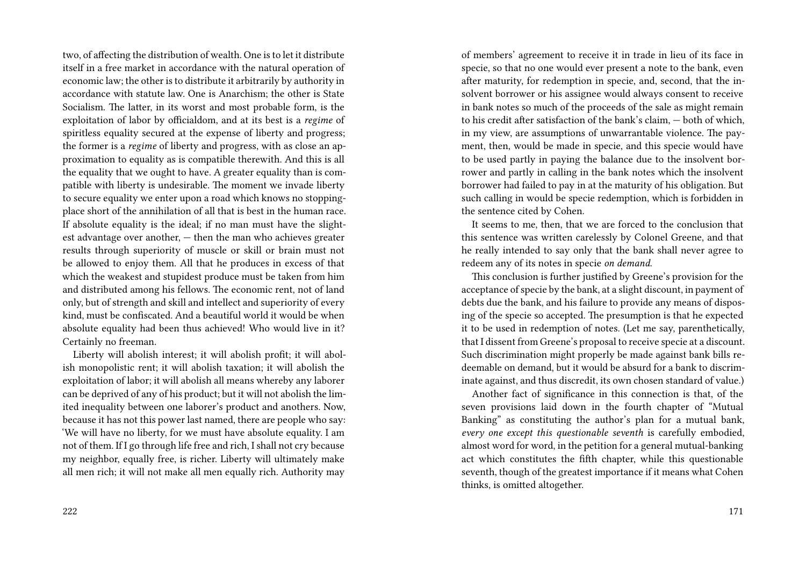two, of affecting the distribution of wealth. One is to let it distribute itself in a free market in accordance with the natural operation of economic law; the other is to distribute it arbitrarily by authority in accordance with statute law. One is Anarchism; the other is State Socialism. The latter, in its worst and most probable form, is the exploitation of labor by officialdom, and at its best is a *regime* of spiritless equality secured at the expense of liberty and progress; the former is a *regime* of liberty and progress, with as close an approximation to equality as is compatible therewith. And this is all the equality that we ought to have. A greater equality than is compatible with liberty is undesirable. The moment we invade liberty to secure equality we enter upon a road which knows no stoppingplace short of the annihilation of all that is best in the human race. If absolute equality is the ideal; if no man must have the slightest advantage over another, — then the man who achieves greater results through superiority of muscle or skill or brain must not be allowed to enjoy them. All that he produces in excess of that which the weakest and stupidest produce must be taken from him and distributed among his fellows. The economic rent, not of land only, but of strength and skill and intellect and superiority of every kind, must be confiscated. And a beautiful world it would be when absolute equality had been thus achieved! Who would live in it? Certainly no freeman.

Liberty will abolish interest; it will abolish profit; it will abolish monopolistic rent; it will abolish taxation; it will abolish the exploitation of labor; it will abolish all means whereby any laborer can be deprived of any of his product; but it will not abolish the limited inequality between one laborer's product and anothers. Now, because it has not this power last named, there are people who say: 'We will have no liberty, for we must have absolute equality. I am not of them. If I go through life free and rich, I shall not cry because my neighbor, equally free, is richer. Liberty will ultimately make all men rich; it will not make all men equally rich. Authority may of members' agreement to receive it in trade in lieu of its face in specie, so that no one would ever present a note to the bank, even after maturity, for redemption in specie, and, second, that the insolvent borrower or his assignee would always consent to receive in bank notes so much of the proceeds of the sale as might remain to his credit after satisfaction of the bank's claim, — both of which, in my view, are assumptions of unwarrantable violence. The payment, then, would be made in specie, and this specie would have to be used partly in paying the balance due to the insolvent borrower and partly in calling in the bank notes which the insolvent borrower had failed to pay in at the maturity of his obligation. But such calling in would be specie redemption, which is forbidden in the sentence cited by Cohen.

It seems to me, then, that we are forced to the conclusion that this sentence was written carelessly by Colonel Greene, and that he really intended to say only that the bank shall never agree to redeem any of its notes in specie *on demand*.

This conclusion is further justified by Greene's provision for the acceptance of specie by the bank, at a slight discount, in payment of debts due the bank, and his failure to provide any means of disposing of the specie so accepted. The presumption is that he expected it to be used in redemption of notes. (Let me say, parenthetically, that I dissent from Greene's proposal to receive specie at a discount. Such discrimination might properly be made against bank bills redeemable on demand, but it would be absurd for a bank to discriminate against, and thus discredit, its own chosen standard of value.)

Another fact of significance in this connection is that, of the seven provisions laid down in the fourth chapter of "Mutual Banking" as constituting the author's plan for a mutual bank, *every one except this questionable seventh* is carefully embodied, almost word for word, in the petition for a general mutual-banking act which constitutes the fifth chapter, while this questionable seventh, though of the greatest importance if it means what Cohen thinks, is omitted altogether.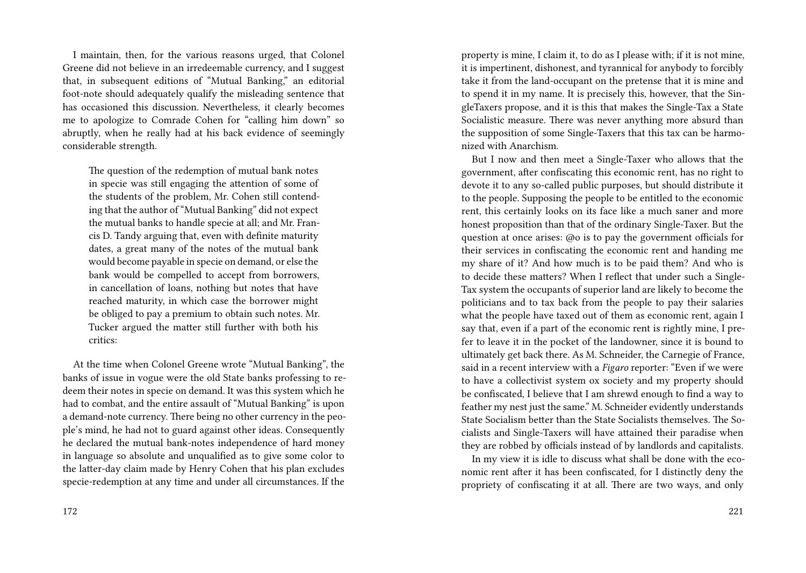I maintain, then, for the various reasons urged, that Colonel Greene did not believe in an irredeemable currency, and I suggest that, in subsequent editions of "Mutual Banking," an editorial foot-note should adequately qualify the misleading sentence that has occasioned this discussion. Nevertheless, it clearly becomes me to apologize to Comrade Cohen for "calling him down" so abruptly, when he really had at his back evidence of seemingly considerable strength.

The question of the redemption of mutual bank notes in specie was still engaging the attention of some of the students of the problem, Mr. Cohen still contending that the author of "Mutual Banking" did not expect the mutual banks to handle specie at all; and Mr. Francis D. Tandy arguing that, even with definite maturity dates, a great many of the notes of the mutual bank would become payable in specie on demand, or else the bank would be compelled to accept from borrowers, in cancellation of loans, nothing but notes that have reached maturity, in which case the borrower might be obliged to pay a premium to obtain such notes. Mr. Tucker argued the matter still further with both his critics:

At the time when Colonel Greene wrote "Mutual Banking", the banks of issue in vogue were the old State banks professing to redeem their notes in specie on demand. It was this system which he had to combat, and the entire assault of "Mutual Banking" is upon a demand-note currency. There being no other currency in the people's mind, he had not to guard against other ideas. Consequently he declared the mutual bank-notes independence of hard money in language so absolute and unqualified as to give some color to the latter-day claim made by Henry Cohen that his plan excludes specie-redemption at any time and under all circumstances. If the property is mine, I claim it, to do as I please with; if it is not mine, it is impertinent, dishonest, and tyrannical for anybody to forcibly take it from the land-occupant on the pretense that it is mine and to spend it in my name. It is precisely this, however, that the SingleTaxers propose, and it is this that makes the Single-Tax a State Socialistic measure. There was never anything more absurd than the supposition of some Single-Taxers that this tax can be harmonized with Anarchism.

But I now and then meet a Single-Taxer who allows that the government, after confiscating this economic rent, has no right to devote it to any so-called public purposes, but should distribute it to the people. Supposing the people to be entitled to the economic rent, this certainly looks on its face like a much saner and more honest proposition than that of the ordinary Single-Taxer. But the question at once arises: @o is to pay the government officials for their services in confiscating the economic rent and handing me my share of it? And how much is to be paid them? And who is to decide these matters? When I reflect that under such a Single-Tax system the occupants of superior land are likely to become the politicians and to tax back from the people to pay their salaries what the people have taxed out of them as economic rent, again I say that, even if a part of the economic rent is rightly mine, I prefer to leave it in the pocket of the landowner, since it is bound to ultimately get back there. As M. Schneider, the Carnegie of France, said in a recent interview with a *Figaro* reporter: "Even if we were to have a collectivist system ox society and my property should be confiscated, I believe that I am shrewd enough to find a way to feather my nest just the same." M. Schneider evidently understands State Socialism better than the State Socialists themselves. The Socialists and Single-Taxers will have attained their paradise when they are robbed by officials instead of by landlords and capitalists.

In my view it is idle to discuss what shall be done with the economic rent after it has been confiscated, for I distinctly deny the propriety of confiscating it at all. There are two ways, and only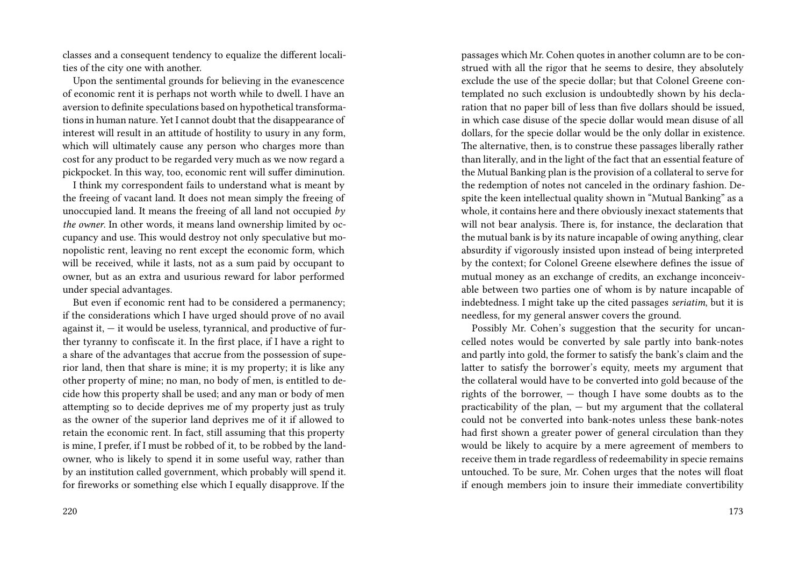classes and a consequent tendency to equalize the different localities of the city one with another.

Upon the sentimental grounds for believing in the evanescence of economic rent it is perhaps not worth while to dwell. I have an aversion to definite speculations based on hypothetical transformations in human nature. Yet I cannot doubt that the disappearance of interest will result in an attitude of hostility to usury in any form, which will ultimately cause any person who charges more than cost for any product to be regarded very much as we now regard a pickpocket. In this way, too, economic rent will suffer diminution.

I think my correspondent fails to understand what is meant by the freeing of vacant land. It does not mean simply the freeing of unoccupied land. It means the freeing of all land not occupied *by the owner*. In other words, it means land ownership limited by occupancy and use. This would destroy not only speculative but monopolistic rent, leaving no rent except the economic form, which will be received, while it lasts, not as a sum paid by occupant to owner, but as an extra and usurious reward for labor performed under special advantages.

But even if economic rent had to be considered a permanency; if the considerations which I have urged should prove of no avail against it,  $-$  it would be useless, tyrannical, and productive of further tyranny to confiscate it. In the first place, if I have a right to a share of the advantages that accrue from the possession of superior land, then that share is mine; it is my property; it is like any other property of mine; no man, no body of men, is entitled to decide how this property shall be used; and any man or body of men attempting so to decide deprives me of my property just as truly as the owner of the superior land deprives me of it if allowed to retain the economic rent. In fact, still assuming that this property is mine, I prefer, if I must be robbed of it, to be robbed by the landowner, who is likely to spend it in some useful way, rather than by an institution called government, which probably will spend it. for fireworks or something else which I equally disapprove. If the passages which Mr. Cohen quotes in another column are to be construed with all the rigor that he seems to desire, they absolutely exclude the use of the specie dollar; but that Colonel Greene contemplated no such exclusion is undoubtedly shown by his declaration that no paper bill of less than five dollars should be issued, in which case disuse of the specie dollar would mean disuse of all dollars, for the specie dollar would be the only dollar in existence. The alternative, then, is to construe these passages liberally rather than literally, and in the light of the fact that an essential feature of the Mutual Banking plan is the provision of a collateral to serve for the redemption of notes not canceled in the ordinary fashion. Despite the keen intellectual quality shown in "Mutual Banking" as a whole, it contains here and there obviously inexact statements that will not bear analysis. There is, for instance, the declaration that the mutual bank is by its nature incapable of owing anything, clear absurdity if vigorously insisted upon instead of being interpreted by the context; for Colonel Greene elsewhere defines the issue of mutual money as an exchange of credits, an exchange inconceivable between two parties one of whom is by nature incapable of indebtedness. I might take up the cited passages *seriatim*, but it is needless, for my general answer covers the ground.

Possibly Mr. Cohen's suggestion that the security for uncancelled notes would be converted by sale partly into bank-notes and partly into gold, the former to satisfy the bank's claim and the latter to satisfy the borrower's equity, meets my argument that the collateral would have to be converted into gold because of the rights of the borrower, — though I have some doubts as to the practicability of the plan, — but my argument that the collateral could not be converted into bank-notes unless these bank-notes had first shown a greater power of general circulation than they would be likely to acquire by a mere agreement of members to receive them in trade regardless of redeemability in specie remains untouched. To be sure, Mr. Cohen urges that the notes will float if enough members join to insure their immediate convertibility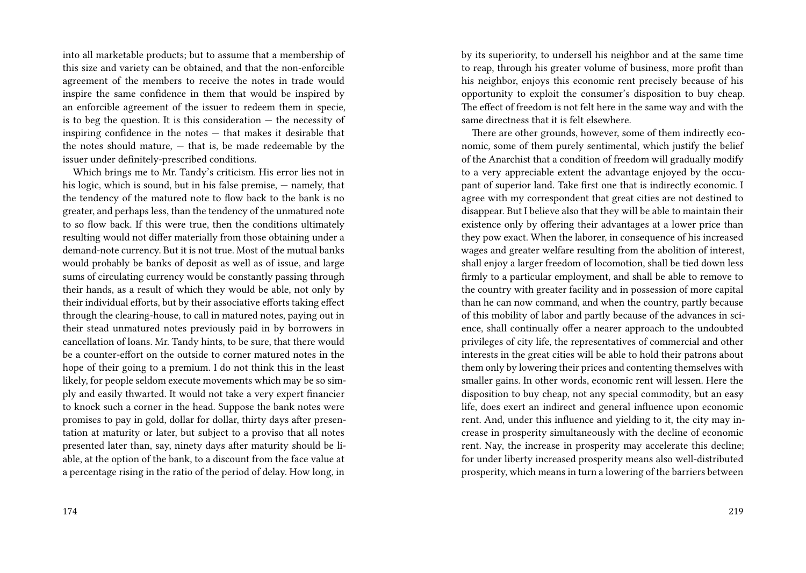into all marketable products; but to assume that a membership of this size and variety can be obtained, and that the non-enforcible agreement of the members to receive the notes in trade would inspire the same confidence in them that would be inspired by an enforcible agreement of the issuer to redeem them in specie, is to beg the question. It is this consideration  $-$  the necessity of inspiring confidence in the notes — that makes it desirable that the notes should mature, — that is, be made redeemable by the issuer under definitely-prescribed conditions.

Which brings me to Mr. Tandy's criticism. His error lies not in his logic, which is sound, but in his false premise, — namely, that the tendency of the matured note to flow back to the bank is no greater, and perhaps less, than the tendency of the unmatured note to so flow back. If this were true, then the conditions ultimately resulting would not differ materially from those obtaining under a demand-note currency. But it is not true. Most of the mutual banks would probably be banks of deposit as well as of issue, and large sums of circulating currency would be constantly passing through their hands, as a result of which they would be able, not only by their individual efforts, but by their associative efforts taking effect through the clearing-house, to call in matured notes, paying out in their stead unmatured notes previously paid in by borrowers in cancellation of loans. Mr. Tandy hints, to be sure, that there would be a counter-effort on the outside to corner matured notes in the hope of their going to a premium. I do not think this in the least likely, for people seldom execute movements which may be so simply and easily thwarted. It would not take a very expert financier to knock such a corner in the head. Suppose the bank notes were promises to pay in gold, dollar for dollar, thirty days after presentation at maturity or later, but subject to a proviso that all notes presented later than, say, ninety days after maturity should be liable, at the option of the bank, to a discount from the face value at a percentage rising in the ratio of the period of delay. How long, in by its superiority, to undersell his neighbor and at the same time to reap, through his greater volume of business, more profit than his neighbor, enjoys this economic rent precisely because of his opportunity to exploit the consumer's disposition to buy cheap. The effect of freedom is not felt here in the same way and with the same directness that it is felt elsewhere.

There are other grounds, however, some of them indirectly economic, some of them purely sentimental, which justify the belief of the Anarchist that a condition of freedom will gradually modify to a very appreciable extent the advantage enjoyed by the occupant of superior land. Take first one that is indirectly economic. I agree with my correspondent that great cities are not destined to disappear. But I believe also that they will be able to maintain their existence only by offering their advantages at a lower price than they pow exact. When the laborer, in consequence of his increased wages and greater welfare resulting from the abolition of interest, shall enjoy a larger freedom of locomotion, shall be tied down less firmly to a particular employment, and shall be able to remove to the country with greater facility and in possession of more capital than he can now command, and when the country, partly because of this mobility of labor and partly because of the advances in science, shall continually offer a nearer approach to the undoubted privileges of city life, the representatives of commercial and other interests in the great cities will be able to hold their patrons about them only by lowering their prices and contenting themselves with smaller gains. In other words, economic rent will lessen. Here the disposition to buy cheap, not any special commodity, but an easy life, does exert an indirect and general influence upon economic rent. And, under this influence and yielding to it, the city may increase in prosperity simultaneously with the decline of economic rent. Nay, the increase in prosperity may accelerate this decline; for under liberty increased prosperity means also well-distributed prosperity, which means in turn a lowering of the barriers between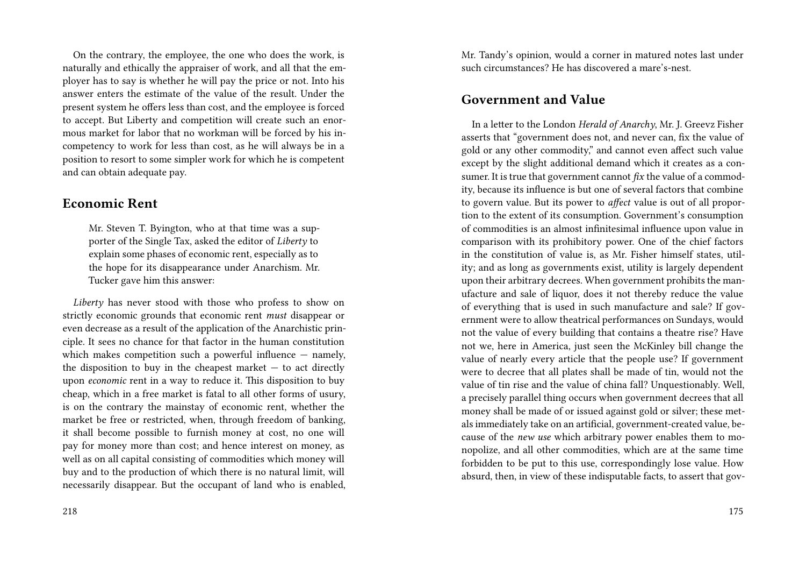On the contrary, the employee, the one who does the work, is naturally and ethically the appraiser of work, and all that the employer has to say is whether he will pay the price or not. Into his answer enters the estimate of the value of the result. Under the present system he offers less than cost, and the employee is forced to accept. But Liberty and competition will create such an enormous market for labor that no workman will be forced by his incompetency to work for less than cost, as he will always be in a position to resort to some simpler work for which he is competent and can obtain adequate pay.

#### **Economic Rent**

Mr. Steven T. Byington, who at that time was a supporter of the Single Tax, asked the editor of *Liberty* to explain some phases of economic rent, especially as to the hope for its disappearance under Anarchism. Mr. Tucker gave him this answer:

*Liberty* has never stood with those who profess to show on strictly economic grounds that economic rent *must* disappear or even decrease as a result of the application of the Anarchistic principle. It sees no chance for that factor in the human constitution which makes competition such a powerful influence  $-$  namely, the disposition to buy in the cheapest market  $-$  to act directly upon *economic* rent in a way to reduce it. This disposition to buy cheap, which in a free market is fatal to all other forms of usury, is on the contrary the mainstay of economic rent, whether the market be free or restricted, when, through freedom of banking, it shall become possible to furnish money at cost, no one will pay for money more than cost; and hence interest on money, as well as on all capital consisting of commodities which money will buy and to the production of which there is no natural limit, will necessarily disappear. But the occupant of land who is enabled, Mr. Tandy's opinion, would a corner in matured notes last under such circumstances? He has discovered a mare's-nest.

#### **Government and Value**

In a letter to the London *Herald of Anarchy*, Mr. J. Greevz Fisher asserts that "government does not, and never can, fix the value of gold or any other commodity," and cannot even affect such value except by the slight additional demand which it creates as a consumer. It is true that government cannot *fix* the value of a commodity, because its influence is but one of several factors that combine to govern value. But its power to *affect* value is out of all proportion to the extent of its consumption. Government's consumption of commodities is an almost infinitesimal influence upon value in comparison with its prohibitory power. One of the chief factors in the constitution of value is, as Mr. Fisher himself states, utility; and as long as governments exist, utility is largely dependent upon their arbitrary decrees. When government prohibits the manufacture and sale of liquor, does it not thereby reduce the value of everything that is used in such manufacture and sale? If government were to allow theatrical performances on Sundays, would not the value of every building that contains a theatre rise? Have not we, here in America, just seen the McKinley bill change the value of nearly every article that the people use? If government were to decree that all plates shall be made of tin, would not the value of tin rise and the value of china fall? Unquestionably. Well, a precisely parallel thing occurs when government decrees that all money shall be made of or issued against gold or silver; these metals immediately take on an artificial, government-created value, because of the *new use* which arbitrary power enables them to monopolize, and all other commodities, which are at the same time forbidden to be put to this use, correspondingly lose value. How absurd, then, in view of these indisputable facts, to assert that gov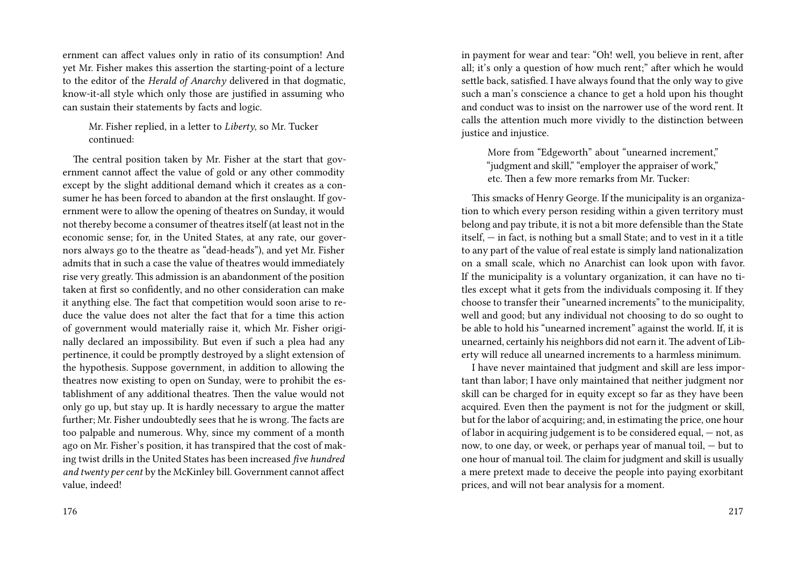ernment can affect values only in ratio of its consumption! And yet Mr. Fisher makes this assertion the starting-point of a lecture to the editor of the *Herald of Anarchy* delivered in that dogmatic, know-it-all style which only those are justified in assuming who can sustain their statements by facts and logic.

Mr. Fisher replied, in a letter to *Liberty*, so Mr. Tucker continued:

The central position taken by Mr. Fisher at the start that government cannot affect the value of gold or any other commodity except by the slight additional demand which it creates as a consumer he has been forced to abandon at the first onslaught. If government were to allow the opening of theatres on Sunday, it would not thereby become a consumer of theatres itself (at least not in the economic sense; for, in the United States, at any rate, our governors always go to the theatre as "dead-heads"), and yet Mr. Fisher admits that in such a case the value of theatres would immediately rise very greatly. This admission is an abandonment of the position taken at first so confidently, and no other consideration can make it anything else. The fact that competition would soon arise to reduce the value does not alter the fact that for a time this action of government would materially raise it, which Mr. Fisher originally declared an impossibility. But even if such a plea had any pertinence, it could be promptly destroyed by a slight extension of the hypothesis. Suppose government, in addition to allowing the theatres now existing to open on Sunday, were to prohibit the establishment of any additional theatres. Then the value would not only go up, but stay up. It is hardly necessary to argue the matter further; Mr. Fisher undoubtedly sees that he is wrong. The facts are too palpable and numerous. Why, since my comment of a month ago on Mr. Fisher's position, it has transpired that the cost of making twist drills in the United States has been increased *five hundred and twenty per cent* by the McKinley bill. Government cannot affect value, indeed!

in payment for wear and tear: "Oh! well, you believe in rent, after all; it's only a question of how much rent;" after which he would settle back, satisfied. I have always found that the only way to give such a man's conscience a chance to get a hold upon his thought and conduct was to insist on the narrower use of the word rent. It calls the attention much more vividly to the distinction between justice and injustice.

More from "Edgeworth" about "unearned increment," "judgment and skill," "employer the appraiser of work," etc. Then a few more remarks from Mr. Tucker:

This smacks of Henry George. If the municipality is an organization to which every person residing within a given territory must belong and pay tribute, it is not a bit more defensible than the State itself, — in fact, is nothing but a small State; and to vest in it a title to any part of the value of real estate is simply land nationalization on a small scale, which no Anarchist can look upon with favor. If the municipality is a voluntary organization, it can have no titles except what it gets from the individuals composing it. If they choose to transfer their "unearned increments" to the municipality, well and good; but any individual not choosing to do so ought to be able to hold his "unearned increment" against the world. If, it is unearned, certainly his neighbors did not earn it. The advent of Liberty will reduce all unearned increments to a harmless minimum.

I have never maintained that judgment and skill are less important than labor; I have only maintained that neither judgment nor skill can be charged for in equity except so far as they have been acquired. Even then the payment is not for the judgment or skill, but for the labor of acquiring; and, in estimating the price, one hour of labor in acquiring judgement is to be considered equal, — not, as now, to one day, or week, or perhaps year of manual toil, — but to one hour of manual toil. The claim for judgment and skill is usually a mere pretext made to deceive the people into paying exorbitant prices, and will not bear analysis for a moment.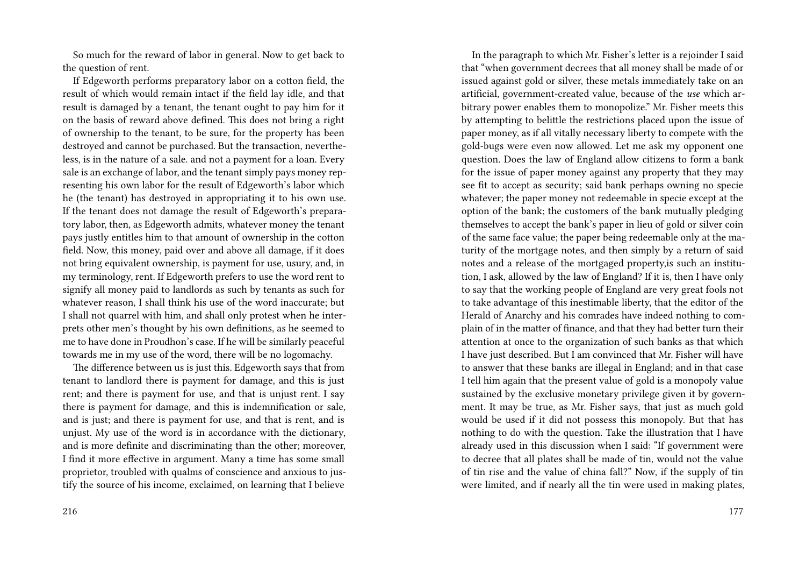So much for the reward of labor in general. Now to get back to the question of rent.

If Edgeworth performs preparatory labor on a cotton field, the result of which would remain intact if the field lay idle, and that result is damaged by a tenant, the tenant ought to pay him for it on the basis of reward above defined. This does not bring a right of ownership to the tenant, to be sure, for the property has been destroyed and cannot be purchased. But the transaction, nevertheless, is in the nature of a sale. and not a payment for a loan. Every sale is an exchange of labor, and the tenant simply pays money representing his own labor for the result of Edgeworth's labor which he (the tenant) has destroyed in appropriating it to his own use. If the tenant does not damage the result of Edgeworth's preparatory labor, then, as Edgeworth admits, whatever money the tenant pays justly entitles him to that amount of ownership in the cotton field. Now, this money, paid over and above all damage, if it does not bring equivalent ownership, is payment for use, usury, and, in my terminology, rent. If Edgeworth prefers to use the word rent to signify all money paid to landlords as such by tenants as such for whatever reason, I shall think his use of the word inaccurate; but I shall not quarrel with him, and shall only protest when he interprets other men's thought by his own definitions, as he seemed to me to have done in Proudhon's case. If he will be similarly peaceful towards me in my use of the word, there will be no logomachy.

The difference between us is just this. Edgeworth says that from tenant to landlord there is payment for damage, and this is just rent; and there is payment for use, and that is unjust rent. I say there is payment for damage, and this is indemnification or sale, and is just; and there is payment for use, and that is rent, and is unjust. My use of the word is in accordance with the dictionary, and is more definite and discriminating than the other; moreover, I find it more effective in argument. Many a time has some small proprietor, troubled with qualms of conscience and anxious to justify the source of his income, exclaimed, on learning that I believe

In the paragraph to which Mr. Fisher's letter is a rejoinder I said that "when government decrees that all money shall be made of or issued against gold or silver, these metals immediately take on an artificial, government-created value, because of the *use* which arbitrary power enables them to monopolize." Mr. Fisher meets this by attempting to belittle the restrictions placed upon the issue of paper money, as if all vitally necessary liberty to compete with the gold-bugs were even now allowed. Let me ask my opponent one question. Does the law of England allow citizens to form a bank for the issue of paper money against any property that they may see fit to accept as security; said bank perhaps owning no specie whatever; the paper money not redeemable in specie except at the option of the bank; the customers of the bank mutually pledging themselves to accept the bank's paper in lieu of gold or silver coin of the same face value; the paper being redeemable only at the maturity of the mortgage notes, and then simply by a return of said notes and a release of the mortgaged property,is such an institution, I ask, allowed by the law of England? If it is, then I have only to say that the working people of England are very great fools not to take advantage of this inestimable liberty, that the editor of the Herald of Anarchy and his comrades have indeed nothing to complain of in the matter of finance, and that they had better turn their attention at once to the organization of such banks as that which I have just described. But I am convinced that Mr. Fisher will have to answer that these banks are illegal in England; and in that case I tell him again that the present value of gold is a monopoly value sustained by the exclusive monetary privilege given it by government. It may be true, as Mr. Fisher says, that just as much gold would be used if it did not possess this monopoly. But that has nothing to do with the question. Take the illustration that I have already used in this discussion when I said: "If government were to decree that all plates shall be made of tin, would not the value of tin rise and the value of china fall?" Now, if the supply of tin were limited, and if nearly all the tin were used in making plates,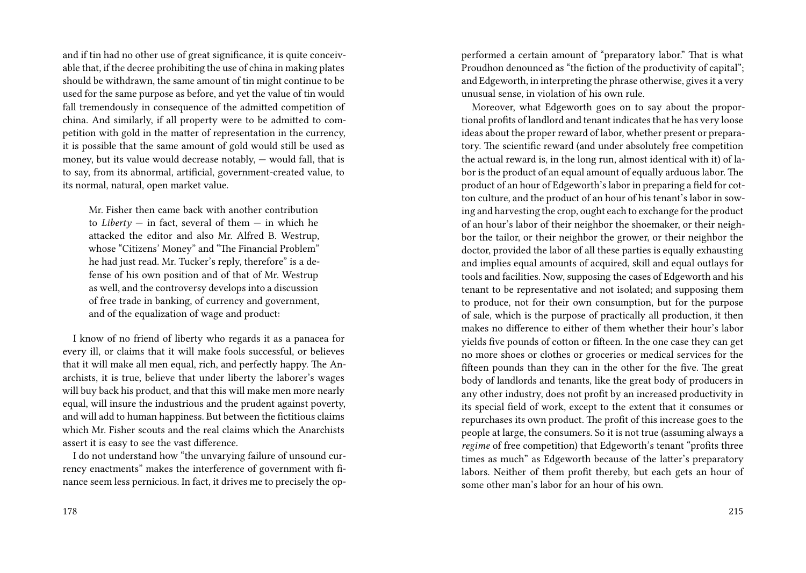and if tin had no other use of great significance, it is quite conceivable that, if the decree prohibiting the use of china in making plates should be withdrawn, the same amount of tin might continue to be used for the same purpose as before, and yet the value of tin would fall tremendously in consequence of the admitted competition of china. And similarly, if all property were to be admitted to competition with gold in the matter of representation in the currency, it is possible that the same amount of gold would still be used as money, but its value would decrease notably, — would fall, that is to say, from its abnormal, artificial, government-created value, to its normal, natural, open market value.

Mr. Fisher then came back with another contribution to *Liberty*  $-$  in fact, several of them  $-$  in which he attacked the editor and also Mr. Alfred B. Westrup, whose "Citizens' Money" and "The Financial Problem" he had just read. Mr. Tucker's reply, therefore" is a defense of his own position and of that of Mr. Westrup as well, and the controversy develops into a discussion of free trade in banking, of currency and government, and of the equalization of wage and product:

I know of no friend of liberty who regards it as a panacea for every ill, or claims that it will make fools successful, or believes that it will make all men equal, rich, and perfectly happy. The Anarchists, it is true, believe that under liberty the laborer's wages will buy back his product, and that this will make men more nearly equal, will insure the industrious and the prudent against poverty, and will add to human happiness. But between the fictitious claims which Mr. Fisher scouts and the real claims which the Anarchists assert it is easy to see the vast difference.

I do not understand how "the unvarying failure of unsound currency enactments" makes the interference of government with finance seem less pernicious. In fact, it drives me to precisely the opperformed a certain amount of "preparatory labor." That is what Proudhon denounced as "the fiction of the productivity of capital"; and Edgeworth, in interpreting the phrase otherwise, gives it a very unusual sense, in violation of his own rule.

Moreover, what Edgeworth goes on to say about the proportional profits of landlord and tenant indicates that he has very loose ideas about the proper reward of labor, whether present or preparatory. The scientific reward (and under absolutely free competition the actual reward is, in the long run, almost identical with it) of labor is the product of an equal amount of equally arduous labor. The product of an hour of Edgeworth's labor in preparing a field for cotton culture, and the product of an hour of his tenant's labor in sowing and harvesting the crop, ought each to exchange for the product of an hour's labor of their neighbor the shoemaker, or their neighbor the tailor, or their neighbor the grower, or their neighbor the doctor, provided the labor of all these parties is equally exhausting and implies equal amounts of acquired, skill and equal outlays for tools and facilities. Now, supposing the cases of Edgeworth and his tenant to be representative and not isolated; and supposing them to produce, not for their own consumption, but for the purpose of sale, which is the purpose of practically all production, it then makes no difference to either of them whether their hour's labor yields five pounds of cotton or fifteen. In the one case they can get no more shoes or clothes or groceries or medical services for the fifteen pounds than they can in the other for the five. The great body of landlords and tenants, like the great body of producers in any other industry, does not profit by an increased productivity in its special field of work, except to the extent that it consumes or repurchases its own product. The profit of this increase goes to the people at large, the consumers. So it is not true (assuming always a *regime* of free competition) that Edgeworth's tenant "profits three times as much" as Edgeworth because of the latter's preparatory labors. Neither of them profit thereby, but each gets an hour of some other man's labor for an hour of his own.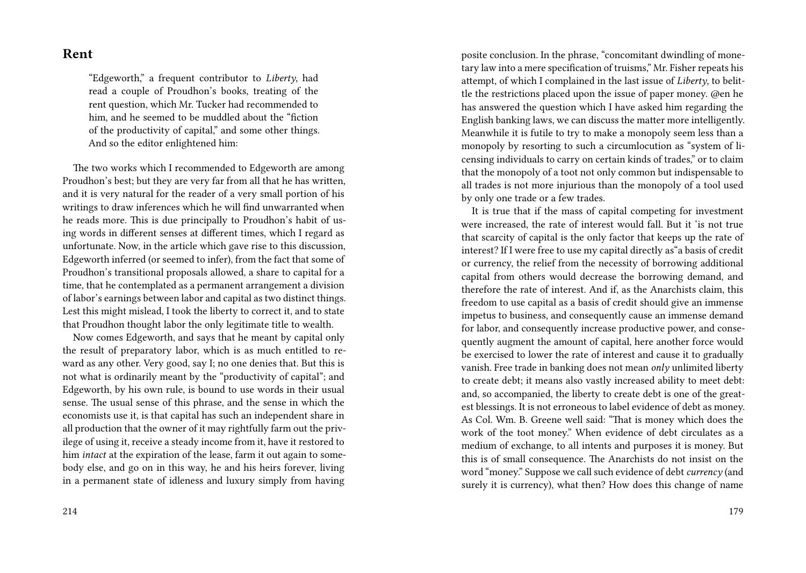#### **Rent**

"Edgeworth," a frequent contributor to *Liberty*, had read a couple of Proudhon's books, treating of the rent question, which Mr. Tucker had recommended to him, and he seemed to be muddled about the "fiction of the productivity of capital," and some other things. And so the editor enlightened him:

The two works which I recommended to Edgeworth are among Proudhon's best; but they are very far from all that he has written, and it is very natural for the reader of a very small portion of his writings to draw inferences which he will find unwarranted when he reads more. This is due principally to Proudhon's habit of using words in different senses at different times, which I regard as unfortunate. Now, in the article which gave rise to this discussion, Edgeworth inferred (or seemed to infer), from the fact that some of Proudhon's transitional proposals allowed, a share to capital for a time, that he contemplated as a permanent arrangement a division of labor's earnings between labor and capital as two distinct things. Lest this might mislead, I took the liberty to correct it, and to state that Proudhon thought labor the only legitimate title to wealth.

Now comes Edgeworth, and says that he meant by capital only the result of preparatory labor, which is as much entitled to reward as any other. Very good, say I; no one denies that. But this is not what is ordinarily meant by the "productivity of capital"; and Edgeworth, by his own rule, is bound to use words in their usual sense. The usual sense of this phrase, and the sense in which the economists use it, is that capital has such an independent share in all production that the owner of it may rightfully farm out the privilege of using it, receive a steady income from it, have it restored to him *intact* at the expiration of the lease, farm it out again to somebody else, and go on in this way, he and his heirs forever, living in a permanent state of idleness and luxury simply from having posite conclusion. In the phrase, "concomitant dwindling of monetary law into a mere specification of truisms," Mr. Fisher repeats his attempt, of which I complained in the last issue of *Liberty*, to belittle the restrictions placed upon the issue of paper money. @en he has answered the question which I have asked him regarding the English banking laws, we can discuss the matter more intelligently. Meanwhile it is futile to try to make a monopoly seem less than a monopoly by resorting to such a circumlocution as "system of licensing individuals to carry on certain kinds of trades," or to claim that the monopoly of a toot not only common but indispensable to all trades is not more injurious than the monopoly of a tool used by only one trade or a few trades.

It is true that if the mass of capital competing for investment were increased, the rate of interest would fall. But it 'is not true that scarcity of capital is the only factor that keeps up the rate of interest? If I were free to use my capital directly as"a basis of credit or currency, the relief from the necessity of borrowing additional capital from others would decrease the borrowing demand, and therefore the rate of interest. And if, as the Anarchists claim, this freedom to use capital as a basis of credit should give an immense impetus to business, and consequently cause an immense demand for labor, and consequently increase productive power, and consequently augment the amount of capital, here another force would be exercised to lower the rate of interest and cause it to gradually vanish. Free trade in banking does not mean *only* unlimited liberty to create debt; it means also vastly increased ability to meet debt: and, so accompanied, the liberty to create debt is one of the greatest blessings. It is not erroneous to label evidence of debt as money. As Col. Wm. B. Greene well said: "That is money which does the work of the toot money." When evidence of debt circulates as a medium of exchange, to all intents and purposes it is money. But this is of small consequence. The Anarchists do not insist on the word "money." Suppose we call such evidence of debt *currency* (and surely it is currency), what then? How does this change of name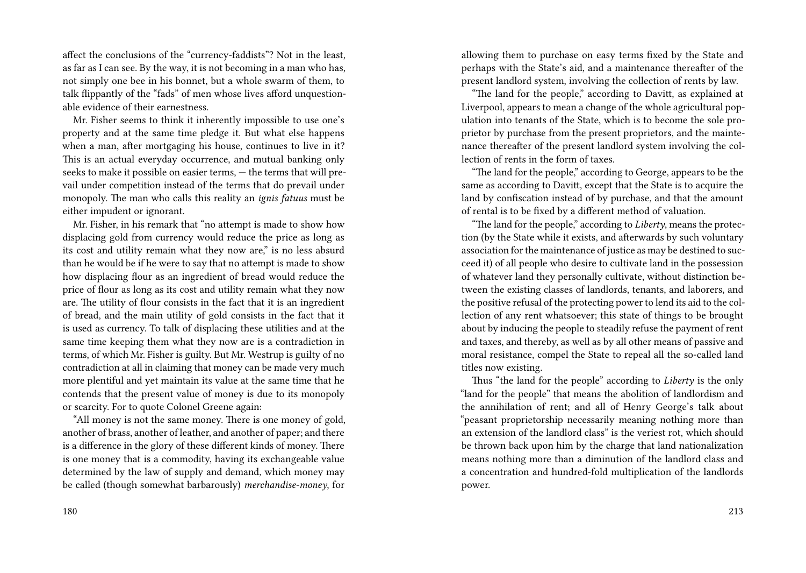affect the conclusions of the "currency-faddists"? Not in the least, as far as I can see. By the way, it is not becoming in a man who has, not simply one bee in his bonnet, but a whole swarm of them, to talk flippantly of the "fads" of men whose lives afford unquestionable evidence of their earnestness.

Mr. Fisher seems to think it inherently impossible to use one's property and at the same time pledge it. But what else happens when a man, after mortgaging his house, continues to live in it? This is an actual everyday occurrence, and mutual banking only seeks to make it possible on easier terms, — the terms that will prevail under competition instead of the terms that do prevail under monopoly. The man who calls this reality an *ignis fatuus* must be either impudent or ignorant.

Mr. Fisher, in his remark that "no attempt is made to show how displacing gold from currency would reduce the price as long as its cost and utility remain what they now are," is no less absurd than he would be if he were to say that no attempt is made to show how displacing flour as an ingredient of bread would reduce the price of flour as long as its cost and utility remain what they now are. The utility of flour consists in the fact that it is an ingredient of bread, and the main utility of gold consists in the fact that it is used as currency. To talk of displacing these utilities and at the same time keeping them what they now are is a contradiction in terms, of which Mr. Fisher is guilty. But Mr. Westrup is guilty of no contradiction at all in claiming that money can be made very much more plentiful and yet maintain its value at the same time that he contends that the present value of money is due to its monopoly or scarcity. For to quote Colonel Greene again:

"All money is not the same money. There is one money of gold, another of brass, another of leather, and another of paper; and there is a difference in the glory of these different kinds of money. There is one money that is a commodity, having its exchangeable value determined by the law of supply and demand, which money may be called (though somewhat barbarously) *merchandise-money*, for allowing them to purchase on easy terms fixed by the State and perhaps with the State's aid, and a maintenance thereafter of the present landlord system, involving the collection of rents by law.

"The land for the people," according to Davitt, as explained at Liverpool, appears to mean a change of the whole agricultural population into tenants of the State, which is to become the sole proprietor by purchase from the present proprietors, and the maintenance thereafter of the present landlord system involving the collection of rents in the form of taxes.

"The land for the people," according to George, appears to be the same as according to Davitt, except that the State is to acquire the land by confiscation instead of by purchase, and that the amount of rental is to be fixed by a different method of valuation.

"The land for the people," according to *Liberty*, means the protection (by the State while it exists, and afterwards by such voluntary association for the maintenance of justice as may be destined to succeed it) of all people who desire to cultivate land in the possession of whatever land they personally cultivate, without distinction between the existing classes of landlords, tenants, and laborers, and the positive refusal of the protecting power to lend its aid to the collection of any rent whatsoever; this state of things to be brought about by inducing the people to steadily refuse the payment of rent and taxes, and thereby, as well as by all other means of passive and moral resistance, compel the State to repeal all the so-called land titles now existing.

Thus "the land for the people" according to *Liberty* is the only "land for the people" that means the abolition of landlordism and the annihilation of rent; and all of Henry George's talk about "peasant proprietorship necessarily meaning nothing more than an extension of the landlord class" is the veriest rot, which should be thrown back upon him by the charge that land nationalization means nothing more than a diminution of the landlord class and a concentration and hundred-fold multiplication of the landlords power.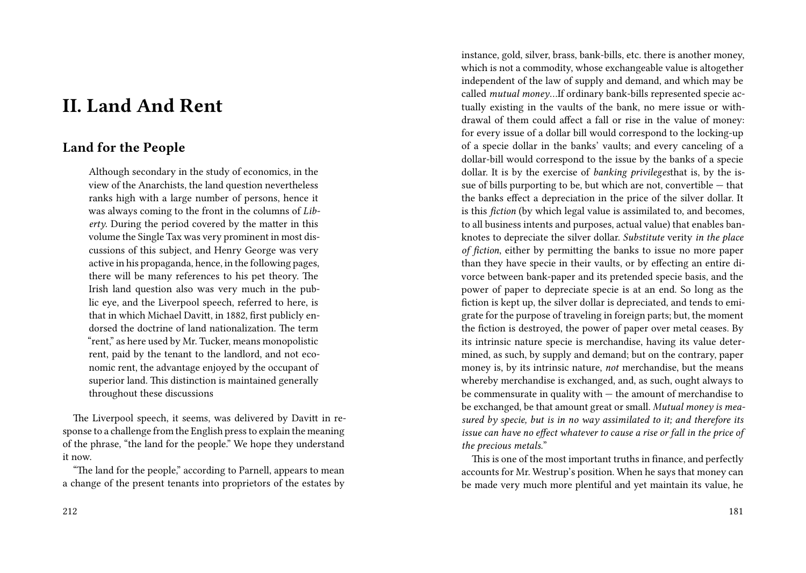# **II. Land And Rent**

# **Land for the People**

Although secondary in the study of economics, in the view of the Anarchists, the land question nevertheless ranks high with a large number of persons, hence it was always coming to the front in the columns of *Liberty*. During the period covered by the matter in this volume the Single Tax was very prominent in most discussions of this subject, and Henry George was very active in his propaganda, hence, in the following pages, there will be many references to his pet theory. The Irish land question also was very much in the public eye, and the Liverpool speech, referred to here, is that in which Michael Davitt, in 1882, first publicly endorsed the doctrine of land nationalization. The term "rent," as here used by Mr. Tucker, means monopolistic rent, paid by the tenant to the landlord, and not economic rent, the advantage enjoyed by the occupant of superior land. This distinction is maintained generally throughout these discussions

The Liverpool speech, it seems, was delivered by Davitt in response to a challenge from the English press to explain the meaning of the phrase, "the land for the people." We hope they understand it now.

"The land for the people," according to Parnell, appears to mean a change of the present tenants into proprietors of the estates by instance, gold, silver, brass, bank-bills, etc. there is another money, which is not a commodity, whose exchangeable value is altogether independent of the law of supply and demand, and which may be called *mutual money*…If ordinary bank-bills represented specie actually existing in the vaults of the bank, no mere issue or withdrawal of them could affect a fall or rise in the value of money: for every issue of a dollar bill would correspond to the locking-up of a specie dollar in the banks' vaults; and every canceling of a dollar-bill would correspond to the issue by the banks of a specie dollar. It is by the exercise of *banking privileges*that is, by the issue of bills purporting to be, but which are not, convertible — that the banks effect a depreciation in the price of the silver dollar. It is this *fiction* (by which legal value is assimilated to, and becomes, to all business intents and purposes, actual value) that enables banknotes to depreciate the silver dollar. *Substitute* verity *in the place of fiction*, either by permitting the banks to issue no more paper than they have specie in their vaults, or by effecting an entire divorce between bank-paper and its pretended specie basis, and the power of paper to depreciate specie is at an end. So long as the fiction is kept up, the silver dollar is depreciated, and tends to emigrate for the purpose of traveling in foreign parts; but, the moment the fiction is destroyed, the power of paper over metal ceases. By its intrinsic nature specie is merchandise, having its value determined, as such, by supply and demand; but on the contrary, paper money is, by its intrinsic nature, *not* merchandise, but the means whereby merchandise is exchanged, and, as such, ought always to be commensurate in quality with  $-$  the amount of merchandise to be exchanged, be that amount great or small. *Mutual money is measured by specie, but is in no way assimilated to it; and therefore its issue can have no effect whatever to cause a rise or fall in the price of the precious metals.*"

This is one of the most important truths in finance, and perfectly accounts for Mr. Westrup's position. When he says that money can be made very much more plentiful and yet maintain its value, he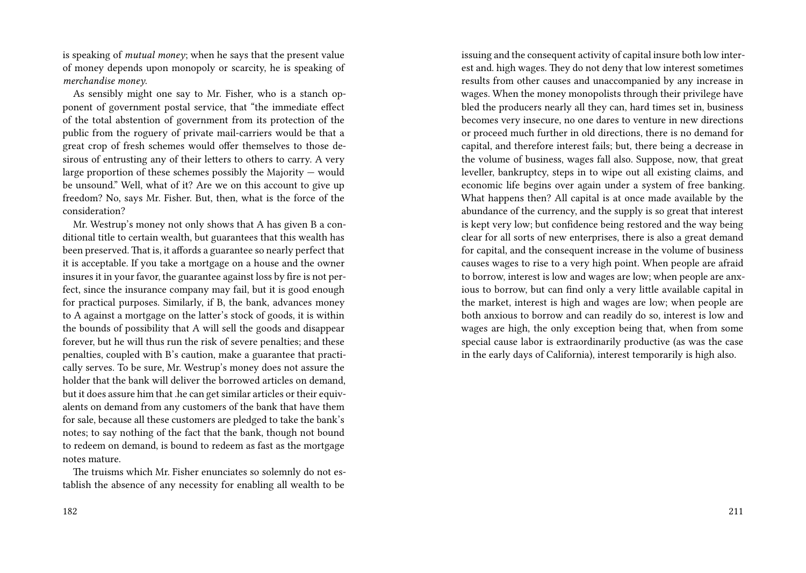is speaking of *mutual money*; when he says that the present value of money depends upon monopoly or scarcity, he is speaking of *merchandise money*.

As sensibly might one say to Mr. Fisher, who is a stanch opponent of government postal service, that "the immediate effect of the total abstention of government from its protection of the public from the roguery of private mail-carriers would be that a great crop of fresh schemes would offer themselves to those desirous of entrusting any of their letters to others to carry. A very large proportion of these schemes possibly the Majority — would be unsound." Well, what of it? Are we on this account to give up freedom? No, says Mr. Fisher. But, then, what is the force of the consideration?

Mr. Westrup's money not only shows that A has given B a conditional title to certain wealth, but guarantees that this wealth has been preserved. That is, it affords a guarantee so nearly perfect that it is acceptable. If you take a mortgage on a house and the owner insures it in your favor, the guarantee against loss by fire is not perfect, since the insurance company may fail, but it is good enough for practical purposes. Similarly, if B, the bank, advances money to A against a mortgage on the latter's stock of goods, it is within the bounds of possibility that A will sell the goods and disappear forever, but he will thus run the risk of severe penalties; and these penalties, coupled with B's caution, make a guarantee that practically serves. To be sure, Mr. Westrup's money does not assure the holder that the bank will deliver the borrowed articles on demand, but it does assure him that .he can get similar articles or their equivalents on demand from any customers of the bank that have them for sale, because all these customers are pledged to take the bank's notes; to say nothing of the fact that the bank, though not bound to redeem on demand, is bound to redeem as fast as the mortgage notes mature.

The truisms which Mr. Fisher enunciates so solemnly do not establish the absence of any necessity for enabling all wealth to be issuing and the consequent activity of capital insure both low interest and. high wages. They do not deny that low interest sometimes results from other causes and unaccompanied by any increase in wages. When the money monopolists through their privilege have bled the producers nearly all they can, hard times set in, business becomes very insecure, no one dares to venture in new directions or proceed much further in old directions, there is no demand for capital, and therefore interest fails; but, there being a decrease in the volume of business, wages fall also. Suppose, now, that great leveller, bankruptcy, steps in to wipe out all existing claims, and economic life begins over again under a system of free banking. What happens then? All capital is at once made available by the abundance of the currency, and the supply is so great that interest is kept very low; but confidence being restored and the way being clear for all sorts of new enterprises, there is also a great demand for capital, and the consequent increase in the volume of business causes wages to rise to a very high point. When people are afraid to borrow, interest is low and wages are low; when people are anxious to borrow, but can find only a very little available capital in the market, interest is high and wages are low; when people are both anxious to borrow and can readily do so, interest is low and wages are high, the only exception being that, when from some special cause labor is extraordinarily productive (as was the case in the early days of California), interest temporarily is high also.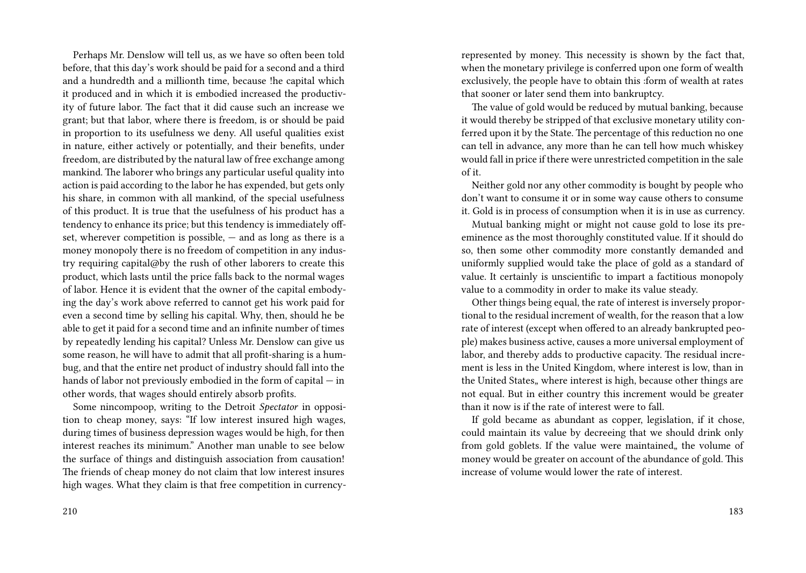Perhaps Mr. Denslow will tell us, as we have so often been told before, that this day's work should be paid for a second and a third and a hundredth and a millionth time, because !he capital which it produced and in which it is embodied increased the productivity of future labor. The fact that it did cause such an increase we grant; but that labor, where there is freedom, is or should be paid in proportion to its usefulness we deny. All useful qualities exist in nature, either actively or potentially, and their benefits, under freedom, are distributed by the natural law of free exchange among mankind. The laborer who brings any particular useful quality into action is paid according to the labor he has expended, but gets only his share, in common with all mankind, of the special usefulness of this product. It is true that the usefulness of his product has a tendency to enhance its price; but this tendency is immediately offset, wherever competition is possible,  $-$  and as long as there is a money monopoly there is no freedom of competition in any industry requiring capital@by the rush of other laborers to create this product, which lasts until the price falls back to the normal wages of labor. Hence it is evident that the owner of the capital embodying the day's work above referred to cannot get his work paid for even a second time by selling his capital. Why, then, should he be able to get it paid for a second time and an infinite number of times by repeatedly lending his capital? Unless Mr. Denslow can give us some reason, he will have to admit that all profit-sharing is a humbug, and that the entire net product of industry should fall into the hands of labor not previously embodied in the form of capital — in other words, that wages should entirely absorb profits.

Some nincompoop, writing to the Detroit *Spectator* in opposition to cheap money, says: "If low interest insured high wages, during times of business depression wages would be high, for then interest reaches its minimum." Another man unable to see below the surface of things and distinguish association from causation! The friends of cheap money do not claim that low interest insures high wages. What they claim is that free competition in currency-

represented by money. This necessity is shown by the fact that, when the monetary privilege is conferred upon one form of wealth exclusively, the people have to obtain this :form of wealth at rates that sooner or later send them into bankruptcy.

The value of gold would be reduced by mutual banking, because it would thereby be stripped of that exclusive monetary utility conferred upon it by the State. The percentage of this reduction no one can tell in advance, any more than he can tell how much whiskey would fall in price if there were unrestricted competition in the sale of it.

Neither gold nor any other commodity is bought by people who don't want to consume it or in some way cause others to consume it. Gold is in process of consumption when it is in use as currency.

Mutual banking might or might not cause gold to lose its preeminence as the most thoroughly constituted value. If it should do so, then some other commodity more constantly demanded and uniformly supplied would take the place of gold as a standard of value. It certainly is unscientific to impart a factitious monopoly value to a commodity in order to make its value steady.

Other things being equal, the rate of interest is inversely proportional to the residual increment of wealth, for the reason that a low rate of interest (except when offered to an already bankrupted people) makes business active, causes a more universal employment of labor, and thereby adds to productive capacity. The residual increment is less in the United Kingdom, where interest is low, than in the United States, where interest is high, because other things are not equal. But in either country this increment would be greater than it now is if the rate of interest were to fall.

If gold became as abundant as copper, legislation, if it chose, could maintain its value by decreeing that we should drink only from gold goblets. If the value were maintained, the volume of money would be greater on account of the abundance of gold. This increase of volume would lower the rate of interest.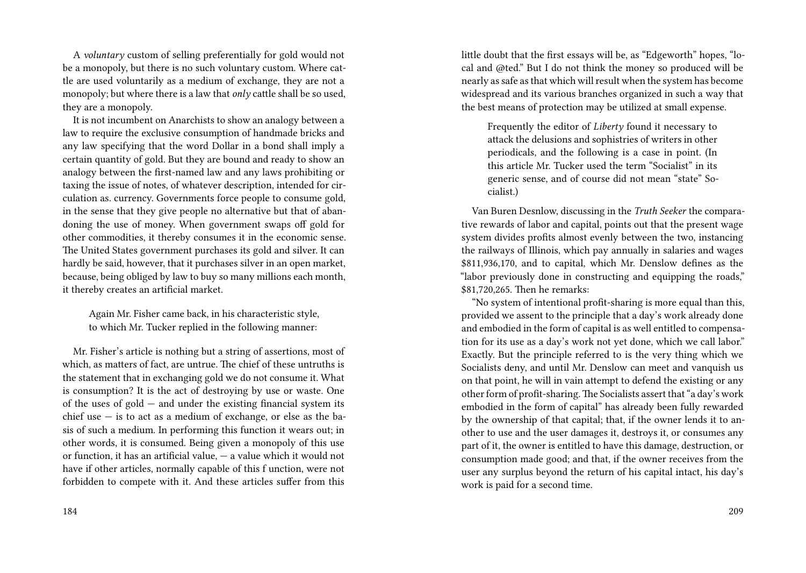A *voluntary* custom of selling preferentially for gold would not be a monopoly, but there is no such voluntary custom. Where cattle are used voluntarily as a medium of exchange, they are not a monopoly; but where there is a law that *only* cattle shall be so used, they are a monopoly.

It is not incumbent on Anarchists to show an analogy between a law to require the exclusive consumption of handmade bricks and any law specifying that the word Dollar in a bond shall imply a certain quantity of gold. But they are bound and ready to show an analogy between the first-named law and any laws prohibiting or taxing the issue of notes, of whatever description, intended for circulation as. currency. Governments force people to consume gold, in the sense that they give people no alternative but that of abandoning the use of money. When government swaps off gold for other commodities, it thereby consumes it in the economic sense. The United States government purchases its gold and silver. It can hardly be said, however, that it purchases silver in an open market, because, being obliged by law to buy so many millions each month, it thereby creates an artificial market.

Again Mr. Fisher came back, in his characteristic style, to which Mr. Tucker replied in the following manner:

Mr. Fisher's article is nothing but a string of assertions, most of which, as matters of fact, are untrue. The chief of these untruths is the statement that in exchanging gold we do not consume it. What is consumption? It is the act of destroying by use or waste. One of the uses of gold  $-$  and under the existing financial system its chief use  $-$  is to act as a medium of exchange, or else as the basis of such a medium. In performing this function it wears out; in other words, it is consumed. Being given a monopoly of this use or function, it has an artificial value, — a value which it would not have if other articles, normally capable of this f unction, were not forbidden to compete with it. And these articles suffer from this little doubt that the first essays will be, as "Edgeworth" hopes, "local and @ted." But I do not think the money so produced will be nearly as safe as that which will result when the system has become widespread and its various branches organized in such a way that the best means of protection may be utilized at small expense.

Frequently the editor of *Liberty* found it necessary to attack the delusions and sophistries of writers in other periodicals, and the following is a case in point. (In this article Mr. Tucker used the term "Socialist" in its generic sense, and of course did not mean "state" Socialist.)

Van Buren Desnlow, discussing in the *Truth Seeker* the comparative rewards of labor and capital, points out that the present wage system divides profits almost evenly between the two, instancing the railways of Illinois, which pay annually in salaries and wages \$811,936,170, and to capital, which Mr. Denslow defines as the "labor previously done in constructing and equipping the roads," \$81,720,265. Then he remarks:

"No system of intentional profit-sharing is more equal than this, provided we assent to the principle that a day's work already done and embodied in the form of capital is as well entitled to compensation for its use as a day's work not yet done, which we call labor." Exactly. But the principle referred to is the very thing which we Socialists deny, and until Mr. Denslow can meet and vanquish us on that point, he will in vain attempt to defend the existing or any other form of profit-sharing.The Socialists assert that "a day's work embodied in the form of capital" has already been fully rewarded by the ownership of that capital; that, if the owner lends it to another to use and the user damages it, destroys it, or consumes any part of it, the owner is entitled to have this damage, destruction, or consumption made good; and that, if the owner receives from the user any surplus beyond the return of his capital intact, his day's work is paid for a second time.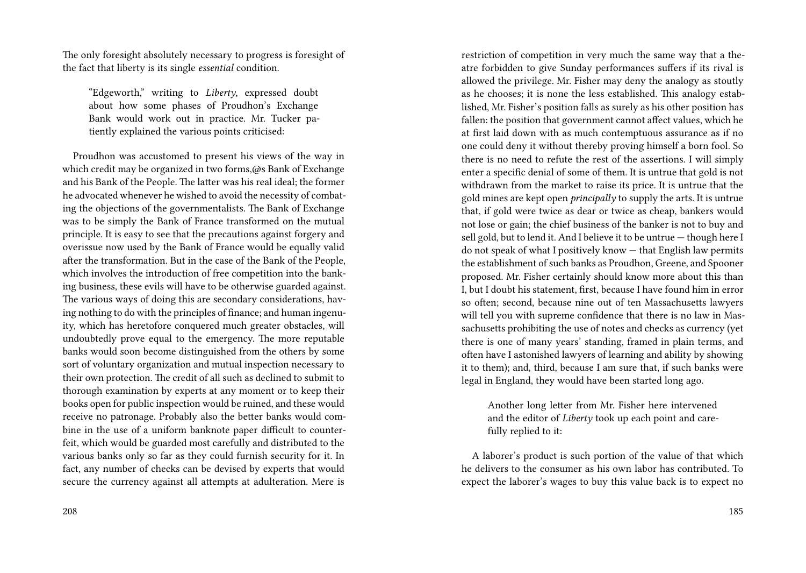The only foresight absolutely necessary to progress is foresight of the fact that liberty is its single *essential* condition.

"Edgeworth," writing to *Liberty*, expressed doubt about how some phases of Proudhon's Exchange Bank would work out in practice. Mr. Tucker patiently explained the various points criticised:

Proudhon was accustomed to present his views of the way in which credit may be organized in two forms, @s Bank of Exchange and his Bank of the People. The latter was his real ideal; the former he advocated whenever he wished to avoid the necessity of combating the objections of the governmentalists. The Bank of Exchange was to be simply the Bank of France transformed on the mutual principle. It is easy to see that the precautions against forgery and overissue now used by the Bank of France would be equally valid after the transformation. But in the case of the Bank of the People, which involves the introduction of free competition into the banking business, these evils will have to be otherwise guarded against. The various ways of doing this are secondary considerations, having nothing to do with the principles of finance; and human ingenuity, which has heretofore conquered much greater obstacles, will undoubtedly prove equal to the emergency. The more reputable banks would soon become distinguished from the others by some sort of voluntary organization and mutual inspection necessary to their own protection. The credit of all such as declined to submit to thorough examination by experts at any moment or to keep their books open for public inspection would be ruined, and these would receive no patronage. Probably also the better banks would combine in the use of a uniform banknote paper difficult to counterfeit, which would be guarded most carefully and distributed to the various banks only so far as they could furnish security for it. In fact, any number of checks can be devised by experts that would secure the currency against all attempts at adulteration. Mere is

208

restriction of competition in very much the same way that a theatre forbidden to give Sunday performances suffers if its rival is allowed the privilege. Mr. Fisher may deny the analogy as stoutly as he chooses; it is none the less established. This analogy established, Mr. Fisher's position falls as surely as his other position has fallen: the position that government cannot affect values, which he at first laid down with as much contemptuous assurance as if no one could deny it without thereby proving himself a born fool. So there is no need to refute the rest of the assertions. I will simply enter a specific denial of some of them. It is untrue that gold is not withdrawn from the market to raise its price. It is untrue that the gold mines are kept open *principally* to supply the arts. It is untrue that, if gold were twice as dear or twice as cheap, bankers would not lose or gain; the chief business of the banker is not to buy and sell gold, but to lend it. And I believe it to be untrue — though here I do not speak of what I positively know — that English law permits the establishment of such banks as Proudhon, Greene, and Spooner proposed. Mr. Fisher certainly should know more about this than I, but I doubt his statement, first, because I have found him in error so often; second, because nine out of ten Massachusetts lawyers will tell you with supreme confidence that there is no law in Massachusetts prohibiting the use of notes and checks as currency (yet there is one of many years' standing, framed in plain terms, and often have I astonished lawyers of learning and ability by showing it to them); and, third, because I am sure that, if such banks were legal in England, they would have been started long ago.

Another long letter from Mr. Fisher here intervened and the editor of *Liberty* took up each point and carefully replied to it:

A laborer's product is such portion of the value of that which he delivers to the consumer as his own labor has contributed. To expect the laborer's wages to buy this value back is to expect no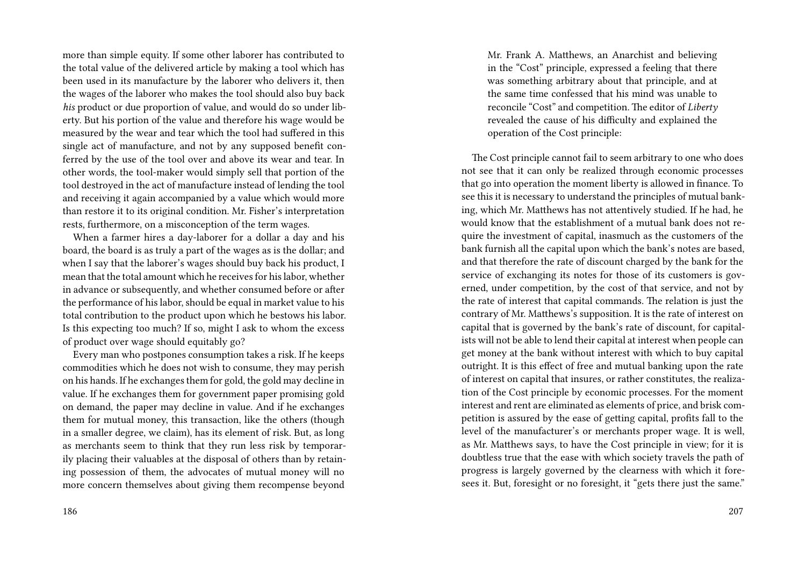more than simple equity. If some other laborer has contributed to the total value of the delivered article by making a tool which has been used in its manufacture by the laborer who delivers it, then the wages of the laborer who makes the tool should also buy back *his* product or due proportion of value, and would do so under liberty. But his portion of the value and therefore his wage would be measured by the wear and tear which the tool had suffered in this single act of manufacture, and not by any supposed benefit conferred by the use of the tool over and above its wear and tear. In other words, the tool-maker would simply sell that portion of the tool destroyed in the act of manufacture instead of lending the tool and receiving it again accompanied by a value which would more than restore it to its original condition. Mr. Fisher's interpretation rests, furthermore, on a misconception of the term wages.

When a farmer hires a day-laborer for a dollar a day and his board, the board is as truly a part of the wages as is the dollar; and when I say that the laborer's wages should buy back his product, I mean that the total amount which he receives for his labor, whether in advance or subsequently, and whether consumed before or after the performance of his labor, should be equal in market value to his total contribution to the product upon which he bestows his labor. Is this expecting too much? If so, might I ask to whom the excess of product over wage should equitably go?

Every man who postpones consumption takes a risk. If he keeps commodities which he does not wish to consume, they may perish on his hands. If he exchanges them for gold, the gold may decline in value. If he exchanges them for government paper promising gold on demand, the paper may decline in value. And if he exchanges them for mutual money, this transaction, like the others (though in a smaller degree, we claim), has its element of risk. But, as long as merchants seem to think that they run less risk by temporarily placing their valuables at the disposal of others than by retaining possession of them, the advocates of mutual money will no more concern themselves about giving them recompense beyond

Mr. Frank A. Matthews, an Anarchist and believing in the "Cost" principle, expressed a feeling that there was something arbitrary about that principle, and at the same time confessed that his mind was unable to reconcile "Cost" and competition. The editor of *Liberty* revealed the cause of his difficulty and explained the operation of the Cost principle:

The Cost principle cannot fail to seem arbitrary to one who does not see that it can only be realized through economic processes that go into operation the moment liberty is allowed in finance. To see this it is necessary to understand the principles of mutual banking, which Mr. Matthews has not attentively studied. If he had, he would know that the establishment of a mutual bank does not require the investment of capital, inasmuch as the customers of the bank furnish all the capital upon which the bank's notes are based, and that therefore the rate of discount charged by the bank for the service of exchanging its notes for those of its customers is governed, under competition, by the cost of that service, and not by the rate of interest that capital commands. The relation is just the contrary of Mr. Matthews's supposition. It is the rate of interest on capital that is governed by the bank's rate of discount, for capitalists will not be able to lend their capital at interest when people can get money at the bank without interest with which to buy capital outright. It is this effect of free and mutual banking upon the rate of interest on capital that insures, or rather constitutes, the realization of the Cost principle by economic processes. For the moment interest and rent are eliminated as elements of price, and brisk competition is assured by the ease of getting capital, profits fall to the level of the manufacturer's or merchants proper wage. It is well, as Mr. Matthews says, to have the Cost principle in view; for it is doubtless true that the ease with which society travels the path of progress is largely governed by the clearness with which it foresees it. But, foresight or no foresight, it "gets there just the same."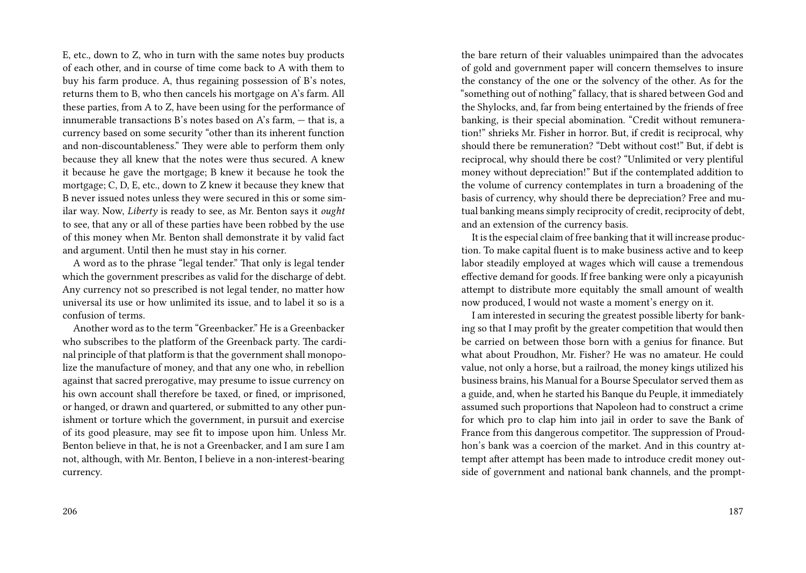E, etc., down to Z, who in turn with the same notes buy products of each other, and in course of time come back to A with them to buy his farm produce. A, thus regaining possession of B's notes, returns them to B, who then cancels his mortgage on A's farm. All these parties, from A to Z, have been using for the performance of innumerable transactions B's notes based on A's farm, — that is, a currency based on some security "other than its inherent function and non-discountableness." They were able to perform them only because they all knew that the notes were thus secured. A knew it because he gave the mortgage; B knew it because he took the mortgage; C, D, E, etc., down to Z knew it because they knew that B never issued notes unless they were secured in this or some similar way. Now, *Liberty* is ready to see, as Mr. Benton says it *ought* to see, that any or all of these parties have been robbed by the use of this money when Mr. Benton shall demonstrate it by valid fact and argument. Until then he must stay in his corner.

A word as to the phrase "legal tender." That only is legal tender which the government prescribes as valid for the discharge of debt. Any currency not so prescribed is not legal tender, no matter how universal its use or how unlimited its issue, and to label it so is a confusion of terms.

Another word as to the term "Greenbacker." He is a Greenbacker who subscribes to the platform of the Greenback party. The cardinal principle of that platform is that the government shall monopolize the manufacture of money, and that any one who, in rebellion against that sacred prerogative, may presume to issue currency on his own account shall therefore be taxed, or fined, or imprisoned, or hanged, or drawn and quartered, or submitted to any other punishment or torture which the government, in pursuit and exercise of its good pleasure, may see fit to impose upon him. Unless Mr. Benton believe in that, he is not a Greenbacker, and I am sure I am not, although, with Mr. Benton, I believe in a non-interest-bearing currency.

the bare return of their valuables unimpaired than the advocates of gold and government paper will concern themselves to insure the constancy of the one or the solvency of the other. As for the "something out of nothing" fallacy, that is shared between God and the Shylocks, and, far from being entertained by the friends of free banking, is their special abomination. "Credit without remuneration!" shrieks Mr. Fisher in horror. But, if credit is reciprocal, why should there be remuneration? "Debt without cost!" But, if debt is reciprocal, why should there be cost? "Unlimited or very plentiful money without depreciation!" But if the contemplated addition to the volume of currency contemplates in turn a broadening of the basis of currency, why should there be depreciation? Free and mutual banking means simply reciprocity of credit, reciprocity of debt, and an extension of the currency basis.

It is the especial claim of free banking that it will increase production. To make capital fluent is to make business active and to keep labor steadily employed at wages which will cause a tremendous effective demand for goods. If free banking were only a picayunish attempt to distribute more equitably the small amount of wealth now produced, I would not waste a moment's energy on it.

I am interested in securing the greatest possible liberty for banking so that I may profit by the greater competition that would then be carried on between those born with a genius for finance. But what about Proudhon, Mr. Fisher? He was no amateur. He could value, not only a horse, but a railroad, the money kings utilized his business brains, his Manual for a Bourse Speculator served them as a guide, and, when he started his Banque du Peuple, it immediately assumed such proportions that Napoleon had to construct a crime for which pro to clap him into jail in order to save the Bank of France from this dangerous competitor. The suppression of Proudhon's bank was a coercion of the market. And in this country attempt after attempt has been made to introduce credit money outside of government and national bank channels, and the prompt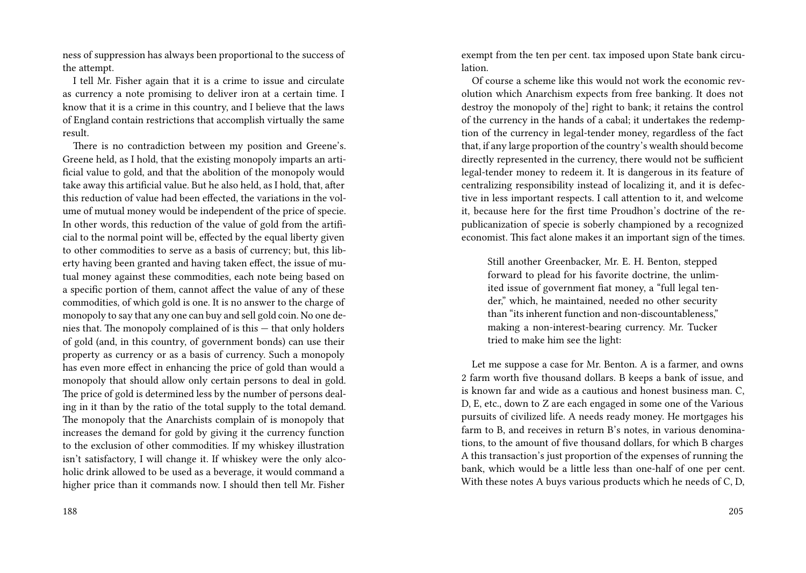ness of suppression has always been proportional to the success of the attempt.

I tell Mr. Fisher again that it is a crime to issue and circulate as currency a note promising to deliver iron at a certain time. I know that it is a crime in this country, and I believe that the laws of England contain restrictions that accomplish virtually the same result.

There is no contradiction between my position and Greene's. Greene held, as I hold, that the existing monopoly imparts an artificial value to gold, and that the abolition of the monopoly would take away this artificial value. But he also held, as I hold, that, after this reduction of value had been effected, the variations in the volume of mutual money would be independent of the price of specie. In other words, this reduction of the value of gold from the artificial to the normal point will be, effected by the equal liberty given to other commodities to serve as a basis of currency; but, this liberty having been granted and having taken effect, the issue of mutual money against these commodities, each note being based on a specific portion of them, cannot affect the value of any of these commodities, of which gold is one. It is no answer to the charge of monopoly to say that any one can buy and sell gold coin. No one denies that. The monopoly complained of is this — that only holders of gold (and, in this country, of government bonds) can use their property as currency or as a basis of currency. Such a monopoly has even more effect in enhancing the price of gold than would a monopoly that should allow only certain persons to deal in gold. The price of gold is determined less by the number of persons dealing in it than by the ratio of the total supply to the total demand. The monopoly that the Anarchists complain of is monopoly that increases the demand for gold by giving it the currency function to the exclusion of other commodities. If my whiskey illustration isn't satisfactory, I will change it. If whiskey were the only alcoholic drink allowed to be used as a beverage, it would command a higher price than it commands now. I should then tell Mr. Fisher

188

exempt from the ten per cent. tax imposed upon State bank circulation.

Of course a scheme like this would not work the economic revolution which Anarchism expects from free banking. It does not destroy the monopoly of the] right to bank; it retains the control of the currency in the hands of a cabal; it undertakes the redemption of the currency in legal-tender money, regardless of the fact that, if any large proportion of the country's wealth should become directly represented in the currency, there would not be sufficient legal-tender money to redeem it. It is dangerous in its feature of centralizing responsibility instead of localizing it, and it is defective in less important respects. I call attention to it, and welcome it, because here for the first time Proudhon's doctrine of the republicanization of specie is soberly championed by a recognized economist. This fact alone makes it an important sign of the times.

Still another Greenbacker, Mr. E. H. Benton, stepped forward to plead for his favorite doctrine, the unlimited issue of government fiat money, a "full legal tender," which, he maintained, needed no other security than "its inherent function and non-discountableness," making a non-interest-bearing currency. Mr. Tucker tried to make him see the light:

Let me suppose a case for Mr. Benton. A is a farmer, and owns 2 farm worth five thousand dollars. B keeps a bank of issue, and is known far and wide as a cautious and honest business man. C, D, E, etc., down to Z are each engaged in some one of the Various pursuits of civilized life. A needs ready money. He mortgages his farm to B, and receives in return B's notes, in various denominations, to the amount of five thousand dollars, for which B charges A this transaction's just proportion of the expenses of running the bank, which would be a little less than one-half of one per cent. With these notes A buys various products which he needs of C, D,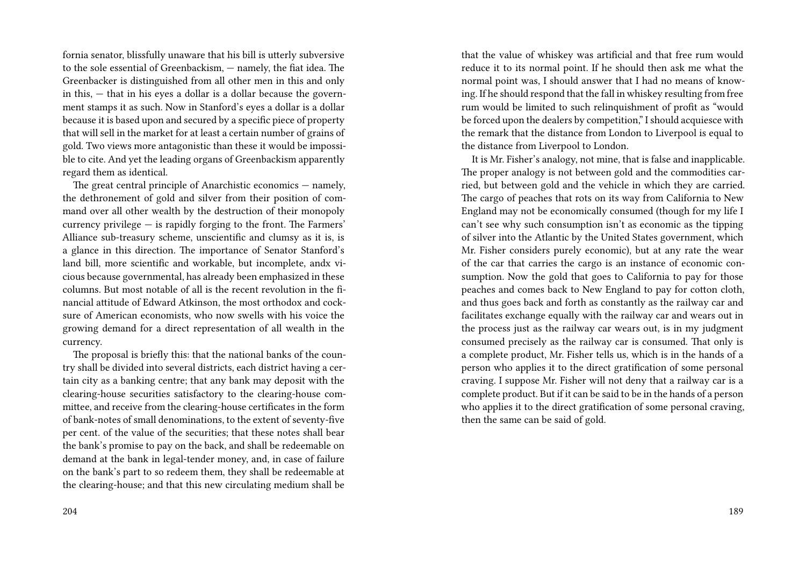fornia senator, blissfully unaware that his bill is utterly subversive to the sole essential of Greenbackism, — namely, the fiat idea. The Greenbacker is distinguished from all other men in this and only in this, — that in his eyes a dollar is a dollar because the government stamps it as such. Now in Stanford's eyes a dollar is a dollar because it is based upon and secured by a specific piece of property that will sell in the market for at least a certain number of grains of gold. Two views more antagonistic than these it would be impossible to cite. And yet the leading organs of Greenbackism apparently regard them as identical.

The great central principle of Anarchistic economics — namely, the dethronement of gold and silver from their position of command over all other wealth by the destruction of their monopoly currency privilege — is rapidly forging to the front. The Farmers' Alliance sub-treasury scheme, unscientific and clumsy as it is, is a glance in this direction. The importance of Senator Stanford's land bill, more scientific and workable, but incomplete, andx vicious because governmental, has already been emphasized in these columns. But most notable of all is the recent revolution in the financial attitude of Edward Atkinson, the most orthodox and cocksure of American economists, who now swells with his voice the growing demand for a direct representation of all wealth in the currency.

The proposal is briefly this: that the national banks of the country shall be divided into several districts, each district having a certain city as a banking centre; that any bank may deposit with the clearing-house securities satisfactory to the clearing-house committee, and receive from the clearing-house certificates in the form of bank-notes of small denominations, to the extent of seventy-five per cent. of the value of the securities; that these notes shall bear the bank's promise to pay on the back, and shall be redeemable on demand at the bank in legal-tender money, and, in case of failure on the bank's part to so redeem them, they shall be redeemable at the clearing-house; and that this new circulating medium shall be

that the value of whiskey was artificial and that free rum would reduce it to its normal point. If he should then ask me what the normal point was, I should answer that I had no means of knowing. If he should respond that the fall in whiskey resulting from free rum would be limited to such relinquishment of profit as "would be forced upon the dealers by competition," I should acquiesce with the remark that the distance from London to Liverpool is equal to the distance from Liverpool to London.

It is Mr. Fisher's analogy, not mine, that is false and inapplicable. The proper analogy is not between gold and the commodities carried, but between gold and the vehicle in which they are carried. The cargo of peaches that rots on its way from California to New England may not be economically consumed (though for my life I can't see why such consumption isn't as economic as the tipping of silver into the Atlantic by the United States government, which Mr. Fisher considers purely economic), but at any rate the wear of the car that carries the cargo is an instance of economic consumption. Now the gold that goes to California to pay for those peaches and comes back to New England to pay for cotton cloth, and thus goes back and forth as constantly as the railway car and facilitates exchange equally with the railway car and wears out in the process just as the railway car wears out, is in my judgment consumed precisely as the railway car is consumed. That only is a complete product, Mr. Fisher tells us, which is in the hands of a person who applies it to the direct gratification of some personal craving. I suppose Mr. Fisher will not deny that a railway car is a complete product. But if it can be said to be in the hands of a person who applies it to the direct gratification of some personal craving, then the same can be said of gold.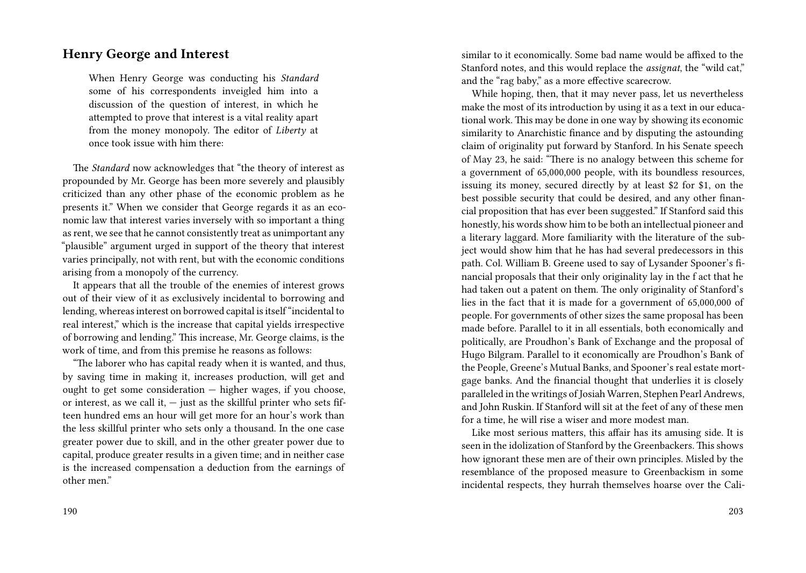## **Henry George and Interest**

When Henry George was conducting his *Standard* some of his correspondents inveigled him into a discussion of the question of interest, in which he attempted to prove that interest is a vital reality apart from the money monopoly. The editor of *Liberty* at once took issue with him there:

The *Standard* now acknowledges that "the theory of interest as propounded by Mr. George has been more severely and plausibly criticized than any other phase of the economic problem as he presents it." When we consider that George regards it as an economic law that interest varies inversely with so important a thing as rent, we see that he cannot consistently treat as unimportant any "plausible" argument urged in support of the theory that interest varies principally, not with rent, but with the economic conditions arising from a monopoly of the currency.

It appears that all the trouble of the enemies of interest grows out of their view of it as exclusively incidental to borrowing and lending, whereas interest on borrowed capital is itself "incidental to real interest," which is the increase that capital yields irrespective of borrowing and lending." This increase, Mr. George claims, is the work of time, and from this premise he reasons as follows:

"The laborer who has capital ready when it is wanted, and thus, by saving time in making it, increases production, will get and ought to get some consideration — higher wages, if you choose, or interest, as we call it,  $-$  just as the skillful printer who sets fifteen hundred ems an hour will get more for an hour's work than the less skillful printer who sets only a thousand. In the one case greater power due to skill, and in the other greater power due to capital, produce greater results in a given time; and in neither case is the increased compensation a deduction from the earnings of other men."

similar to it economically. Some bad name would be affixed to the Stanford notes, and this would replace the *assignat*, the "wild cat," and the "rag baby," as a more effective scarecrow.

While hoping, then, that it may never pass, let us nevertheless make the most of its introduction by using it as a text in our educational work. This may be done in one way by showing its economic similarity to Anarchistic finance and by disputing the astounding claim of originality put forward by Stanford. In his Senate speech of May 23, he said: "There is no analogy between this scheme for a government of 65,000,000 people, with its boundless resources, issuing its money, secured directly by at least \$2 for \$1, on the best possible security that could be desired, and any other financial proposition that has ever been suggested." If Stanford said this honestly, his words show him to be both an intellectual pioneer and a literary laggard. More familiarity with the literature of the subject would show him that he has had several predecessors in this path. Col. William B. Greene used to say of Lysander Spooner's financial proposals that their only originality lay in the f act that he had taken out a patent on them. The only originality of Stanford's lies in the fact that it is made for a government of 65,000,000 of people. For governments of other sizes the same proposal has been made before. Parallel to it in all essentials, both economically and politically, are Proudhon's Bank of Exchange and the proposal of Hugo Bilgram. Parallel to it economically are Proudhon's Bank of the People, Greene's Mutual Banks, and Spooner's real estate mortgage banks. And the financial thought that underlies it is closely paralleled in the writings of Josiah Warren, Stephen Pearl Andrews, and John Ruskin. If Stanford will sit at the feet of any of these men for a time, he will rise a wiser and more modest man.

Like most serious matters, this affair has its amusing side. It is seen in the idolization of Stanford by the Greenbackers. This shows how ignorant these men are of their own principles. Misled by the resemblance of the proposed measure to Greenbackism in some incidental respects, they hurrah themselves hoarse over the Cali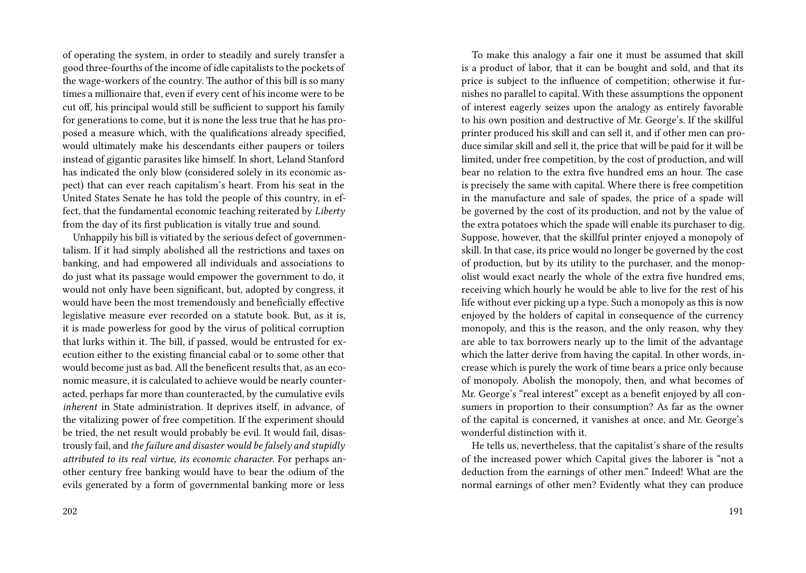of operating the system, in order to steadily and surely transfer a good three-fourths of the income of idle capitalists to the pockets of the wage-workers of the country. The author of this bill is so many times a millionaire that, even if every cent of his income were to be cut off, his principal would still be sufficient to support his family for generations to come, but it is none the less true that he has proposed a measure which, with the qualifications already specified, would ultimately make his descendants either paupers or toilers instead of gigantic parasites like himself. In short, Leland Stanford has indicated the only blow (considered solely in its economic aspect) that can ever reach capitalism's heart. From his seat in the United States Senate he has told the people of this country, in effect, that the fundamental economic teaching reiterated by *Liberty* from the day of its first publication is vitally true and sound.

Unhappily his bill is vitiated by the serious defect of governmentalism. If it had simply abolished all the restrictions and taxes on banking, and had empowered all individuals and associations to do just what its passage would empower the government to do, it would not only have been significant, but, adopted by congress, it would have been the most tremendously and beneficially effective legislative measure ever recorded on a statute book. But, as it is, it is made powerless for good by the virus of political corruption that lurks within it. The bill, if passed, would be entrusted for execution either to the existing financial cabal or to some other that would become just as bad. All the beneficent results that, as an economic measure, it is calculated to achieve would be nearly counteracted, perhaps far more than counteracted, by the cumulative evils *inherent* in State administration. It deprives itself, in advance, of the vitalizing power of free competition. If the experiment should be tried, the net result would probably be evil. It would fail, disastrously fail, and *the failure and disaster would be falsely and stupidly attributed to its real virtue, its economic character*. For perhaps another century free banking would have to bear the odium of the evils generated by a form of governmental banking more or less

To make this analogy a fair one it must be assumed that skill is a product of labor, that it can be bought and sold, and that its price is subject to the influence of competition; otherwise it furnishes no parallel to capital. With these assumptions the opponent of interest eagerly seizes upon the analogy as entirely favorable to his own position and destructive of Mr. George's. If the skillful printer produced his skill and can sell it, and if other men can produce similar skill and sell it, the price that will be paid for it will be limited, under free competition, by the cost of production, and will bear no relation to the extra five hundred ems an hour. The case is precisely the same with capital. Where there is free competition in the manufacture and sale of spades, the price of a spade will be governed by the cost of its production, and not by the value of the extra potatoes which the spade will enable its purchaser to dig. Suppose, however, that the skillful printer enjoyed a monopoly of skill. In that case, its price would no longer be governed by the cost of production, but by its utility to the purchaser, and the monopolist would exact nearly the whole of the extra five hundred ems, receiving which hourly he would be able to live for the rest of his life without ever picking up a type. Such a monopoly as this is now enjoyed by the holders of capital in consequence of the currency monopoly, and this is the reason, and the only reason, why they are able to tax borrowers nearly up to the limit of the advantage which the latter derive from having the capital. In other words, increase which is purely the work of time bears a price only because of monopoly. Abolish the monopoly, then, and what becomes of Mr. George's "real interest" except as a benefit enjoyed by all consumers in proportion to their consumption? As far as the owner of the capital is concerned, it vanishes at once, and Mr. George's wonderful distinction with it.

He tells us, nevertheless, that the capitalist's share of the results of the increased power which Capital gives the laborer is "not a deduction from the earnings of other men." Indeed! What are the normal earnings of other men? Evidently what they can produce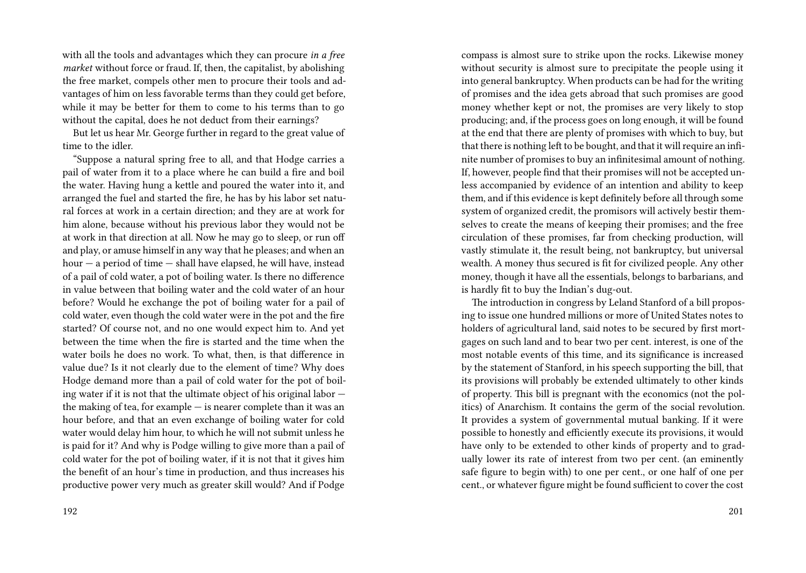with all the tools and advantages which they can procure *in a free market* without force or fraud. If, then, the capitalist, by abolishing the free market, compels other men to procure their tools and advantages of him on less favorable terms than they could get before, while it may be better for them to come to his terms than to go without the capital, does he not deduct from their earnings?

But let us hear Mr. George further in regard to the great value of time to the idler.

"Suppose a natural spring free to all, and that Hodge carries a pail of water from it to a place where he can build a fire and boil the water. Having hung a kettle and poured the water into it, and arranged the fuel and started the fire, he has by his labor set natural forces at work in a certain direction; and they are at work for him alone, because without his previous labor they would not be at work in that direction at all. Now he may go to sleep, or run off and play, or amuse himself in any way that he pleases; and when an hour  $-$  a period of time  $-$  shall have elapsed, he will have, instead of a pail of cold water, a pot of boiling water. Is there no difference in value between that boiling water and the cold water of an hour before? Would he exchange the pot of boiling water for a pail of cold water, even though the cold water were in the pot and the fire started? Of course not, and no one would expect him to. And yet between the time when the fire is started and the time when the water boils he does no work. To what, then, is that difference in value due? Is it not clearly due to the element of time? Why does Hodge demand more than a pail of cold water for the pot of boiling water if it is not that the ultimate object of his original labor the making of tea, for example — is nearer complete than it was an hour before, and that an even exchange of boiling water for cold water would delay him hour, to which he will not submit unless he is paid for it? And why is Podge willing to give more than a pail of cold water for the pot of boiling water, if it is not that it gives him the benefit of an hour's time in production, and thus increases his productive power very much as greater skill would? And if Podge compass is almost sure to strike upon the rocks. Likewise money without security is almost sure to precipitate the people using it into general bankruptcy. When products can be had for the writing of promises and the idea gets abroad that such promises are good money whether kept or not, the promises are very likely to stop producing; and, if the process goes on long enough, it will be found at the end that there are plenty of promises with which to buy, but that there is nothing left to be bought, and that it will require an infinite number of promises to buy an infinitesimal amount of nothing. If, however, people find that their promises will not be accepted unless accompanied by evidence of an intention and ability to keep them, and if this evidence is kept definitely before all through some system of organized credit, the promisors will actively bestir themselves to create the means of keeping their promises; and the free circulation of these promises, far from checking production, will vastly stimulate it, the result being, not bankruptcy, but universal wealth. A money thus secured is fit for civilized people. Any other money, though it have all the essentials, belongs to barbarians, and is hardly fit to buy the Indian's dug-out.

The introduction in congress by Leland Stanford of a bill proposing to issue one hundred millions or more of United States notes to holders of agricultural land, said notes to be secured by first mortgages on such land and to bear two per cent. interest, is one of the most notable events of this time, and its significance is increased by the statement of Stanford, in his speech supporting the bill, that its provisions will probably be extended ultimately to other kinds of property. This bill is pregnant with the economics (not the politics) of Anarchism. It contains the germ of the social revolution. It provides a system of governmental mutual banking. If it were possible to honestly and efficiently execute its provisions, it would have only to be extended to other kinds of property and to gradually lower its rate of interest from two per cent. (an eminently safe figure to begin with) to one per cent., or one half of one per cent., or whatever figure might be found sufficient to cover the cost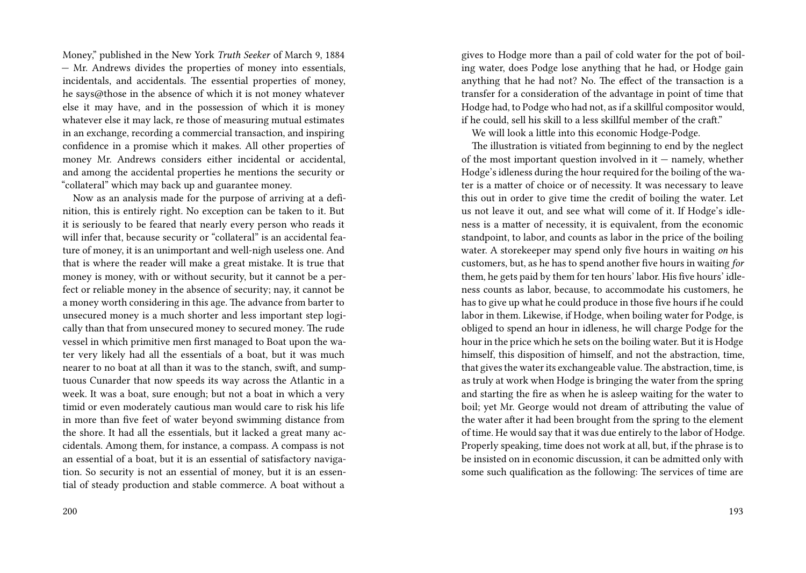Money," published in the New York *Truth Seeker* of March 9, 1884 — Mr. Andrews divides the properties of money into essentials, incidentals, and accidentals. The essential properties of money, he says@those in the absence of which it is not money whatever else it may have, and in the possession of which it is money whatever else it may lack, re those of measuring mutual estimates in an exchange, recording a commercial transaction, and inspiring confidence in a promise which it makes. All other properties of money Mr. Andrews considers either incidental or accidental, and among the accidental properties he mentions the security or "collateral" which may back up and guarantee money.

Now as an analysis made for the purpose of arriving at a definition, this is entirely right. No exception can be taken to it. But it is seriously to be feared that nearly every person who reads it will infer that, because security or "collateral" is an accidental feature of money, it is an unimportant and well-nigh useless one. And that is where the reader will make a great mistake. It is true that money is money, with or without security, but it cannot be a perfect or reliable money in the absence of security; nay, it cannot be a money worth considering in this age. The advance from barter to unsecured money is a much shorter and less important step logically than that from unsecured money to secured money. The rude vessel in which primitive men first managed to Boat upon the water very likely had all the essentials of a boat, but it was much nearer to no boat at all than it was to the stanch, swift, and sumptuous Cunarder that now speeds its way across the Atlantic in a week. It was a boat, sure enough; but not a boat in which a very timid or even moderately cautious man would care to risk his life in more than five feet of water beyond swimming distance from the shore. It had all the essentials, but it lacked a great many accidentals. Among them, for instance, a compass. A compass is not an essential of a boat, but it is an essential of satisfactory navigation. So security is not an essential of money, but it is an essential of steady production and stable commerce. A boat without a

gives to Hodge more than a pail of cold water for the pot of boiling water, does Podge lose anything that he had, or Hodge gain anything that he had not? No. The effect of the transaction is a transfer for a consideration of the advantage in point of time that Hodge had, to Podge who had not, as if a skillful compositor would, if he could, sell his skill to a less skillful member of the craft."

We will look a little into this economic Hodge-Podge.

The illustration is vitiated from beginning to end by the neglect of the most important question involved in it — namely, whether Hodge's idleness during the hour required for the boiling of the water is a matter of choice or of necessity. It was necessary to leave this out in order to give time the credit of boiling the water. Let us not leave it out, and see what will come of it. If Hodge's idleness is a matter of necessity, it is equivalent, from the economic standpoint, to labor, and counts as labor in the price of the boiling water. A storekeeper may spend only five hours in waiting *on* his customers, but, as he has to spend another five hours in waiting *for* them, he gets paid by them for ten hours' labor. His five hours' idleness counts as labor, because, to accommodate his customers, he has to give up what he could produce in those five hours if he could labor in them. Likewise, if Hodge, when boiling water for Podge, is obliged to spend an hour in idleness, he will charge Podge for the hour in the price which he sets on the boiling water. But it is Hodge himself, this disposition of himself, and not the abstraction, time, that gives the water its exchangeable value.The abstraction, time, is as truly at work when Hodge is bringing the water from the spring and starting the fire as when he is asleep waiting for the water to boil; yet Mr. George would not dream of attributing the value of the water after it had been brought from the spring to the element of time. He would say that it was due entirely to the labor of Hodge. Properly speaking, time does not work at all, but, if the phrase is to be insisted on in economic discussion, it can be admitted only with some such qualification as the following: The services of time are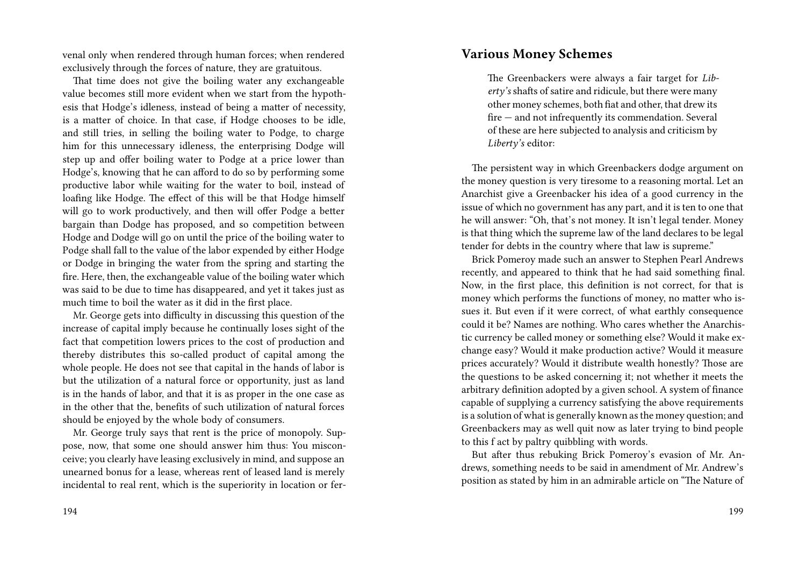venal only when rendered through human forces; when rendered exclusively through the forces of nature, they are gratuitous.

That time does not give the boiling water any exchangeable value becomes still more evident when we start from the hypothesis that Hodge's idleness, instead of being a matter of necessity, is a matter of choice. In that case, if Hodge chooses to be idle, and still tries, in selling the boiling water to Podge, to charge him for this unnecessary idleness, the enterprising Dodge will step up and offer boiling water to Podge at a price lower than Hodge's, knowing that he can afford to do so by performing some productive labor while waiting for the water to boil, instead of loafing like Hodge. The effect of this will be that Hodge himself will go to work productively, and then will offer Podge a better bargain than Dodge has proposed, and so competition between Hodge and Dodge will go on until the price of the boiling water to Podge shall fall to the value of the labor expended by either Hodge or Dodge in bringing the water from the spring and starting the fire. Here, then, the exchangeable value of the boiling water which was said to be due to time has disappeared, and yet it takes just as much time to boil the water as it did in the first place.

Mr. George gets into difficulty in discussing this question of the increase of capital imply because he continually loses sight of the fact that competition lowers prices to the cost of production and thereby distributes this so-called product of capital among the whole people. He does not see that capital in the hands of labor is but the utilization of a natural force or opportunity, just as land is in the hands of labor, and that it is as proper in the one case as in the other that the, benefits of such utilization of natural forces should be enjoyed by the whole body of consumers.

Mr. George truly says that rent is the price of monopoly. Suppose, now, that some one should answer him thus: You misconceive; you clearly have leasing exclusively in mind, and suppose an unearned bonus for a lease, whereas rent of leased land is merely incidental to real rent, which is the superiority in location or fer-

#### **Various Money Schemes**

The Greenbackers were always a fair target for *Liberty's* shafts of satire and ridicule, but there were many other money schemes, both fiat and other, that drew its fire — and not infrequently its commendation. Several of these are here subjected to analysis and criticism by *Liberty's* editor:

The persistent way in which Greenbackers dodge argument on the money question is very tiresome to a reasoning mortal. Let an Anarchist give a Greenbacker his idea of a good currency in the issue of which no government has any part, and it is ten to one that he will answer: "Oh, that's not money. It isn't legal tender. Money is that thing which the supreme law of the land declares to be legal tender for debts in the country where that law is supreme."

Brick Pomeroy made such an answer to Stephen Pearl Andrews recently, and appeared to think that he had said something final. Now, in the first place, this definition is not correct, for that is money which performs the functions of money, no matter who issues it. But even if it were correct, of what earthly consequence could it be? Names are nothing. Who cares whether the Anarchistic currency be called money or something else? Would it make exchange easy? Would it make production active? Would it measure prices accurately? Would it distribute wealth honestly? Those are the questions to be asked concerning it; not whether it meets the arbitrary definition adopted by a given school. A system of finance capable of supplying a currency satisfying the above requirements is a solution of what is generally known as the money question; and Greenbackers may as well quit now as later trying to bind people to this f act by paltry quibbling with words.

But after thus rebuking Brick Pomeroy's evasion of Mr. Andrews, something needs to be said in amendment of Mr. Andrew's position as stated by him in an admirable article on "The Nature of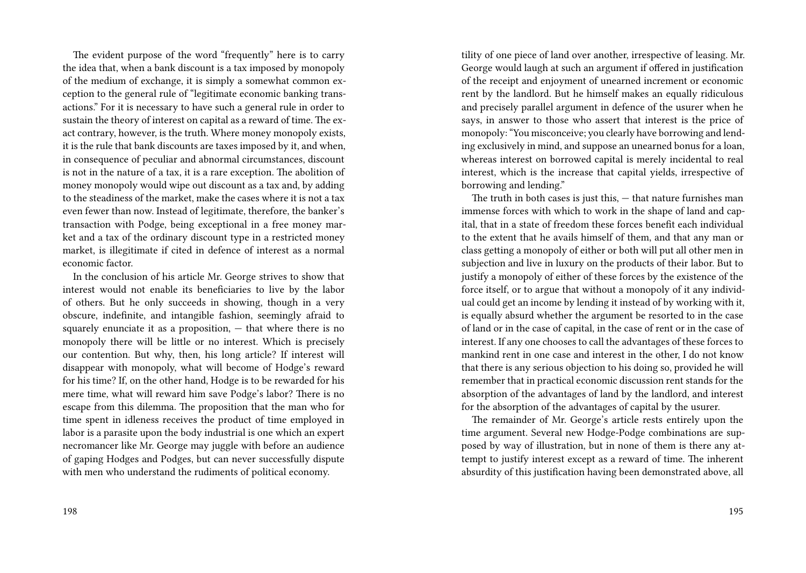The evident purpose of the word "frequently" here is to carry the idea that, when a bank discount is a tax imposed by monopoly of the medium of exchange, it is simply a somewhat common exception to the general rule of "legitimate economic banking transactions." For it is necessary to have such a general rule in order to sustain the theory of interest on capital as a reward of time. The exact contrary, however, is the truth. Where money monopoly exists, it is the rule that bank discounts are taxes imposed by it, and when, in consequence of peculiar and abnormal circumstances, discount is not in the nature of a tax, it is a rare exception. The abolition of money monopoly would wipe out discount as a tax and, by adding to the steadiness of the market, make the cases where it is not a tax even fewer than now. Instead of legitimate, therefore, the banker's transaction with Podge, being exceptional in a free money market and a tax of the ordinary discount type in a restricted money market, is illegitimate if cited in defence of interest as a normal economic factor.

In the conclusion of his article Mr. George strives to show that interest would not enable its beneficiaries to live by the labor of others. But he only succeeds in showing, though in a very obscure, indefinite, and intangible fashion, seemingly afraid to squarely enunciate it as a proposition, — that where there is no monopoly there will be little or no interest. Which is precisely our contention. But why, then, his long article? If interest will disappear with monopoly, what will become of Hodge's reward for his time? If, on the other hand, Hodge is to be rewarded for his mere time, what will reward him save Podge's labor? There is no escape from this dilemma. The proposition that the man who for time spent in idleness receives the product of time employed in labor is a parasite upon the body industrial is one which an expert necromancer like Mr. George may juggle with before an audience of gaping Hodges and Podges, but can never successfully dispute with men who understand the rudiments of political economy.

tility of one piece of land over another, irrespective of leasing. Mr. George would laugh at such an argument if offered in justification of the receipt and enjoyment of unearned increment or economic rent by the landlord. But he himself makes an equally ridiculous and precisely parallel argument in defence of the usurer when he says, in answer to those who assert that interest is the price of monopoly: "You misconceive; you clearly have borrowing and lending exclusively in mind, and suppose an unearned bonus for a loan, whereas interest on borrowed capital is merely incidental to real interest, which is the increase that capital yields, irrespective of borrowing and lending."

The truth in both cases is just this,  $-$  that nature furnishes man immense forces with which to work in the shape of land and capital, that in a state of freedom these forces benefit each individual to the extent that he avails himself of them, and that any man or class getting a monopoly of either or both will put all other men in subjection and live in luxury on the products of their labor. But to justify a monopoly of either of these forces by the existence of the force itself, or to argue that without a monopoly of it any individual could get an income by lending it instead of by working with it, is equally absurd whether the argument be resorted to in the case of land or in the case of capital, in the case of rent or in the case of interest. If any one chooses to call the advantages of these forces to mankind rent in one case and interest in the other, I do not know that there is any serious objection to his doing so, provided he will remember that in practical economic discussion rent stands for the absorption of the advantages of land by the landlord, and interest for the absorption of the advantages of capital by the usurer.

The remainder of Mr. George's article rests entirely upon the time argument. Several new Hodge-Podge combinations are supposed by way of illustration, but in none of them is there any attempt to justify interest except as a reward of time. The inherent absurdity of this justification having been demonstrated above, all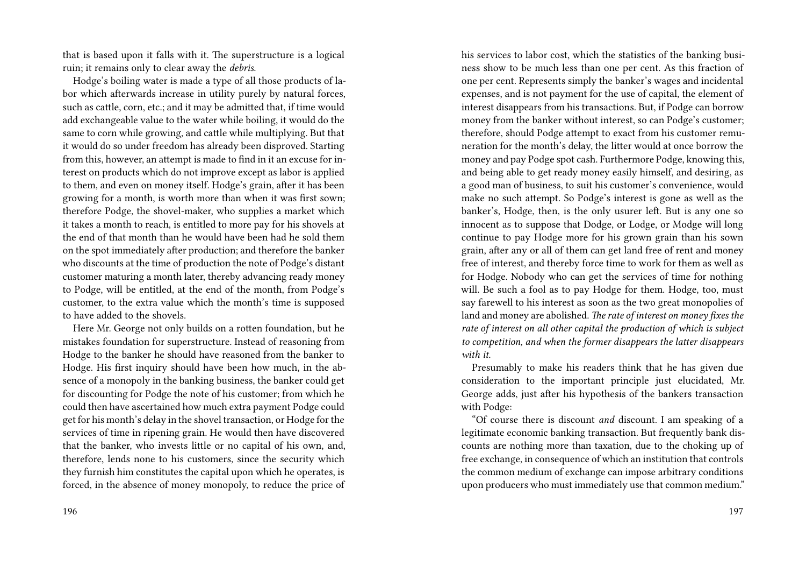that is based upon it falls with it. The superstructure is a logical ruin; it remains only to clear away the *debris*.

Hodge's boiling water is made a type of all those products of labor which afterwards increase in utility purely by natural forces, such as cattle, corn, etc.; and it may be admitted that, if time would add exchangeable value to the water while boiling, it would do the same to corn while growing, and cattle while multiplying. But that it would do so under freedom has already been disproved. Starting from this, however, an attempt is made to find in it an excuse for interest on products which do not improve except as labor is applied to them, and even on money itself. Hodge's grain, after it has been growing for a month, is worth more than when it was first sown; therefore Podge, the shovel-maker, who supplies a market which it takes a month to reach, is entitled to more pay for his shovels at the end of that month than he would have been had he sold them on the spot immediately after production; and therefore the banker who discounts at the time of production the note of Podge's distant customer maturing a month later, thereby advancing ready money to Podge, will be entitled, at the end of the month, from Podge's customer, to the extra value which the month's time is supposed to have added to the shovels.

Here Mr. George not only builds on a rotten foundation, but he mistakes foundation for superstructure. Instead of reasoning from Hodge to the banker he should have reasoned from the banker to Hodge. His first inquiry should have been how much, in the absence of a monopoly in the banking business, the banker could get for discounting for Podge the note of his customer; from which he could then have ascertained how much extra payment Podge could get for his month's delay in the shovel transaction, or Hodge for the services of time in ripening grain. He would then have discovered that the banker, who invests little or no capital of his own, and, therefore, lends none to his customers, since the security which they furnish him constitutes the capital upon which he operates, is forced, in the absence of money monopoly, to reduce the price of his services to labor cost, which the statistics of the banking business show to be much less than one per cent. As this fraction of one per cent. Represents simply the banker's wages and incidental expenses, and is not payment for the use of capital, the element of interest disappears from his transactions. But, if Podge can borrow money from the banker without interest, so can Podge's customer; therefore, should Podge attempt to exact from his customer remuneration for the month's delay, the litter would at once borrow the money and pay Podge spot cash. Furthermore Podge, knowing this, and being able to get ready money easily himself, and desiring, as a good man of business, to suit his customer's convenience, would make no such attempt. So Podge's interest is gone as well as the banker's, Hodge, then, is the only usurer left. But is any one so innocent as to suppose that Dodge, or Lodge, or Modge will long continue to pay Hodge more for his grown grain than his sown grain, after any or all of them can get land free of rent and money free of interest, and thereby force time to work for them as well as for Hodge. Nobody who can get the services of time for nothing will. Be such a fool as to pay Hodge for them. Hodge, too, must say farewell to his interest as soon as the two great monopolies of land and money are abolished. *The rate of interest on money fixes the rate of interest on all other capital the production of which is subject to competition, and when the former disappears the latter disappears with it*.

Presumably to make his readers think that he has given due consideration to the important principle just elucidated, Mr. George adds, just after his hypothesis of the bankers transaction with Podge:

"Of course there is discount *and* discount. I am speaking of a legitimate economic banking transaction. But frequently bank discounts are nothing more than taxation, due to the choking up of free exchange, in consequence of which an institution that controls the common medium of exchange can impose arbitrary conditions upon producers who must immediately use that common medium."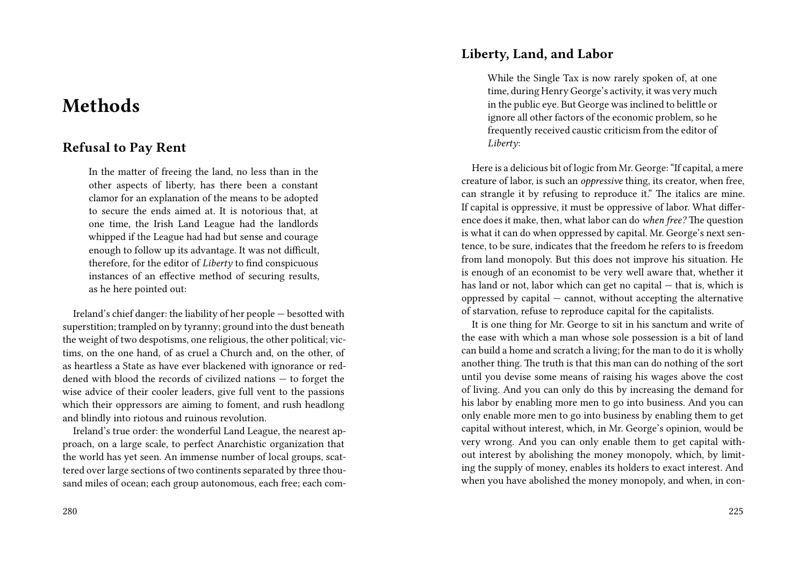# **Methods**

### **Refusal to Pay Rent**

In the matter of freeing the land, no less than in the other aspects of liberty, has there been a constant clamor for an explanation of the means to be adopted to secure the ends aimed at. It is notorious that, at one time, the Irish Land League had the landlords whipped if the League had had but sense and courage enough to follow up its advantage. It was not difficult, therefore, for the editor of *Liberty* to find conspicuous instances of an effective method of securing results, as he here pointed out:

Ireland's chief danger: the liability of her people — besotted with superstition; trampled on by tyranny; ground into the dust beneath the weight of two despotisms, one religious, the other political; victims, on the one hand, of as cruel a Church and, on the other, of as heartless a State as have ever blackened with ignorance or reddened with blood the records of civilized nations — to forget the wise advice of their cooler leaders, give full vent to the passions which their oppressors are aiming to foment, and rush headlong and blindly into riotous and ruinous revolution.

Ireland's true order: the wonderful Land League, the nearest approach, on a large scale, to perfect Anarchistic organization that the world has yet seen. An immense number of local groups, scattered over large sections of two continents separated by three thousand miles of ocean; each group autonomous, each free; each com-

### **Liberty, Land, and Labor**

While the Single Tax is now rarely spoken of, at one time, during Henry George's activity, it was very much in the public eye. But George was inclined to belittle or ignore all other factors of the economic problem, so he frequently received caustic criticism from the editor of *Liberty*:

Here is a delicious bit of logic from Mr. George: "If capital, a mere creature of labor, is such an *oppressive* thing, its creator, when free, can strangle it by refusing to reproduce it." The italics are mine. If capital is oppressive, it must be oppressive of labor. What difference does it make, then, what labor can do *when free?* The question is what it can do when oppressed by capital. Mr. George's next sentence, to be sure, indicates that the freedom he refers to is freedom from land monopoly. But this does not improve his situation. He is enough of an economist to be very well aware that, whether it has land or not, labor which can get no capital — that is, which is oppressed by capital  $-$  cannot, without accepting the alternative of starvation, refuse to reproduce capital for the capitalists.

It is one thing for Mr. George to sit in his sanctum and write of the ease with which a man whose sole possession is a bit of land can build a home and scratch a living; for the man to do it is wholly another thing. The truth is that this man can do nothing of the sort until you devise some means of raising his wages above the cost of living. And you can only do this by increasing the demand for his labor by enabling more men to go into business. And you can only enable more men to go into business by enabling them to get capital without interest, which, in Mr. George's opinion, would be very wrong. And you can only enable them to get capital without interest by abolishing the money monopoly, which, by limiting the supply of money, enables its holders to exact interest. And when you have abolished the money monopoly, and when, in con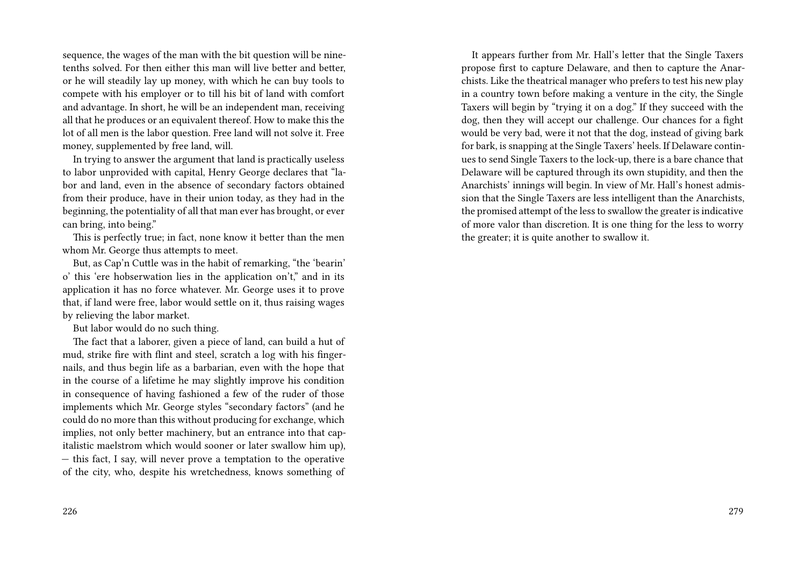sequence, the wages of the man with the bit question will be ninetenths solved. For then either this man will live better and better, or he will steadily lay up money, with which he can buy tools to compete with his employer or to till his bit of land with comfort and advantage. In short, he will be an independent man, receiving all that he produces or an equivalent thereof. How to make this the lot of all men is the labor question. Free land will not solve it. Free money, supplemented by free land, will.

In trying to answer the argument that land is practically useless to labor unprovided with capital, Henry George declares that "labor and land, even in the absence of secondary factors obtained from their produce, have in their union today, as they had in the beginning, the potentiality of all that man ever has brought, or ever can bring, into being."

This is perfectly true; in fact, none know it better than the men whom Mr. George thus attempts to meet.

But, as Cap'n Cuttle was in the habit of remarking, "the 'bearin' o' this 'ere hobserwation lies in the application on't," and in its application it has no force whatever. Mr. George uses it to prove that, if land were free, labor would settle on it, thus raising wages by relieving the labor market.

But labor would do no such thing.

The fact that a laborer, given a piece of land, can build a hut of mud, strike fire with flint and steel, scratch a log with his fingernails, and thus begin life as a barbarian, even with the hope that in the course of a lifetime he may slightly improve his condition in consequence of having fashioned a few of the ruder of those implements which Mr. George styles "secondary factors" (and he could do no more than this without producing for exchange, which implies, not only better machinery, but an entrance into that capitalistic maelstrom which would sooner or later swallow him up), — this fact, I say, will never prove a temptation to the operative of the city, who, despite his wretchedness, knows something of

It appears further from Mr. Hall's letter that the Single Taxers propose first to capture Delaware, and then to capture the Anarchists. Like the theatrical manager who prefers to test his new play in a country town before making a venture in the city, the Single Taxers will begin by "trying it on a dog." If they succeed with the dog, then they will accept our challenge. Our chances for a fight would be very bad, were it not that the dog, instead of giving bark for bark, is snapping at the Single Taxers' heels. If Delaware continues to send Single Taxers to the lock-up, there is a bare chance that Delaware will be captured through its own stupidity, and then the Anarchists' innings will begin. In view of Mr. Hall's honest admission that the Single Taxers are less intelligent than the Anarchists, the promised attempt of the less to swallow the greater is indicative of more valor than discretion. It is one thing for the less to worry the greater; it is quite another to swallow it.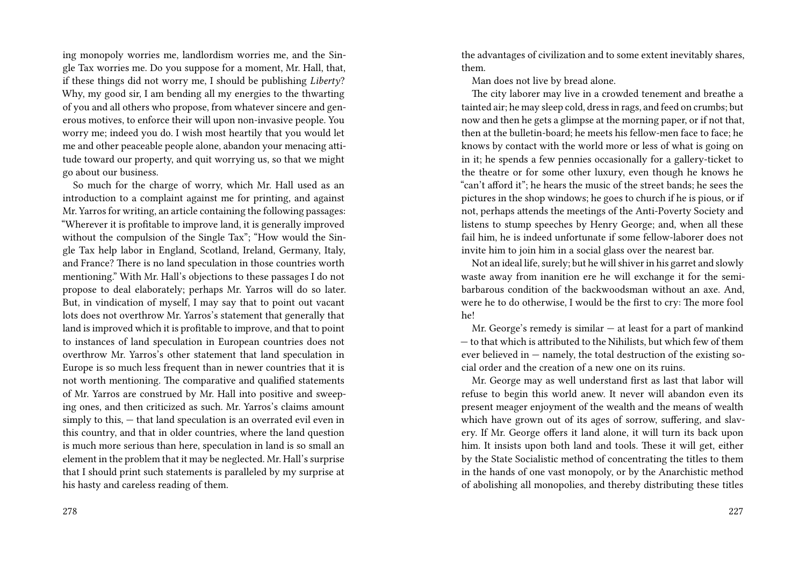ing monopoly worries me, landlordism worries me, and the Single Tax worries me. Do you suppose for a moment, Mr. Hall, that, if these things did not worry me, I should be publishing *Liberty*? Why, my good sir, I am bending all my energies to the thwarting of you and all others who propose, from whatever sincere and generous motives, to enforce their will upon non-invasive people. You worry me; indeed you do. I wish most heartily that you would let me and other peaceable people alone, abandon your menacing attitude toward our property, and quit worrying us, so that we might go about our business.

So much for the charge of worry, which Mr. Hall used as an introduction to a complaint against me for printing, and against Mr. Yarros for writing, an article containing the following passages: "Wherever it is profitable to improve land, it is generally improved without the compulsion of the Single Tax"; "How would the Single Tax help labor in England, Scotland, Ireland, Germany, Italy, and France? There is no land speculation in those countries worth mentioning." With Mr. Hall's objections to these passages I do not propose to deal elaborately; perhaps Mr. Yarros will do so later. But, in vindication of myself, I may say that to point out vacant lots does not overthrow Mr. Yarros's statement that generally that land is improved which it is profitable to improve, and that to point to instances of land speculation in European countries does not overthrow Mr. Yarros's other statement that land speculation in Europe is so much less frequent than in newer countries that it is not worth mentioning. The comparative and qualified statements of Mr. Yarros are construed by Mr. Hall into positive and sweeping ones, and then criticized as such. Mr. Yarros's claims amount simply to this, — that land speculation is an overrated evil even in this country, and that in older countries, where the land question is much more serious than here, speculation in land is so small an element in the problem that it may be neglected. Mr. Hall's surprise that I should print such statements is paralleled by my surprise at his hasty and careless reading of them.

the advantages of civilization and to some extent inevitably shares, them.

Man does not live by bread alone.

The city laborer may live in a crowded tenement and breathe a tainted air; he may sleep cold, dress in rags, and feed on crumbs; but now and then he gets a glimpse at the morning paper, or if not that, then at the bulletin-board; he meets his fellow-men face to face; he knows by contact with the world more or less of what is going on in it; he spends a few pennies occasionally for a gallery-ticket to the theatre or for some other luxury, even though he knows he "can't afford it"; he hears the music of the street bands; he sees the pictures in the shop windows; he goes to church if he is pious, or if not, perhaps attends the meetings of the Anti-Poverty Society and listens to stump speeches by Henry George; and, when all these fail him, he is indeed unfortunate if some fellow-laborer does not invite him to join him in a social glass over the nearest bar.

Not an ideal life, surely; but he will shiver in his garret and slowly waste away from inanition ere he will exchange it for the semibarbarous condition of the backwoodsman without an axe. And, were he to do otherwise, I would be the first to cry: The more fool he!

Mr. George's remedy is similar — at least for a part of mankind — to that which is attributed to the Nihilists, but which few of them ever believed in — namely, the total destruction of the existing social order and the creation of a new one on its ruins.

Mr. George may as well understand first as last that labor will refuse to begin this world anew. It never will abandon even its present meager enjoyment of the wealth and the means of wealth which have grown out of its ages of sorrow, suffering, and slavery. If Mr. George offers it land alone, it will turn its back upon him. It insists upon both land and tools. These it will get, either by the State Socialistic method of concentrating the titles to them in the hands of one vast monopoly, or by the Anarchistic method of abolishing all monopolies, and thereby distributing these titles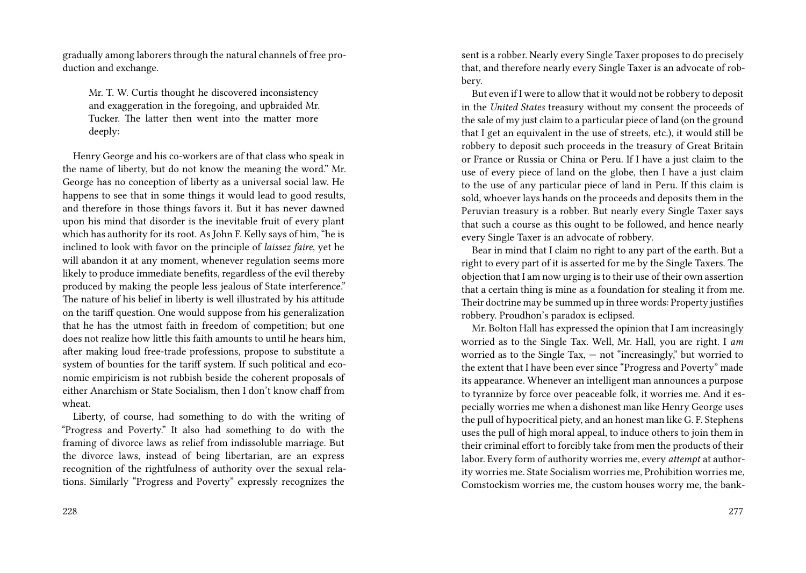gradually among laborers through the natural channels of free production and exchange.

Mr. T. W. Curtis thought he discovered inconsistency and exaggeration in the foregoing, and upbraided Mr. Tucker. The latter then went into the matter more deeply:

Henry George and his co-workers are of that class who speak in the name of liberty, but do not know the meaning the word." Mr. George has no conception of liberty as a universal social law. He happens to see that in some things it would lead to good results, and therefore in those things favors it. But it has never dawned upon his mind that disorder is the inevitable fruit of every plant which has authority for its root. As John F. Kelly says of him, "he is inclined to look with favor on the principle of *laissez faire*, yet he will abandon it at any moment, whenever regulation seems more likely to produce immediate benefits, regardless of the evil thereby produced by making the people less jealous of State interference." The nature of his belief in liberty is well illustrated by his attitude on the tariff question. One would suppose from his generalization that he has the utmost faith in freedom of competition; but one does not realize how little this faith amounts to until he hears him, after making loud free-trade professions, propose to substitute a system of bounties for the tariff system. If such political and economic empiricism is not rubbish beside the coherent proposals of either Anarchism or State Socialism, then I don't know chaff from wheat.

Liberty, of course, had something to do with the writing of "Progress and Poverty." It also had something to do with the framing of divorce laws as relief from indissoluble marriage. But the divorce laws, instead of being libertarian, are an express recognition of the rightfulness of authority over the sexual relations. Similarly "Progress and Poverty" expressly recognizes the

228

sent is a robber. Nearly every Single Taxer proposes to do precisely that, and therefore nearly every Single Taxer is an advocate of robbery.

But even if I were to allow that it would not be robbery to deposit in the *United States* treasury without my consent the proceeds of the sale of my just claim to a particular piece of land (on the ground that I get an equivalent in the use of streets, etc.), it would still be robbery to deposit such proceeds in the treasury of Great Britain or France or Russia or China or Peru. If I have a just claim to the use of every piece of land on the globe, then I have a just claim to the use of any particular piece of land in Peru. If this claim is sold, whoever lays hands on the proceeds and deposits them in the Peruvian treasury is a robber. But nearly every Single Taxer says that such a course as this ought to be followed, and hence nearly every Single Taxer is an advocate of robbery.

Bear in mind that I claim no right to any part of the earth. But a right to every part of it is asserted for me by the Single Taxers. The objection that I am now urging is to their use of their own assertion that a certain thing is mine as a foundation for stealing it from me. Their doctrine may be summed up in three words: Property justifies robbery. Proudhon's paradox is eclipsed.

Mr. Bolton Hall has expressed the opinion that I am increasingly worried as to the Single Tax. Well, Mr. Hall, you are right. I *am* worried as to the Single Tax, — not "increasingly," but worried to the extent that I have been ever since "Progress and Poverty" made its appearance. Whenever an intelligent man announces a purpose to tyrannize by force over peaceable folk, it worries me. And it especially worries me when a dishonest man like Henry George uses the pull of hypocritical piety, and an honest man like G. F. Stephens uses the pull of high moral appeal, to induce others to join them in their criminal effort to forcibly take from men the products of their labor. Every form of authority worries me, every *attempt* at authority worries me. State Socialism worries me, Prohibition worries me, Comstockism worries me, the custom houses worry me, the bank-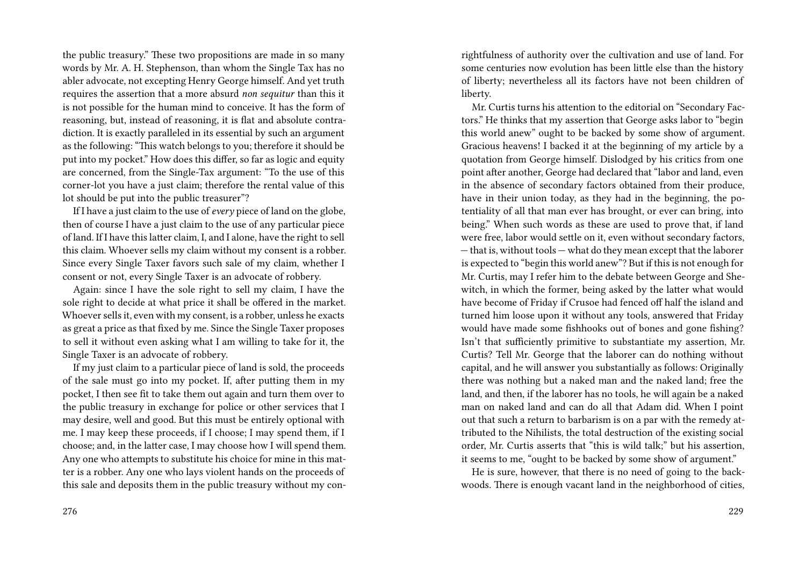the public treasury." These two propositions are made in so many words by Mr. A. H. Stephenson, than whom the Single Tax has no abler advocate, not excepting Henry George himself. And yet truth requires the assertion that a more absurd *non sequitur* than this it is not possible for the human mind to conceive. It has the form of reasoning, but, instead of reasoning, it is flat and absolute contradiction. It is exactly paralleled in its essential by such an argument as the following: "This watch belongs to you; therefore it should be put into my pocket." How does this differ, so far as logic and equity are concerned, from the Single-Tax argument: "To the use of this corner-lot you have a just claim; therefore the rental value of this lot should be put into the public treasurer"?

If I have a just claim to the use of *every* piece of land on the globe, then of course I have a just claim to the use of any particular piece of land. If I have this latter claim, I, and I alone, have the right to sell this claim. Whoever sells my claim without my consent is a robber. Since every Single Taxer favors such sale of my claim, whether I consent or not, every Single Taxer is an advocate of robbery.

Again: since I have the sole right to sell my claim, I have the sole right to decide at what price it shall be offered in the market. Whoever sells it, even with my consent, is a robber, unless he exacts as great a price as that fixed by me. Since the Single Taxer proposes to sell it without even asking what I am willing to take for it, the Single Taxer is an advocate of robbery.

If my just claim to a particular piece of land is sold, the proceeds of the sale must go into my pocket. If, after putting them in my pocket, I then see fit to take them out again and turn them over to the public treasury in exchange for police or other services that I may desire, well and good. But this must be entirely optional with me. I may keep these proceeds, if I choose; I may spend them, if I choose; and, in the latter case, I may choose how I will spend them. Any one who attempts to substitute his choice for mine in this matter is a robber. Any one who lays violent hands on the proceeds of this sale and deposits them in the public treasury without my con-

rightfulness of authority over the cultivation and use of land. For some centuries now evolution has been little else than the history of liberty; nevertheless all its factors have not been children of liberty.

Mr. Curtis turns his attention to the editorial on "Secondary Factors." He thinks that my assertion that George asks labor to "begin this world anew" ought to be backed by some show of argument. Gracious heavens! I backed it at the beginning of my article by a quotation from George himself. Dislodged by his critics from one point after another, George had declared that "labor and land, even in the absence of secondary factors obtained from their produce, have in their union today, as they had in the beginning, the potentiality of all that man ever has brought, or ever can bring, into being." When such words as these are used to prove that, if land were free, labor would settle on it, even without secondary factors, — that is, without tools — what do they mean except that the laborer is expected to "begin this world anew"? But if this is not enough for Mr. Curtis, may I refer him to the debate between George and Shewitch, in which the former, being asked by the latter what would have become of Friday if Crusoe had fenced off half the island and turned him loose upon it without any tools, answered that Friday would have made some fishhooks out of bones and gone fishing? Isn't that sufficiently primitive to substantiate my assertion, Mr. Curtis? Tell Mr. George that the laborer can do nothing without capital, and he will answer you substantially as follows: Originally there was nothing but a naked man and the naked land; free the land, and then, if the laborer has no tools, he will again be a naked man on naked land and can do all that Adam did. When I point out that such a return to barbarism is on a par with the remedy attributed to the Nihilists, the total destruction of the existing social order, Mr. Curtis asserts that "this is wild talk;" but his assertion, it seems to me, "ought to be backed by some show of argument."

He is sure, however, that there is no need of going to the backwoods. There is enough vacant land in the neighborhood of cities,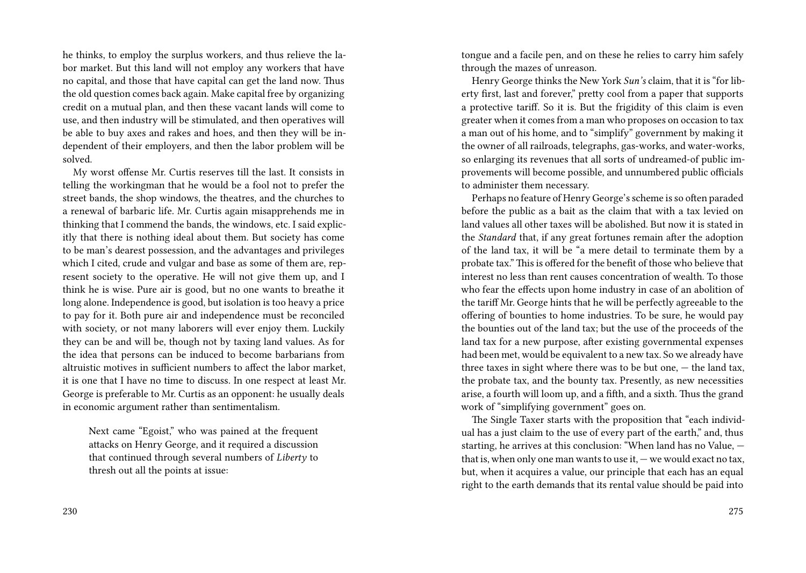he thinks, to employ the surplus workers, and thus relieve the labor market. But this land will not employ any workers that have no capital, and those that have capital can get the land now. Thus the old question comes back again. Make capital free by organizing credit on a mutual plan, and then these vacant lands will come to use, and then industry will be stimulated, and then operatives will be able to buy axes and rakes and hoes, and then they will be independent of their employers, and then the labor problem will be solved.

My worst offense Mr. Curtis reserves till the last. It consists in telling the workingman that he would be a fool not to prefer the street bands, the shop windows, the theatres, and the churches to a renewal of barbaric life. Mr. Curtis again misapprehends me in thinking that I commend the bands, the windows, etc. I said explicitly that there is nothing ideal about them. But society has come to be man's dearest possession, and the advantages and privileges which I cited, crude and vulgar and base as some of them are, represent society to the operative. He will not give them up, and I think he is wise. Pure air is good, but no one wants to breathe it long alone. Independence is good, but isolation is too heavy a price to pay for it. Both pure air and independence must be reconciled with society, or not many laborers will ever enjoy them. Luckily they can be and will be, though not by taxing land values. As for the idea that persons can be induced to become barbarians from altruistic motives in sufficient numbers to affect the labor market, it is one that I have no time to discuss. In one respect at least Mr. George is preferable to Mr. Curtis as an opponent: he usually deals in economic argument rather than sentimentalism.

Next came "Egoist," who was pained at the frequent attacks on Henry George, and it required a discussion that continued through several numbers of *Liberty* to thresh out all the points at issue:

tongue and a facile pen, and on these he relies to carry him safely through the mazes of unreason.

Henry George thinks the New York *Sun's* claim, that it is "for liberty first, last and forever," pretty cool from a paper that supports a protective tariff. So it is. But the frigidity of this claim is even greater when it comes from a man who proposes on occasion to tax a man out of his home, and to "simplify" government by making it the owner of all railroads, telegraphs, gas-works, and water-works, so enlarging its revenues that all sorts of undreamed-of public improvements will become possible, and unnumbered public officials to administer them necessary.

Perhaps no feature of Henry George's scheme is so often paraded before the public as a bait as the claim that with a tax levied on land values all other taxes will be abolished. But now it is stated in the *Standard* that, if any great fortunes remain after the adoption of the land tax, it will be "a mere detail to terminate them by a probate tax." This is offered for the benefit of those who believe that interest no less than rent causes concentration of wealth. To those who fear the effects upon home industry in case of an abolition of the tariff Mr. George hints that he will be perfectly agreeable to the offering of bounties to home industries. To be sure, he would pay the bounties out of the land tax; but the use of the proceeds of the land tax for a new purpose, after existing governmental expenses had been met, would be equivalent to a new tax. So we already have three taxes in sight where there was to be but one, — the land tax, the probate tax, and the bounty tax. Presently, as new necessities arise, a fourth will loom up, and a fifth, and a sixth. Thus the grand work of "simplifying government" goes on.

The Single Taxer starts with the proposition that "each individual has a just claim to the use of every part of the earth," and, thus starting, he arrives at this conclusion: "When land has no Value, that is, when only one man wants to use it,  $-$  we would exact no tax, but, when it acquires a value, our principle that each has an equal right to the earth demands that its rental value should be paid into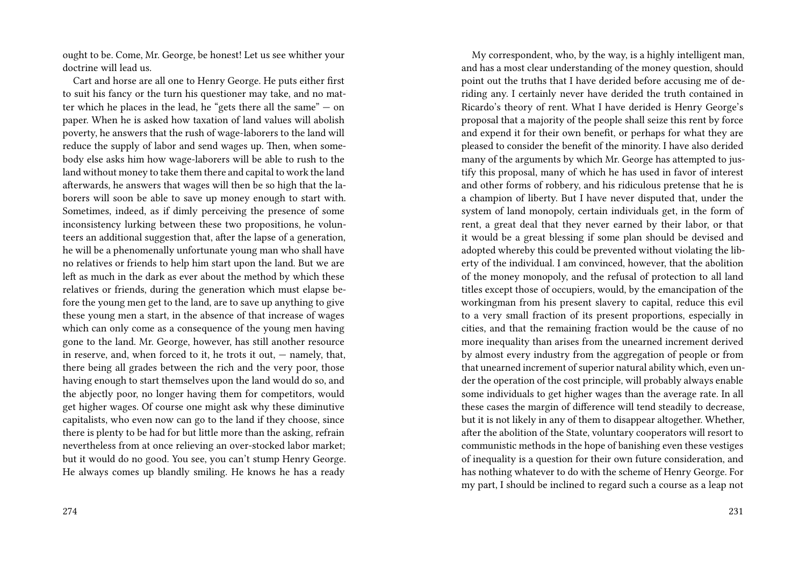ought to be. Come, Mr. George, be honest! Let us see whither your doctrine will lead us.

Cart and horse are all one to Henry George. He puts either first to suit his fancy or the turn his questioner may take, and no matter which he places in the lead, he "gets there all the same" — on paper. When he is asked how taxation of land values will abolish poverty, he answers that the rush of wage-laborers to the land will reduce the supply of labor and send wages up. Then, when somebody else asks him how wage-laborers will be able to rush to the land without money to take them there and capital to work the land afterwards, he answers that wages will then be so high that the laborers will soon be able to save up money enough to start with. Sometimes, indeed, as if dimly perceiving the presence of some inconsistency lurking between these two propositions, he volunteers an additional suggestion that, after the lapse of a generation, he will be a phenomenally unfortunate young man who shall have no relatives or friends to help him start upon the land. But we are left as much in the dark as ever about the method by which these relatives or friends, during the generation which must elapse before the young men get to the land, are to save up anything to give these young men a start, in the absence of that increase of wages which can only come as a consequence of the young men having gone to the land. Mr. George, however, has still another resource in reserve, and, when forced to it, he trots it out, — namely, that, there being all grades between the rich and the very poor, those having enough to start themselves upon the land would do so, and the abjectly poor, no longer having them for competitors, would get higher wages. Of course one might ask why these diminutive capitalists, who even now can go to the land if they choose, since there is plenty to be had for but little more than the asking, refrain nevertheless from at once relieving an over-stocked labor market; but it would do no good. You see, you can't stump Henry George. He always comes up blandly smiling. He knows he has a ready

274

My correspondent, who, by the way, is a highly intelligent man, and has a most clear understanding of the money question, should point out the truths that I have derided before accusing me of deriding any. I certainly never have derided the truth contained in Ricardo's theory of rent. What I have derided is Henry George's proposal that a majority of the people shall seize this rent by force and expend it for their own benefit, or perhaps for what they are pleased to consider the benefit of the minority. I have also derided many of the arguments by which Mr. George has attempted to justify this proposal, many of which he has used in favor of interest and other forms of robbery, and his ridiculous pretense that he is a champion of liberty. But I have never disputed that, under the system of land monopoly, certain individuals get, in the form of rent, a great deal that they never earned by their labor, or that it would be a great blessing if some plan should be devised and adopted whereby this could be prevented without violating the liberty of the individual. I am convinced, however, that the abolition of the money monopoly, and the refusal of protection to all land titles except those of occupiers, would, by the emancipation of the workingman from his present slavery to capital, reduce this evil to a very small fraction of its present proportions, especially in cities, and that the remaining fraction would be the cause of no more inequality than arises from the unearned increment derived by almost every industry from the aggregation of people or from that unearned increment of superior natural ability which, even under the operation of the cost principle, will probably always enable some individuals to get higher wages than the average rate. In all these cases the margin of difference will tend steadily to decrease, but it is not likely in any of them to disappear altogether. Whether, after the abolition of the State, voluntary cooperators will resort to communistic methods in the hope of banishing even these vestiges of inequality is a question for their own future consideration, and has nothing whatever to do with the scheme of Henry George. For my part, I should be inclined to regard such a course as a leap not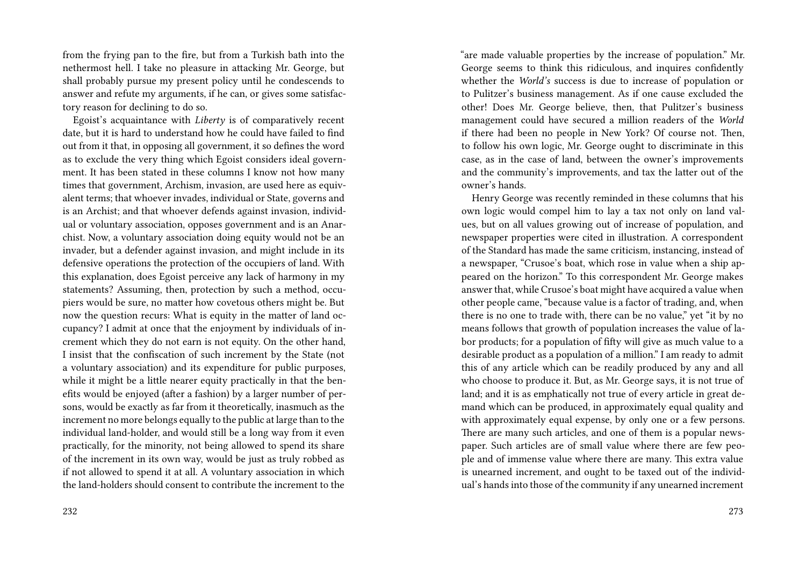from the frying pan to the fire, but from a Turkish bath into the nethermost hell. I take no pleasure in attacking Mr. George, but shall probably pursue my present policy until he condescends to answer and refute my arguments, if he can, or gives some satisfactory reason for declining to do so.

Egoist's acquaintance with *Liberty* is of comparatively recent date, but it is hard to understand how he could have failed to find out from it that, in opposing all government, it so defines the word as to exclude the very thing which Egoist considers ideal government. It has been stated in these columns I know not how many times that government, Archism, invasion, are used here as equivalent terms; that whoever invades, individual or State, governs and is an Archist; and that whoever defends against invasion, individual or voluntary association, opposes government and is an Anarchist. Now, a voluntary association doing equity would not be an invader, but a defender against invasion, and might include in its defensive operations the protection of the occupiers of land. With this explanation, does Egoist perceive any lack of harmony in my statements? Assuming, then, protection by such a method, occupiers would be sure, no matter how covetous others might be. But now the question recurs: What is equity in the matter of land occupancy? I admit at once that the enjoyment by individuals of increment which they do not earn is not equity. On the other hand, I insist that the confiscation of such increment by the State (not a voluntary association) and its expenditure for public purposes, while it might be a little nearer equity practically in that the benefits would be enjoyed (after a fashion) by a larger number of persons, would be exactly as far from it theoretically, inasmuch as the increment no more belongs equally to the public at large than to the individual land-holder, and would still be a long way from it even practically, for the minority, not being allowed to spend its share of the increment in its own way, would be just as truly robbed as if not allowed to spend it at all. A voluntary association in which the land-holders should consent to contribute the increment to the "are made valuable properties by the increase of population." Mr. George seems to think this ridiculous, and inquires confidently whether the *World's* success is due to increase of population or to Pulitzer's business management. As if one cause excluded the other! Does Mr. George believe, then, that Pulitzer's business management could have secured a million readers of the *World* if there had been no people in New York? Of course not. Then, to follow his own logic, Mr. George ought to discriminate in this case, as in the case of land, between the owner's improvements and the community's improvements, and tax the latter out of the owner's hands.

Henry George was recently reminded in these columns that his own logic would compel him to lay a tax not only on land values, but on all values growing out of increase of population, and newspaper properties were cited in illustration. A correspondent of the Standard has made the same criticism, instancing, instead of a newspaper, "Crusoe's boat, which rose in value when a ship appeared on the horizon." To this correspondent Mr. George makes answer that, while Crusoe's boat might have acquired a value when other people came, "because value is a factor of trading, and, when there is no one to trade with, there can be no value," yet "it by no means follows that growth of population increases the value of labor products; for a population of fifty will give as much value to a desirable product as a population of a million." I am ready to admit this of any article which can be readily produced by any and all who choose to produce it. But, as Mr. George says, it is not true of land; and it is as emphatically not true of every article in great demand which can be produced, in approximately equal quality and with approximately equal expense, by only one or a few persons. There are many such articles, and one of them is a popular newspaper. Such articles are of small value where there are few people and of immense value where there are many. This extra value is unearned increment, and ought to be taxed out of the individual's hands into those of the community if any unearned increment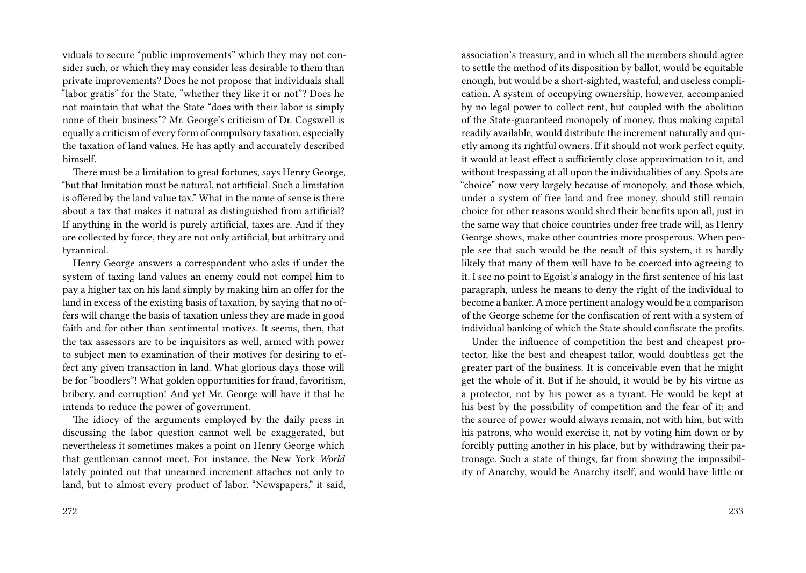viduals to secure "public improvements" which they may not consider such, or which they may consider less desirable to them than private improvements? Does he not propose that individuals shall "labor gratis" for the State, "whether they like it or not"? Does he not maintain that what the State "does with their labor is simply none of their business"? Mr. George's criticism of Dr. Cogswell is equally a criticism of every form of compulsory taxation, especially the taxation of land values. He has aptly and accurately described himself.

There must be a limitation to great fortunes, says Henry George, "but that limitation must be natural, not artificial. Such a limitation is offered by the land value tax." What in the name of sense is there about a tax that makes it natural as distinguished from artificial? If anything in the world is purely artificial, taxes are. And if they are collected by force, they are not only artificial, but arbitrary and tyrannical.

Henry George answers a correspondent who asks if under the system of taxing land values an enemy could not compel him to pay a higher tax on his land simply by making him an offer for the land in excess of the existing basis of taxation, by saying that no offers will change the basis of taxation unless they are made in good faith and for other than sentimental motives. It seems, then, that the tax assessors are to be inquisitors as well, armed with power to subject men to examination of their motives for desiring to effect any given transaction in land. What glorious days those will be for "boodlers"! What golden opportunities for fraud, favoritism, bribery, and corruption! And yet Mr. George will have it that he intends to reduce the power of government.

The idiocy of the arguments employed by the daily press in discussing the labor question cannot well be exaggerated, but nevertheless it sometimes makes a point on Henry George which that gentleman cannot meet. For instance, the New York *World* lately pointed out that unearned increment attaches not only to land, but to almost every product of labor. "Newspapers," it said,

association's treasury, and in which all the members should agree to settle the method of its disposition by ballot, would be equitable enough, but would be a short-sighted, wasteful, and useless complication. A system of occupying ownership, however, accompanied by no legal power to collect rent, but coupled with the abolition of the State-guaranteed monopoly of money, thus making capital readily available, would distribute the increment naturally and quietly among its rightful owners. If it should not work perfect equity, it would at least effect a sufficiently close approximation to it, and without trespassing at all upon the individualities of any. Spots are "choice" now very largely because of monopoly, and those which, under a system of free land and free money, should still remain choice for other reasons would shed their benefits upon all, just in the same way that choice countries under free trade will, as Henry George shows, make other countries more prosperous. When people see that such would be the result of this system, it is hardly likely that many of them will have to be coerced into agreeing to it. I see no point to Egoist's analogy in the first sentence of his last paragraph, unless he means to deny the right of the individual to become a banker. A more pertinent analogy would be a comparison of the George scheme for the confiscation of rent with a system of individual banking of which the State should confiscate the profits.

Under the influence of competition the best and cheapest protector, like the best and cheapest tailor, would doubtless get the greater part of the business. It is conceivable even that he might get the whole of it. But if he should, it would be by his virtue as a protector, not by his power as a tyrant. He would be kept at his best by the possibility of competition and the fear of it; and the source of power would always remain, not with him, but with his patrons, who would exercise it, not by voting him down or by forcibly putting another in his place, but by withdrawing their patronage. Such a state of things, far from showing the impossibility of Anarchy, would be Anarchy itself, and would have little or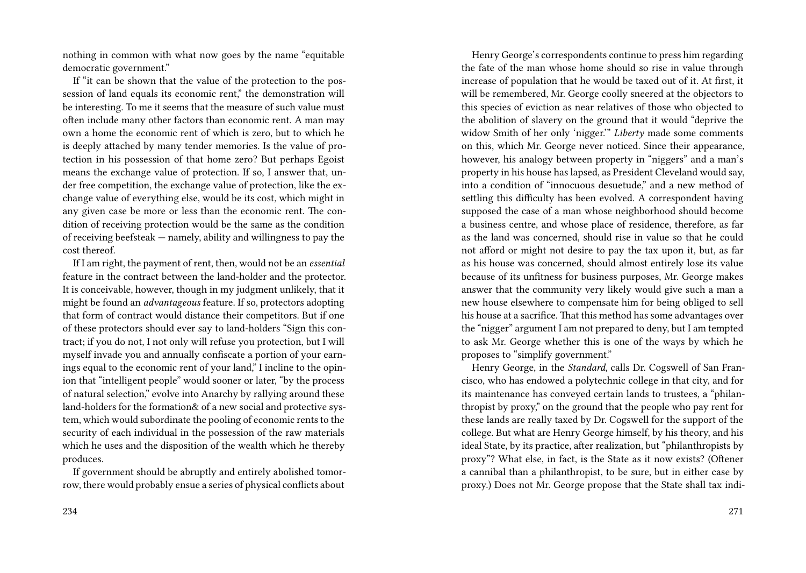nothing in common with what now goes by the name "equitable democratic government."

If "it can be shown that the value of the protection to the possession of land equals its economic rent," the demonstration will be interesting. To me it seems that the measure of such value must often include many other factors than economic rent. A man may own a home the economic rent of which is zero, but to which he is deeply attached by many tender memories. Is the value of protection in his possession of that home zero? But perhaps Egoist means the exchange value of protection. If so, I answer that, under free competition, the exchange value of protection, like the exchange value of everything else, would be its cost, which might in any given case be more or less than the economic rent. The condition of receiving protection would be the same as the condition of receiving beefsteak — namely, ability and willingness to pay the cost thereof.

If I am right, the payment of rent, then, would not be an *essential* feature in the contract between the land-holder and the protector. It is conceivable, however, though in my judgment unlikely, that it might be found an *advantageous* feature. If so, protectors adopting that form of contract would distance their competitors. But if one of these protectors should ever say to land-holders "Sign this contract; if you do not, I not only will refuse you protection, but I will myself invade you and annually confiscate a portion of your earnings equal to the economic rent of your land," I incline to the opinion that "intelligent people" would sooner or later, "by the process of natural selection," evolve into Anarchy by rallying around these land-holders for the formation& of a new social and protective system, which would subordinate the pooling of economic rents to the security of each individual in the possession of the raw materials which he uses and the disposition of the wealth which he thereby produces.

If government should be abruptly and entirely abolished tomorrow, there would probably ensue a series of physical conflicts about

Henry George's correspondents continue to press him regarding the fate of the man whose home should so rise in value through increase of population that he would be taxed out of it. At first, it will be remembered, Mr. George coolly sneered at the objectors to this species of eviction as near relatives of those who objected to the abolition of slavery on the ground that it would "deprive the widow Smith of her only 'nigger.'" *Liberty* made some comments on this, which Mr. George never noticed. Since their appearance, however, his analogy between property in "niggers" and a man's property in his house has lapsed, as President Cleveland would say, into a condition of "innocuous desuetude," and a new method of settling this difficulty has been evolved. A correspondent having supposed the case of a man whose neighborhood should become a business centre, and whose place of residence, therefore, as far as the land was concerned, should rise in value so that he could not afford or might not desire to pay the tax upon it, but, as far as his house was concerned, should almost entirely lose its value because of its unfitness for business purposes, Mr. George makes answer that the community very likely would give such a man a new house elsewhere to compensate him for being obliged to sell his house at a sacrifice. That this method has some advantages over the "nigger" argument I am not prepared to deny, but I am tempted to ask Mr. George whether this is one of the ways by which he proposes to "simplify government."

Henry George, in the *Standard*, calls Dr. Cogswell of San Francisco, who has endowed a polytechnic college in that city, and for its maintenance has conveyed certain lands to trustees, a "philanthropist by proxy," on the ground that the people who pay rent for these lands are really taxed by Dr. Cogswell for the support of the college. But what are Henry George himself, by his theory, and his ideal State, by its practice, after realization, but "philanthropists by proxy"? What else, in fact, is the State as it now exists? (Oftener a cannibal than a philanthropist, to be sure, but in either case by proxy.) Does not Mr. George propose that the State shall tax indi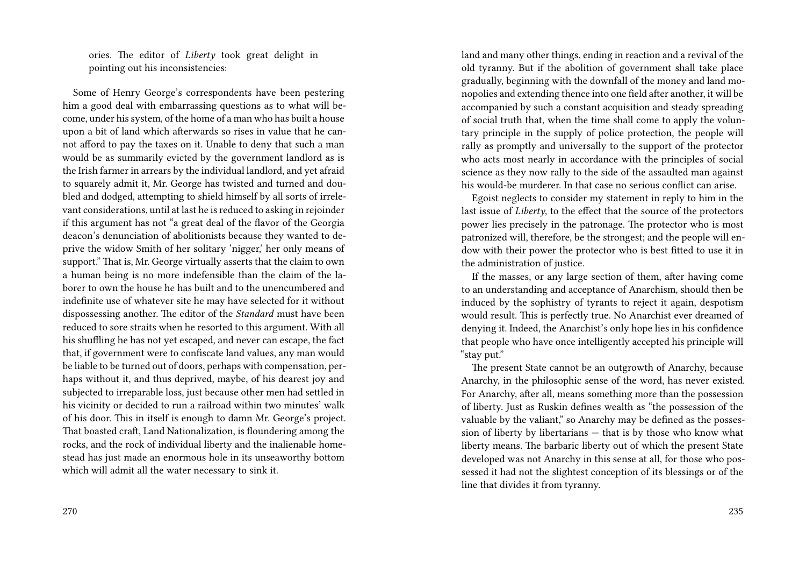ories. The editor of *Liberty* took great delight in pointing out his inconsistencies:

Some of Henry George's correspondents have been pestering him a good deal with embarrassing questions as to what will become, under his system, of the home of a man who has built a house upon a bit of land which afterwards so rises in value that he cannot afford to pay the taxes on it. Unable to deny that such a man would be as summarily evicted by the government landlord as is the Irish farmer in arrears by the individual landlord, and yet afraid to squarely admit it, Mr. George has twisted and turned and doubled and dodged, attempting to shield himself by all sorts of irrelevant considerations, until at last he is reduced to asking in rejoinder if this argument has not "a great deal of the flavor of the Georgia deacon's denunciation of abolitionists because they wanted to deprive the widow Smith of her solitary 'nigger,' her only means of support." That is, Mr. George virtually asserts that the claim to own a human being is no more indefensible than the claim of the laborer to own the house he has built and to the unencumbered and indefinite use of whatever site he may have selected for it without dispossessing another. The editor of the *Standard* must have been reduced to sore straits when he resorted to this argument. With all his shuffling he has not yet escaped, and never can escape, the fact that, if government were to confiscate land values, any man would be liable to be turned out of doors, perhaps with compensation, perhaps without it, and thus deprived, maybe, of his dearest joy and subjected to irreparable loss, just because other men had settled in his vicinity or decided to run a railroad within two minutes' walk of his door. This in itself is enough to damn Mr. George's project. That boasted craft, Land Nationalization, is floundering among the rocks, and the rock of individual liberty and the inalienable homestead has just made an enormous hole in its unseaworthy bottom which will admit all the water necessary to sink it.

land and many other things, ending in reaction and a revival of the old tyranny. But if the abolition of government shall take place gradually, beginning with the downfall of the money and land monopolies and extending thence into one field after another, it will be accompanied by such a constant acquisition and steady spreading of social truth that, when the time shall come to apply the voluntary principle in the supply of police protection, the people will rally as promptly and universally to the support of the protector who acts most nearly in accordance with the principles of social science as they now rally to the side of the assaulted man against his would-be murderer. In that case no serious conflict can arise.

Egoist neglects to consider my statement in reply to him in the last issue of *Liberty*, to the effect that the source of the protectors power lies precisely in the patronage. The protector who is most patronized will, therefore, be the strongest; and the people will endow with their power the protector who is best fitted to use it in the administration of justice.

If the masses, or any large section of them, after having come to an understanding and acceptance of Anarchism, should then be induced by the sophistry of tyrants to reject it again, despotism would result. This is perfectly true. No Anarchist ever dreamed of denying it. Indeed, the Anarchist's only hope lies in his confidence that people who have once intelligently accepted his principle will "stay put."

The present State cannot be an outgrowth of Anarchy, because Anarchy, in the philosophic sense of the word, has never existed. For Anarchy, after all, means something more than the possession of liberty. Just as Ruskin defines wealth as "the possession of the valuable by the valiant," so Anarchy may be defined as the possession of liberty by libertarians — that is by those who know what liberty means. The barbaric liberty out of which the present State developed was not Anarchy in this sense at all, for those who possessed it had not the slightest conception of its blessings or of the line that divides it from tyranny.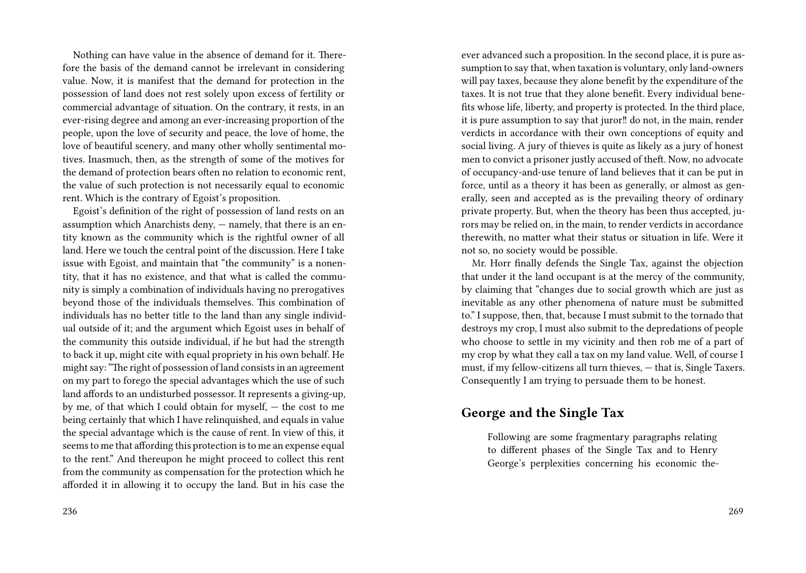Nothing can have value in the absence of demand for it. Therefore the basis of the demand cannot be irrelevant in considering value. Now, it is manifest that the demand for protection in the possession of land does not rest solely upon excess of fertility or commercial advantage of situation. On the contrary, it rests, in an ever-rising degree and among an ever-increasing proportion of the people, upon the love of security and peace, the love of home, the love of beautiful scenery, and many other wholly sentimental motives. Inasmuch, then, as the strength of some of the motives for the demand of protection bears often no relation to economic rent, the value of such protection is not necessarily equal to economic rent. Which is the contrary of Egoist's proposition.

Egoist's definition of the right of possession of land rests on an assumption which Anarchists deny, — namely, that there is an entity known as the community which is the rightful owner of all land. Here we touch the central point of the discussion. Here I take issue with Egoist, and maintain that "the community" is a nonentity, that it has no existence, and that what is called the community is simply a combination of individuals having no prerogatives beyond those of the individuals themselves. This combination of individuals has no better title to the land than any single individual outside of it; and the argument which Egoist uses in behalf of the community this outside individual, if he but had the strength to back it up, might cite with equal propriety in his own behalf. He might say: "The right of possession of land consists in an agreement on my part to forego the special advantages which the use of such land affords to an undisturbed possessor. It represents a giving-up, by me, of that which I could obtain for myself, — the cost to me being certainly that which I have relinquished, and equals in value the special advantage which is the cause of rent. In view of this, it seems to me that affording this protection is to me an expense equal to the rent." And thereupon he might proceed to collect this rent from the community as compensation for the protection which he afforded it in allowing it to occupy the land. But in his case the ever advanced such a proposition. In the second place, it is pure assumption to say that, when taxation is voluntary, only land-owners will pay taxes, because they alone benefit by the expenditure of the taxes. It is not true that they alone benefit. Every individual benefits whose life, liberty, and property is protected. In the third place, it is pure assumption to say that juror‼ do not, in the main, render verdicts in accordance with their own conceptions of equity and social living. A jury of thieves is quite as likely as a jury of honest men to convict a prisoner justly accused of theft. Now, no advocate of occupancy-and-use tenure of land believes that it can be put in force, until as a theory it has been as generally, or almost as generally, seen and accepted as is the prevailing theory of ordinary private property. But, when the theory has been thus accepted, jurors may be relied on, in the main, to render verdicts in accordance therewith, no matter what their status or situation in life. Were it not so, no society would be possible.

Mr. Horr finally defends the Single Tax, against the objection that under it the land occupant is at the mercy of the community, by claiming that "changes due to social growth which are just as inevitable as any other phenomena of nature must be submitted to." I suppose, then, that, because I must submit to the tornado that destroys my crop, I must also submit to the depredations of people who choose to settle in my vicinity and then rob me of a part of my crop by what they call a tax on my land value. Well, of course I must, if my fellow-citizens all turn thieves, — that is, Single Taxers. Consequently I am trying to persuade them to be honest.

## **George and the Single Tax**

Following are some fragmentary paragraphs relating to different phases of the Single Tax and to Henry George's perplexities concerning his economic the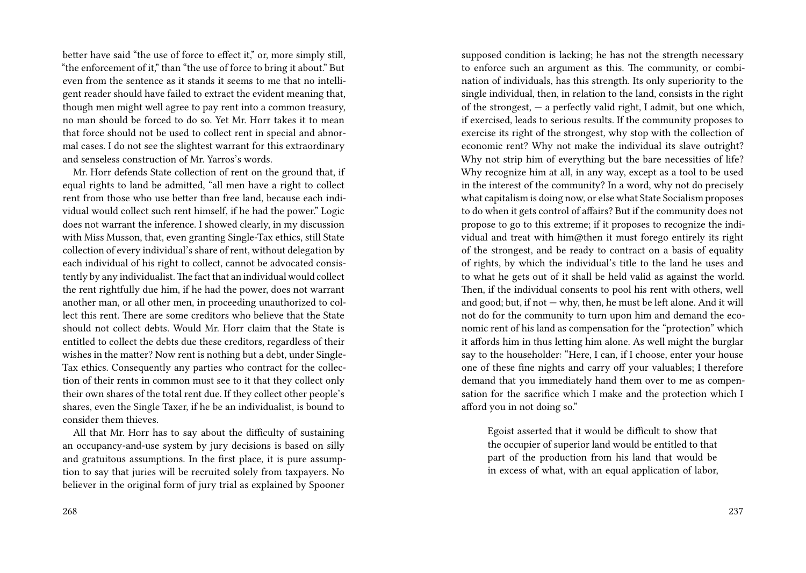better have said "the use of force to effect it," or, more simply still, "the enforcement of it," than "the use of force to bring it about." But even from the sentence as it stands it seems to me that no intelligent reader should have failed to extract the evident meaning that, though men might well agree to pay rent into a common treasury, no man should be forced to do so. Yet Mr. Horr takes it to mean that force should not be used to collect rent in special and abnormal cases. I do not see the slightest warrant for this extraordinary and senseless construction of Mr. Yarros's words.

Mr. Horr defends State collection of rent on the ground that, if equal rights to land be admitted, "all men have a right to collect rent from those who use better than free land, because each individual would collect such rent himself, if he had the power." Logic does not warrant the inference. I showed clearly, in my discussion with Miss Musson, that, even granting Single-Tax ethics, still State collection of every individual's share of rent, without delegation by each individual of his right to collect, cannot be advocated consistently by any individualist.The fact that an individual would collect the rent rightfully due him, if he had the power, does not warrant another man, or all other men, in proceeding unauthorized to collect this rent. There are some creditors who believe that the State should not collect debts. Would Mr. Horr claim that the State is entitled to collect the debts due these creditors, regardless of their wishes in the matter? Now rent is nothing but a debt, under Single-Tax ethics. Consequently any parties who contract for the collection of their rents in common must see to it that they collect only their own shares of the total rent due. If they collect other people's shares, even the Single Taxer, if he be an individualist, is bound to consider them thieves.

All that Mr. Horr has to say about the difficulty of sustaining an occupancy-and-use system by jury decisions is based on silly and gratuitous assumptions. In the first place, it is pure assumption to say that juries will be recruited solely from taxpayers. No believer in the original form of jury trial as explained by Spooner supposed condition is lacking; he has not the strength necessary to enforce such an argument as this. The community, or combination of individuals, has this strength. Its only superiority to the single individual, then, in relation to the land, consists in the right of the strongest,  $-$  a perfectly valid right, I admit, but one which, if exercised, leads to serious results. If the community proposes to exercise its right of the strongest, why stop with the collection of economic rent? Why not make the individual its slave outright? Why not strip him of everything but the bare necessities of life? Why recognize him at all, in any way, except as a tool to be used in the interest of the community? In a word, why not do precisely what capitalism is doing now, or else what State Socialism proposes to do when it gets control of affairs? But if the community does not propose to go to this extreme; if it proposes to recognize the individual and treat with him@then it must forego entirely its right of the strongest, and be ready to contract on a basis of equality of rights, by which the individual's title to the land he uses and to what he gets out of it shall be held valid as against the world. Then, if the individual consents to pool his rent with others, well and good; but, if not — why, then, he must be left alone. And it will not do for the community to turn upon him and demand the economic rent of his land as compensation for the "protection" which it affords him in thus letting him alone. As well might the burglar say to the householder: "Here, I can, if I choose, enter your house one of these fine nights and carry off your valuables; I therefore demand that you immediately hand them over to me as compensation for the sacrifice which I make and the protection which I afford you in not doing so."

Egoist asserted that it would be difficult to show that the occupier of superior land would be entitled to that part of the production from his land that would be in excess of what, with an equal application of labor,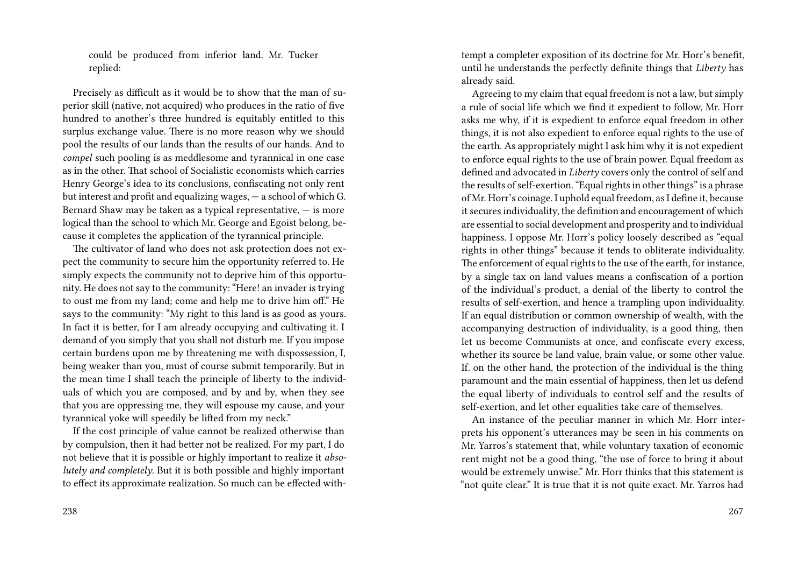could be produced from inferior land. Mr. Tucker replied:

Precisely as difficult as it would be to show that the man of superior skill (native, not acquired) who produces in the ratio of five hundred to another's three hundred is equitably entitled to this surplus exchange value. There is no more reason why we should pool the results of our lands than the results of our hands. And to *compel* such pooling is as meddlesome and tyrannical in one case as in the other. That school of Socialistic economists which carries Henry George's idea to its conclusions, confiscating not only rent but interest and profit and equalizing wages, — a school of which G. Bernard Shaw may be taken as a typical representative,  $-$  is more logical than the school to which Mr. George and Egoist belong, because it completes the application of the tyrannical principle.

The cultivator of land who does not ask protection does not expect the community to secure him the opportunity referred to. He simply expects the community not to deprive him of this opportunity. He does not say to the community: "Here! an invader is trying to oust me from my land; come and help me to drive him off." He says to the community: "My right to this land is as good as yours. In fact it is better, for I am already occupying and cultivating it. I demand of you simply that you shall not disturb me. If you impose certain burdens upon me by threatening me with dispossession, I, being weaker than you, must of course submit temporarily. But in the mean time I shall teach the principle of liberty to the individuals of which you are composed, and by and by, when they see that you are oppressing me, they will espouse my cause, and your tyrannical yoke will speedily be lifted from my neck."

If the cost principle of value cannot be realized otherwise than by compulsion, then it had better not be realized. For my part, I do not believe that it is possible or highly important to realize it *absolutely and completely*. But it is both possible and highly important to effect its approximate realization. So much can be effected with-

238

tempt a completer exposition of its doctrine for Mr. Horr's benefit, until he understands the perfectly definite things that *Liberty* has already said.

Agreeing to my claim that equal freedom is not a law, but simply a rule of social life which we find it expedient to follow, Mr. Horr asks me why, if it is expedient to enforce equal freedom in other things, it is not also expedient to enforce equal rights to the use of the earth. As appropriately might I ask him why it is not expedient to enforce equal rights to the use of brain power. Equal freedom as defined and advocated in *Liberty* covers only the control of self and the results of self-exertion. "Equal rights in other things" is a phrase of Mr. Horr's coinage. I uphold equal freedom, as I define it, because it secures individuality, the definition and encouragement of which are essential to social development and prosperity and to individual happiness. I oppose Mr. Horr's policy loosely described as "equal rights in other things" because it tends to obliterate individuality. The enforcement of equal rights to the use of the earth, for instance, by a single tax on land values means a confiscation of a portion of the individual's product, a denial of the liberty to control the results of self-exertion, and hence a trampling upon individuality. If an equal distribution or common ownership of wealth, with the accompanying destruction of individuality, is a good thing, then let us become Communists at once, and confiscate every excess, whether its source be land value, brain value, or some other value. If. on the other hand, the protection of the individual is the thing paramount and the main essential of happiness, then let us defend the equal liberty of individuals to control self and the results of self-exertion, and let other equalities take care of themselves.

An instance of the peculiar manner in which Mr. Horr interprets his opponent's utterances may be seen in his comments on Mr. Yarros's statement that, while voluntary taxation of economic rent might not be a good thing, "the use of force to bring it about would be extremely unwise." Mr. Horr thinks that this statement is "not quite clear." It is true that it is not quite exact. Mr. Yarros had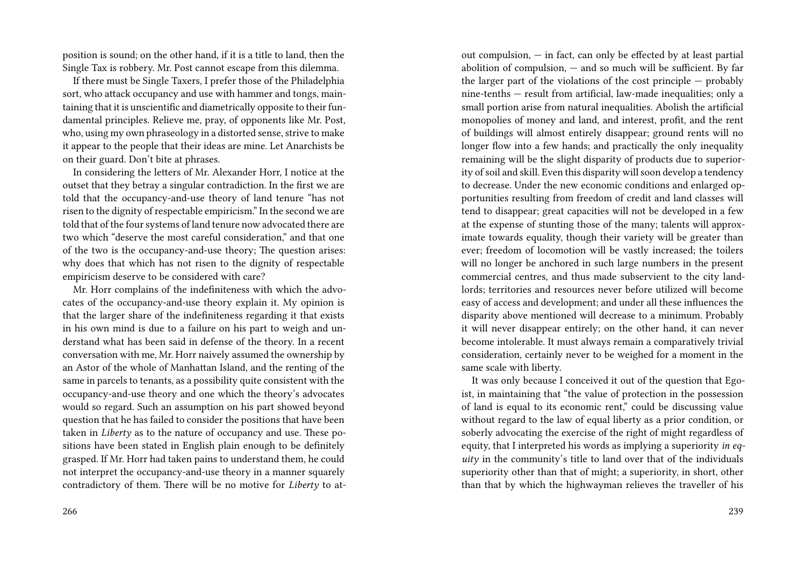position is sound; on the other hand, if it is a title to land, then the Single Tax is robbery. Mr. Post cannot escape from this dilemma.

If there must be Single Taxers, I prefer those of the Philadelphia sort, who attack occupancy and use with hammer and tongs, maintaining that it is unscientific and diametrically opposite to their fundamental principles. Relieve me, pray, of opponents like Mr. Post, who, using my own phraseology in a distorted sense, strive to make it appear to the people that their ideas are mine. Let Anarchists be on their guard. Don't bite at phrases.

In considering the letters of Mr. Alexander Horr, I notice at the outset that they betray a singular contradiction. In the first we are told that the occupancy-and-use theory of land tenure "has not risen to the dignity of respectable empiricism." In the second we are told that of the four systems of land tenure now advocated there are two which "deserve the most careful consideration," and that one of the two is the occupancy-and-use theory; The question arises: why does that which has not risen to the dignity of respectable empiricism deserve to be considered with care?

Mr. Horr complains of the indefiniteness with which the advocates of the occupancy-and-use theory explain it. My opinion is that the larger share of the indefiniteness regarding it that exists in his own mind is due to a failure on his part to weigh and understand what has been said in defense of the theory. In a recent conversation with me, Mr. Horr naively assumed the ownership by an Astor of the whole of Manhattan Island, and the renting of the same in parcels to tenants, as a possibility quite consistent with the occupancy-and-use theory and one which the theory's advocates would so regard. Such an assumption on his part showed beyond question that he has failed to consider the positions that have been taken in *Liberty* as to the nature of occupancy and use. These positions have been stated in English plain enough to be definitely grasped. If Mr. Horr had taken pains to understand them, he could not interpret the occupancy-and-use theory in a manner squarely contradictory of them. There will be no motive for *Liberty* to atout compulsion, — in fact, can only be effected by at least partial abolition of compulsion,  $-$  and so much will be sufficient. By far the larger part of the violations of the cost principle — probably nine-tenths — result from artificial, law-made inequalities; only a small portion arise from natural inequalities. Abolish the artificial monopolies of money and land, and interest, profit, and the rent of buildings will almost entirely disappear; ground rents will no longer flow into a few hands; and practically the only inequality remaining will be the slight disparity of products due to superiority of soil and skill. Even this disparity will soon develop a tendency to decrease. Under the new economic conditions and enlarged opportunities resulting from freedom of credit and land classes will tend to disappear; great capacities will not be developed in a few at the expense of stunting those of the many; talents will approximate towards equality, though their variety will be greater than ever; freedom of locomotion will be vastly increased; the toilers will no longer be anchored in such large numbers in the present commercial centres, and thus made subservient to the city landlords; territories and resources never before utilized will become easy of access and development; and under all these influences the disparity above mentioned will decrease to a minimum. Probably it will never disappear entirely; on the other hand, it can never become intolerable. It must always remain a comparatively trivial consideration, certainly never to be weighed for a moment in the same scale with liberty.

It was only because I conceived it out of the question that Egoist, in maintaining that "the value of protection in the possession of land is equal to its economic rent," could be discussing value without regard to the law of equal liberty as a prior condition, or soberly advocating the exercise of the right of might regardless of equity, that I interpreted his words as implying a superiority *in equity* in the community's title to land over that of the individuals superiority other than that of might; a superiority, in short, other than that by which the highwayman relieves the traveller of his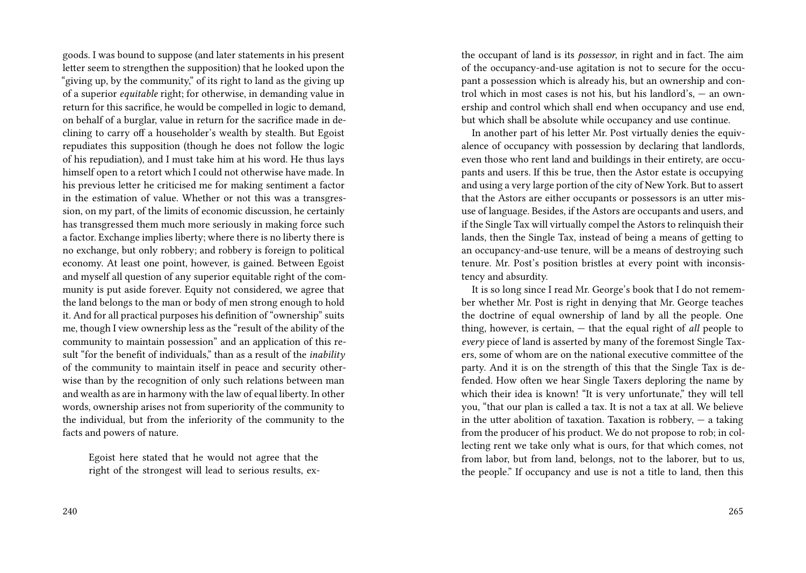goods. I was bound to suppose (and later statements in his present letter seem to strengthen the supposition) that he looked upon the "giving up, by the community," of its right to land as the giving up of a superior *equitable* right; for otherwise, in demanding value in return for this sacrifice, he would be compelled in logic to demand, on behalf of a burglar, value in return for the sacrifice made in declining to carry off a householder's wealth by stealth. But Egoist repudiates this supposition (though he does not follow the logic of his repudiation), and I must take him at his word. He thus lays himself open to a retort which I could not otherwise have made. In his previous letter he criticised me for making sentiment a factor in the estimation of value. Whether or not this was a transgression, on my part, of the limits of economic discussion, he certainly has transgressed them much more seriously in making force such a factor. Exchange implies liberty; where there is no liberty there is no exchange, but only robbery; and robbery is foreign to political economy. At least one point, however, is gained. Between Egoist and myself all question of any superior equitable right of the community is put aside forever. Equity not considered, we agree that the land belongs to the man or body of men strong enough to hold it. And for all practical purposes his definition of "ownership" suits me, though I view ownership less as the "result of the ability of the community to maintain possession" and an application of this result "for the benefit of individuals," than as a result of the *inability* of the community to maintain itself in peace and security otherwise than by the recognition of only such relations between man and wealth as are in harmony with the law of equal liberty. In other words, ownership arises not from superiority of the community to the individual, but from the inferiority of the community to the facts and powers of nature.

Egoist here stated that he would not agree that the right of the strongest will lead to serious results, ex-

the occupant of land is its *possessor*, in right and in fact. The aim of the occupancy-and-use agitation is not to secure for the occupant a possession which is already his, but an ownership and control which in most cases is not his, but his landlord's, — an ownership and control which shall end when occupancy and use end, but which shall be absolute while occupancy and use continue.

In another part of his letter Mr. Post virtually denies the equivalence of occupancy with possession by declaring that landlords, even those who rent land and buildings in their entirety, are occupants and users. If this be true, then the Astor estate is occupying and using a very large portion of the city of New York. But to assert that the Astors are either occupants or possessors is an utter misuse of language. Besides, if the Astors are occupants and users, and if the Single Tax will virtually compel the Astors to relinquish their lands, then the Single Tax, instead of being a means of getting to an occupancy-and-use tenure, will be a means of destroying such tenure. Mr. Post's position bristles at every point with inconsistency and absurdity.

It is so long since I read Mr. George's book that I do not remember whether Mr. Post is right in denying that Mr. George teaches the doctrine of equal ownership of land by all the people. One thing, however, is certain, — that the equal right of *all* people to *every* piece of land is asserted by many of the foremost Single Taxers, some of whom are on the national executive committee of the party. And it is on the strength of this that the Single Tax is defended. How often we hear Single Taxers deploring the name by which their idea is known! "It is very unfortunate," they will tell you, "that our plan is called a tax. It is not a tax at all. We believe in the utter abolition of taxation. Taxation is robbery,  $-$  a taking from the producer of his product. We do not propose to rob; in collecting rent we take only what is ours, for that which comes, not from labor, but from land, belongs, not to the laborer, but to us, the people." If occupancy and use is not a title to land, then this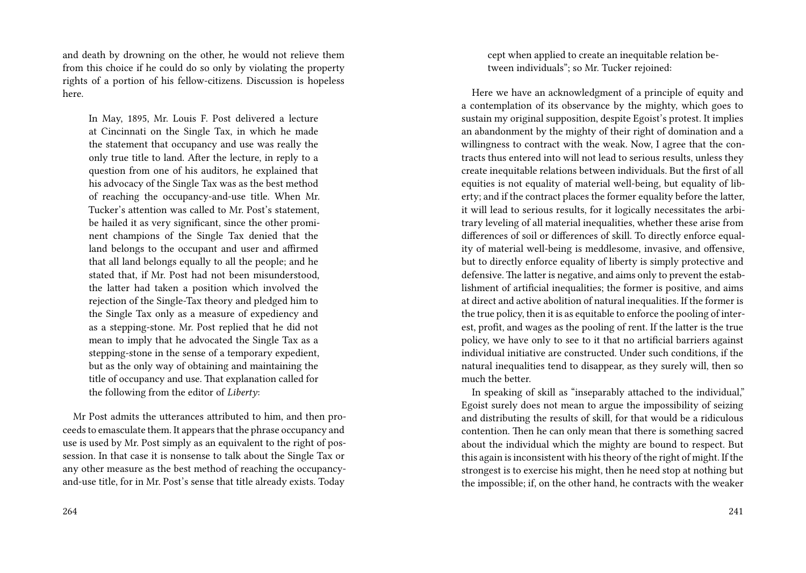and death by drowning on the other, he would not relieve them from this choice if he could do so only by violating the property rights of a portion of his fellow-citizens. Discussion is hopeless here.

In May, 1895, Mr. Louis F. Post delivered a lecture at Cincinnati on the Single Tax, in which he made the statement that occupancy and use was really the only true title to land. After the lecture, in reply to a question from one of his auditors, he explained that his advocacy of the Single Tax was as the best method of reaching the occupancy-and-use title. When Mr. Tucker's attention was called to Mr. Post's statement, be hailed it as very significant, since the other prominent champions of the Single Tax denied that the land belongs to the occupant and user and affirmed that all land belongs equally to all the people; and he stated that, if Mr. Post had not been misunderstood, the latter had taken a position which involved the rejection of the Single-Tax theory and pledged him to the Single Tax only as a measure of expediency and as a stepping-stone. Mr. Post replied that he did not mean to imply that he advocated the Single Tax as a stepping-stone in the sense of a temporary expedient, but as the only way of obtaining and maintaining the title of occupancy and use. That explanation called for the following from the editor of *Liberty*:

Mr Post admits the utterances attributed to him, and then proceeds to emasculate them. It appears that the phrase occupancy and use is used by Mr. Post simply as an equivalent to the right of possession. In that case it is nonsense to talk about the Single Tax or any other measure as the best method of reaching the occupancyand-use title, for in Mr. Post's sense that title already exists. Today cept when applied to create an inequitable relation between individuals"; so Mr. Tucker rejoined:

Here we have an acknowledgment of a principle of equity and a contemplation of its observance by the mighty, which goes to sustain my original supposition, despite Egoist's protest. It implies an abandonment by the mighty of their right of domination and a willingness to contract with the weak. Now, I agree that the contracts thus entered into will not lead to serious results, unless they create inequitable relations between individuals. But the first of all equities is not equality of material well-being, but equality of liberty; and if the contract places the former equality before the latter, it will lead to serious results, for it logically necessitates the arbitrary leveling of all material inequalities, whether these arise from differences of soil or differences of skill. To directly enforce equality of material well-being is meddlesome, invasive, and offensive, but to directly enforce equality of liberty is simply protective and defensive. The latter is negative, and aims only to prevent the establishment of artificial inequalities; the former is positive, and aims at direct and active abolition of natural inequalities. If the former is the true policy, then it is as equitable to enforce the pooling of interest, profit, and wages as the pooling of rent. If the latter is the true policy, we have only to see to it that no artificial barriers against individual initiative are constructed. Under such conditions, if the natural inequalities tend to disappear, as they surely will, then so much the better.

In speaking of skill as "inseparably attached to the individual," Egoist surely does not mean to argue the impossibility of seizing and distributing the results of skill, for that would be a ridiculous contention. Then he can only mean that there is something sacred about the individual which the mighty are bound to respect. But this again is inconsistent with his theory of the right of might. If the strongest is to exercise his might, then he need stop at nothing but the impossible; if, on the other hand, he contracts with the weaker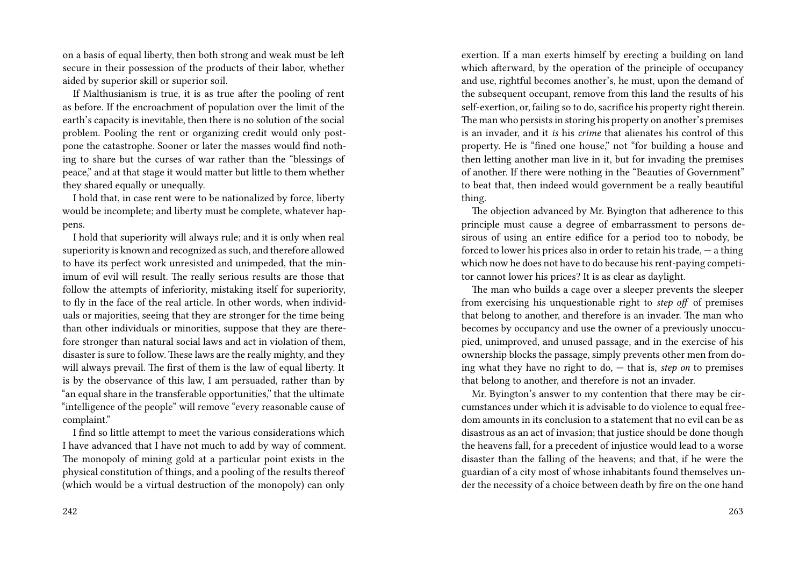on a basis of equal liberty, then both strong and weak must be left secure in their possession of the products of their labor, whether aided by superior skill or superior soil.

If Malthusianism is true, it is as true after the pooling of rent as before. If the encroachment of population over the limit of the earth's capacity is inevitable, then there is no solution of the social problem. Pooling the rent or organizing credit would only postpone the catastrophe. Sooner or later the masses would find nothing to share but the curses of war rather than the "blessings of peace," and at that stage it would matter but little to them whether they shared equally or unequally.

I hold that, in case rent were to be nationalized by force, liberty would be incomplete; and liberty must be complete, whatever happens.

I hold that superiority will always rule; and it is only when real superiority is known and recognized as such, and therefore allowed to have its perfect work unresisted and unimpeded, that the minimum of evil will result. The really serious results are those that follow the attempts of inferiority, mistaking itself for superiority, to fly in the face of the real article. In other words, when individuals or majorities, seeing that they are stronger for the time being than other individuals or minorities, suppose that they are therefore stronger than natural social laws and act in violation of them, disaster is sure to follow. These laws are the really mighty, and they will always prevail. The first of them is the law of equal liberty. It is by the observance of this law, I am persuaded, rather than by "an equal share in the transferable opportunities," that the ultimate "intelligence of the people" will remove "every reasonable cause of complaint."

I find so little attempt to meet the various considerations which I have advanced that I have not much to add by way of comment. The monopoly of mining gold at a particular point exists in the physical constitution of things, and a pooling of the results thereof (which would be a virtual destruction of the monopoly) can only exertion. If a man exerts himself by erecting a building on land which afterward, by the operation of the principle of occupancy and use, rightful becomes another's, he must, upon the demand of the subsequent occupant, remove from this land the results of his self-exertion, or, failing so to do, sacrifice his property right therein. The man who persists in storing his property on another's premises is an invader, and it *is* his *crime* that alienates his control of this property. He is "fined one house," not "for building a house and then letting another man live in it, but for invading the premises of another. If there were nothing in the "Beauties of Government" to beat that, then indeed would government be a really beautiful thing.

The objection advanced by Mr. Byington that adherence to this principle must cause a degree of embarrassment to persons desirous of using an entire edifice for a period too to nobody, be forced to lower his prices also in order to retain his trade, — a thing which now he does not have to do because his rent-paying competitor cannot lower his prices? It is as clear as daylight.

The man who builds a cage over a sleeper prevents the sleeper from exercising his unquestionable right to *step off* of premises that belong to another, and therefore is an invader. The man who becomes by occupancy and use the owner of a previously unoccupied, unimproved, and unused passage, and in the exercise of his ownership blocks the passage, simply prevents other men from doing what they have no right to do, — that is, *step on* to premises that belong to another, and therefore is not an invader.

Mr. Byington's answer to my contention that there may be circumstances under which it is advisable to do violence to equal freedom amounts in its conclusion to a statement that no evil can be as disastrous as an act of invasion; that justice should be done though the heavens fall, for a precedent of injustice would lead to a worse disaster than the falling of the heavens; and that, if he were the guardian of a city most of whose inhabitants found themselves under the necessity of a choice between death by fire on the one hand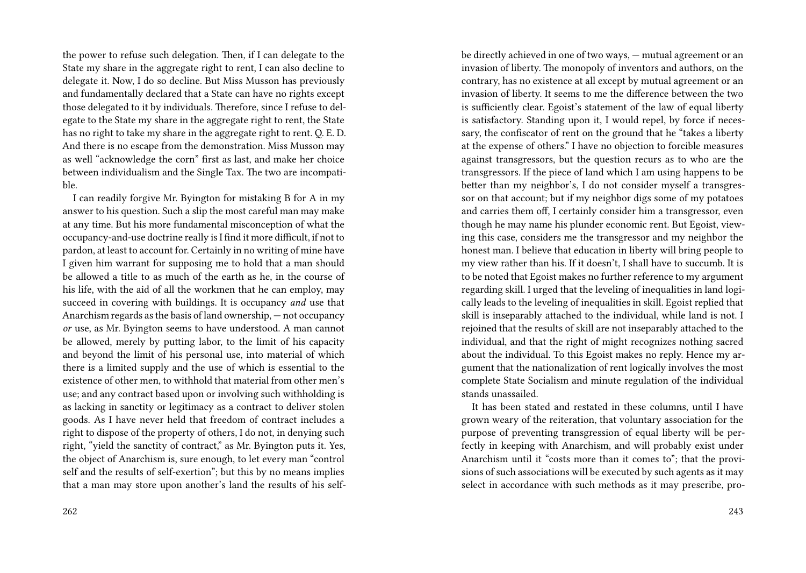the power to refuse such delegation. Then, if I can delegate to the State my share in the aggregate right to rent, I can also decline to delegate it. Now, I do so decline. But Miss Musson has previously and fundamentally declared that a State can have no rights except those delegated to it by individuals. Therefore, since I refuse to delegate to the State my share in the aggregate right to rent, the State has no right to take my share in the aggregate right to rent. Q. E. D. And there is no escape from the demonstration. Miss Musson may as well "acknowledge the corn" first as last, and make her choice between individualism and the Single Tax. The two are incompatible.

I can readily forgive Mr. Byington for mistaking B for A in my answer to his question. Such a slip the most careful man may make at any time. But his more fundamental misconception of what the occupancy-and-use doctrine really is I find it more difficult, if not to pardon, at least to account for. Certainly in no writing of mine have I given him warrant for supposing me to hold that a man should be allowed a title to as much of the earth as he, in the course of his life, with the aid of all the workmen that he can employ, may succeed in covering with buildings. It is occupancy *and* use that Anarchism regards as the basis of land ownership, — not occupancy *or* use, as Mr. Byington seems to have understood. A man cannot be allowed, merely by putting labor, to the limit of his capacity and beyond the limit of his personal use, into material of which there is a limited supply and the use of which is essential to the existence of other men, to withhold that material from other men's use; and any contract based upon or involving such withholding is as lacking in sanctity or legitimacy as a contract to deliver stolen goods. As I have never held that freedom of contract includes a right to dispose of the property of others, I do not, in denying such right, "yield the sanctity of contract," as Mr. Byington puts it. Yes, the object of Anarchism is, sure enough, to let every man "control self and the results of self-exertion"; but this by no means implies that a man may store upon another's land the results of his selfbe directly achieved in one of two ways, — mutual agreement or an invasion of liberty. The monopoly of inventors and authors, on the contrary, has no existence at all except by mutual agreement or an invasion of liberty. It seems to me the difference between the two is sufficiently clear. Egoist's statement of the law of equal liberty is satisfactory. Standing upon it, I would repel, by force if necessary, the confiscator of rent on the ground that he "takes a liberty at the expense of others." I have no objection to forcible measures against transgressors, but the question recurs as to who are the transgressors. If the piece of land which I am using happens to be better than my neighbor's, I do not consider myself a transgressor on that account; but if my neighbor digs some of my potatoes and carries them off, I certainly consider him a transgressor, even though he may name his plunder economic rent. But Egoist, viewing this case, considers me the transgressor and my neighbor the honest man. I believe that education in liberty will bring people to my view rather than his. If it doesn't, I shall have to succumb. It is to be noted that Egoist makes no further reference to my argument regarding skill. I urged that the leveling of inequalities in land logically leads to the leveling of inequalities in skill. Egoist replied that skill is inseparably attached to the individual, while land is not. I rejoined that the results of skill are not inseparably attached to the individual, and that the right of might recognizes nothing sacred about the individual. To this Egoist makes no reply. Hence my argument that the nationalization of rent logically involves the most complete State Socialism and minute regulation of the individual stands unassailed.

It has been stated and restated in these columns, until I have grown weary of the reiteration, that voluntary association for the purpose of preventing transgression of equal liberty will be perfectly in keeping with Anarchism, and will probably exist under Anarchism until it "costs more than it comes to"; that the provisions of such associations will be executed by such agents as it may select in accordance with such methods as it may prescribe, pro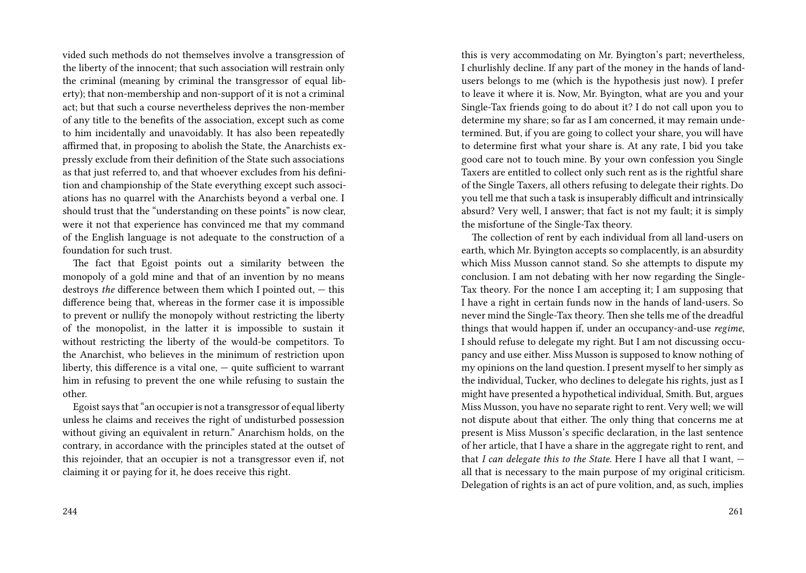vided such methods do not themselves involve a transgression of the liberty of the innocent; that such association will restrain only the criminal (meaning by criminal the transgressor of equal liberty); that non-membership and non-support of it is not a criminal act; but that such a course nevertheless deprives the non-member of any title to the benefits of the association, except such as come to him incidentally and unavoidably. It has also been repeatedly affirmed that, in proposing to abolish the State, the Anarchists expressly exclude from their definition of the State such associations as that just referred to, and that whoever excludes from his definition and championship of the State everything except such associations has no quarrel with the Anarchists beyond a verbal one. I should trust that the "understanding on these points" is now clear, were it not that experience has convinced me that my command of the English language is not adequate to the construction of a foundation for such trust.

The fact that Egoist points out a similarity between the monopoly of a gold mine and that of an invention by no means destroys *the* difference between them which I pointed out, — this difference being that, whereas in the former case it is impossible to prevent or nullify the monopoly without restricting the liberty of the monopolist, in the latter it is impossible to sustain it without restricting the liberty of the would-be competitors. To the Anarchist, who believes in the minimum of restriction upon liberty, this difference is a vital one,  $-$  quite sufficient to warrant him in refusing to prevent the one while refusing to sustain the other.

Egoist says that "an occupier is not a transgressor of equal liberty unless he claims and receives the right of undisturbed possession without giving an equivalent in return." Anarchism holds, on the contrary, in accordance with the principles stated at the outset of this rejoinder, that an occupier is not a transgressor even if, not claiming it or paying for it, he does receive this right.

this is very accommodating on Mr. Byington's part; nevertheless, I churlishly decline. If any part of the money in the hands of landusers belongs to me (which is the hypothesis just now). I prefer to leave it where it is. Now, Mr. Byington, what are you and your Single-Tax friends going to do about it? I do not call upon you to determine my share; so far as I am concerned, it may remain undetermined. But, if you are going to collect your share, you will have to determine first what your share is. At any rate, I bid you take good care not to touch mine. By your own confession you Single Taxers are entitled to collect only such rent as is the rightful share of the Single Taxers, all others refusing to delegate their rights. Do you tell me that such a task is insuperably difficult and intrinsically absurd? Very well, I answer; that fact is not my fault; it is simply the misfortune of the Single-Tax theory.

The collection of rent by each individual from all land-users on earth, which Mr. Byington accepts so complacently, is an absurdity which Miss Musson cannot stand. So she attempts to dispute my conclusion. I am not debating with her now regarding the Single-Tax theory. For the nonce I am accepting it; I am supposing that I have a right in certain funds now in the hands of land-users. So never mind the Single-Tax theory. Then she tells me of the dreadful things that would happen if, under an occupancy-and-use *regime*, I should refuse to delegate my right. But I am not discussing occupancy and use either. Miss Musson is supposed to know nothing of my opinions on the land question. I present myself to her simply as the individual, Tucker, who declines to delegate his rights, just as I might have presented a hypothetical individual, Smith. But, argues Miss Musson, you have no separate right to rent. Very well; we will not dispute about that either. The only thing that concerns me at present is Miss Musson's specific declaration, in the last sentence of her article, that I have a share in the aggregate right to rent, and that *I can delegate this to the State*. Here I have all that I want, all that is necessary to the main purpose of my original criticism. Delegation of rights is an act of pure volition, and, as such, implies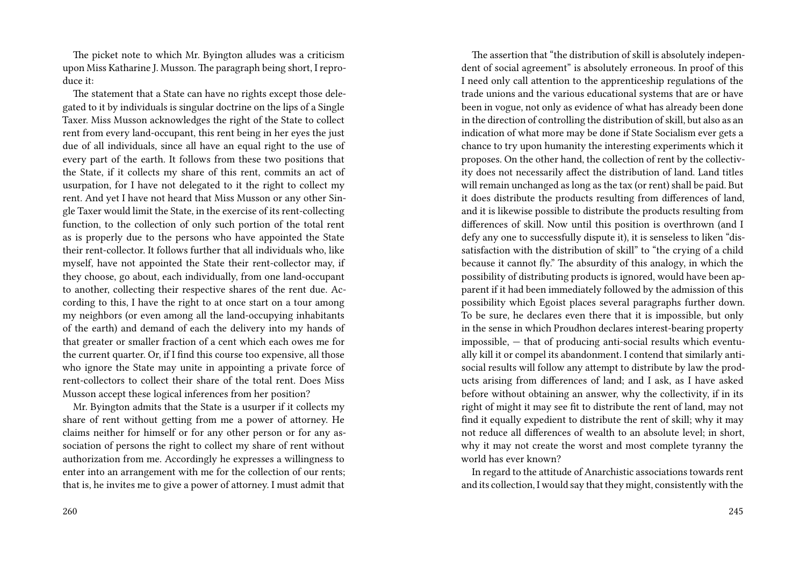The picket note to which Mr. Byington alludes was a criticism upon Miss Katharine J. Musson. The paragraph being short, I reproduce it:

The statement that a State can have no rights except those delegated to it by individuals is singular doctrine on the lips of a Single Taxer. Miss Musson acknowledges the right of the State to collect rent from every land-occupant, this rent being in her eyes the just due of all individuals, since all have an equal right to the use of every part of the earth. It follows from these two positions that the State, if it collects my share of this rent, commits an act of usurpation, for I have not delegated to it the right to collect my rent. And yet I have not heard that Miss Musson or any other Single Taxer would limit the State, in the exercise of its rent-collecting function, to the collection of only such portion of the total rent as is properly due to the persons who have appointed the State their rent-collector. It follows further that all individuals who, like myself, have not appointed the State their rent-collector may, if they choose, go about, each individually, from one land-occupant to another, collecting their respective shares of the rent due. According to this, I have the right to at once start on a tour among my neighbors (or even among all the land-occupying inhabitants of the earth) and demand of each the delivery into my hands of that greater or smaller fraction of a cent which each owes me for the current quarter. Or, if I find this course too expensive, all those who ignore the State may unite in appointing a private force of rent-collectors to collect their share of the total rent. Does Miss Musson accept these logical inferences from her position?

Mr. Byington admits that the State is a usurper if it collects my share of rent without getting from me a power of attorney. He claims neither for himself or for any other person or for any association of persons the right to collect my share of rent without authorization from me. Accordingly he expresses a willingness to enter into an arrangement with me for the collection of our rents; that is, he invites me to give a power of attorney. I must admit that

260

The assertion that "the distribution of skill is absolutely independent of social agreement" is absolutely erroneous. In proof of this I need only call attention to the apprenticeship regulations of the trade unions and the various educational systems that are or have been in vogue, not only as evidence of what has already been done in the direction of controlling the distribution of skill, but also as an indication of what more may be done if State Socialism ever gets a chance to try upon humanity the interesting experiments which it proposes. On the other hand, the collection of rent by the collectivity does not necessarily affect the distribution of land. Land titles will remain unchanged as long as the tax (or rent) shall be paid. But it does distribute the products resulting from differences of land, and it is likewise possible to distribute the products resulting from differences of skill. Now until this position is overthrown (and I defy any one to successfully dispute it), it is senseless to liken "dissatisfaction with the distribution of skill" to "the crying of a child because it cannot fly." The absurdity of this analogy, in which the possibility of distributing products is ignored, would have been apparent if it had been immediately followed by the admission of this possibility which Egoist places several paragraphs further down. To be sure, he declares even there that it is impossible, but only in the sense in which Proudhon declares interest-bearing property impossible, — that of producing anti-social results which eventually kill it or compel its abandonment. I contend that similarly antisocial results will follow any attempt to distribute by law the products arising from differences of land; and I ask, as I have asked before without obtaining an answer, why the collectivity, if in its right of might it may see fit to distribute the rent of land, may not find it equally expedient to distribute the rent of skill; why it may not reduce all differences of wealth to an absolute level; in short, why it may not create the worst and most complete tyranny the world has ever known?

In regard to the attitude of Anarchistic associations towards rent and its collection, I would say that they might, consistently with the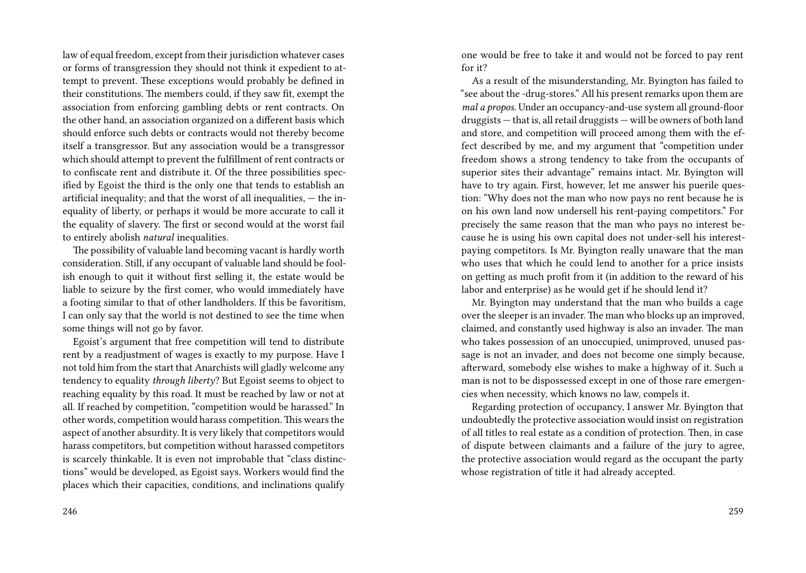law of equal freedom, except from their jurisdiction whatever cases or forms of transgression they should not think it expedient to attempt to prevent. These exceptions would probably be defined in their constitutions. The members could, if they saw fit, exempt the association from enforcing gambling debts or rent contracts. On the other hand, an association organized on a different basis which should enforce such debts or contracts would not thereby become itself a transgressor. But any association would be a transgressor which should attempt to prevent the fulfillment of rent contracts or to confiscate rent and distribute it. Of the three possibilities specified by Egoist the third is the only one that tends to establish an artificial inequality; and that the worst of all inequalities, — the inequality of liberty, or perhaps it would be more accurate to call it the equality of slavery. The first or second would at the worst fail to entirely abolish *natural* inequalities.

The possibility of valuable land becoming vacant is hardly worth consideration. Still, if any occupant of valuable land should be foolish enough to quit it without first selling it, the estate would be liable to seizure by the first comer, who would immediately have a footing similar to that of other landholders. If this be favoritism, I can only say that the world is not destined to see the time when some things will not go by favor.

Egoist's argument that free competition will tend to distribute rent by a readjustment of wages is exactly to my purpose. Have I not told him from the start that Anarchists will gladly welcome any tendency to equality *through liberty*? But Egoist seems to object to reaching equality by this road. It must be reached by law or not at all. If reached by competition, "competition would be harassed." In other words, competition would harass competition.This wears the aspect of another absurdity. It is very likely that competitors would harass competitors, but competition without harassed competitors is scarcely thinkable. It is even not improbable that "class distinctions" would be developed, as Egoist says. Workers would find the places which their capacities, conditions, and inclinations qualify one would be free to take it and would not be forced to pay rent for it?

As a result of the misunderstanding, Mr. Byington has failed to "see about the -drug-stores." All his present remarks upon them are *mal a propos*. Under an occupancy-and-use system all ground-floor druggists — that is, all retail druggists — will be owners of both land and store, and competition will proceed among them with the effect described by me, and my argument that "competition under freedom shows a strong tendency to take from the occupants of superior sites their advantage" remains intact. Mr. Byington will have to try again. First, however, let me answer his puerile question: "Why does not the man who now pays no rent because he is on his own land now undersell his rent-paying competitors." For precisely the same reason that the man who pays no interest because he is using his own capital does not under-sell his interestpaying competitors. Is Mr. Byington really unaware that the man who uses that which he could lend to another for a price insists on getting as much profit from it (in addition to the reward of his labor and enterprise) as he would get if he should lend it?

Mr. Byington may understand that the man who builds a cage over the sleeper is an invader. The man who blocks up an improved, claimed, and constantly used highway is also an invader. The man who takes possession of an unoccupied, unimproved, unused passage is not an invader, and does not become one simply because, afterward, somebody else wishes to make a highway of it. Such a man is not to be dispossessed except in one of those rare emergencies when necessity, which knows no law, compels it.

Regarding protection of occupancy, I answer Mr. Byington that undoubtedly the protective association would insist on registration of all titles to real estate as a condition of protection. Then, in case of dispute between claimants and a failure of the jury to agree, the protective association would regard as the occupant the party whose registration of title it had already accepted.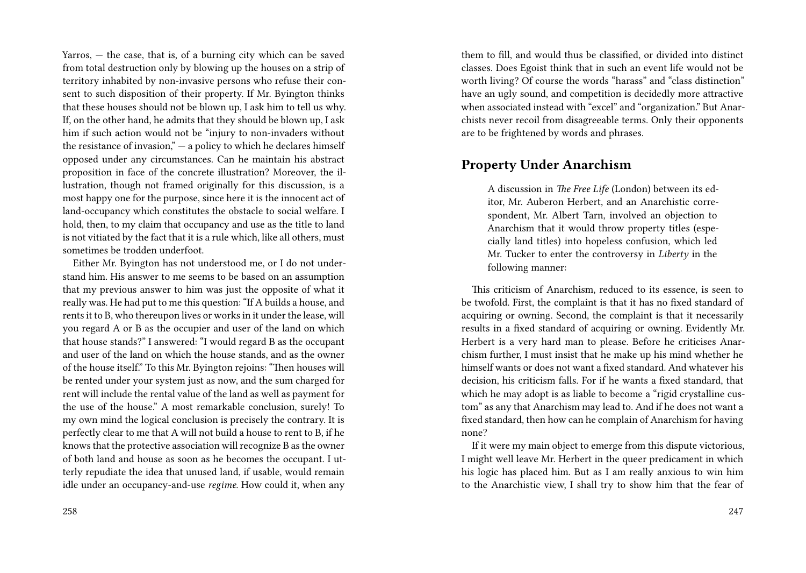Yarros, — the case, that is, of a burning city which can be saved from total destruction only by blowing up the houses on a strip of territory inhabited by non-invasive persons who refuse their consent to such disposition of their property. If Mr. Byington thinks that these houses should not be blown up, I ask him to tell us why. If, on the other hand, he admits that they should be blown up, I ask him if such action would not be "injury to non-invaders without the resistance of invasion,"  $-$  a policy to which he declares himself opposed under any circumstances. Can he maintain his abstract proposition in face of the concrete illustration? Moreover, the illustration, though not framed originally for this discussion, is a most happy one for the purpose, since here it is the innocent act of land-occupancy which constitutes the obstacle to social welfare. I hold, then, to my claim that occupancy and use as the title to land is not vitiated by the fact that it is a rule which, like all others, must sometimes be trodden underfoot.

Either Mr. Byington has not understood me, or I do not understand him. His answer to me seems to be based on an assumption that my previous answer to him was just the opposite of what it really was. He had put to me this question: "If A builds a house, and rents it to B, who thereupon lives or works in it under the lease, will you regard A or B as the occupier and user of the land on which that house stands?" I answered: "I would regard B as the occupant and user of the land on which the house stands, and as the owner of the house itself." To this Mr. Byington rejoins: "Then houses will be rented under your system just as now, and the sum charged for rent will include the rental value of the land as well as payment for the use of the house." A most remarkable conclusion, surely! To my own mind the logical conclusion is precisely the contrary. It is perfectly clear to me that A will not build a house to rent to B, if he knows that the protective association will recognize B as the owner of both land and house as soon as he becomes the occupant. I utterly repudiate the idea that unused land, if usable, would remain idle under an occupancy-and-use *regime*. How could it, when any

them to fill, and would thus be classified, or divided into distinct classes. Does Egoist think that in such an event life would not be worth living? Of course the words "harass" and "class distinction" have an ugly sound, and competition is decidedly more attractive when associated instead with "excel" and "organization." But Anarchists never recoil from disagreeable terms. Only their opponents are to be frightened by words and phrases.

### **Property Under Anarchism**

A discussion in *The Free Life* (London) between its editor, Mr. Auberon Herbert, and an Anarchistic correspondent, Mr. Albert Tarn, involved an objection to Anarchism that it would throw property titles (especially land titles) into hopeless confusion, which led Mr. Tucker to enter the controversy in *Liberty* in the following manner:

This criticism of Anarchism, reduced to its essence, is seen to be twofold. First, the complaint is that it has no fixed standard of acquiring or owning. Second, the complaint is that it necessarily results in a fixed standard of acquiring or owning. Evidently Mr. Herbert is a very hard man to please. Before he criticises Anarchism further, I must insist that he make up his mind whether he himself wants or does not want a fixed standard. And whatever his decision, his criticism falls. For if he wants a fixed standard, that which he may adopt is as liable to become a "rigid crystalline custom" as any that Anarchism may lead to. And if he does not want a fixed standard, then how can he complain of Anarchism for having none?

If it were my main object to emerge from this dispute victorious, I might well leave Mr. Herbert in the queer predicament in which his logic has placed him. But as I am really anxious to win him to the Anarchistic view, I shall try to show him that the fear of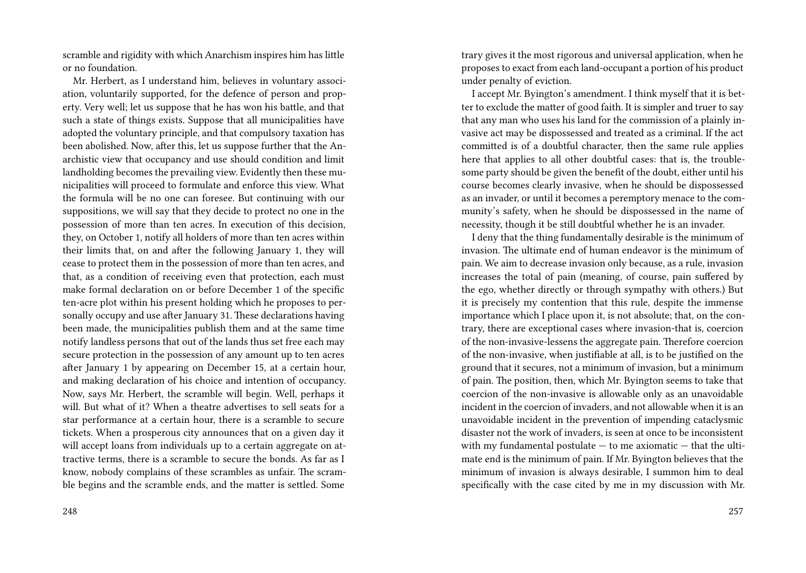scramble and rigidity with which Anarchism inspires him has little or no foundation.

Mr. Herbert, as I understand him, believes in voluntary association, voluntarily supported, for the defence of person and property. Very well; let us suppose that he has won his battle, and that such a state of things exists. Suppose that all municipalities have adopted the voluntary principle, and that compulsory taxation has been abolished. Now, after this, let us suppose further that the Anarchistic view that occupancy and use should condition and limit landholding becomes the prevailing view. Evidently then these municipalities will proceed to formulate and enforce this view. What the formula will be no one can foresee. But continuing with our suppositions, we will say that they decide to protect no one in the possession of more than ten acres. In execution of this decision, they, on October 1, notify all holders of more than ten acres within their limits that, on and after the following January 1, they will cease to protect them in the possession of more than ten acres, and that, as a condition of receiving even that protection, each must make formal declaration on or before December 1 of the specific ten-acre plot within his present holding which he proposes to personally occupy and use after January 31. These declarations having been made, the municipalities publish them and at the same time notify landless persons that out of the lands thus set free each may secure protection in the possession of any amount up to ten acres after January 1 by appearing on December 15, at a certain hour, and making declaration of his choice and intention of occupancy. Now, says Mr. Herbert, the scramble will begin. Well, perhaps it will. But what of it? When a theatre advertises to sell seats for a star performance at a certain hour, there is a scramble to secure tickets. When a prosperous city announces that on a given day it will accept loans from individuals up to a certain aggregate on attractive terms, there is a scramble to secure the bonds. As far as I know, nobody complains of these scrambles as unfair. The scramble begins and the scramble ends, and the matter is settled. Some

trary gives it the most rigorous and universal application, when he proposes to exact from each land-occupant a portion of his product under penalty of eviction.

I accept Mr. Byington's amendment. I think myself that it is better to exclude the matter of good faith. It is simpler and truer to say that any man who uses his land for the commission of a plainly invasive act may be dispossessed and treated as a criminal. If the act committed is of a doubtful character, then the same rule applies here that applies to all other doubtful cases: that is, the troublesome party should be given the benefit of the doubt, either until his course becomes clearly invasive, when he should be dispossessed as an invader, or until it becomes a peremptory menace to the community's safety, when he should be dispossessed in the name of necessity, though it be still doubtful whether he is an invader.

I deny that the thing fundamentally desirable is the minimum of invasion. The ultimate end of human endeavor is the minimum of pain. We aim to decrease invasion only because, as a rule, invasion increases the total of pain (meaning, of course, pain suffered by the ego, whether directly or through sympathy with others.) But it is precisely my contention that this rule, despite the immense importance which I place upon it, is not absolute; that, on the contrary, there are exceptional cases where invasion-that is, coercion of the non-invasive-lessens the aggregate pain. Therefore coercion of the non-invasive, when justifiable at all, is to be justified on the ground that it secures, not a minimum of invasion, but a minimum of pain. The position, then, which Mr. Byington seems to take that coercion of the non-invasive is allowable only as an unavoidable incident in the coercion of invaders, and not allowable when it is an unavoidable incident in the prevention of impending cataclysmic disaster not the work of invaders, is seen at once to be inconsistent with my fundamental postulate  $-$  to me axiomatic  $-$  that the ultimate end is the minimum of pain. If Mr. Byington believes that the minimum of invasion is always desirable, I summon him to deal specifically with the case cited by me in my discussion with Mr.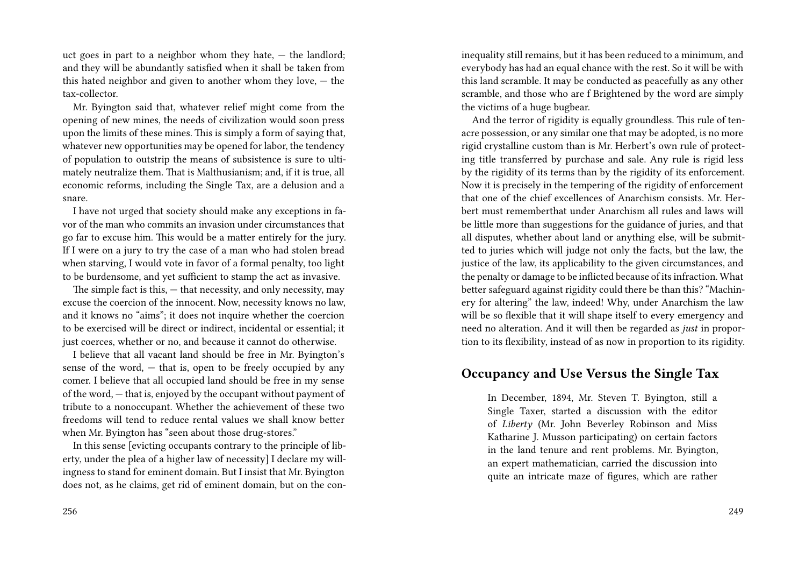uct goes in part to a neighbor whom they hate,  $-$  the landlord; and they will be abundantly satisfied when it shall be taken from this hated neighbor and given to another whom they love, — the tax-collector.

Mr. Byington said that, whatever relief might come from the opening of new mines, the needs of civilization would soon press upon the limits of these mines. This is simply a form of saying that, whatever new opportunities may be opened for labor, the tendency of population to outstrip the means of subsistence is sure to ultimately neutralize them. That is Malthusianism; and, if it is true, all economic reforms, including the Single Tax, are a delusion and a snare.

I have not urged that society should make any exceptions in favor of the man who commits an invasion under circumstances that go far to excuse him. This would be a matter entirely for the jury. If I were on a jury to try the case of a man who had stolen bread when starving, I would vote in favor of a formal penalty, too light to be burdensome, and yet sufficient to stamp the act as invasive.

The simple fact is this,  $-$  that necessity, and only necessity, may excuse the coercion of the innocent. Now, necessity knows no law, and it knows no "aims"; it does not inquire whether the coercion to be exercised will be direct or indirect, incidental or essential; it just coerces, whether or no, and because it cannot do otherwise.

I believe that all vacant land should be free in Mr. Byington's sense of the word,  $-$  that is, open to be freely occupied by any comer. I believe that all occupied land should be free in my sense of the word, — that is, enjoyed by the occupant without payment of tribute to a nonoccupant. Whether the achievement of these two freedoms will tend to reduce rental values we shall know better when Mr. Byington has "seen about those drug-stores."

In this sense [evicting occupants contrary to the principle of liberty, under the plea of a higher law of necessity] I declare my willingness to stand for eminent domain. But I insist that Mr. Byington does not, as he claims, get rid of eminent domain, but on the coninequality still remains, but it has been reduced to a minimum, and everybody has had an equal chance with the rest. So it will be with this land scramble. It may be conducted as peacefully as any other scramble, and those who are f Brightened by the word are simply the victims of a huge bugbear.

And the terror of rigidity is equally groundless. This rule of tenacre possession, or any similar one that may be adopted, is no more rigid crystalline custom than is Mr. Herbert's own rule of protecting title transferred by purchase and sale. Any rule is rigid less by the rigidity of its terms than by the rigidity of its enforcement. Now it is precisely in the tempering of the rigidity of enforcement that one of the chief excellences of Anarchism consists. Mr. Herbert must rememberthat under Anarchism all rules and laws will be little more than suggestions for the guidance of juries, and that all disputes, whether about land or anything else, will be submitted to juries which will judge not only the facts, but the law, the justice of the law, its applicability to the given circumstances, and the penalty or damage to be inflicted because of its infraction. What better safeguard against rigidity could there be than this? "Machinery for altering" the law, indeed! Why, under Anarchism the law will be so flexible that it will shape itself to every emergency and need no alteration. And it will then be regarded as *just* in proportion to its flexibility, instead of as now in proportion to its rigidity.

### **Occupancy and Use Versus the Single Tax**

In December, 1894, Mr. Steven T. Byington, still a Single Taxer, started a discussion with the editor of *Liberty* (Mr. John Beverley Robinson and Miss Katharine J. Musson participating) on certain factors in the land tenure and rent problems. Mr. Byington, an expert mathematician, carried the discussion into quite an intricate maze of figures, which are rather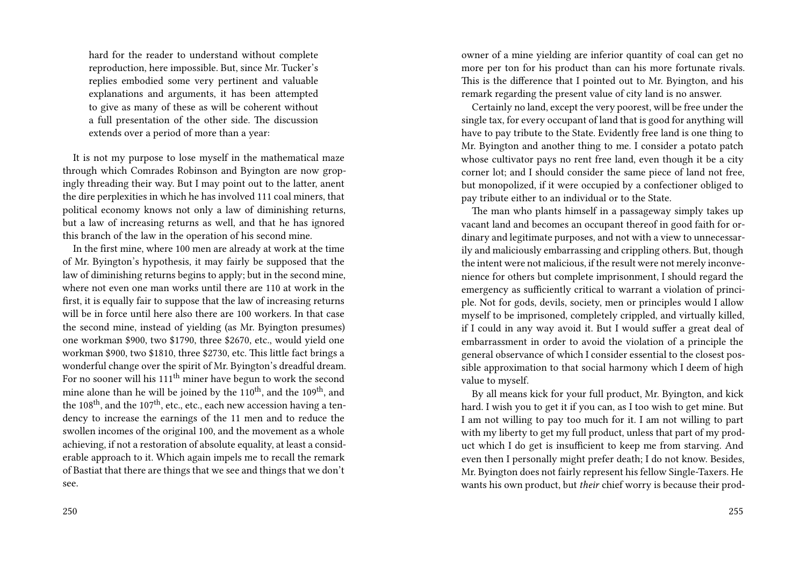hard for the reader to understand without complete reproduction, here impossible. But, since Mr. Tucker's replies embodied some very pertinent and valuable explanations and arguments, it has been attempted to give as many of these as will be coherent without a full presentation of the other side. The discussion extends over a period of more than a year:

It is not my purpose to lose myself in the mathematical maze through which Comrades Robinson and Byington are now gropingly threading their way. But I may point out to the latter, anent the dire perplexities in which he has involved 111 coal miners, that political economy knows not only a law of diminishing returns, but a law of increasing returns as well, and that he has ignored this branch of the law in the operation of his second mine.

In the first mine, where 100 men are already at work at the time of Mr. Byington's hypothesis, it may fairly be supposed that the law of diminishing returns begins to apply; but in the second mine, where not even one man works until there are 110 at work in the first, it is equally fair to suppose that the law of increasing returns will be in force until here also there are 100 workers. In that case the second mine, instead of yielding (as Mr. Byington presumes) one workman \$900, two \$1790, three \$2670, etc., would yield one workman \$900, two \$1810, three \$2730, etc. This little fact brings a wonderful change over the spirit of Mr. Byington's dreadful dream. For no sooner will his  $111<sup>th</sup>$  miner have begun to work the second mine alone than he will be joined by the  $110^{th}$ , and the  $109^{th}$ , and the  $108^{\text{th}}$ , and the  $107^{\text{th}}$ , etc., etc., each new accession having a tendency to increase the earnings of the 11 men and to reduce the swollen incomes of the original 100, and the movement as a whole achieving, if not a restoration of absolute equality, at least a considerable approach to it. Which again impels me to recall the remark of Bastiat that there are things that we see and things that we don't see.

250

owner of a mine yielding are inferior quantity of coal can get no more per ton for his product than can his more fortunate rivals. This is the difference that I pointed out to Mr. Byington, and his remark regarding the present value of city land is no answer.

Certainly no land, except the very poorest, will be free under the single tax, for every occupant of land that is good for anything will have to pay tribute to the State. Evidently free land is one thing to Mr. Byington and another thing to me. I consider a potato patch whose cultivator pays no rent free land, even though it be a city corner lot; and I should consider the same piece of land not free, but monopolized, if it were occupied by a confectioner obliged to pay tribute either to an individual or to the State.

The man who plants himself in a passageway simply takes up vacant land and becomes an occupant thereof in good faith for ordinary and legitimate purposes, and not with a view to unnecessarily and maliciously embarrassing and crippling others. But, though the intent were not malicious, if the result were not merely inconvenience for others but complete imprisonment, I should regard the emergency as sufficiently critical to warrant a violation of principle. Not for gods, devils, society, men or principles would I allow myself to be imprisoned, completely crippled, and virtually killed, if I could in any way avoid it. But I would suffer a great deal of embarrassment in order to avoid the violation of a principle the general observance of which I consider essential to the closest possible approximation to that social harmony which I deem of high value to myself.

By all means kick for your full product, Mr. Byington, and kick hard. I wish you to get it if you can, as I too wish to get mine. But I am not willing to pay too much for it. I am not willing to part with my liberty to get my full product, unless that part of my product which I do get is insufficient to keep me from starving. And even then I personally might prefer death; I do not know. Besides, Mr. Byington does not fairly represent his fellow Single-Taxers. He wants his own product, but *their* chief worry is because their prod-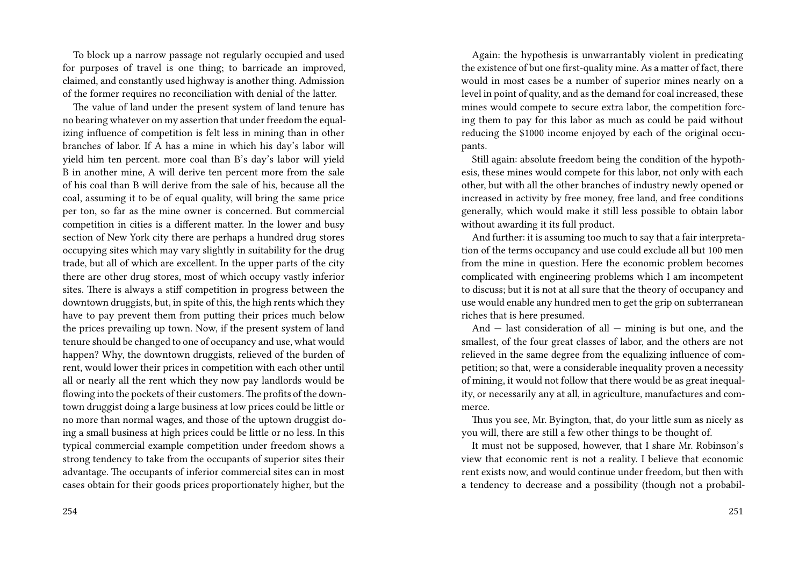To block up a narrow passage not regularly occupied and used for purposes of travel is one thing; to barricade an improved, claimed, and constantly used highway is another thing. Admission of the former requires no reconciliation with denial of the latter.

The value of land under the present system of land tenure has no bearing whatever on my assertion that under freedom the equalizing influence of competition is felt less in mining than in other branches of labor. If A has a mine in which his day's labor will yield him ten percent. more coal than B's day's labor will yield B in another mine, A will derive ten percent more from the sale of his coal than B will derive from the sale of his, because all the coal, assuming it to be of equal quality, will bring the same price per ton, so far as the mine owner is concerned. But commercial competition in cities is a different matter. In the lower and busy section of New York city there are perhaps a hundred drug stores occupying sites which may vary slightly in suitability for the drug trade, but all of which are excellent. In the upper parts of the city there are other drug stores, most of which occupy vastly inferior sites. There is always a stiff competition in progress between the downtown druggists, but, in spite of this, the high rents which they have to pay prevent them from putting their prices much below the prices prevailing up town. Now, if the present system of land tenure should be changed to one of occupancy and use, what would happen? Why, the downtown druggists, relieved of the burden of rent, would lower their prices in competition with each other until all or nearly all the rent which they now pay landlords would be flowing into the pockets of their customers. The profits of the downtown druggist doing a large business at low prices could be little or no more than normal wages, and those of the uptown druggist doing a small business at high prices could be little or no less. In this typical commercial example competition under freedom shows a strong tendency to take from the occupants of superior sites their advantage. The occupants of inferior commercial sites can in most cases obtain for their goods prices proportionately higher, but the

Again: the hypothesis is unwarrantably violent in predicating the existence of but one first-quality mine. As a matter of fact, there would in most cases be a number of superior mines nearly on a level in point of quality, and as the demand for coal increased, these mines would compete to secure extra labor, the competition forcing them to pay for this labor as much as could be paid without reducing the \$1000 income enjoyed by each of the original occupants.

Still again: absolute freedom being the condition of the hypothesis, these mines would compete for this labor, not only with each other, but with all the other branches of industry newly opened or increased in activity by free money, free land, and free conditions generally, which would make it still less possible to obtain labor without awarding it its full product.

And further: it is assuming too much to say that a fair interpretation of the terms occupancy and use could exclude all but 100 men from the mine in question. Here the economic problem becomes complicated with engineering problems which I am incompetent to discuss; but it is not at all sure that the theory of occupancy and use would enable any hundred men to get the grip on subterranean riches that is here presumed.

And  $-$  last consideration of all  $-$  mining is but one, and the smallest, of the four great classes of labor, and the others are not relieved in the same degree from the equalizing influence of competition; so that, were a considerable inequality proven a necessity of mining, it would not follow that there would be as great inequality, or necessarily any at all, in agriculture, manufactures and commerce.

Thus you see, Mr. Byington, that, do your little sum as nicely as you will, there are still a few other things to be thought of.

It must not be supposed, however, that I share Mr. Robinson's view that economic rent is not a reality. I believe that economic rent exists now, and would continue under freedom, but then with a tendency to decrease and a possibility (though not a probabil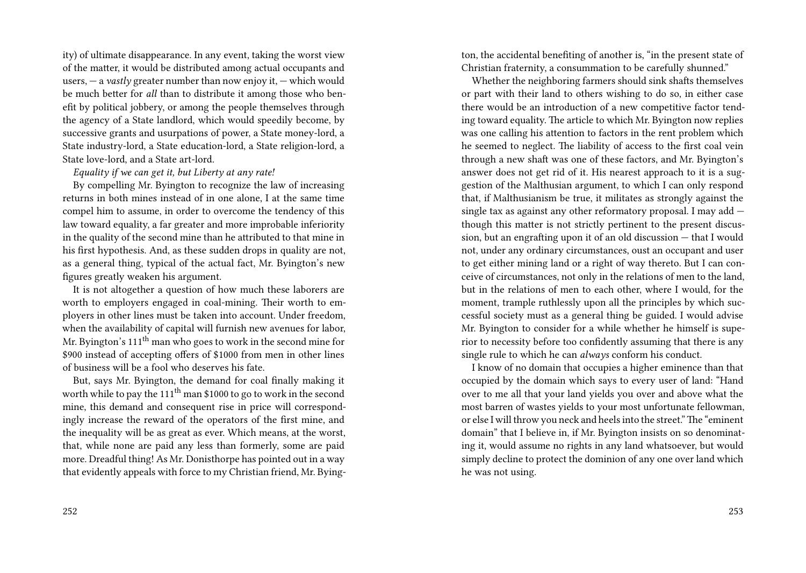ity) of ultimate disappearance. In any event, taking the worst view of the matter, it would be distributed among actual occupants and users, — a *vastly* greater number than now enjoy it, — which would be much better for *all* than to distribute it among those who benefit by political jobbery, or among the people themselves through the agency of a State landlord, which would speedily become, by successive grants and usurpations of power, a State money-lord, a State industry-lord, a State education-lord, a State religion-lord, a State love-lord, and a State art-lord.

*Equality if we can get it, but Liberty at any rate!*

By compelling Mr. Byington to recognize the law of increasing returns in both mines instead of in one alone, I at the same time compel him to assume, in order to overcome the tendency of this law toward equality, a far greater and more improbable inferiority in the quality of the second mine than he attributed to that mine in his first hypothesis. And, as these sudden drops in quality are not, as a general thing, typical of the actual fact, Mr. Byington's new figures greatly weaken his argument.

It is not altogether a question of how much these laborers are worth to employers engaged in coal-mining. Their worth to employers in other lines must be taken into account. Under freedom, when the availability of capital will furnish new avenues for labor, Mr. Byington's 111<sup>th</sup> man who goes to work in the second mine for \$900 instead of accepting offers of \$1000 from men in other lines of business will be a fool who deserves his fate.

But, says Mr. Byington, the demand for coal finally making it worth while to pay the  $111<sup>th</sup>$  man \$1000 to go to work in the second mine, this demand and consequent rise in price will correspondingly increase the reward of the operators of the first mine, and the inequality will be as great as ever. Which means, at the worst, that, while none are paid any less than formerly, some are paid more. Dreadful thing! As Mr. Donisthorpe has pointed out in a way that evidently appeals with force to my Christian friend, Mr. Bying-

252

ton, the accidental benefiting of another is, "in the present state of Christian fraternity, a consummation to be carefully shunned."

Whether the neighboring farmers should sink shafts themselves or part with their land to others wishing to do so, in either case there would be an introduction of a new competitive factor tending toward equality. The article to which Mr. Byington now replies was one calling his attention to factors in the rent problem which he seemed to neglect. The liability of access to the first coal vein through a new shaft was one of these factors, and Mr. Byington's answer does not get rid of it. His nearest approach to it is a suggestion of the Malthusian argument, to which I can only respond that, if Malthusianism be true, it militates as strongly against the single tax as against any other reformatory proposal. I may add though this matter is not strictly pertinent to the present discussion, but an engrafting upon it of an old discussion — that I would not, under any ordinary circumstances, oust an occupant and user to get either mining land or a right of way thereto. But I can conceive of circumstances, not only in the relations of men to the land, but in the relations of men to each other, where I would, for the moment, trample ruthlessly upon all the principles by which successful society must as a general thing be guided. I would advise Mr. Byington to consider for a while whether he himself is superior to necessity before too confidently assuming that there is any single rule to which he can *always* conform his conduct.

I know of no domain that occupies a higher eminence than that occupied by the domain which says to every user of land: "Hand over to me all that your land yields you over and above what the most barren of wastes yields to your most unfortunate fellowman, or else I will throw you neck and heels into the street."The "eminent domain" that I believe in, if Mr. Byington insists on so denominating it, would assume no rights in any land whatsoever, but would simply decline to protect the dominion of any one over land which he was not using.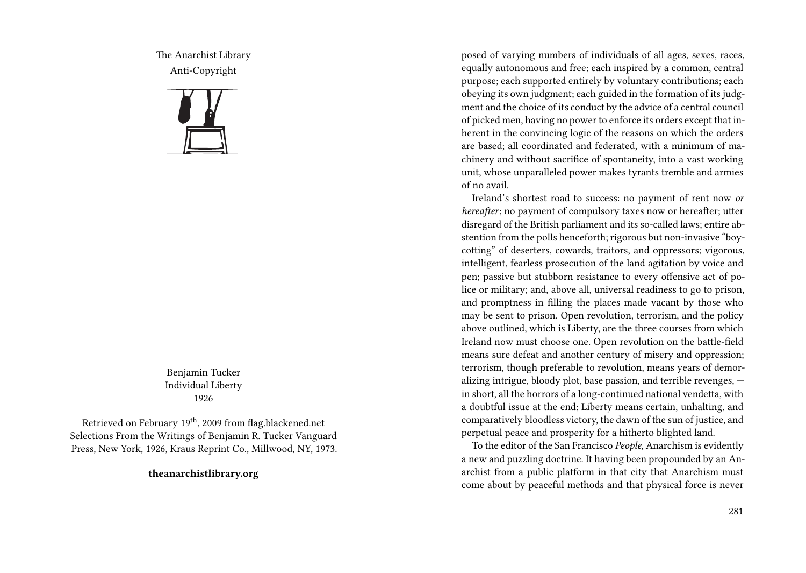The Anarchist Library Anti-Copyright



Benjamin Tucker Individual Liberty 1926

Retrieved on February 19th, 2009 from flag.blackened.net Selections From the Writings of Benjamin R. Tucker Vanguard Press, New York, 1926, Kraus Reprint Co., Millwood, NY, 1973.

**theanarchistlibrary.org**

posed of varying numbers of individuals of all ages, sexes, races, equally autonomous and free; each inspired by a common, central purpose; each supported entirely by voluntary contributions; each obeying its own judgment; each guided in the formation of its judgment and the choice of its conduct by the advice of a central council of picked men, having no power to enforce its orders except that inherent in the convincing logic of the reasons on which the orders are based; all coordinated and federated, with a minimum of machinery and without sacrifice of spontaneity, into a vast working unit, whose unparalleled power makes tyrants tremble and armies of no avail.

Ireland's shortest road to success: no payment of rent now *or hereafter*; no payment of compulsory taxes now or hereafter; utter disregard of the British parliament and its so-called laws; entire abstention from the polls henceforth; rigorous but non-invasive "boycotting" of deserters, cowards, traitors, and oppressors; vigorous, intelligent, fearless prosecution of the land agitation by voice and pen; passive but stubborn resistance to every offensive act of police or military; and, above all, universal readiness to go to prison, and promptness in filling the places made vacant by those who may be sent to prison. Open revolution, terrorism, and the policy above outlined, which is Liberty, are the three courses from which Ireland now must choose one. Open revolution on the battle-field means sure defeat and another century of misery and oppression; terrorism, though preferable to revolution, means years of demoralizing intrigue, bloody plot, base passion, and terrible revenges, in short, all the horrors of a long-continued national vendetta, with a doubtful issue at the end; Liberty means certain, unhalting, and comparatively bloodless victory, the dawn of the sun of justice, and perpetual peace and prosperity for a hitherto blighted land.

To the editor of the San Francisco *People*, Anarchism is evidently a new and puzzling doctrine. It having been propounded by an Anarchist from a public platform in that city that Anarchism must come about by peaceful methods and that physical force is never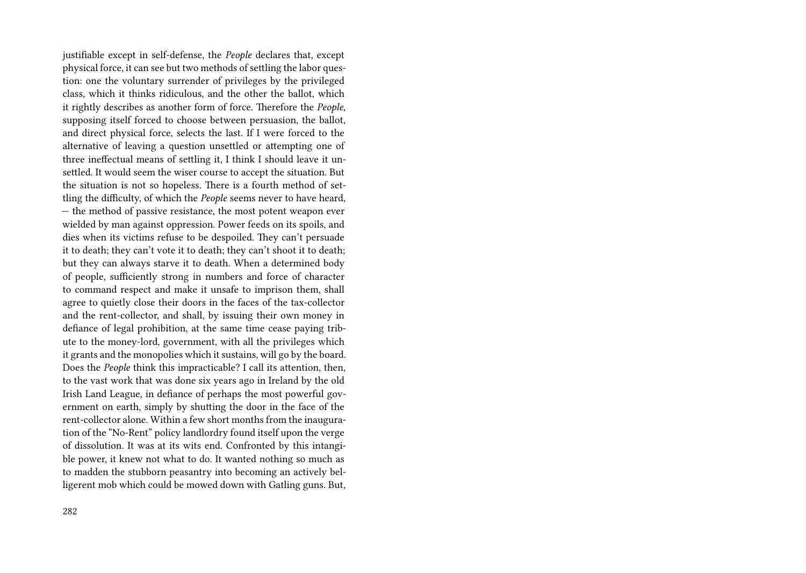justifiable except in self-defense, the *People* declares that, except physical force, it can see but two methods of settling the labor question: one the voluntary surrender of privileges by the privileged class, which it thinks ridiculous, and the other the ballot, which it rightly describes as another form of force. Therefore the *People*, supposing itself forced to choose between persuasion, the ballot, and direct physical force, selects the last. If I were forced to the alternative of leaving a question unsettled or attempting one of three ineffectual means of settling it, I think I should leave it unsettled. It would seem the wiser course to accept the situation. But the situation is not so hopeless. There is a fourth method of settling the difficulty, of which the *People* seems never to have heard, — the method of passive resistance, the most potent weapon ever wielded by man against oppression. Power feeds on its spoils, and dies when its victims refuse to be despoiled. They can't persuade it to death; they can't vote it to death; they can't shoot it to death; but they can always starve it to death. When a determined body of people, sufficiently strong in numbers and force of character to command respect and make it unsafe to imprison them, shall agree to quietly close their doors in the faces of the tax-collector and the rent-collector, and shall, by issuing their own money in defiance of legal prohibition, at the same time cease paying tribute to the money-lord, government, with all the privileges which it grants and the monopolies which it sustains, will go by the board. Does the *People* think this impracticable? I call its attention, then, to the vast work that was done six years ago in Ireland by the old Irish Land League, in defiance of perhaps the most powerful government on earth, simply by shutting the door in the face of the rent-collector alone. Within a few short months from the inauguration of the "No-Rent" policy landlordry found itself upon the verge of dissolution. It was at its wits end. Confronted by this intangible power, it knew not what to do. It wanted nothing so much as to madden the stubborn peasantry into becoming an actively belligerent mob which could be mowed down with Gatling guns. But,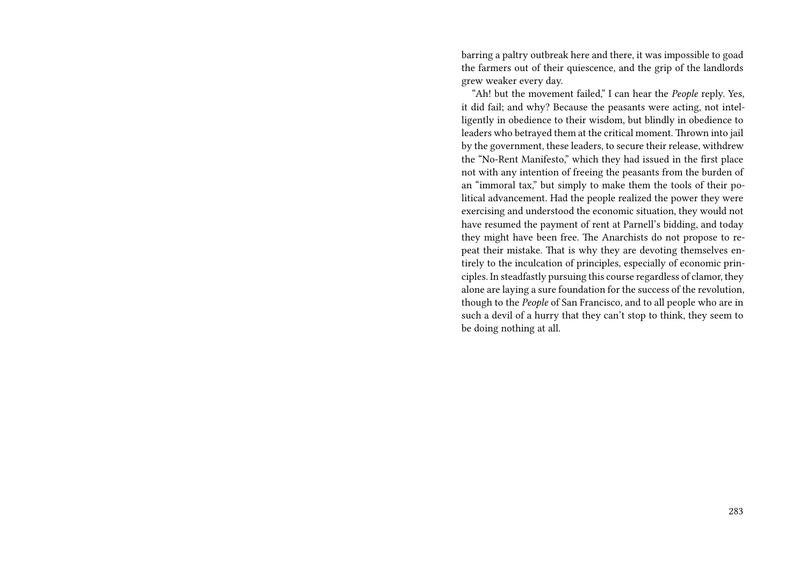barring a paltry outbreak here and there, it was impossible to goad the farmers out of their quiescence, and the grip of the landlords grew weaker every day.

"Ah! but the movement failed," I can hear the *People* reply. Yes, it did fail; and why? Because the peasants were acting, not intelligently in obedience to their wisdom, but blindly in obedience to leaders who betrayed them at the critical moment. Thrown into jail by the government, these leaders, to secure their release, withdrew the "No-Rent Manifesto," which they had issued in the first place not with any intention of freeing the peasants from the burden of an "immoral tax," but simply to make them the tools of their political advancement. Had the people realized the power they were exercising and understood the economic situation, they would not have resumed the payment of rent at Parnell's bidding, and today they might have been free. The Anarchists do not propose to repeat their mistake. That is why they are devoting themselves entirely to the inculcation of principles, especially of economic principles. In steadfastly pursuing this course regardless of clamor, they alone are laying a sure foundation for the success of the revolution, though to the *People* of San Francisco, and to all people who are in such a devil of a hurry that they can't stop to think, they seem to be doing nothing at all.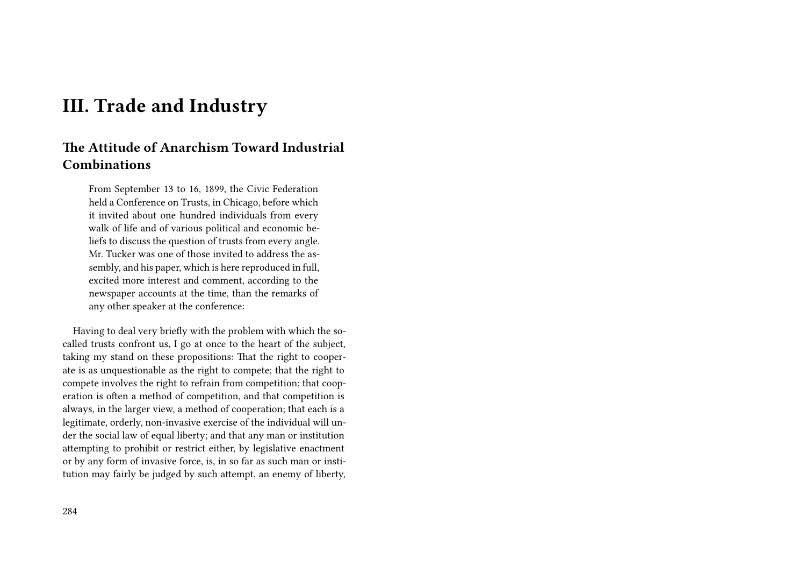# **III. Trade and Industry**

# **The Attitude of Anarchism Toward Industrial Combinations**

From September 13 to 16, 1899, the Civic Federation held a Conference on Trusts, in Chicago, before which it invited about one hundred individuals from every walk of life and of various political and economic beliefs to discuss the question of trusts from every angle. Mr. Tucker was one of those invited to address the assembly, and his paper, which is here reproduced in full, excited more interest and comment, according to the newspaper accounts at the time, than the remarks of any other speaker at the conference:

Having to deal very briefly with the problem with which the socalled trusts confront us, I go at once to the heart of the subject, taking my stand on these propositions: That the right to cooperate is as unquestionable as the right to compete; that the right to compete involves the right to refrain from competition; that cooperation is often a method of competition, and that competition is always, in the larger view, a method of cooperation; that each is a legitimate, orderly, non-invasive exercise of the individual will under the social law of equal liberty; and that any man or institution attempting to prohibit or restrict either, by legislative enactment or by any form of invasive force, is, in so far as such man or institution may fairly be judged by such attempt, an enemy of liberty,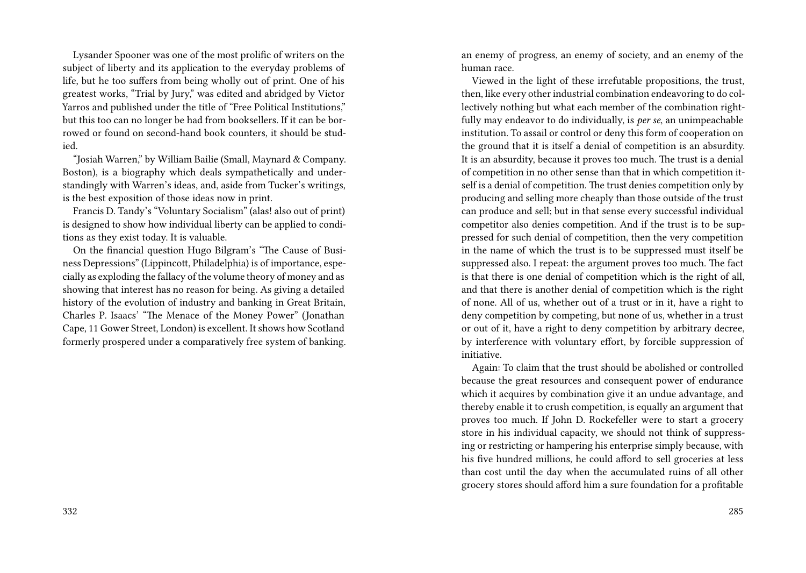Lysander Spooner was one of the most prolific of writers on the subject of liberty and its application to the everyday problems of life, but he too suffers from being wholly out of print. One of his greatest works, "Trial by Jury," was edited and abridged by Victor Yarros and published under the title of "Free Political Institutions," but this too can no longer be had from booksellers. If it can be borrowed or found on second-hand book counters, it should be studied.

"Josiah Warren," by William Bailie (Small, Maynard & Company. Boston), is a biography which deals sympathetically and understandingly with Warren's ideas, and, aside from Tucker's writings, is the best exposition of those ideas now in print.

Francis D. Tandy's "Voluntary Socialism" (alas! also out of print) is designed to show how individual liberty can be applied to conditions as they exist today. It is valuable.

On the financial question Hugo Bilgram's "The Cause of Business Depressions" (Lippincott, Philadelphia) is of importance, especially as exploding the fallacy of the volume theory of money and as showing that interest has no reason for being. As giving a detailed history of the evolution of industry and banking in Great Britain, Charles P. Isaacs' "The Menace of the Money Power" (Jonathan Cape, 11 Gower Street, London) is excellent. It shows how Scotland formerly prospered under a comparatively free system of banking.

an enemy of progress, an enemy of society, and an enemy of the human race.

Viewed in the light of these irrefutable propositions, the trust, then, like every other industrial combination endeavoring to do collectively nothing but what each member of the combination rightfully may endeavor to do individually, is *per se*, an unimpeachable institution. To assail or control or deny this form of cooperation on the ground that it is itself a denial of competition is an absurdity. It is an absurdity, because it proves too much. The trust is a denial of competition in no other sense than that in which competition itself is a denial of competition. The trust denies competition only by producing and selling more cheaply than those outside of the trust can produce and sell; but in that sense every successful individual competitor also denies competition. And if the trust is to be suppressed for such denial of competition, then the very competition in the name of which the trust is to be suppressed must itself be suppressed also. I repeat: the argument proves too much. The fact is that there is one denial of competition which is the right of all, and that there is another denial of competition which is the right of none. All of us, whether out of a trust or in it, have a right to deny competition by competing, but none of us, whether in a trust or out of it, have a right to deny competition by arbitrary decree, by interference with voluntary effort, by forcible suppression of initiative.

Again: To claim that the trust should be abolished or controlled because the great resources and consequent power of endurance which it acquires by combination give it an undue advantage, and thereby enable it to crush competition, is equally an argument that proves too much. If John D. Rockefeller were to start a grocery store in his individual capacity, we should not think of suppressing or restricting or hampering his enterprise simply because, with his five hundred millions, he could afford to sell groceries at less than cost until the day when the accumulated ruins of all other grocery stores should afford him a sure foundation for a profitable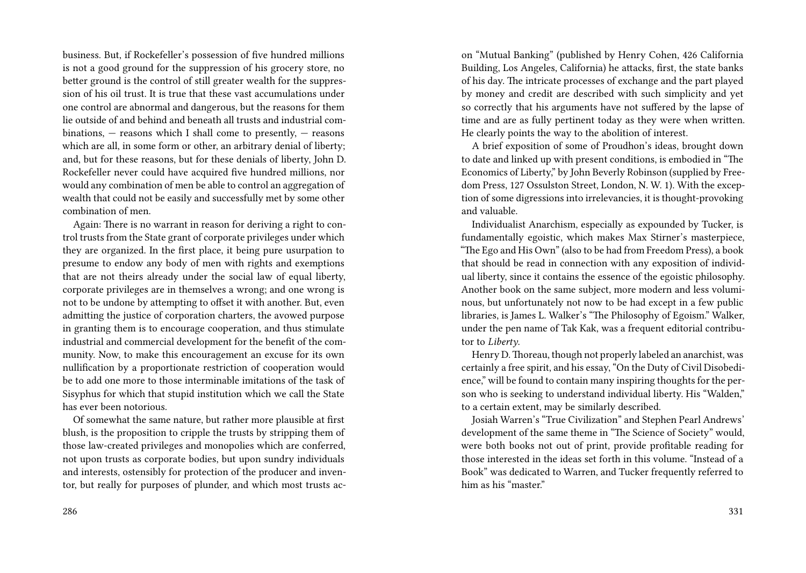business. But, if Rockefeller's possession of five hundred millions is not a good ground for the suppression of his grocery store, no better ground is the control of still greater wealth for the suppression of his oil trust. It is true that these vast accumulations under one control are abnormal and dangerous, but the reasons for them lie outside of and behind and beneath all trusts and industrial combinations,  $-$  reasons which I shall come to presently,  $-$  reasons which are all, in some form or other, an arbitrary denial of liberty; and, but for these reasons, but for these denials of liberty, John D. Rockefeller never could have acquired five hundred millions, nor would any combination of men be able to control an aggregation of wealth that could not be easily and successfully met by some other combination of men.

Again: There is no warrant in reason for deriving a right to control trusts from the State grant of corporate privileges under which they are organized. In the first place, it being pure usurpation to presume to endow any body of men with rights and exemptions that are not theirs already under the social law of equal liberty, corporate privileges are in themselves a wrong; and one wrong is not to be undone by attempting to offset it with another. But, even admitting the justice of corporation charters, the avowed purpose in granting them is to encourage cooperation, and thus stimulate industrial and commercial development for the benefit of the community. Now, to make this encouragement an excuse for its own nullification by a proportionate restriction of cooperation would be to add one more to those interminable imitations of the task of Sisyphus for which that stupid institution which we call the State has ever been notorious.

Of somewhat the same nature, but rather more plausible at first blush, is the proposition to cripple the trusts by stripping them of those law-created privileges and monopolies which are conferred, not upon trusts as corporate bodies, but upon sundry individuals and interests, ostensibly for protection of the producer and inventor, but really for purposes of plunder, and which most trusts acon "Mutual Banking" (published by Henry Cohen, 426 California Building, Los Angeles, California) he attacks, first, the state banks of his day. The intricate processes of exchange and the part played by money and credit are described with such simplicity and yet so correctly that his arguments have not suffered by the lapse of time and are as fully pertinent today as they were when written. He clearly points the way to the abolition of interest.

A brief exposition of some of Proudhon's ideas, brought down to date and linked up with present conditions, is embodied in "The Economics of Liberty," by John Beverly Robinson (supplied by Freedom Press, 127 Ossulston Street, London, N. W. 1). With the exception of some digressions into irrelevancies, it is thought-provoking and valuable.

Individualist Anarchism, especially as expounded by Tucker, is fundamentally egoistic, which makes Max Stirner's masterpiece, "The Ego and His Own" (also to be had from Freedom Press), a book that should be read in connection with any exposition of individual liberty, since it contains the essence of the egoistic philosophy. Another book on the same subject, more modern and less voluminous, but unfortunately not now to be had except in a few public libraries, is James L. Walker's "The Philosophy of Egoism." Walker, under the pen name of Tak Kak, was a frequent editorial contributor to *Liberty*.

Henry D. Thoreau, though not properly labeled an anarchist, was certainly a free spirit, and his essay, "On the Duty of Civil Disobedience," will be found to contain many inspiring thoughts for the person who is seeking to understand individual liberty. His "Walden," to a certain extent, may be similarly described.

Josiah Warren's "True Civilization" and Stephen Pearl Andrews' development of the same theme in "The Science of Society" would, were both books not out of print, provide profitable reading for those interested in the ideas set forth in this volume. "Instead of a Book" was dedicated to Warren, and Tucker frequently referred to him as his "master"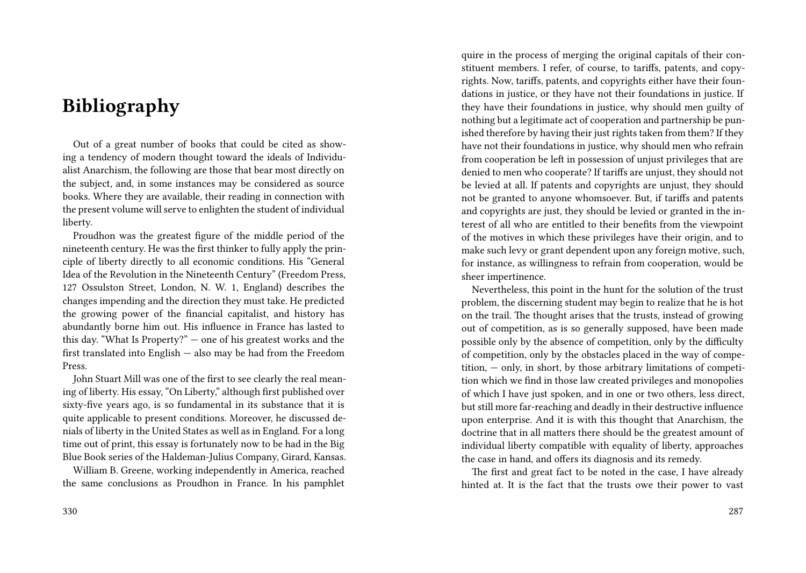# **Bibliography**

Out of a great number of books that could be cited as showing a tendency of modern thought toward the ideals of Individualist Anarchism, the following are those that bear most directly on the subject, and, in some instances may be considered as source books. Where they are available, their reading in connection with the present volume will serve to enlighten the student of individual liberty.

Proudhon was the greatest figure of the middle period of the nineteenth century. He was the first thinker to fully apply the principle of liberty directly to all economic conditions. His "General Idea of the Revolution in the Nineteenth Century" (Freedom Press, 127 Ossulston Street, London, N. W. 1, England) describes the changes impending and the direction they must take. He predicted the growing power of the financial capitalist, and history has abundantly borne him out. His influence in France has lasted to this day. "What Is Property?" — one of his greatest works and the first translated into English — also may be had from the Freedom Press.

John Stuart Mill was one of the first to see clearly the real meaning of liberty. His essay, "On Liberty," although first published over sixty-five years ago, is so fundamental in its substance that it is quite applicable to present conditions. Moreover, he discussed denials of liberty in the United States as well as in England. For a long time out of print, this essay is fortunately now to be had in the Big Blue Book series of the Haldeman-Julius Company, Girard, Kansas.

William B. Greene, working independently in America, reached the same conclusions as Proudhon in France. In his pamphlet

quire in the process of merging the original capitals of their constituent members. I refer, of course, to tariffs, patents, and copyrights. Now, tariffs, patents, and copyrights either have their foundations in justice, or they have not their foundations in justice. If they have their foundations in justice, why should men guilty of nothing but a legitimate act of cooperation and partnership be punished therefore by having their just rights taken from them? If they have not their foundations in justice, why should men who refrain from cooperation be left in possession of unjust privileges that are denied to men who cooperate? If tariffs are unjust, they should not be levied at all. If patents and copyrights are unjust, they should not be granted to anyone whomsoever. But, if tariffs and patents and copyrights are just, they should be levied or granted in the interest of all who are entitled to their benefits from the viewpoint of the motives in which these privileges have their origin, and to make such levy or grant dependent upon any foreign motive, such, for instance, as willingness to refrain from cooperation, would be sheer impertinence.

Nevertheless, this point in the hunt for the solution of the trust problem, the discerning student may begin to realize that he is hot on the trail. The thought arises that the trusts, instead of growing out of competition, as is so generally supposed, have been made possible only by the absence of competition, only by the difficulty of competition, only by the obstacles placed in the way of competition, — only, in short, by those arbitrary limitations of competition which we find in those law created privileges and monopolies of which I have just spoken, and in one or two others, less direct, but still more far-reaching and deadly in their destructive influence upon enterprise. And it is with this thought that Anarchism, the doctrine that in all matters there should be the greatest amount of individual liberty compatible with equality of liberty, approaches the case in hand, and offers its diagnosis and its remedy.

The first and great fact to be noted in the case, I have already hinted at. It is the fact that the trusts owe their power to vast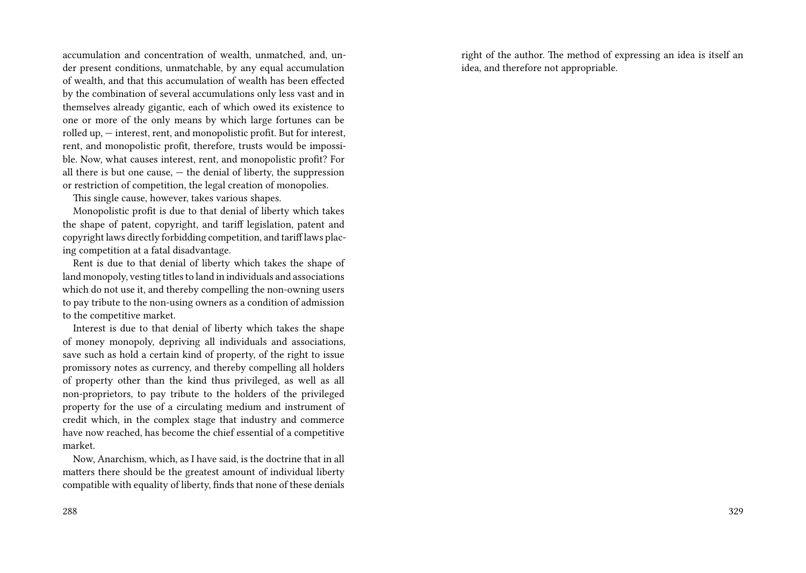accumulation and concentration of wealth, unmatched, and, under present conditions, unmatchable, by any equal accumulation of wealth, and that this accumulation of wealth has been effected by the combination of several accumulations only less vast and in themselves already gigantic, each of which owed its existence to one or more of the only means by which large fortunes can be rolled up, — interest, rent, and monopolistic profit. But for interest, rent, and monopolistic profit, therefore, trusts would be impossible. Now, what causes interest, rent, and monopolistic profit? For all there is but one cause, — the denial of liberty, the suppression or restriction of competition, the legal creation of monopolies.

This single cause, however, takes various shapes.

Monopolistic profit is due to that denial of liberty which takes the shape of patent, copyright, and tariff legislation, patent and copyright laws directly forbidding competition, and tariff laws placing competition at a fatal disadvantage.

Rent is due to that denial of liberty which takes the shape of land monopoly, vesting titles to land in individuals and associations which do not use it, and thereby compelling the non-owning users to pay tribute to the non-using owners as a condition of admission to the competitive market.

Interest is due to that denial of liberty which takes the shape of money monopoly, depriving all individuals and associations, save such as hold a certain kind of property, of the right to issue promissory notes as currency, and thereby compelling all holders of property other than the kind thus privileged, as well as all non-proprietors, to pay tribute to the holders of the privileged property for the use of a circulating medium and instrument of credit which, in the complex stage that industry and commerce have now reached, has become the chief essential of a competitive market.

Now, Anarchism, which, as I have said, is the doctrine that in all matters there should be the greatest amount of individual liberty compatible with equality of liberty, finds that none of these denials

right of the author. The method of expressing an idea is itself an idea, and therefore not appropriable.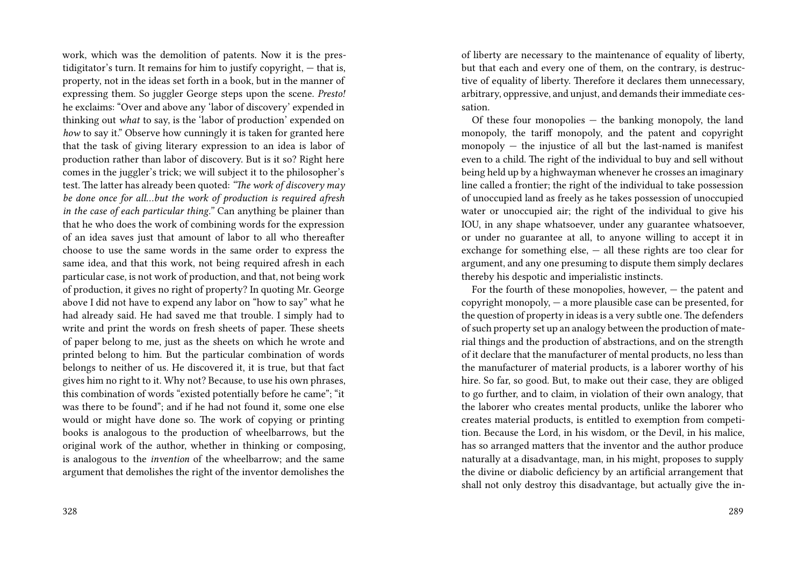work, which was the demolition of patents. Now it is the prestidigitator's turn. It remains for him to justify copyright, — that is, property, not in the ideas set forth in a book, but in the manner of expressing them. So juggler George steps upon the scene. *Presto!* he exclaims: "Over and above any 'labor of discovery' expended in thinking out *what* to say, is the 'labor of production' expended on *how* to say it." Observe how cunningly it is taken for granted here that the task of giving literary expression to an idea is labor of production rather than labor of discovery. But is it so? Right here comes in the juggler's trick; we will subject it to the philosopher's test. The latter has already been quoted: *"The work of discovery may be done once for all…but the work of production is required afresh in the case of each particular thing."* Can anything be plainer than that he who does the work of combining words for the expression of an idea saves just that amount of labor to all who thereafter choose to use the same words in the same order to express the same idea, and that this work, not being required afresh in each particular case, is not work of production, and that, not being work of production, it gives no right of property? In quoting Mr. George above I did not have to expend any labor on "how to say" what he had already said. He had saved me that trouble. I simply had to write and print the words on fresh sheets of paper. These sheets of paper belong to me, just as the sheets on which he wrote and printed belong to him. But the particular combination of words belongs to neither of us. He discovered it, it is true, but that fact gives him no right to it. Why not? Because, to use his own phrases, this combination of words "existed potentially before he came"; "it was there to be found"; and if he had not found it, some one else would or might have done so. The work of copying or printing books is analogous to the production of wheelbarrows, but the original work of the author, whether in thinking or composing, is analogous to the *invention* of the wheelbarrow; and the same argument that demolishes the right of the inventor demolishes the of liberty are necessary to the maintenance of equality of liberty, but that each and every one of them, on the contrary, is destructive of equality of liberty. Therefore it declares them unnecessary, arbitrary, oppressive, and unjust, and demands their immediate cessation.

Of these four monopolies  $-$  the banking monopoly, the land monopoly, the tariff monopoly, and the patent and copyright monopoly  $-$  the injustice of all but the last-named is manifest even to a child. The right of the individual to buy and sell without being held up by a highwayman whenever he crosses an imaginary line called a frontier; the right of the individual to take possession of unoccupied land as freely as he takes possession of unoccupied water or unoccupied air; the right of the individual to give his IOU, in any shape whatsoever, under any guarantee whatsoever, or under no guarantee at all, to anyone willing to accept it in exchange for something else, — all these rights are too clear for argument, and any one presuming to dispute them simply declares thereby his despotic and imperialistic instincts.

For the fourth of these monopolies, however, — the patent and copyright monopoly, — a more plausible case can be presented, for the question of property in ideas is a very subtle one. The defenders of such property set up an analogy between the production of material things and the production of abstractions, and on the strength of it declare that the manufacturer of mental products, no less than the manufacturer of material products, is a laborer worthy of his hire. So far, so good. But, to make out their case, they are obliged to go further, and to claim, in violation of their own analogy, that the laborer who creates mental products, unlike the laborer who creates material products, is entitled to exemption from competition. Because the Lord, in his wisdom, or the Devil, in his malice, has so arranged matters that the inventor and the author produce naturally at a disadvantage, man, in his might, proposes to supply the divine or diabolic deficiency by an artificial arrangement that shall not only destroy this disadvantage, but actually give the in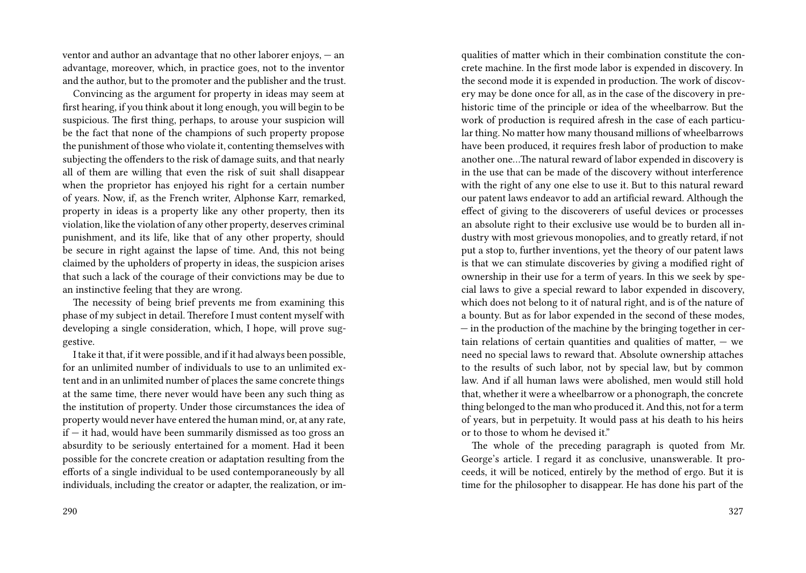ventor and author an advantage that no other laborer enjoys, — an advantage, moreover, which, in practice goes, not to the inventor and the author, but to the promoter and the publisher and the trust.

Convincing as the argument for property in ideas may seem at first hearing, if you think about it long enough, you will begin to be suspicious. The first thing, perhaps, to arouse your suspicion will be the fact that none of the champions of such property propose the punishment of those who violate it, contenting themselves with subjecting the offenders to the risk of damage suits, and that nearly all of them are willing that even the risk of suit shall disappear when the proprietor has enjoyed his right for a certain number of years. Now, if, as the French writer, Alphonse Karr, remarked, property in ideas is a property like any other property, then its violation, like the violation of any other property, deserves criminal punishment, and its life, like that of any other property, should be secure in right against the lapse of time. And, this not being claimed by the upholders of property in ideas, the suspicion arises that such a lack of the courage of their convictions may be due to an instinctive feeling that they are wrong.

The necessity of being brief prevents me from examining this phase of my subject in detail. Therefore I must content myself with developing a single consideration, which, I hope, will prove suggestive.

I take it that, if it were possible, and if it had always been possible, for an unlimited number of individuals to use to an unlimited extent and in an unlimited number of places the same concrete things at the same time, there never would have been any such thing as the institution of property. Under those circumstances the idea of property would never have entered the human mind, or, at any rate,  $if - it$  had, would have been summarily dismissed as too gross an absurdity to be seriously entertained for a moment. Had it been possible for the concrete creation or adaptation resulting from the efforts of a single individual to be used contemporaneously by all individuals, including the creator or adapter, the realization, or im-

qualities of matter which in their combination constitute the concrete machine. In the first mode labor is expended in discovery. In the second mode it is expended in production. The work of discovery may be done once for all, as in the case of the discovery in prehistoric time of the principle or idea of the wheelbarrow. But the work of production is required afresh in the case of each particular thing. No matter how many thousand millions of wheelbarrows have been produced, it requires fresh labor of production to make another one…The natural reward of labor expended in discovery is in the use that can be made of the discovery without interference with the right of any one else to use it. But to this natural reward our patent laws endeavor to add an artificial reward. Although the effect of giving to the discoverers of useful devices or processes an absolute right to their exclusive use would be to burden all industry with most grievous monopolies, and to greatly retard, if not put a stop to, further inventions, yet the theory of our patent laws is that we can stimulate discoveries by giving a modified right of ownership in their use for a term of years. In this we seek by special laws to give a special reward to labor expended in discovery, which does not belong to it of natural right, and is of the nature of a bounty. But as for labor expended in the second of these modes, — in the production of the machine by the bringing together in certain relations of certain quantities and qualities of matter,  $-$  we need no special laws to reward that. Absolute ownership attaches to the results of such labor, not by special law, but by common law. And if all human laws were abolished, men would still hold that, whether it were a wheelbarrow or a phonograph, the concrete thing belonged to the man who produced it. And this, not for a term of years, but in perpetuity. It would pass at his death to his heirs or to those to whom he devised it."

The whole of the preceding paragraph is quoted from Mr. George's article. I regard it as conclusive, unanswerable. It proceeds, it will be noticed, entirely by the method of ergo. But it is time for the philosopher to disappear. He has done his part of the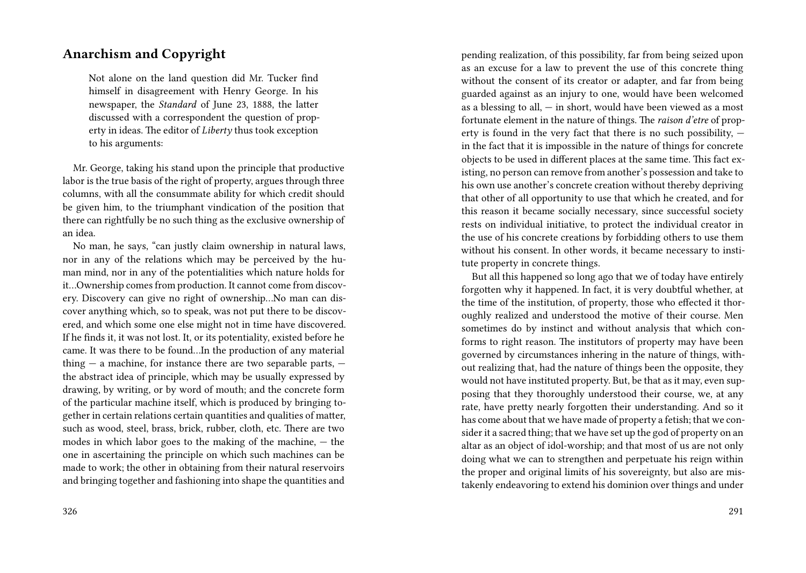# **Anarchism and Copyright**

Not alone on the land question did Mr. Tucker find himself in disagreement with Henry George. In his newspaper, the *Standard* of June 23, 1888, the latter discussed with a correspondent the question of property in ideas. The editor of *Liberty* thus took exception to his arguments:

Mr. George, taking his stand upon the principle that productive labor is the true basis of the right of property, argues through three columns, with all the consummate ability for which credit should be given him, to the triumphant vindication of the position that there can rightfully be no such thing as the exclusive ownership of an idea.

No man, he says, "can justly claim ownership in natural laws, nor in any of the relations which may be perceived by the human mind, nor in any of the potentialities which nature holds for it…Ownership comes from production. It cannot come from discovery. Discovery can give no right of ownership…No man can discover anything which, so to speak, was not put there to be discovered, and which some one else might not in time have discovered. If he finds it, it was not lost. It, or its potentiality, existed before he came. It was there to be found…In the production of any material thing  $-$  a machine, for instance there are two separable parts,  $$ the abstract idea of principle, which may be usually expressed by drawing, by writing, or by word of mouth; and the concrete form of the particular machine itself, which is produced by bringing together in certain relations certain quantities and qualities of matter, such as wood, steel, brass, brick, rubber, cloth, etc. There are two modes in which labor goes to the making of the machine, — the one in ascertaining the principle on which such machines can be made to work; the other in obtaining from their natural reservoirs and bringing together and fashioning into shape the quantities and

pending realization, of this possibility, far from being seized upon as an excuse for a law to prevent the use of this concrete thing without the consent of its creator or adapter, and far from being guarded against as an injury to one, would have been welcomed as a blessing to all, — in short, would have been viewed as a most fortunate element in the nature of things. The *raison d'etre* of property is found in the very fact that there is no such possibility, in the fact that it is impossible in the nature of things for concrete objects to be used in different places at the same time. This fact existing, no person can remove from another's possession and take to his own use another's concrete creation without thereby depriving that other of all opportunity to use that which he created, and for this reason it became socially necessary, since successful society rests on individual initiative, to protect the individual creator in the use of his concrete creations by forbidding others to use them without his consent. In other words, it became necessary to institute property in concrete things.

But all this happened so long ago that we of today have entirely forgotten why it happened. In fact, it is very doubtful whether, at the time of the institution, of property, those who effected it thoroughly realized and understood the motive of their course. Men sometimes do by instinct and without analysis that which conforms to right reason. The institutors of property may have been governed by circumstances inhering in the nature of things, without realizing that, had the nature of things been the opposite, they would not have instituted property. But, be that as it may, even supposing that they thoroughly understood their course, we, at any rate, have pretty nearly forgotten their understanding. And so it has come about that we have made of property a fetish; that we consider it a sacred thing; that we have set up the god of property on an altar as an object of idol-worship; and that most of us are not only doing what we can to strengthen and perpetuate his reign within the proper and original limits of his sovereignty, but also are mistakenly endeavoring to extend his dominion over things and under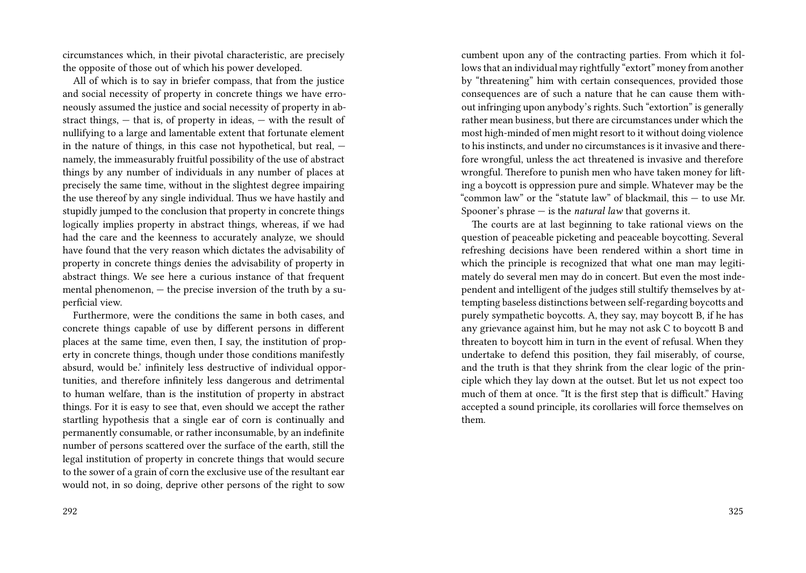circumstances which, in their pivotal characteristic, are precisely the opposite of those out of which his power developed.

All of which is to say in briefer compass, that from the justice and social necessity of property in concrete things we have erroneously assumed the justice and social necessity of property in abstract things, — that is, of property in ideas, — with the result of nullifying to a large and lamentable extent that fortunate element in the nature of things, in this case not hypothetical, but real, namely, the immeasurably fruitful possibility of the use of abstract things by any number of individuals in any number of places at precisely the same time, without in the slightest degree impairing the use thereof by any single individual. Thus we have hastily and stupidly jumped to the conclusion that property in concrete things logically implies property in abstract things, whereas, if we had had the care and the keenness to accurately analyze, we should have found that the very reason which dictates the advisability of property in concrete things denies the advisability of property in abstract things. We see here a curious instance of that frequent mental phenomenon, — the precise inversion of the truth by a superficial view.

Furthermore, were the conditions the same in both cases, and concrete things capable of use by different persons in different places at the same time, even then, I say, the institution of property in concrete things, though under those conditions manifestly absurd, would be.' infinitely less destructive of individual opportunities, and therefore infinitely less dangerous and detrimental to human welfare, than is the institution of property in abstract things. For it is easy to see that, even should we accept the rather startling hypothesis that a single ear of corn is continually and permanently consumable, or rather inconsumable, by an indefinite number of persons scattered over the surface of the earth, still the legal institution of property in concrete things that would secure to the sower of a grain of corn the exclusive use of the resultant ear would not, in so doing, deprive other persons of the right to sow

cumbent upon any of the contracting parties. From which it follows that an individual may rightfully "extort" money from another by "threatening" him with certain consequences, provided those consequences are of such a nature that he can cause them without infringing upon anybody's rights. Such "extortion" is generally rather mean business, but there are circumstances under which the most high-minded of men might resort to it without doing violence to his instincts, and under no circumstances is it invasive and therefore wrongful, unless the act threatened is invasive and therefore wrongful. Therefore to punish men who have taken money for lifting a boycott is oppression pure and simple. Whatever may be the "common law" or the "statute law" of blackmail, this — to use Mr. Spooner's phrase — is the *natural law* that governs it.

The courts are at last beginning to take rational views on the question of peaceable picketing and peaceable boycotting. Several refreshing decisions have been rendered within a short time in which the principle is recognized that what one man may legitimately do several men may do in concert. But even the most independent and intelligent of the judges still stultify themselves by attempting baseless distinctions between self-regarding boycotts and purely sympathetic boycotts. A, they say, may boycott B, if he has any grievance against him, but he may not ask C to boycott B and threaten to boycott him in turn in the event of refusal. When they undertake to defend this position, they fail miserably, of course, and the truth is that they shrink from the clear logic of the principle which they lay down at the outset. But let us not expect too much of them at once. "It is the first step that is difficult." Having accepted a sound principle, its corollaries will force themselves on them.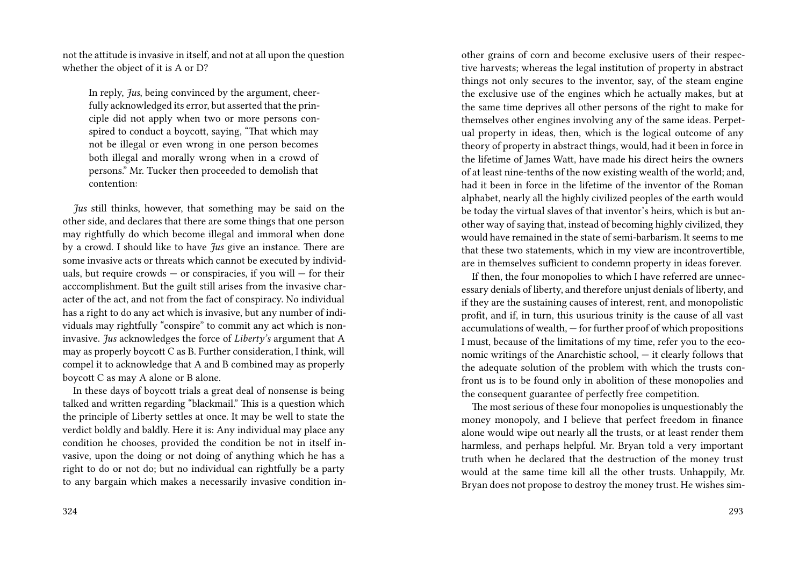not the attitude is invasive in itself, and not at all upon the question whether the object of it is A or D?

In reply, *Jus*, being convinced by the argument, cheerfully acknowledged its error, but asserted that the principle did not apply when two or more persons conspired to conduct a boycott, saying, "That which may not be illegal or even wrong in one person becomes both illegal and morally wrong when in a crowd of persons." Mr. Tucker then proceeded to demolish that contention:

*Jus* still thinks, however, that something may be said on the other side, and declares that there are some things that one person may rightfully do which become illegal and immoral when done by a crowd. I should like to have *Jus* give an instance. There are some invasive acts or threats which cannot be executed by individuals, but require crowds  $-$  or conspiracies, if you will  $-$  for their acccomplishment. But the guilt still arises from the invasive character of the act, and not from the fact of conspiracy. No individual has a right to do any act which is invasive, but any number of individuals may rightfully "conspire" to commit any act which is noninvasive. *Jus* acknowledges the force of *Liberty's* argument that A may as properly boycott C as B. Further consideration, I think, will compel it to acknowledge that A and B combined may as properly boycott C as may A alone or B alone.

In these days of boycott trials a great deal of nonsense is being talked and written regarding "blackmail." This is a question which the principle of Liberty settles at once. It may be well to state the verdict boldly and baldly. Here it is: Any individual may place any condition he chooses, provided the condition be not in itself invasive, upon the doing or not doing of anything which he has a right to do or not do; but no individual can rightfully be a party to any bargain which makes a necessarily invasive condition inother grains of corn and become exclusive users of their respective harvests; whereas the legal institution of property in abstract things not only secures to the inventor, say, of the steam engine the exclusive use of the engines which he actually makes, but at the same time deprives all other persons of the right to make for themselves other engines involving any of the same ideas. Perpetual property in ideas, then, which is the logical outcome of any theory of property in abstract things, would, had it been in force in the lifetime of James Watt, have made his direct heirs the owners of at least nine-tenths of the now existing wealth of the world; and, had it been in force in the lifetime of the inventor of the Roman alphabet, nearly all the highly civilized peoples of the earth would be today the virtual slaves of that inventor's heirs, which is but another way of saying that, instead of becoming highly civilized, they would have remained in the state of semi-barbarism. It seems to me that these two statements, which in my view are incontrovertible, are in themselves sufficient to condemn property in ideas forever.

If then, the four monopolies to which I have referred are unnecessary denials of liberty, and therefore unjust denials of liberty, and if they are the sustaining causes of interest, rent, and monopolistic profit, and if, in turn, this usurious trinity is the cause of all vast accumulations of wealth, — for further proof of which propositions I must, because of the limitations of my time, refer you to the economic writings of the Anarchistic school, — it clearly follows that the adequate solution of the problem with which the trusts confront us is to be found only in abolition of these monopolies and the consequent guarantee of perfectly free competition.

The most serious of these four monopolies is unquestionably the money monopoly, and I believe that perfect freedom in finance alone would wipe out nearly all the trusts, or at least render them harmless, and perhaps helpful. Mr. Bryan told a very important truth when he declared that the destruction of the money trust would at the same time kill all the other trusts. Unhappily, Mr. Bryan does not propose to destroy the money trust. He wishes sim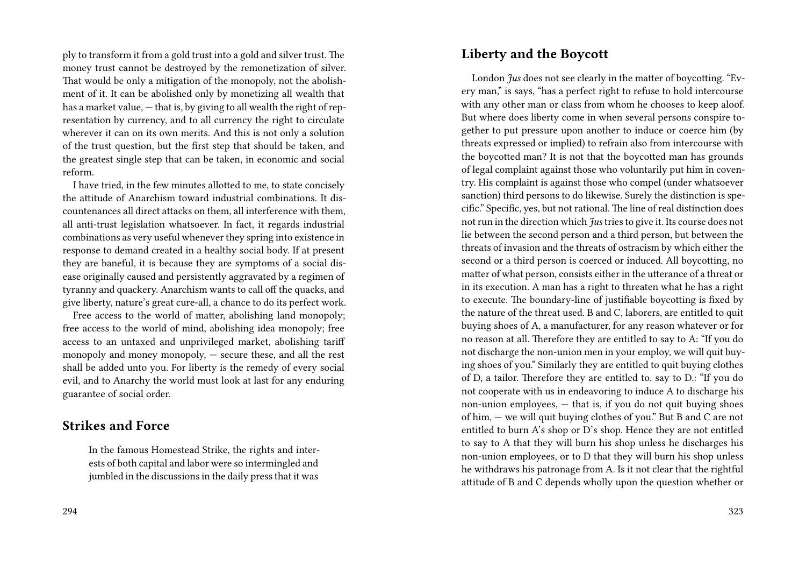ply to transform it from a gold trust into a gold and silver trust. The money trust cannot be destroyed by the remonetization of silver. That would be only a mitigation of the monopoly, not the abolishment of it. It can be abolished only by monetizing all wealth that has a market value, — that is, by giving to all wealth the right of representation by currency, and to all currency the right to circulate wherever it can on its own merits. And this is not only a solution of the trust question, but the first step that should be taken, and the greatest single step that can be taken, in economic and social reform.

I have tried, in the few minutes allotted to me, to state concisely the attitude of Anarchism toward industrial combinations. It discountenances all direct attacks on them, all interference with them, all anti-trust legislation whatsoever. In fact, it regards industrial combinations as very useful whenever they spring into existence in response to demand created in a healthy social body. If at present they are baneful, it is because they are symptoms of a social disease originally caused and persistently aggravated by a regimen of tyranny and quackery. Anarchism wants to call off the quacks, and give liberty, nature's great cure-all, a chance to do its perfect work.

Free access to the world of matter, abolishing land monopoly; free access to the world of mind, abolishing idea monopoly; free access to an untaxed and unprivileged market, abolishing tariff monopoly and money monopoly, — secure these, and all the rest shall be added unto you. For liberty is the remedy of every social evil, and to Anarchy the world must look at last for any enduring guarantee of social order.

# **Strikes and Force**

In the famous Homestead Strike, the rights and interests of both capital and labor were so intermingled and jumbled in the discussions in the daily press that it was

## **Liberty and the Boycott**

London *Jus* does not see clearly in the matter of boycotting. "Every man," is says, "has a perfect right to refuse to hold intercourse with any other man or class from whom he chooses to keep aloof. But where does liberty come in when several persons conspire together to put pressure upon another to induce or coerce him (by threats expressed or implied) to refrain also from intercourse with the boycotted man? It is not that the boycotted man has grounds of legal complaint against those who voluntarily put him in coventry. His complaint is against those who compel (under whatsoever sanction) third persons to do likewise. Surely the distinction is specific." Specific, yes, but not rational. The line of real distinction does not run in the direction which *Jus* tries to give it. Its course does not lie between the second person and a third person, but between the threats of invasion and the threats of ostracism by which either the second or a third person is coerced or induced. All boycotting, no matter of what person, consists either in the utterance of a threat or in its execution. A man has a right to threaten what he has a right to execute. The boundary-line of justifiable boycotting is fixed by the nature of the threat used. B and C, laborers, are entitled to quit buying shoes of A, a manufacturer, for any reason whatever or for no reason at all. Therefore they are entitled to say to A: "If you do not discharge the non-union men in your employ, we will quit buying shoes of you." Similarly they are entitled to quit buying clothes of D, a tailor. Therefore they are entitled to. say to D.: "If you do not cooperate with us in endeavoring to induce A to discharge his non-union employees, — that is, if you do not quit buying shoes of him, — we will quit buying clothes of you." But B and C are not entitled to burn A's shop or D's shop. Hence they are not entitled to say to A that they will burn his shop unless he discharges his non-union employees, or to D that they will burn his shop unless he withdraws his patronage from A. Is it not clear that the rightful attitude of B and C depends wholly upon the question whether or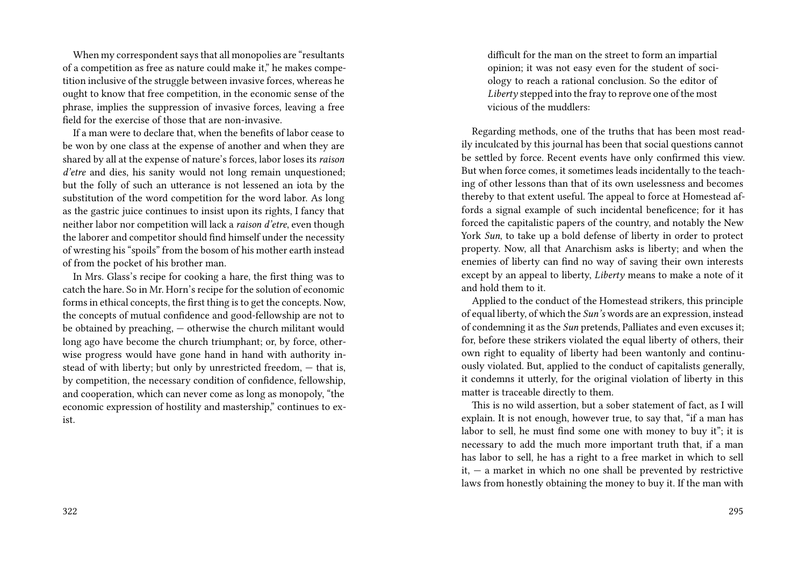When my correspondent says that all monopolies are "resultants of a competition as free as nature could make it," he makes competition inclusive of the struggle between invasive forces, whereas he ought to know that free competition, in the economic sense of the phrase, implies the suppression of invasive forces, leaving a free field for the exercise of those that are non-invasive.

If a man were to declare that, when the benefits of labor cease to be won by one class at the expense of another and when they are shared by all at the expense of nature's forces, labor loses its *raison d'etre* and dies, his sanity would not long remain unquestioned; but the folly of such an utterance is not lessened an iota by the substitution of the word competition for the word labor. As long as the gastric juice continues to insist upon its rights, I fancy that neither labor nor competition will lack a *raison d'etre*, even though the laborer and competitor should find himself under the necessity of wresting his "spoils" from the bosom of his mother earth instead of from the pocket of his brother man.

In Mrs. Glass's recipe for cooking a hare, the first thing was to catch the hare. So in Mr. Horn's recipe for the solution of economic forms in ethical concepts, the first thing is to get the concepts. Now, the concepts of mutual confidence and good-fellowship are not to be obtained by preaching, — otherwise the church militant would long ago have become the church triumphant; or, by force, otherwise progress would have gone hand in hand with authority instead of with liberty; but only by unrestricted freedom, — that is, by competition, the necessary condition of confidence, fellowship, and cooperation, which can never come as long as monopoly, "the economic expression of hostility and mastership," continues to exist.

difficult for the man on the street to form an impartial opinion; it was not easy even for the student of sociology to reach a rational conclusion. So the editor of *Liberty* stepped into the fray to reprove one of the most vicious of the muddlers:

Regarding methods, one of the truths that has been most readily inculcated by this journal has been that social questions cannot be settled by force. Recent events have only confirmed this view. But when force comes, it sometimes leads incidentally to the teaching of other lessons than that of its own uselessness and becomes thereby to that extent useful. The appeal to force at Homestead affords a signal example of such incidental beneficence; for it has forced the capitalistic papers of the country, and notably the New York *Sun*, to take up a bold defense of liberty in order to protect property. Now, all that Anarchism asks is liberty; and when the enemies of liberty can find no way of saving their own interests except by an appeal to liberty, *Liberty* means to make a note of it and hold them to it.

Applied to the conduct of the Homestead strikers, this principle of equal liberty, of which the *Sun's* words are an expression, instead of condemning it as the *Sun* pretends, Palliates and even excuses it; for, before these strikers violated the equal liberty of others, their own right to equality of liberty had been wantonly and continuously violated. But, applied to the conduct of capitalists generally, it condemns it utterly, for the original violation of liberty in this matter is traceable directly to them.

This is no wild assertion, but a sober statement of fact, as I will explain. It is not enough, however true, to say that, "if a man has labor to sell, he must find some one with money to buy it"; it is necessary to add the much more important truth that, if a man has labor to sell, he has a right to a free market in which to sell it, — a market in which no one shall be prevented by restrictive laws from honestly obtaining the money to buy it. If the man with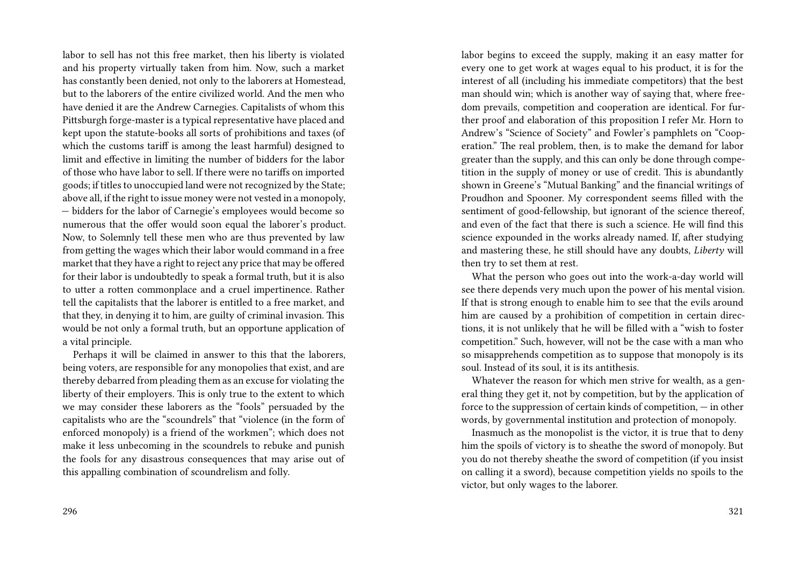labor to sell has not this free market, then his liberty is violated and his property virtually taken from him. Now, such a market has constantly been denied, not only to the laborers at Homestead, but to the laborers of the entire civilized world. And the men who have denied it are the Andrew Carnegies. Capitalists of whom this Pittsburgh forge-master is a typical representative have placed and kept upon the statute-books all sorts of prohibitions and taxes (of which the customs tariff is among the least harmful) designed to limit and effective in limiting the number of bidders for the labor of those who have labor to sell. If there were no tariffs on imported goods; if titles to unoccupied land were not recognized by the State; above all, if the right to issue money were not vested in a monopoly, — bidders for the labor of Carnegie's employees would become so numerous that the offer would soon equal the laborer's product. Now, to Solemnly tell these men who are thus prevented by law from getting the wages which their labor would command in a free market that they have a right to reject any price that may be offered for their labor is undoubtedly to speak a formal truth, but it is also to utter a rotten commonplace and a cruel impertinence. Rather tell the capitalists that the laborer is entitled to a free market, and that they, in denying it to him, are guilty of criminal invasion. This would be not only a formal truth, but an opportune application of a vital principle.

Perhaps it will be claimed in answer to this that the laborers, being voters, are responsible for any monopolies that exist, and are thereby debarred from pleading them as an excuse for violating the liberty of their employers. This is only true to the extent to which we may consider these laborers as the "fools" persuaded by the capitalists who are the "scoundrels" that "violence (in the form of enforced monopoly) is a friend of the workmen"; which does not make it less unbecoming in the scoundrels to rebuke and punish the fools for any disastrous consequences that may arise out of this appalling combination of scoundrelism and folly.

296

labor begins to exceed the supply, making it an easy matter for every one to get work at wages equal to his product, it is for the interest of all (including his immediate competitors) that the best man should win; which is another way of saying that, where freedom prevails, competition and cooperation are identical. For further proof and elaboration of this proposition I refer Mr. Horn to Andrew's "Science of Society" and Fowler's pamphlets on "Cooperation." The real problem, then, is to make the demand for labor greater than the supply, and this can only be done through competition in the supply of money or use of credit. This is abundantly shown in Greene's "Mutual Banking" and the financial writings of Proudhon and Spooner. My correspondent seems filled with the sentiment of good-fellowship, but ignorant of the science thereof, and even of the fact that there is such a science. He will find this science expounded in the works already named. If, after studying and mastering these, he still should have any doubts, *Liberty* will then try to set them at rest.

What the person who goes out into the work-a-day world will see there depends very much upon the power of his mental vision. If that is strong enough to enable him to see that the evils around him are caused by a prohibition of competition in certain directions, it is not unlikely that he will be filled with a "wish to foster competition." Such, however, will not be the case with a man who so misapprehends competition as to suppose that monopoly is its soul. Instead of its soul, it is its antithesis.

Whatever the reason for which men strive for wealth, as a general thing they get it, not by competition, but by the application of force to the suppression of certain kinds of competition, — in other words, by governmental institution and protection of monopoly.

Inasmuch as the monopolist is the victor, it is true that to deny him the spoils of victory is to sheathe the sword of monopoly. But you do not thereby sheathe the sword of competition (if you insist on calling it a sword), because competition yields no spoils to the victor, but only wages to the laborer.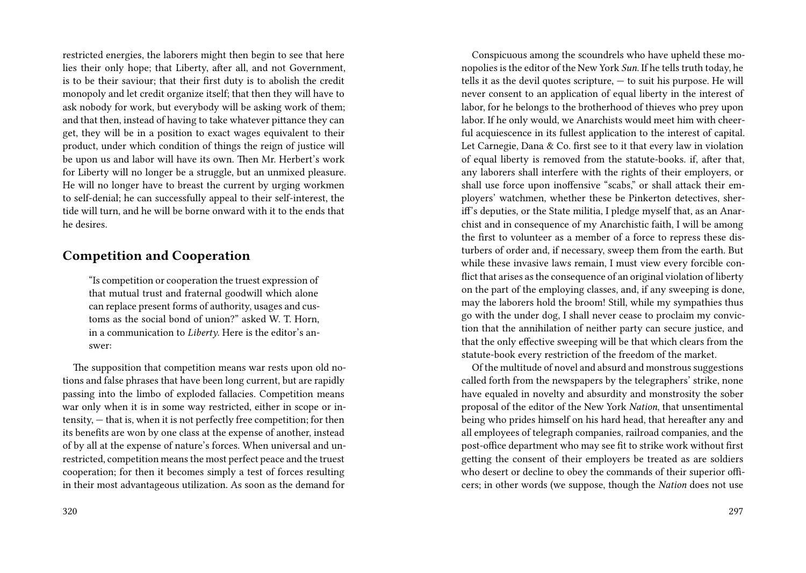restricted energies, the laborers might then begin to see that here lies their only hope; that Liberty, after all, and not Government, is to be their saviour; that their first duty is to abolish the credit monopoly and let credit organize itself; that then they will have to ask nobody for work, but everybody will be asking work of them; and that then, instead of having to take whatever pittance they can get, they will be in a position to exact wages equivalent to their product, under which condition of things the reign of justice will be upon us and labor will have its own. Then Mr. Herbert's work for Liberty will no longer be a struggle, but an unmixed pleasure. He will no longer have to breast the current by urging workmen to self-denial; he can successfully appeal to their self-interest, the tide will turn, and he will be borne onward with it to the ends that he desires.

#### **Competition and Cooperation**

"Is competition or cooperation the truest expression of that mutual trust and fraternal goodwill which alone can replace present forms of authority, usages and customs as the social bond of union?" asked W. T. Horn, in a communication to *Liberty*. Here is the editor's answer:

The supposition that competition means war rests upon old notions and false phrases that have been long current, but are rapidly passing into the limbo of exploded fallacies. Competition means war only when it is in some way restricted, either in scope or intensity, — that is, when it is not perfectly free competition; for then its benefits are won by one class at the expense of another, instead of by all at the expense of nature's forces. When universal and unrestricted, competition means the most perfect peace and the truest cooperation; for then it becomes simply a test of forces resulting in their most advantageous utilization. As soon as the demand for

Conspicuous among the scoundrels who have upheld these monopolies is the editor of the New York *Sun*. If he tells truth today, he tells it as the devil quotes scripture, — to suit his purpose. He will never consent to an application of equal liberty in the interest of labor, for he belongs to the brotherhood of thieves who prey upon labor. If he only would, we Anarchists would meet him with cheerful acquiescence in its fullest application to the interest of capital. Let Carnegie, Dana & Co. first see to it that every law in violation of equal liberty is removed from the statute-books. if, after that, any laborers shall interfere with the rights of their employers, or shall use force upon inoffensive "scabs," or shall attack their employers' watchmen, whether these be Pinkerton detectives, sheriff's deputies, or the State militia, I pledge myself that, as an Anarchist and in consequence of my Anarchistic faith, I will be among the first to volunteer as a member of a force to repress these disturbers of order and, if necessary, sweep them from the earth. But while these invasive laws remain, I must view every forcible conflict that arises as the consequence of an original violation of liberty on the part of the employing classes, and, if any sweeping is done, may the laborers hold the broom! Still, while my sympathies thus go with the under dog, I shall never cease to proclaim my conviction that the annihilation of neither party can secure justice, and that the only effective sweeping will be that which clears from the statute-book every restriction of the freedom of the market.

Of the multitude of novel and absurd and monstrous suggestions called forth from the newspapers by the telegraphers' strike, none have equaled in novelty and absurdity and monstrosity the sober proposal of the editor of the New York *Nation*, that unsentimental being who prides himself on his hard head, that hereafter any and all employees of telegraph companies, railroad companies, and the post-office department who may see fit to strike work without first getting the consent of their employers be treated as are soldiers who desert or decline to obey the commands of their superior officers; in other words (we suppose, though the *Nation* does not use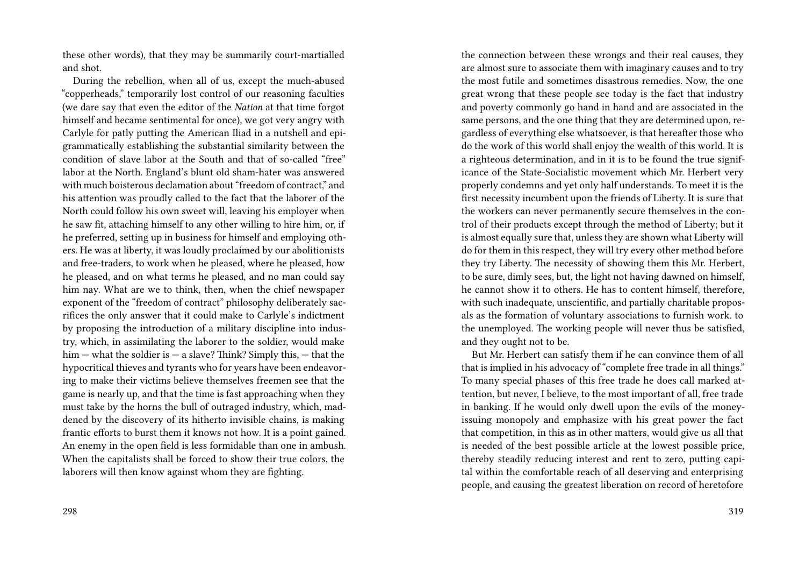these other words), that they may be summarily court-martialled and shot.

During the rebellion, when all of us, except the much-abused "copperheads," temporarily lost control of our reasoning faculties (we dare say that even the editor of the *Nation* at that time forgot himself and became sentimental for once), we got very angry with Carlyle for patly putting the American Iliad in a nutshell and epigrammatically establishing the substantial similarity between the condition of slave labor at the South and that of so-called "free" labor at the North. England's blunt old sham-hater was answered with much boisterous declamation about "freedom of contract," and his attention was proudly called to the fact that the laborer of the North could follow his own sweet will, leaving his employer when he saw fit, attaching himself to any other willing to hire him, or, if he preferred, setting up in business for himself and employing others. He was at liberty, it was loudly proclaimed by our abolitionists and free-traders, to work when he pleased, where he pleased, how he pleased, and on what terms he pleased, and no man could say him nay. What are we to think, then, when the chief newspaper exponent of the "freedom of contract" philosophy deliberately sacrifices the only answer that it could make to Carlyle's indictment by proposing the introduction of a military discipline into industry, which, in assimilating the laborer to the soldier, would make him — what the soldier is — a slave? Think? Simply this, — that the hypocritical thieves and tyrants who for years have been endeavoring to make their victims believe themselves freemen see that the game is nearly up, and that the time is fast approaching when they must take by the horns the bull of outraged industry, which, maddened by the discovery of its hitherto invisible chains, is making frantic efforts to burst them it knows not how. It is a point gained. An enemy in the open field is less formidable than one in ambush. When the capitalists shall be forced to show their true colors, the laborers will then know against whom they are fighting.

the connection between these wrongs and their real causes, they are almost sure to associate them with imaginary causes and to try the most futile and sometimes disastrous remedies. Now, the one great wrong that these people see today is the fact that industry and poverty commonly go hand in hand and are associated in the same persons, and the one thing that they are determined upon, regardless of everything else whatsoever, is that hereafter those who do the work of this world shall enjoy the wealth of this world. It is a righteous determination, and in it is to be found the true significance of the State-Socialistic movement which Mr. Herbert very properly condemns and yet only half understands. To meet it is the first necessity incumbent upon the friends of Liberty. It is sure that the workers can never permanently secure themselves in the control of their products except through the method of Liberty; but it is almost equally sure that, unless they are shown what Liberty will do for them in this respect, they will try every other method before they try Liberty. The necessity of showing them this Mr. Herbert, to be sure, dimly sees, but, the light not having dawned on himself, he cannot show it to others. He has to content himself, therefore, with such inadequate, unscientific, and partially charitable proposals as the formation of voluntary associations to furnish work. to the unemployed. The working people will never thus be satisfied, and they ought not to be.

But Mr. Herbert can satisfy them if he can convince them of all that is implied in his advocacy of "complete free trade in all things." To many special phases of this free trade he does call marked attention, but never, I believe, to the most important of all, free trade in banking. If he would only dwell upon the evils of the moneyissuing monopoly and emphasize with his great power the fact that competition, in this as in other matters, would give us all that is needed of the best possible article at the lowest possible price, thereby steadily reducing interest and rent to zero, putting capital within the comfortable reach of all deserving and enterprising people, and causing the greatest liberation on record of heretofore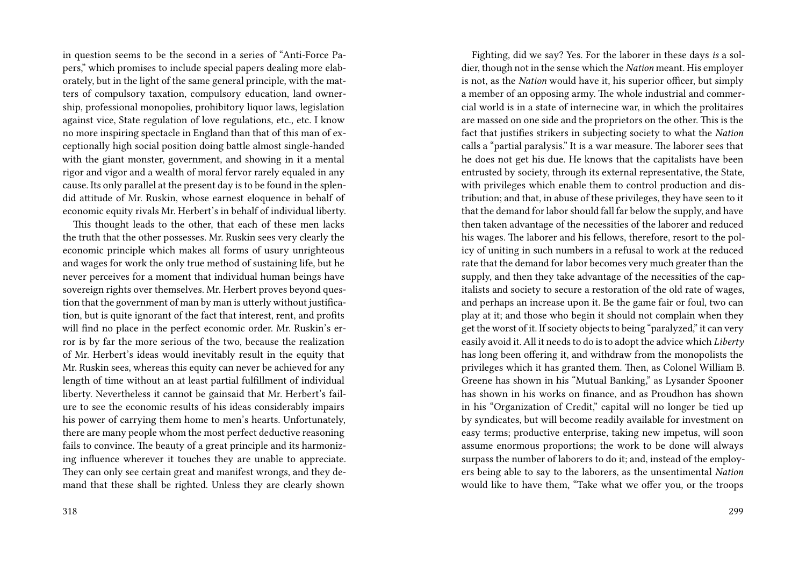in question seems to be the second in a series of "Anti-Force Papers," which promises to include special papers dealing more elaborately, but in the light of the same general principle, with the matters of compulsory taxation, compulsory education, land ownership, professional monopolies, prohibitory liquor laws, legislation against vice, State regulation of love regulations, etc., etc. I know no more inspiring spectacle in England than that of this man of exceptionally high social position doing battle almost single-handed with the giant monster, government, and showing in it a mental rigor and vigor and a wealth of moral fervor rarely equaled in any cause. Its only parallel at the present day is to be found in the splendid attitude of Mr. Ruskin, whose earnest eloquence in behalf of economic equity rivals Mr. Herbert's in behalf of individual liberty.

This thought leads to the other, that each of these men lacks the truth that the other possesses. Mr. Ruskin sees very clearly the economic principle which makes all forms of usury unrighteous and wages for work the only true method of sustaining life, but he never perceives for a moment that individual human beings have sovereign rights over themselves. Mr. Herbert proves beyond question that the government of man by man is utterly without justification, but is quite ignorant of the fact that interest, rent, and profits will find no place in the perfect economic order. Mr. Ruskin's error is by far the more serious of the two, because the realization of Mr. Herbert's ideas would inevitably result in the equity that Mr. Ruskin sees, whereas this equity can never be achieved for any length of time without an at least partial fulfillment of individual liberty. Nevertheless it cannot be gainsaid that Mr. Herbert's failure to see the economic results of his ideas considerably impairs his power of carrying them home to men's hearts. Unfortunately, there are many people whom the most perfect deductive reasoning fails to convince. The beauty of a great principle and its harmonizing influence wherever it touches they are unable to appreciate. They can only see certain great and manifest wrongs, and they demand that these shall be righted. Unless they are clearly shown

318

Fighting, did we say? Yes. For the laborer in these days *is* a soldier, though not in the sense which the *Nation* meant. His employer is not, as the *Nation* would have it, his superior officer, but simply a member of an opposing army. The whole industrial and commercial world is in a state of internecine war, in which the prolitaires are massed on one side and the proprietors on the other. This is the fact that justifies strikers in subjecting society to what the *Nation* calls a "partial paralysis." It is a war measure. The laborer sees that he does not get his due. He knows that the capitalists have been entrusted by society, through its external representative, the State, with privileges which enable them to control production and distribution; and that, in abuse of these privileges, they have seen to it that the demand for labor should fall far below the supply, and have then taken advantage of the necessities of the laborer and reduced his wages. The laborer and his fellows, therefore, resort to the policy of uniting in such numbers in a refusal to work at the reduced rate that the demand for labor becomes very much greater than the supply, and then they take advantage of the necessities of the capitalists and society to secure a restoration of the old rate of wages, and perhaps an increase upon it. Be the game fair or foul, two can play at it; and those who begin it should not complain when they get the worst of it. If society objects to being "paralyzed," it can very easily avoid it. All it needs to do is to adopt the advice which *Liberty* has long been offering it, and withdraw from the monopolists the privileges which it has granted them. Then, as Colonel William B. Greene has shown in his "Mutual Banking," as Lysander Spooner has shown in his works on finance, and as Proudhon has shown in his "Organization of Credit," capital will no longer be tied up by syndicates, but will become readily available for investment on easy terms; productive enterprise, taking new impetus, will soon assume enormous proportions; the work to be done will always surpass the number of laborers to do it; and, instead of the employers being able to say to the laborers, as the unsentimental *Nation* would like to have them, "Take what we offer you, or the troops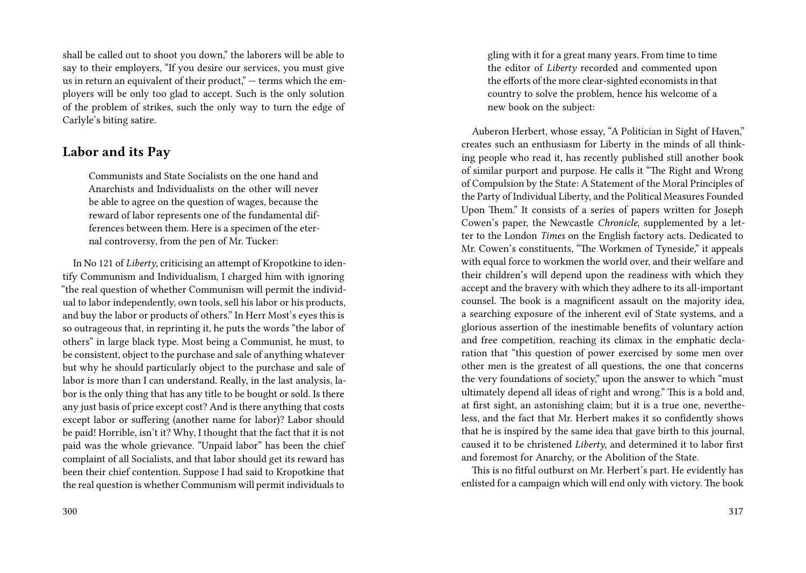shall be called out to shoot you down," the laborers will be able to say to their employers, "If you desire our services, you must give us in return an equivalent of their product," — terms which the employers will be only too glad to accept. Such is the only solution of the problem of strikes, such the only way to turn the edge of Carlyle's biting satire.

## **Labor and its Pay**

Communists and State Socialists on the one hand and Anarchists and Individualists on the other will never be able to agree on the question of wages, because the reward of labor represents one of the fundamental differences between them. Here is a specimen of the eternal controversy, from the pen of Mr. Tucker:

In No 121 of *Liberty*, criticising an attempt of Kropotkine to identify Communism and Individualism, I charged him with ignoring "the real question of whether Communism will permit the individual to labor independently, own tools, sell his labor or his products, and buy the labor or products of others." In Herr Most's eyes this is so outrageous that, in reprinting it, he puts the words "the labor of others" in large black type. Most being a Communist, he must, to be consistent, object to the purchase and sale of anything whatever but why he should particularly object to the purchase and sale of labor is more than I can understand. Really, in the last analysis, labor is the only thing that has any title to be bought or sold. Is there any just basis of price except cost? And is there anything that costs except labor or suffering (another name for labor)? Labor should be paid! Horrible, isn't it? Why, I thought that the fact that it is not paid was the whole grievance. "Unpaid labor" has been the chief complaint of all Socialists, and that labor should get its reward has been their chief contention. Suppose I had said to Kropotkine that the real question is whether Communism will permit individuals to

gling with it for a great many years. From time to time the editor of *Liberty* recorded and commented upon the efforts of the more clear-sighted economists in that country to solve the problem, hence his welcome of a new book on the subject:

Auberon Herbert, whose essay, "A Politician in Sight of Haven," creates such an enthusiasm for Liberty in the minds of all thinking people who read it, has recently published still another book of similar purport and purpose. He calls it "The Right and Wrong of Compulsion by the State: A Statement of the Moral Principles of the Party of Individual Liberty, and the Political Measures Founded Upon Them." It consists of a series of papers written for Joseph Cowen's paper, the Newcastle *Chronicle*, supplemented by a letter to the London *Times* on the English factory acts. Dedicated to Mr. Cowen's constituents, "The Workmen of Tyneside," it appeals with equal force to workmen the world over, and their welfare and their children's will depend upon the readiness with which they accept and the bravery with which they adhere to its all-important counsel. The book is a magnificent assault on the majority idea, a searching exposure of the inherent evil of State systems, and a glorious assertion of the inestimable benefits of voluntary action and free competition, reaching its climax in the emphatic declaration that "this question of power exercised by some men over other men is the greatest of all questions, the one that concerns the very foundations of society," upon the answer to which "must ultimately depend all ideas of right and wrong." This is a bold and, at first sight, an astonishing claim; but it is a true one, nevertheless, and the fact that Mr. Herbert makes it so confidently shows that he is inspired by the same idea that gave birth to this journal, caused it to be christened *Liberty*, and determined it to labor first and foremost for Anarchy, or the Abolition of the State.

This is no fitful outburst on Mr. Herbert's part. He evidently has enlisted for a campaign which will end only with victory. The book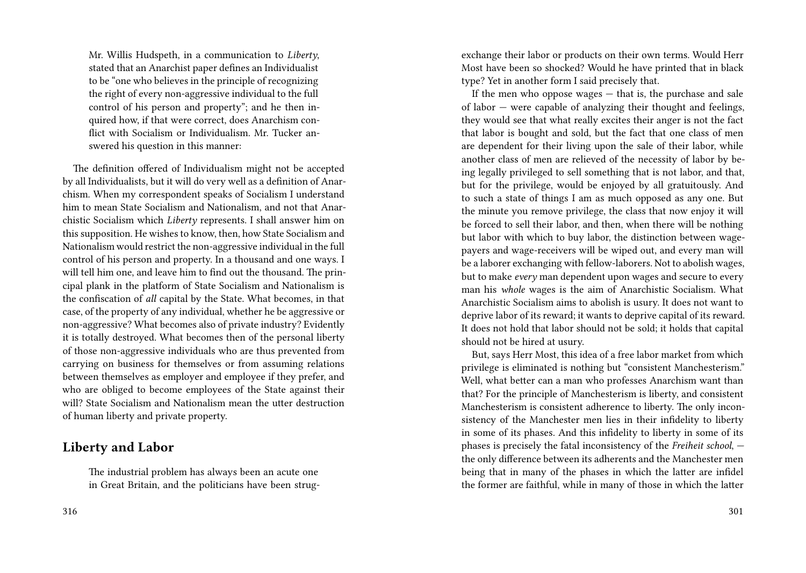Mr. Willis Hudspeth, in a communication to *Liberty*, stated that an Anarchist paper defines an Individualist to be "one who believes in the principle of recognizing the right of every non-aggressive individual to the full control of his person and property"; and he then inquired how, if that were correct, does Anarchism conflict with Socialism or Individualism. Mr. Tucker answered his question in this manner:

The definition offered of Individualism might not be accepted by all Individualists, but it will do very well as a definition of Anarchism. When my correspondent speaks of Socialism I understand him to mean State Socialism and Nationalism, and not that Anarchistic Socialism which *Liberty* represents. I shall answer him on this supposition. He wishes to know, then, how State Socialism and Nationalism would restrict the non-aggressive individual in the full control of his person and property. In a thousand and one ways. I will tell him one, and leave him to find out the thousand. The principal plank in the platform of State Socialism and Nationalism is the confiscation of *all* capital by the State. What becomes, in that case, of the property of any individual, whether he be aggressive or non-aggressive? What becomes also of private industry? Evidently it is totally destroyed. What becomes then of the personal liberty of those non-aggressive individuals who are thus prevented from carrying on business for themselves or from assuming relations between themselves as employer and employee if they prefer, and who are obliged to become employees of the State against their will? State Socialism and Nationalism mean the utter destruction of human liberty and private property.

#### **Liberty and Labor**

The industrial problem has always been an acute one in Great Britain, and the politicians have been strugexchange their labor or products on their own terms. Would Herr Most have been so shocked? Would he have printed that in black type? Yet in another form I said precisely that.

If the men who oppose wages  $-$  that is, the purchase and sale of labor — were capable of analyzing their thought and feelings, they would see that what really excites their anger is not the fact that labor is bought and sold, but the fact that one class of men are dependent for their living upon the sale of their labor, while another class of men are relieved of the necessity of labor by being legally privileged to sell something that is not labor, and that, but for the privilege, would be enjoyed by all gratuitously. And to such a state of things I am as much opposed as any one. But the minute you remove privilege, the class that now enjoy it will be forced to sell their labor, and then, when there will be nothing but labor with which to buy labor, the distinction between wagepayers and wage-receivers will be wiped out, and every man will be a laborer exchanging with fellow-laborers. Not to abolish wages, but to make *every* man dependent upon wages and secure to every man his *whole* wages is the aim of Anarchistic Socialism. What Anarchistic Socialism aims to abolish is usury. It does not want to deprive labor of its reward; it wants to deprive capital of its reward. It does not hold that labor should not be sold; it holds that capital should not be hired at usury.

But, says Herr Most, this idea of a free labor market from which privilege is eliminated is nothing but "consistent Manchesterism." Well, what better can a man who professes Anarchism want than that? For the principle of Manchesterism is liberty, and consistent Manchesterism is consistent adherence to liberty. The only inconsistency of the Manchester men lies in their infidelity to liberty in some of its phases. And this infidelity to liberty in some of its phases is precisely the fatal inconsistency of the *Freiheit school*, the only difference between its adherents and the Manchester men being that in many of the phases in which the latter are infidel the former are faithful, while in many of those in which the latter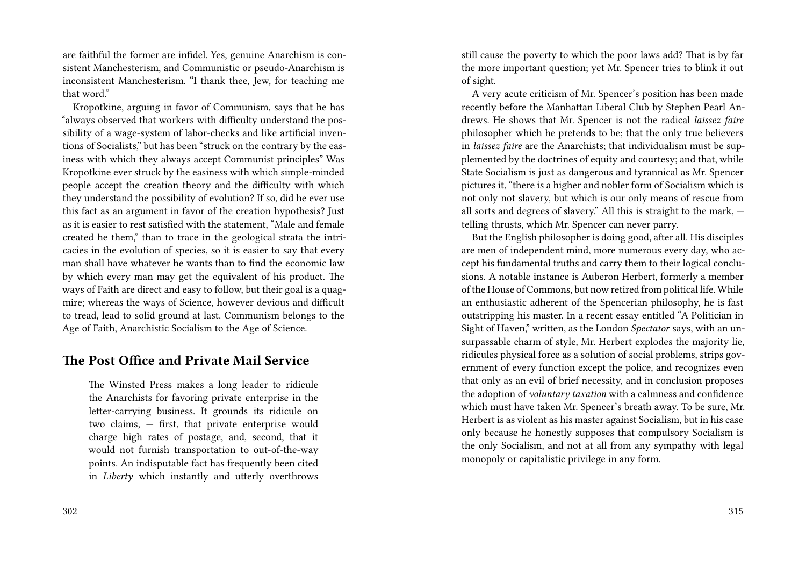are faithful the former are infidel. Yes, genuine Anarchism is consistent Manchesterism, and Communistic or pseudo-Anarchism is inconsistent Manchesterism. "I thank thee, Jew, for teaching me that word"

Kropotkine, arguing in favor of Communism, says that he has "always observed that workers with difficulty understand the possibility of a wage-system of labor-checks and like artificial inventions of Socialists," but has been "struck on the contrary by the easiness with which they always accept Communist principles" Was Kropotkine ever struck by the easiness with which simple-minded people accept the creation theory and the difficulty with which they understand the possibility of evolution? If so, did he ever use this fact as an argument in favor of the creation hypothesis? Just as it is easier to rest satisfied with the statement, "Male and female created he them," than to trace in the geological strata the intricacies in the evolution of species, so it is easier to say that every man shall have whatever he wants than to find the economic law by which every man may get the equivalent of his product. The ways of Faith are direct and easy to follow, but their goal is a quagmire; whereas the ways of Science, however devious and difficult to tread, lead to solid ground at last. Communism belongs to the Age of Faith, Anarchistic Socialism to the Age of Science.

## **The Post Office and Private Mail Service**

The Winsted Press makes a long leader to ridicule the Anarchists for favoring private enterprise in the letter-carrying business. It grounds its ridicule on two claims, — first, that private enterprise would charge high rates of postage, and, second, that it would not furnish transportation to out-of-the-way points. An indisputable fact has frequently been cited in *Liberty* which instantly and utterly overthrows

still cause the poverty to which the poor laws add? That is by far the more important question; yet Mr. Spencer tries to blink it out of sight.

A very acute criticism of Mr. Spencer's position has been made recently before the Manhattan Liberal Club by Stephen Pearl Andrews. He shows that Mr. Spencer is not the radical *laissez faire* philosopher which he pretends to be; that the only true believers in *laissez faire* are the Anarchists; that individualism must be supplemented by the doctrines of equity and courtesy; and that, while State Socialism is just as dangerous and tyrannical as Mr. Spencer pictures it, "there is a higher and nobler form of Socialism which is not only not slavery, but which is our only means of rescue from all sorts and degrees of slavery." All this is straight to the mark, telling thrusts, which Mr. Spencer can never parry.

But the English philosopher is doing good, after all. His disciples are men of independent mind, more numerous every day, who accept his fundamental truths and carry them to their logical conclusions. A notable instance is Auberon Herbert, formerly a member of the House of Commons, but now retired from political life. While an enthusiastic adherent of the Spencerian philosophy, he is fast outstripping his master. In a recent essay entitled "A Politician in Sight of Haven," written, as the London *Spectator* says, with an unsurpassable charm of style, Mr. Herbert explodes the majority lie, ridicules physical force as a solution of social problems, strips government of every function except the police, and recognizes even that only as an evil of brief necessity, and in conclusion proposes the adoption of *voluntary taxation* with a calmness and confidence which must have taken Mr. Spencer's breath away. To be sure, Mr. Herbert is as violent as his master against Socialism, but in his case only because he honestly supposes that compulsory Socialism is the only Socialism, and not at all from any sympathy with legal monopoly or capitalistic privilege in any form.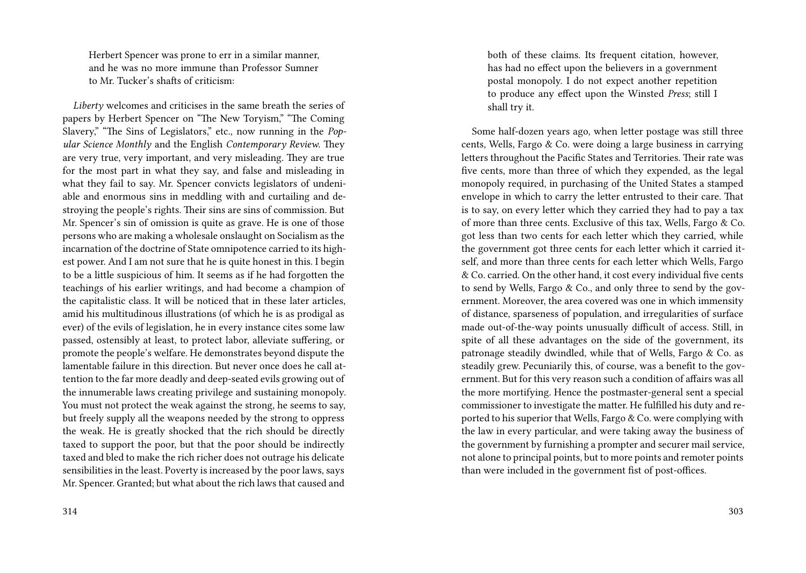Herbert Spencer was prone to err in a similar manner, and he was no more immune than Professor Sumner to Mr. Tucker's shafts of criticism:

*Liberty* welcomes and criticises in the same breath the series of papers by Herbert Spencer on "The New Toryism," "The Coming Slavery," "The Sins of Legislators," etc., now running in the *Popular Science Monthly* and the English *Contemporary Review*. They are very true, very important, and very misleading. They are true for the most part in what they say, and false and misleading in what they fail to say. Mr. Spencer convicts legislators of undeniable and enormous sins in meddling with and curtailing and destroying the people's rights. Their sins are sins of commission. But Mr. Spencer's sin of omission is quite as grave. He is one of those persons who are making a wholesale onslaught on Socialism as the incarnation of the doctrine of State omnipotence carried to its highest power. And I am not sure that he is quite honest in this. I begin to be a little suspicious of him. It seems as if he had forgotten the teachings of his earlier writings, and had become a champion of the capitalistic class. It will be noticed that in these later articles, amid his multitudinous illustrations (of which he is as prodigal as ever) of the evils of legislation, he in every instance cites some law passed, ostensibly at least, to protect labor, alleviate suffering, or promote the people's welfare. He demonstrates beyond dispute the lamentable failure in this direction. But never once does he call attention to the far more deadly and deep-seated evils growing out of the innumerable laws creating privilege and sustaining monopoly. You must not protect the weak against the strong, he seems to say, but freely supply all the weapons needed by the strong to oppress the weak. He is greatly shocked that the rich should be directly taxed to support the poor, but that the poor should be indirectly taxed and bled to make the rich richer does not outrage his delicate sensibilities in the least. Poverty is increased by the poor laws, says Mr. Spencer. Granted; but what about the rich laws that caused and

both of these claims. Its frequent citation, however, has had no effect upon the believers in a government postal monopoly. I do not expect another repetition to produce any effect upon the Winsted *Press*; still I shall try it.

Some half-dozen years ago, when letter postage was still three cents, Wells, Fargo & Co. were doing a large business in carrying letters throughout the Pacific States and Territories. Their rate was five cents, more than three of which they expended, as the legal monopoly required, in purchasing of the United States a stamped envelope in which to carry the letter entrusted to their care. That is to say, on every letter which they carried they had to pay a tax of more than three cents. Exclusive of this tax, Wells, Fargo & Co. got less than two cents for each letter which they carried, while the government got three cents for each letter which it carried itself, and more than three cents for each letter which Wells, Fargo & Co. carried. On the other hand, it cost every individual five cents to send by Wells, Fargo & Co., and only three to send by the government. Moreover, the area covered was one in which immensity of distance, sparseness of population, and irregularities of surface made out-of-the-way points unusually difficult of access. Still, in spite of all these advantages on the side of the government, its patronage steadily dwindled, while that of Wells, Fargo & Co. as steadily grew. Pecuniarily this, of course, was a benefit to the government. But for this very reason such a condition of affairs was all the more mortifying. Hence the postmaster-general sent a special commissioner to investigate the matter. He fulfilled his duty and reported to his superior that Wells, Fargo & Co. were complying with the law in every particular, and were taking away the business of the government by furnishing a prompter and securer mail service, not alone to principal points, but to more points and remoter points than were included in the government fist of post-offices.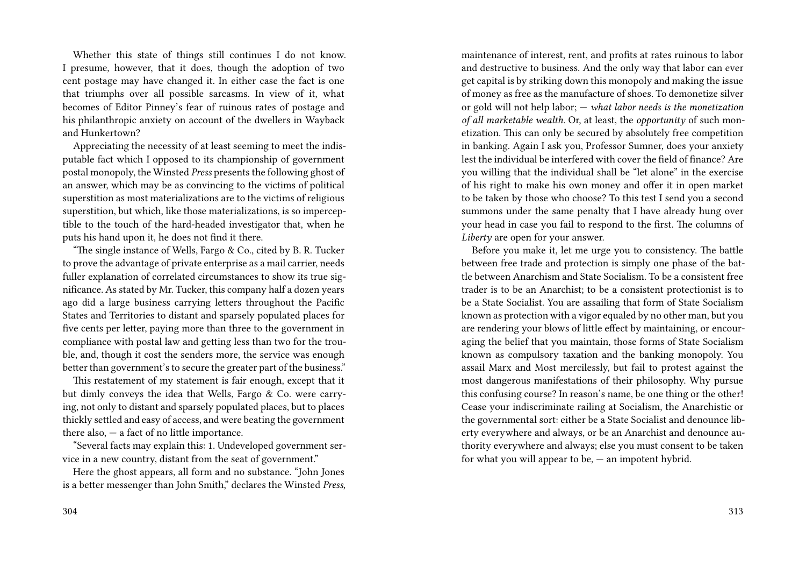Whether this state of things still continues I do not know. I presume, however, that it does, though the adoption of two cent postage may have changed it. In either case the fact is one that triumphs over all possible sarcasms. In view of it, what becomes of Editor Pinney's fear of ruinous rates of postage and his philanthropic anxiety on account of the dwellers in Wayback and Hunkertown?

Appreciating the necessity of at least seeming to meet the indisputable fact which I opposed to its championship of government postal monopoly, the Winsted *Press* presents the following ghost of an answer, which may be as convincing to the victims of political superstition as most materializations are to the victims of religious superstition, but which, like those materializations, is so imperceptible to the touch of the hard-headed investigator that, when he puts his hand upon it, he does not find it there.

"The single instance of Wells, Fargo & Co., cited by B. R. Tucker to prove the advantage of private enterprise as a mail carrier, needs fuller explanation of correlated circumstances to show its true significance. As stated by Mr. Tucker, this company half a dozen years ago did a large business carrying letters throughout the Pacific States and Territories to distant and sparsely populated places for five cents per letter, paying more than three to the government in compliance with postal law and getting less than two for the trouble, and, though it cost the senders more, the service was enough better than government's to secure the greater part of the business."

This restatement of my statement is fair enough, except that it but dimly conveys the idea that Wells, Fargo & Co. were carrying, not only to distant and sparsely populated places, but to places thickly settled and easy of access, and were beating the government there also, — a fact of no little importance.

"Several facts may explain this: 1. Undeveloped government service in a new country, distant from the seat of government."

Here the ghost appears, all form and no substance. "John Jones is a better messenger than John Smith," declares the Winsted *Press*, maintenance of interest, rent, and profits at rates ruinous to labor and destructive to business. And the only way that labor can ever get capital is by striking down this monopoly and making the issue of money as free as the manufacture of shoes. To demonetize silver or gold will not help labor; — *what labor needs is the monetization of all marketable wealth*. Or, at least, the *opportunity* of such monetization. This can only be secured by absolutely free competition in banking. Again I ask you, Professor Sumner, does your anxiety lest the individual be interfered with cover the field of finance? Are you willing that the individual shall be "let alone" in the exercise of his right to make his own money and offer it in open market to be taken by those who choose? To this test I send you a second summons under the same penalty that I have already hung over your head in case you fail to respond to the first. The columns of *Liberty* are open for your answer.

Before you make it, let me urge you to consistency. The battle between free trade and protection is simply one phase of the battle between Anarchism and State Socialism. To be a consistent free trader is to be an Anarchist; to be a consistent protectionist is to be a State Socialist. You are assailing that form of State Socialism known as protection with a vigor equaled by no other man, but you are rendering your blows of little effect by maintaining, or encouraging the belief that you maintain, those forms of State Socialism known as compulsory taxation and the banking monopoly. You assail Marx and Most mercilessly, but fail to protest against the most dangerous manifestations of their philosophy. Why pursue this confusing course? In reason's name, be one thing or the other! Cease your indiscriminate railing at Socialism, the Anarchistic or the governmental sort: either be a State Socialist and denounce liberty everywhere and always, or be an Anarchist and denounce authority everywhere and always; else you must consent to be taken for what you will appear to be, — an impotent hybrid.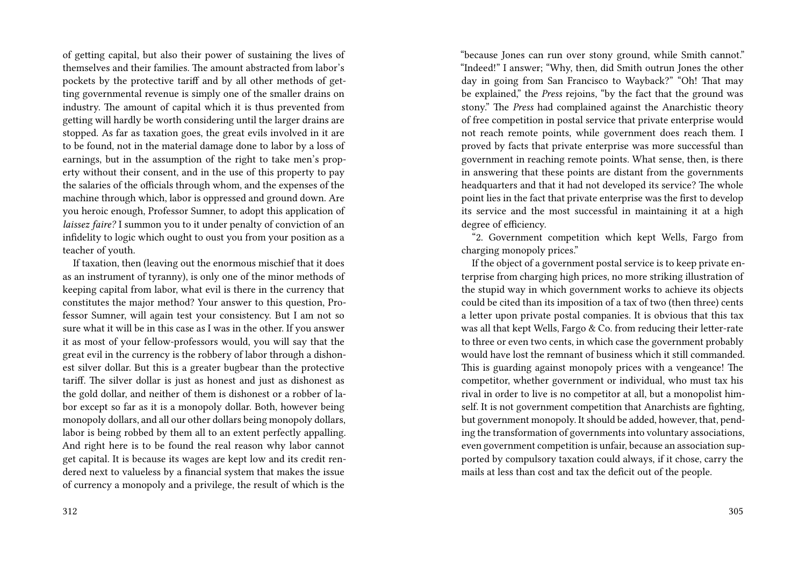of getting capital, but also their power of sustaining the lives of themselves and their families. The amount abstracted from labor's pockets by the protective tariff and by all other methods of getting governmental revenue is simply one of the smaller drains on industry. The amount of capital which it is thus prevented from getting will hardly be worth considering until the larger drains are stopped. As far as taxation goes, the great evils involved in it are to be found, not in the material damage done to labor by a loss of earnings, but in the assumption of the right to take men's property without their consent, and in the use of this property to pay the salaries of the officials through whom, and the expenses of the machine through which, labor is oppressed and ground down. Are you heroic enough, Professor Sumner, to adopt this application of *laissez faire?* I summon you to it under penalty of conviction of an infidelity to logic which ought to oust you from your position as a teacher of youth.

If taxation, then (leaving out the enormous mischief that it does as an instrument of tyranny), is only one of the minor methods of keeping capital from labor, what evil is there in the currency that constitutes the major method? Your answer to this question, Professor Sumner, will again test your consistency. But I am not so sure what it will be in this case as I was in the other. If you answer it as most of your fellow-professors would, you will say that the great evil in the currency is the robbery of labor through a dishonest silver dollar. But this is a greater bugbear than the protective tariff. The silver dollar is just as honest and just as dishonest as the gold dollar, and neither of them is dishonest or a robber of labor except so far as it is a monopoly dollar. Both, however being monopoly dollars, and all our other dollars being monopoly dollars, labor is being robbed by them all to an extent perfectly appalling. And right here is to be found the real reason why labor cannot get capital. It is because its wages are kept low and its credit rendered next to valueless by a financial system that makes the issue of currency a monopoly and a privilege, the result of which is the

"because Jones can run over stony ground, while Smith cannot." "Indeed!" I answer; "Why, then, did Smith outrun Jones the other day in going from San Francisco to Wayback?" "Oh! That may be explained," the *Press* rejoins, "by the fact that the ground was stony." The *Press* had complained against the Anarchistic theory of free competition in postal service that private enterprise would not reach remote points, while government does reach them. I proved by facts that private enterprise was more successful than government in reaching remote points. What sense, then, is there in answering that these points are distant from the governments headquarters and that it had not developed its service? The whole point lies in the fact that private enterprise was the first to develop its service and the most successful in maintaining it at a high degree of efficiency.

"2. Government competition which kept Wells, Fargo from charging monopoly prices."

If the object of a government postal service is to keep private enterprise from charging high prices, no more striking illustration of the stupid way in which government works to achieve its objects could be cited than its imposition of a tax of two (then three) cents a letter upon private postal companies. It is obvious that this tax was all that kept Wells, Fargo & Co. from reducing their letter-rate to three or even two cents, in which case the government probably would have lost the remnant of business which it still commanded. This is guarding against monopoly prices with a vengeance! The competitor, whether government or individual, who must tax his rival in order to live is no competitor at all, but a monopolist himself. It is not government competition that Anarchists are fighting, but government monopoly. It should be added, however, that, pending the transformation of governments into voluntary associations, even government competition is unfair, because an association supported by compulsory taxation could always, if it chose, carry the mails at less than cost and tax the deficit out of the people.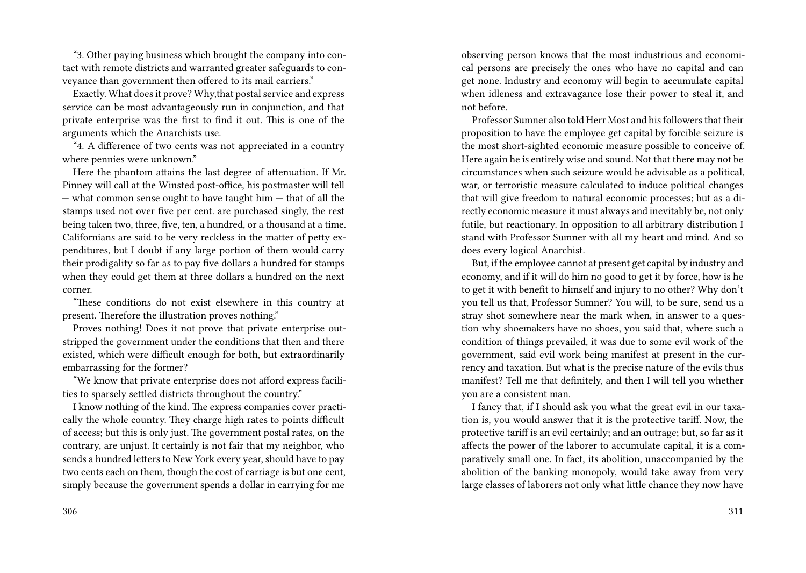"3. Other paying business which brought the company into contact with remote districts and warranted greater safeguards to conveyance than government then offered to its mail carriers."

Exactly. What does it prove? Why,that postal service and express service can be most advantageously run in conjunction, and that private enterprise was the first to find it out. This is one of the arguments which the Anarchists use.

"4. A difference of two cents was not appreciated in a country where pennies were unknown."

Here the phantom attains the last degree of attenuation. If Mr. Pinney will call at the Winsted post-office, his postmaster will tell — what common sense ought to have taught him — that of all the stamps used not over five per cent. are purchased singly, the rest being taken two, three, five, ten, a hundred, or a thousand at a time. Californians are said to be very reckless in the matter of petty expenditures, but I doubt if any large portion of them would carry their prodigality so far as to pay five dollars a hundred for stamps when they could get them at three dollars a hundred on the next corner.

"These conditions do not exist elsewhere in this country at present. Therefore the illustration proves nothing."

Proves nothing! Does it not prove that private enterprise outstripped the government under the conditions that then and there existed, which were difficult enough for both, but extraordinarily embarrassing for the former?

"We know that private enterprise does not afford express facilities to sparsely settled districts throughout the country."

I know nothing of the kind. The express companies cover practically the whole country. They charge high rates to points difficult of access; but this is only just. The government postal rates, on the contrary, are unjust. It certainly is not fair that my neighbor, who sends a hundred letters to New York every year, should have to pay two cents each on them, though the cost of carriage is but one cent, simply because the government spends a dollar in carrying for me

observing person knows that the most industrious and economical persons are precisely the ones who have no capital and can get none. Industry and economy will begin to accumulate capital when idleness and extravagance lose their power to steal it, and not before.

Professor Sumner also told Herr Most and his followers that their proposition to have the employee get capital by forcible seizure is the most short-sighted economic measure possible to conceive of. Here again he is entirely wise and sound. Not that there may not be circumstances when such seizure would be advisable as a political, war, or terroristic measure calculated to induce political changes that will give freedom to natural economic processes; but as a directly economic measure it must always and inevitably be, not only futile, but reactionary. In opposition to all arbitrary distribution I stand with Professor Sumner with all my heart and mind. And so does every logical Anarchist.

But, if the employee cannot at present get capital by industry and economy, and if it will do him no good to get it by force, how is he to get it with benefit to himself and injury to no other? Why don't you tell us that, Professor Sumner? You will, to be sure, send us a stray shot somewhere near the mark when, in answer to a question why shoemakers have no shoes, you said that, where such a condition of things prevailed, it was due to some evil work of the government, said evil work being manifest at present in the currency and taxation. But what is the precise nature of the evils thus manifest? Tell me that definitely, and then I will tell you whether you are a consistent man.

I fancy that, if I should ask you what the great evil in our taxation is, you would answer that it is the protective tariff. Now, the protective tariff is an evil certainly; and an outrage; but, so far as it affects the power of the laborer to accumulate capital, it is a comparatively small one. In fact, its abolition, unaccompanied by the abolition of the banking monopoly, would take away from very large classes of laborers not only what little chance they now have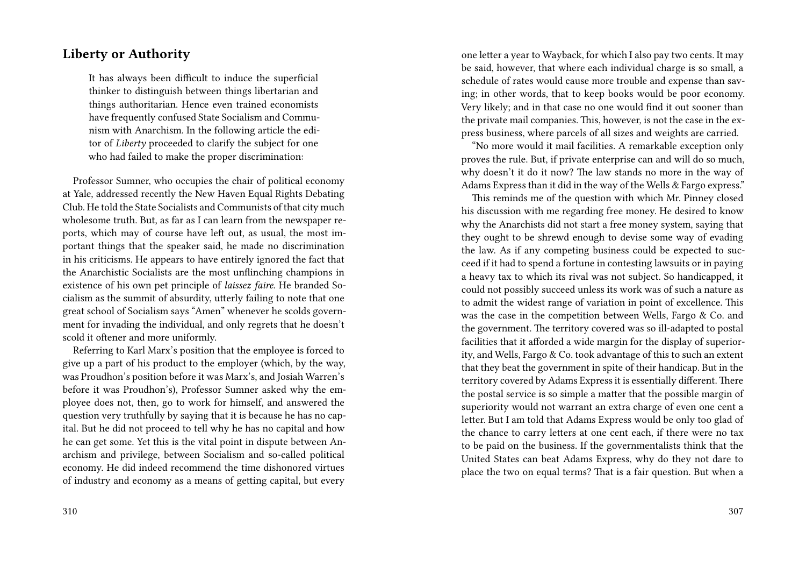#### **Liberty or Authority**

It has always been difficult to induce the superficial thinker to distinguish between things libertarian and things authoritarian. Hence even trained economists have frequently confused State Socialism and Communism with Anarchism. In the following article the editor of *Liberty* proceeded to clarify the subject for one who had failed to make the proper discrimination:

Professor Sumner, who occupies the chair of political economy at Yale, addressed recently the New Haven Equal Rights Debating Club. He told the State Socialists and Communists of that city much wholesome truth. But, as far as I can learn from the newspaper reports, which may of course have left out, as usual, the most important things that the speaker said, he made no discrimination in his criticisms. He appears to have entirely ignored the fact that the Anarchistic Socialists are the most unflinching champions in existence of his own pet principle of *laissez faire*. He branded Socialism as the summit of absurdity, utterly failing to note that one great school of Socialism says "Amen" whenever he scolds government for invading the individual, and only regrets that he doesn't scold it oftener and more uniformly.

Referring to Karl Marx's position that the employee is forced to give up a part of his product to the employer (which, by the way, was Proudhon's position before it was Marx's, and Josiah Warren's before it was Proudhon's), Professor Sumner asked why the employee does not, then, go to work for himself, and answered the question very truthfully by saying that it is because he has no capital. But he did not proceed to tell why he has no capital and how he can get some. Yet this is the vital point in dispute between Anarchism and privilege, between Socialism and so-called political economy. He did indeed recommend the time dishonored virtues of industry and economy as a means of getting capital, but every one letter a year to Wayback, for which I also pay two cents. It may be said, however, that where each individual charge is so small, a schedule of rates would cause more trouble and expense than saving; in other words, that to keep books would be poor economy. Very likely; and in that case no one would find it out sooner than the private mail companies. This, however, is not the case in the express business, where parcels of all sizes and weights are carried.

"No more would it mail facilities. A remarkable exception only proves the rule. But, if private enterprise can and will do so much, why doesn't it do it now? The law stands no more in the way of Adams Express than it did in the way of the Wells & Fargo express."

This reminds me of the question with which Mr. Pinney closed his discussion with me regarding free money. He desired to know why the Anarchists did not start a free money system, saying that they ought to be shrewd enough to devise some way of evading the law. As if any competing business could be expected to succeed if it had to spend a fortune in contesting lawsuits or in paying a heavy tax to which its rival was not subject. So handicapped, it could not possibly succeed unless its work was of such a nature as to admit the widest range of variation in point of excellence. This was the case in the competition between Wells, Fargo & Co. and the government. The territory covered was so ill-adapted to postal facilities that it afforded a wide margin for the display of superiority, and Wells, Fargo & Co. took advantage of this to such an extent that they beat the government in spite of their handicap. But in the territory covered by Adams Express it is essentially different. There the postal service is so simple a matter that the possible margin of superiority would not warrant an extra charge of even one cent a letter. But I am told that Adams Express would be only too glad of the chance to carry letters at one cent each, if there were no tax to be paid on the business. If the governmentalists think that the United States can beat Adams Express, why do they not dare to place the two on equal terms? That is a fair question. But when a